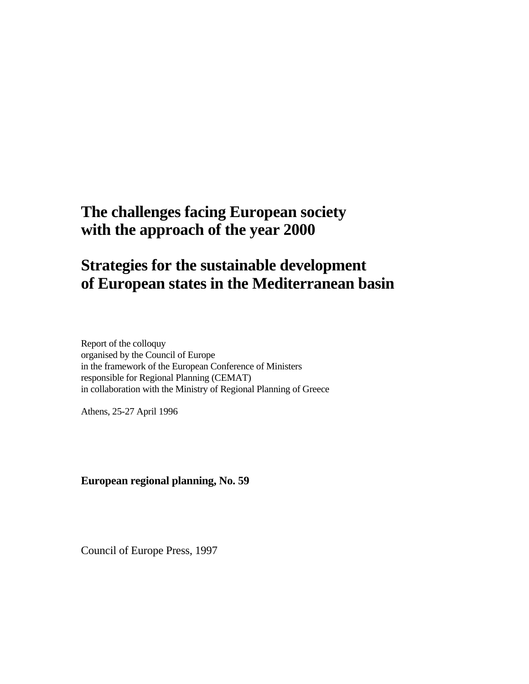# **The challenges facing European society with the approach of the year 2000**

# **Strategies for the sustainable development of European states in the Mediterranean basin**

Report of the colloquy organised by the Council of Europe in the framework of the European Conference of Ministers responsible for Regional Planning (CEMAT) in collaboration with the Ministry of Regional Planning of Greece

Athens, 25-27 April 1996

**European regional planning, No. 59** 

Council of Europe Press, 1997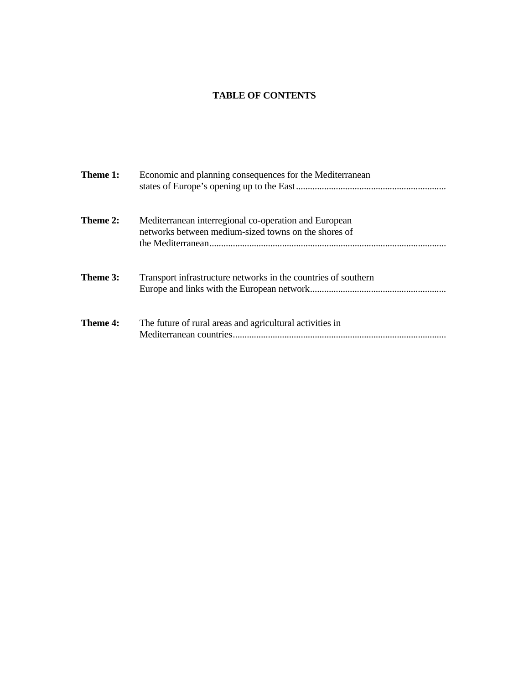# **TABLE OF CONTENTS**

| Theme 1:        | Economic and planning consequences for the Mediterranean                                                      |
|-----------------|---------------------------------------------------------------------------------------------------------------|
| Theme 2:        | Mediterranean interregional co-operation and European<br>networks between medium-sized towns on the shores of |
| Theme 3:        | Transport infrastructure networks in the countries of southern                                                |
| <b>Theme 4:</b> | The future of rural areas and agricultural activities in                                                      |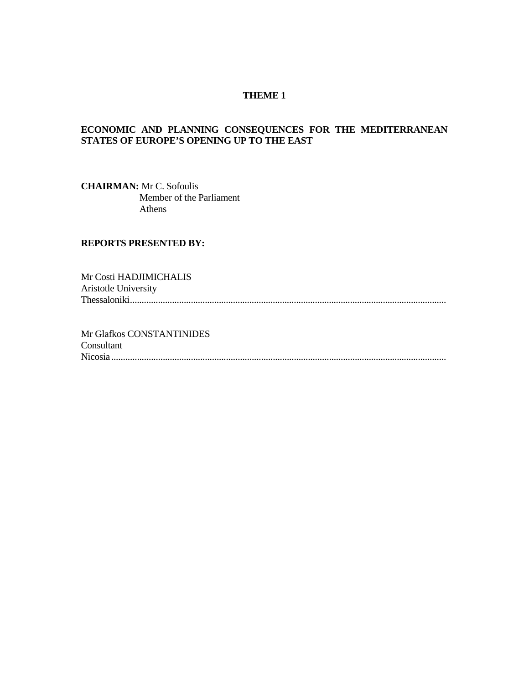#### **THEME 1**

# **ECONOMIC AND PLANNING CONSEQUENCES FOR THE MEDITERRANEAN STATES OF EUROPE'S OPENING UP TO THE EAST**

**CHAIRMAN:** Mr C. Sofoulis Member of the Parliament Athens

#### **REPORTS PRESENTED BY:**

Mr Costi HADJIMICHALIS Aristotle University Thessaloniki.......................................................................................................................................

Mr Glafkos CONSTANTINIDES Consultant Nicosia...............................................................................................................................................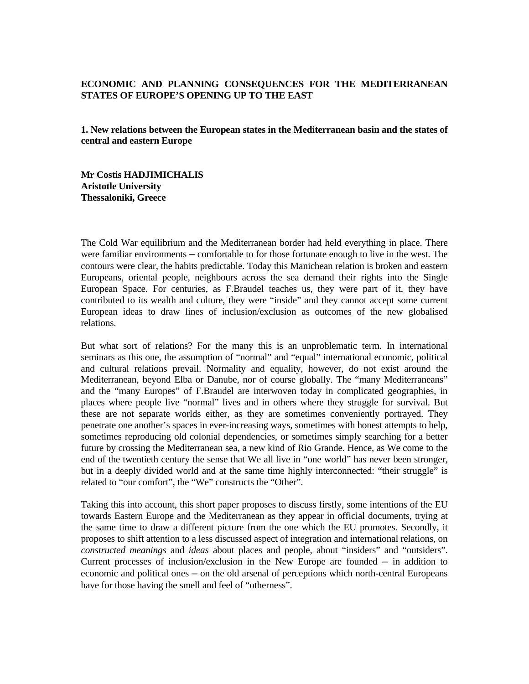#### **ECONOMIC AND PLANNING CONSEQUENCES FOR THE MEDITERRANEAN STATES OF EUROPE'S OPENING UP TO THE EAST**

**1. New relations between the European states in the Mediterranean basin and the states of central and eastern Europe** 

**Mr Costis HADJIMICHALIS Aristotle University Thessaloniki, Greece**

The Cold War equilibrium and the Mediterranean border had held everything in place. There were familiar environments — comfortable to for those fortunate enough to live in the west. The contours were clear, the habits predictable. Today this Manichean relation is broken and eastern Europeans, oriental people, neighbours across the sea demand their rights into the Single European Space. For centuries, as F.Braudel teaches us, they were part of it, they have contributed to its wealth and culture, they were "inside" and they cannot accept some current European ideas to draw lines of inclusion/exclusion as outcomes of the new globalised relations.

But what sort of relations? For the many this is an unproblematic term. In international seminars as this one, the assumption of "normal" and "equal" international economic, political and cultural relations prevail. Normality and equality, however, do not exist around the Mediterranean, beyond Elba or Danube, nor of course globally. The "many Mediterraneans" and the "many Europes" of F.Braudel are interwoven today in complicated geographies, in places where people live "normal" lives and in others where they struggle for survival. But these are not separate worlds either, as they are sometimes conveniently portrayed. They penetrate one another's spaces in ever-increasing ways, sometimes with honest attempts to help, sometimes reproducing old colonial dependencies, or sometimes simply searching for a better future by crossing the Mediterranean sea, a new kind of Rio Grande. Hence, as We come to the end of the twentieth century the sense that We all live in "one world" has never been stronger, but in a deeply divided world and at the same time highly interconnected: "their struggle" is related to "our comfort", the "We" constructs the "Other".

Taking this into account, this short paper proposes to discuss firstly, some intentions of the EU towards Eastern Europe and the Mediterranean as they appear in official documents, trying at the same time to draw a different picture from the one which the EU promotes. Secondly, it proposes to shift attention to a less discussed aspect of integration and international relations, on *constructed meanings* and *ideas* about places and people, about "insiders" and "outsiders". Current processes of inclusion/exclusion in the New Europe are founded  $-$  in addition to economic and political ones — on the old arsenal of perceptions which north-central Europeans have for those having the smell and feel of "otherness".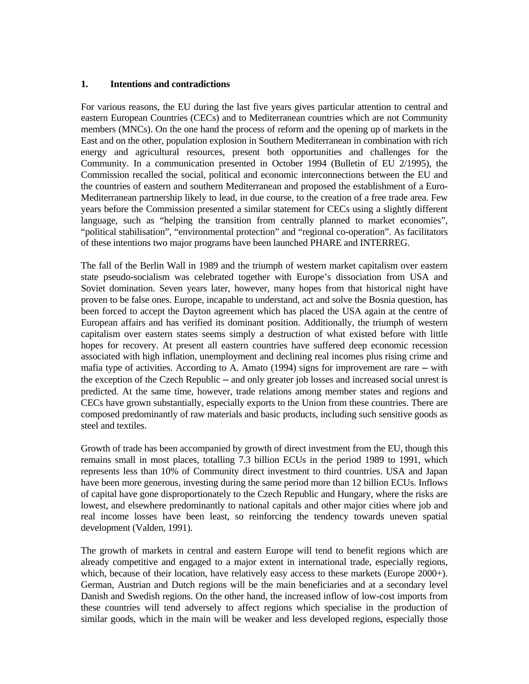#### **1. Intentions and contradictions**

For various reasons, the EU during the last five years gives particular attention to central and eastern European Countries (CECs) and to Mediterranean countries which are not Community members (MNCs). On the one hand the process of reform and the opening up of markets in the East and on the other, population explosion in Southern Mediterranean in combination with rich energy and agricultural resources, present both opportunities and challenges for the Community. In a communication presented in October 1994 (Bulletin of EU 2/1995), the Commission recalled the social, political and economic interconnections between the EU and the countries of eastern and southern Mediterranean and proposed the establishment of a Euro-Mediterranean partnership likely to lead, in due course, to the creation of a free trade area. Few years before the Commission presented a similar statement for CECs using a slightly different language, such as "helping the transition from centrally planned to market economies", "political stabilisation", "environmental protection" and "regional co-operation". As facilitators of these intentions two major programs have been launched PHARE and INTERREG.

The fall of the Berlin Wall in 1989 and the triumph of western market capitalism over eastern state pseudo-socialism was celebrated together with Europe's dissociation from USA and Soviet domination. Seven years later, however, many hopes from that historical night have proven to be false ones. Europe, incapable to understand, act and solve the Bosnia question, has been forced to accept the Dayton agreement which has placed the USA again at the centre of European affairs and has verified its dominant position. Additionally, the triumph of western capitalism over eastern states seems simply a destruction of what existed before with little hopes for recovery. At present all eastern countries have suffered deep economic recession associated with high inflation, unemployment and declining real incomes plus rising crime and mafia type of activities. According to A. Amato (1994) signs for improvement are rare  $-$  with the exception of the Czech Republic — and only greater job losses and increased social unrest is predicted. At the same time, however, trade relations among member states and regions and CECs have grown substantially, especially exports to the Union from these countries. There are composed predominantly of raw materials and basic products, including such sensitive goods as steel and textiles.

Growth of trade has been accompanied by growth of direct investment from the EU, though this remains small in most places, totalling 7.3 billion ECUs in the period 1989 to 1991, which represents less than 10% of Community direct investment to third countries. USA and Japan have been more generous, investing during the same period more than 12 billion ECUs. Inflows of capital have gone disproportionately to the Czech Republic and Hungary, where the risks are lowest, and elsewhere predominantly to national capitals and other major cities where job and real income losses have been least, so reinforcing the tendency towards uneven spatial development (Valden, 1991).

The growth of markets in central and eastern Europe will tend to benefit regions which are already competitive and engaged to a major extent in international trade, especially regions, which, because of their location, have relatively easy access to these markets (Europe 2000+). German, Austrian and Dutch regions will be the main beneficiaries and at a secondary level Danish and Swedish regions. On the other hand, the increased inflow of low-cost imports from these countries will tend adversely to affect regions which specialise in the production of similar goods, which in the main will be weaker and less developed regions, especially those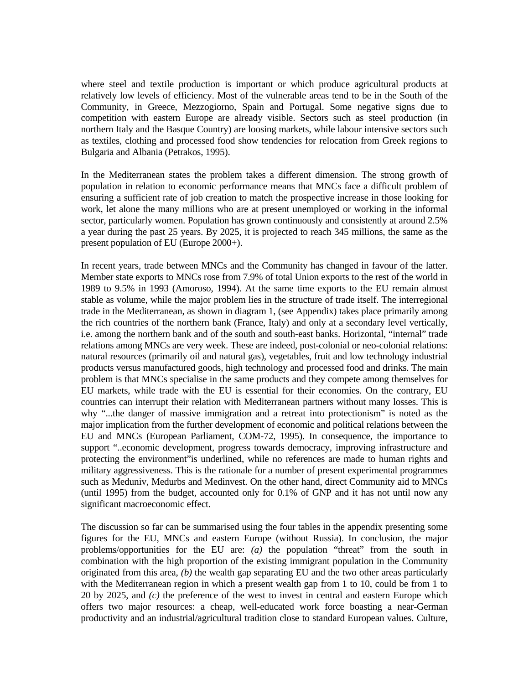where steel and textile production is important or which produce agricultural products at relatively low levels of efficiency. Most of the vulnerable areas tend to be in the South of the Community, in Greece, Mezzogiorno, Spain and Portugal. Some negative signs due to competition with eastern Europe are already visible. Sectors such as steel production (in northern Italy and the Basque Country) are loosing markets, while labour intensive sectors such as textiles, clothing and processed food show tendencies for relocation from Greek regions to Bulgaria and Albania (Petrakos, 1995).

In the Mediterranean states the problem takes a different dimension. The strong growth of population in relation to economic performance means that MNCs face a difficult problem of ensuring a sufficient rate of job creation to match the prospective increase in those looking for work, let alone the many millions who are at present unemployed or working in the informal sector, particularly women. Population has grown continuously and consistently at around 2.5% a year during the past 25 years. By 2025, it is projected to reach 345 millions, the same as the present population of EU (Europe 2000+).

In recent years, trade between MNCs and the Community has changed in favour of the latter. Member state exports to MNCs rose from 7.9% of total Union exports to the rest of the world in 1989 to 9.5% in 1993 (Amoroso, 1994). At the same time exports to the EU remain almost stable as volume, while the major problem lies in the structure of trade itself. The interregional trade in the Mediterranean, as shown in diagram 1, (see Appendix) takes place primarily among the rich countries of the northern bank (France, Italy) and only at a secondary level vertically, i.e. among the northern bank and of the south and south-east banks. Horizontal, "internal" trade relations among MNCs are very week. These are indeed, post-colonial or neo-colonial relations: natural resources (primarily oil and natural gas), vegetables, fruit and low technology industrial products versus manufactured goods, high technology and processed food and drinks. The main problem is that MNCs specialise in the same products and they compete among themselves for EU markets, while trade with the EU is essential for their economies. On the contrary, EU countries can interrupt their relation with Mediterranean partners without many losses. This is why "...the danger of massive immigration and a retreat into protectionism" is noted as the major implication from the further development of economic and political relations between the EU and MNCs (European Parliament, COM-72, 1995). In consequence, the importance to support "..economic development, progress towards democracy, improving infrastructure and protecting the environment"is underlined, while no references are made to human rights and military aggressiveness. This is the rationale for a number of present experimental programmes such as Meduniv, Medurbs and Medinvest. On the other hand, direct Community aid to MNCs (until 1995) from the budget, accounted only for 0.1% of GNP and it has not until now any significant macroeconomic effect.

The discussion so far can be summarised using the four tables in the appendix presenting some figures for the EU, MNCs and eastern Europe (without Russia). In conclusion, the major problems/opportunities for the EU are: *(a)* the population "threat" from the south in combination with the high proportion of the existing immigrant population in the Community originated from this area, *(b)* the wealth gap separating EU and the two other areas particularly with the Mediterranean region in which a present wealth gap from 1 to 10, could be from 1 to 20 by 2025, and *(c)* the preference of the west to invest in central and eastern Europe which offers two major resources: a cheap, well-educated work force boasting a near-German productivity and an industrial/agricultural tradition close to standard European values. Culture,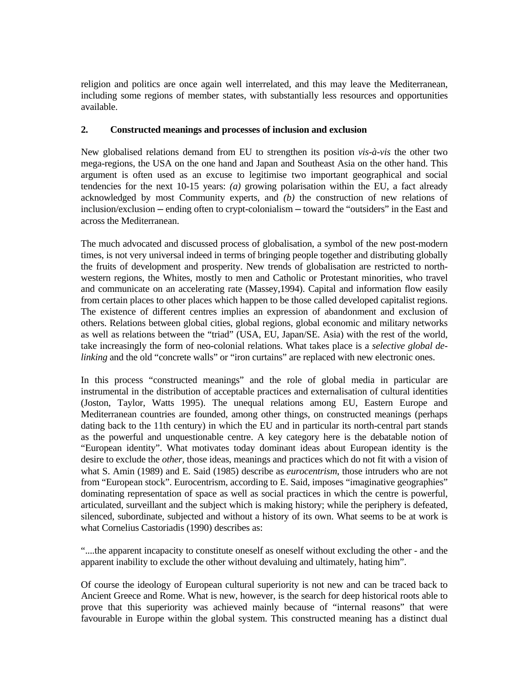religion and politics are once again well interrelated, and this may leave the Mediterranean, including some regions of member states, with substantially less resources and opportunities available.

#### **2. Constructed meanings and processes of inclusion and exclusion**

New globalised relations demand from EU to strengthen its position *vis-à-vis* the other two mega-regions, the USA on the one hand and Japan and Southeast Asia on the other hand. This argument is often used as an excuse to legitimise two important geographical and social tendencies for the next 10-15 years: *(a)* growing polarisation within the EU, a fact already acknowledged by most Community experts, and *(b)* the construction of new relations of inclusion/exclusion ─ ending often to crypt-colonialism ─ toward the "outsiders" in the East and across the Mediterranean.

The much advocated and discussed process of globalisation, a symbol of the new post-modern times, is not very universal indeed in terms of bringing people together and distributing globally the fruits of development and prosperity. New trends of globalisation are restricted to northwestern regions, the Whites, mostly to men and Catholic or Protestant minorities, who travel and communicate on an accelerating rate (Massey,1994). Capital and information flow easily from certain places to other places which happen to be those called developed capitalist regions. The existence of different centres implies an expression of abandonment and exclusion of others. Relations between global cities, global regions, global economic and military networks as well as relations between the "triad" (USA, EU, Japan/SE. Asia) with the rest of the world, take increasingly the form of neo-colonial relations. What takes place is a *selective global delinking* and the old "concrete walls" or "iron curtains" are replaced with new electronic ones.

In this process "constructed meanings" and the role of global media in particular are instrumental in the distribution of acceptable practices and externalisation of cultural identities (Joston, Taylor, Watts 1995). The unequal relations among EU, Eastern Europe and Mediterranean countries are founded, among other things, on constructed meanings (perhaps dating back to the 11th century) in which the EU and in particular its north-central part stands as the powerful and unquestionable centre. A key category here is the debatable notion of "European identity". What motivates today dominant ideas about European identity is the desire to exclude the *other,* those ideas, meanings and practices which do not fit with a vision of what S. Amin (1989) and E. Said (1985) describe as *eurocentrism*, those intruders who are not from "European stock". Eurocentrism, according to E. Said, imposes "imaginative geographies" dominating representation of space as well as social practices in which the centre is powerful, articulated, surveillant and the subject which is making history; while the periphery is defeated, silenced, subordinate, subjected and without a history of its own. What seems to be at work is what Cornelius Castoriadis (1990) describes as:

"....the apparent incapacity to constitute oneself as oneself without excluding the other - and the apparent inability to exclude the other without devaluing and ultimately, hating him".

Of course the ideology of European cultural superiority is not new and can be traced back to Ancient Greece and Rome. What is new, however, is the search for deep historical roots able to prove that this superiority was achieved mainly because of "internal reasons" that were favourable in Europe within the global system. This constructed meaning has a distinct dual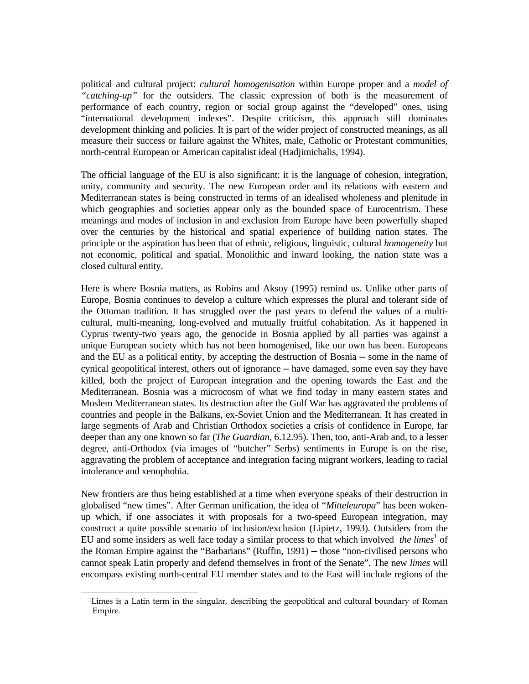political and cultural project: *cultural homogenisation* within Europe proper and a *model of "catching-up"* for the outsiders. The classic expression of both is the measurement of performance of each country, region or social group against the "developed" ones, using "international development indexes". Despite criticism, this approach still dominates development thinking and policies. It is part of the wider project of constructed meanings, as all measure their success or failure against the Whites, male, Catholic or Protestant communities, north-central European or American capitalist ideal (Hadjimichalis, 1994).

The official language of the EU is also significant: it is the language of cohesion, integration, unity, community and security. The new European order and its relations with eastern and Mediterranean states is being constructed in terms of an idealised wholeness and plenitude in which geographies and societies appear only as the bounded space of Eurocentrism. These meanings and modes of inclusion in and exclusion from Europe have been powerfully shaped over the centuries by the historical and spatial experience of building nation states. The principle or the aspiration has been that of ethnic, religious, linguistic, cultural *homogeneity* but not economic, political and spatial. Monolithic and inward looking, the nation state was a closed cultural entity.

Here is where Bosnia matters, as Robins and Aksoy (1995) remind us. Unlike other parts of Europe, Bosnia continues to develop a culture which expresses the plural and tolerant side of the Ottoman tradition. It has struggled over the past years to defend the values of a multicultural, multi-meaning, long-evolved and mutually fruitful cohabitation. As it happened in Cyprus twenty-two years ago, the genocide in Bosnia applied by all parties was against a unique European society which has not been homogenised, like our own has been. Europeans and the EU as a political entity, by accepting the destruction of Bosnia ─ some in the name of cynical geopolitical interest, others out of ignorance — have damaged, some even say they have killed, both the project of European integration and the opening towards the East and the Mediterranean. Bosnia was a microcosm of what we find today in many eastern states and Moslem Mediterranean states. Its destruction after the Gulf War has aggravated the problems of countries and people in the Balkans, ex-Soviet Union and the Mediterranean. It has created in large segments of Arab and Christian Orthodox societies a crisis of confidence in Europe, far deeper than any one known so far (*The Guardian*, 6.12.95). Then, too, anti-Arab and, to a lesser degree, anti-Orthodox (via images of "butcher" Serbs) sentiments in Europe is on the rise, aggravating the problem of acceptance and integration facing migrant workers, leading to racial intolerance and xenophobia.

New frontiers are thus being established at a time when everyone speaks of their destruction in globalised "new times". After German unification, the idea of "*Mitteleuropa*" has been wokenup which, if one associates it with proposals for a two-speed European integration, may construct a quite possible scenario of inclusion/exclusion (Lipietz, 1993). Outsiders from the EU and some insiders as well face today a similar process to that which involved *the limes*<sup>1</sup> of the Roman Empire against the "Barbarians" (Ruffin, 1991) — those "non-civilised persons who cannot speak Latin properly and defend themselves in front of the Senate". The new *limes* will encompass existing north-central EU member states and to the East will include regions of the

<sup>÷</sup>  1Limes is a Latin term in the singular, describing the geopolitical and cultural boundary of Roman Empire.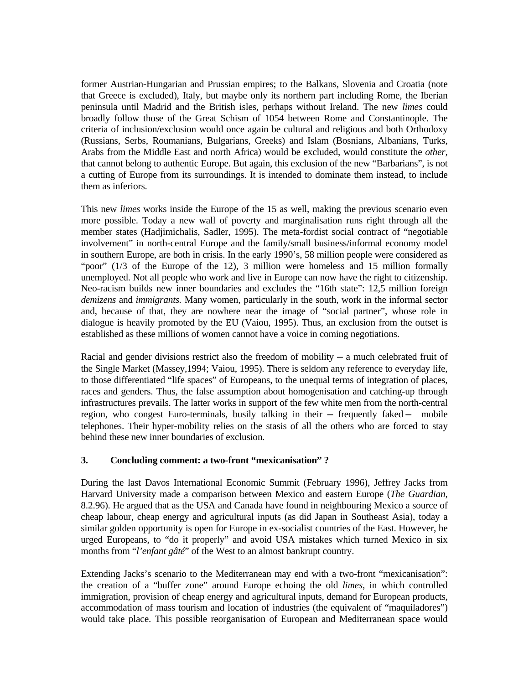former Austrian-Hungarian and Prussian empires; to the Balkans, Slovenia and Croatia (note that Greece is excluded), Italy, but maybe only its northern part including Rome, the Iberian peninsula until Madrid and the British isles, perhaps without Ireland. The new *limes* could broadly follow those of the Great Schism of 1054 between Rome and Constantinople. The criteria of inclusion/exclusion would once again be cultural and religious and both Orthodoxy (Russians, Serbs, Roumanians, Bulgarians, Greeks) and Islam (Bosnians, Albanians, Turks, Arabs from the Middle East and north Africa) would be excluded, would constitute the *other,* that cannot belong to authentic Europe. But again, this exclusion of the new "Barbarians", is not a cutting of Europe from its surroundings. It is intended to dominate them instead, to include them as inferiors.

This new *limes* works inside the Europe of the 15 as well, making the previous scenario even more possible. Today a new wall of poverty and marginalisation runs right through all the member states (Hadjimichalis, Sadler, 1995). The meta-fordist social contract of "negotiable involvement" in north-central Europe and the family/small business/informal economy model in southern Europe, are both in crisis. In the early 1990's, 58 million people were considered as "poor" (1/3 of the Europe of the 12), 3 million were homeless and 15 million formally unemployed. Not all people who work and live in Europe can now have the right to citizenship. Neo-racism builds new inner boundaries and excludes the "16th state": 12,5 million foreign *demizens* and *immigrants.* Many women, particularly in the south, work in the informal sector and, because of that, they are nowhere near the image of "social partner", whose role in dialogue is heavily promoted by the EU (Vaiou, 1995). Thus, an exclusion from the outset is established as these millions of women cannot have a voice in coming negotiations.

Racial and gender divisions restrict also the freedom of mobility  $-$  a much celebrated fruit of the Single Market (Massey,1994; Vaiou, 1995). There is seldom any reference to everyday life, to those differentiated "life spaces" of Europeans, to the unequal terms of integration of places, races and genders. Thus, the false assumption about homogenisation and catching-up through infrastructures prevails. The latter works in support of the few white men from the north-central region, who congest Euro-terminals, busily talking in their — frequently faked — mobile telephones. Their hyper-mobility relies on the stasis of all the others who are forced to stay behind these new inner boundaries of exclusion.

#### **3. Concluding comment: a two-front "mexicanisation" ?**

During the last Davos International Economic Summit (February 1996), Jeffrey Jacks from Harvard University made a comparison between Mexico and eastern Europe (*The Guardian*, 8.2.96). He argued that as the USA and Canada have found in neighbouring Mexico a source of cheap labour, cheap energy and agricultural inputs (as did Japan in Southeast Asia), today a similar golden opportunity is open for Europe in ex-socialist countries of the East. However, he urged Europeans, to "do it properly" and avoid USA mistakes which turned Mexico in six months from "*l'enfant gâté*" of the West to an almost bankrupt country.

Extending Jacks's scenario to the Mediterranean may end with a two-front "mexicanisation": the creation of a "buffer zone" around Europe echoing the old *limes*, in which controlled immigration, provision of cheap energy and agricultural inputs, demand for European products, accommodation of mass tourism and location of industries (the equivalent of "maquiladores") would take place. This possible reorganisation of European and Mediterranean space would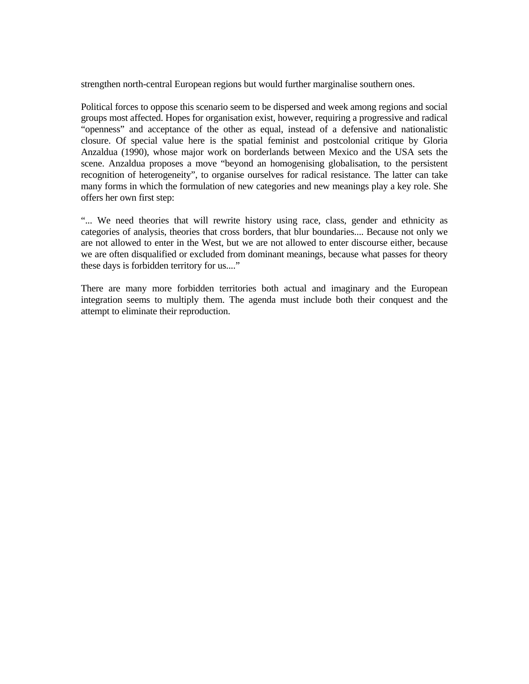strengthen north-central European regions but would further marginalise southern ones.

Political forces to oppose this scenario seem to be dispersed and week among regions and social groups most affected. Hopes for organisation exist, however, requiring a progressive and radical "openness" and acceptance of the other as equal, instead of a defensive and nationalistic closure. Of special value here is the spatial feminist and postcolonial critique by Gloria Anzaldua (1990), whose major work on borderlands between Mexico and the USA sets the scene. Anzaldua proposes a move "beyond an homogenising globalisation, to the persistent recognition of heterogeneity", to organise ourselves for radical resistance. The latter can take many forms in which the formulation of new categories and new meanings play a key role. She offers her own first step:

"... We need theories that will rewrite history using race, class, gender and ethnicity as categories of analysis, theories that cross borders, that blur boundaries.... Because not only we are not allowed to enter in the West, but we are not allowed to enter discourse either, because we are often disqualified or excluded from dominant meanings, because what passes for theory these days is forbidden territory for us...."

There are many more forbidden territories both actual and imaginary and the European integration seems to multiply them. The agenda must include both their conquest and the attempt to eliminate their reproduction.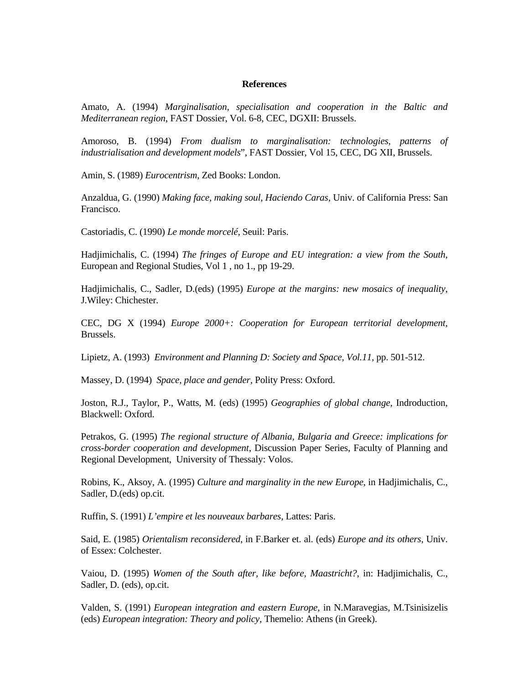#### **References**

Amato, A. (1994) *Marginalisation, specialisation and cooperation in the Baltic and Mediterranean region*, FAST Dossier, Vol. 6-8, CEC, DGXII: Brussels.

Amoroso, B. (1994) *From dualism to marginalisation: technologies, patterns of industrialisation and development models*", FAST Dossier, Vol 15, CEC, DG XII, Brussels.

Amin, S. (1989) *Eurocentrism*, Zed Books: London.

Anzaldua, G. (1990) *Making face, making soul, Haciendo Caras,* Univ. of California Press: San Francisco.

Castoriadis, C. (1990) *Le monde morcelé,* Seuil: Paris.

Hadjimichalis, C. (1994) *The fringes of Europe and EU integration: a view from the South*, European and Regional Studies, Vol 1 , no 1., pp 19-29.

Hadjimichalis, C., Sadler, D.(eds) (1995) *Europe at the margins: new mosaics of inequality*, J.Wiley: Chichester.

CEC, DG X (1994) *Europe 2000+: Cooperation for European territorial development,* Brussels.

Lipietz, A. (1993) *Environment and Planning D: Society and Space, Vol.11,* pp. 501-512.

Massey, D. (1994) *Space, place and gender,* Polity Press: Oxford.

Joston, R.J., Taylor, P., Watts, M. (eds) (1995) *Geographies of global change,* Indroduction, Blackwell: Oxford.

Petrakos, G. (1995) *The regional structure of Albania, Bulgaria and Greece: implications for cross-border cooperation and development*, Discussion Paper Series, Faculty of Planning and Regional Development, University of Thessaly: Volos.

Robins, K., Aksoy, A. (1995) *Culture and marginality in the new Europe*, in Hadjimichalis, C., Sadler, D.(eds) op.cit.

Ruffin, S. (1991) *L'empire et les nouveaux barbares,* Lattes: Paris.

Said, E. (1985) *Orientalism reconsidered*, in F.Barker et. al. (eds) *Europe and its others*, Univ. of Essex: Colchester.

Vaiou, D. (1995) *Women of the South after, like before, Maastricht?*, in: Hadjimichalis, C., Sadler, D. (eds), op.cit.

Valden, S. (1991) *European integration and eastern Europe*, in N.Maravegias, M.Tsinisizelis (eds) *European integration: Theory and policy,* Themelio: Athens (in Greek).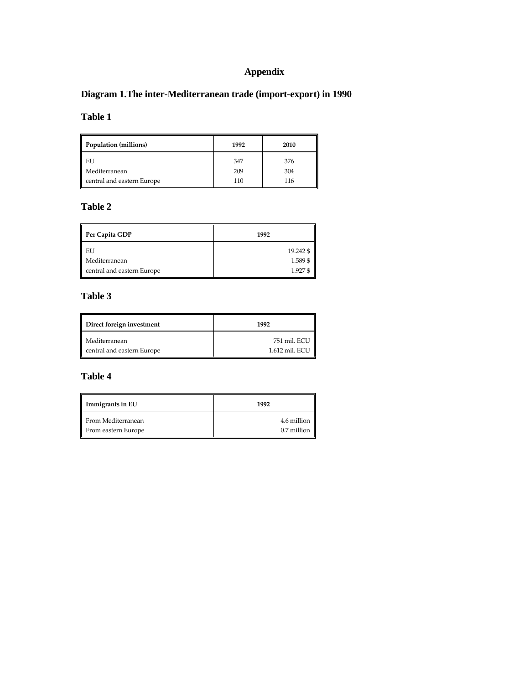# **Appendix**

# **Diagram 1.The inter-Mediterranean trade (import-export) in 1990**

# **Table 1**

| 11<br>Population (millions) | 1992 | 2010 |
|-----------------------------|------|------|
| EU                          | 347  | 376  |
| Mediterranean               | 209  | 304  |
| central and eastern Europe  | 110  | 116  |

# **Table 2**

| Per Capita GDP             | 1992      |
|----------------------------|-----------|
| EU                         | 19.242 \$ |
| Mediterranean              | 1.589\$   |
| central and eastern Europe | 1.927\$   |

# **Table 3**

| 1992                           |
|--------------------------------|
| 751 mil. ECU<br>1.612 mil. ECU |
|                                |

# **Table 4**

| Immigrants in EU    | 1992        |
|---------------------|-------------|
| From Mediterranean  | 4.6 million |
| From eastern Europe | 0.7 million |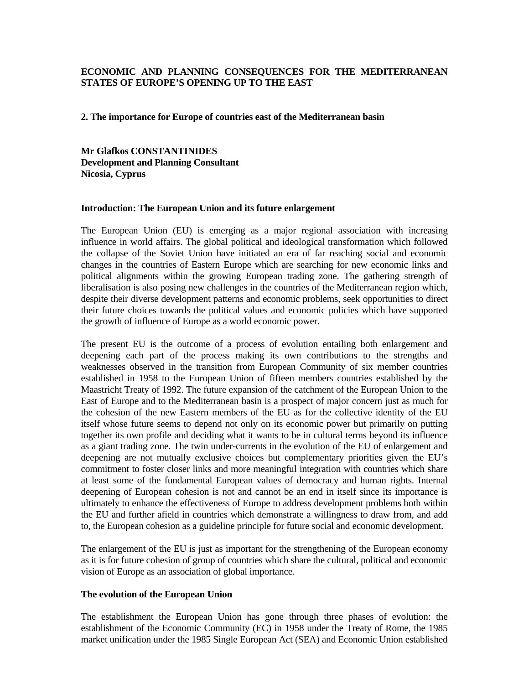#### **ECONOMIC AND PLANNING CONSEQUENCES FOR THE MEDITERRANEAN STATES OF EUROPE'S OPENING UP TO THE EAST**

**2. The importance for Europe of countries east of the Mediterranean basin** 

**Mr Glafkos CONSTANTINIDES Development and Planning Consultant Nicosia, Cyprus**

#### **Introduction: The European Union and its future enlargement**

The European Union (EU) is emerging as a major regional association with increasing influence in world affairs. The global political and ideological transformation which followed the collapse of the Soviet Union have initiated an era of far reaching social and economic changes in the countries of Eastern Europe which are searching for new economic links and political alignments within the growing European trading zone. The gathering strength of liberalisation is also posing new challenges in the countries of the Mediterranean region which, despite their diverse development patterns and economic problems, seek opportunities to direct their future choices towards the political values and economic policies which have supported the growth of influence of Europe as a world economic power.

The present EU is the outcome of a process of evolution entailing both enlargement and deepening each part of the process making its own contributions to the strengths and weaknesses observed in the transition from European Community of six member countries established in 1958 to the European Union of fifteen members countries established by the Maastricht Treaty of 1992. The future expansion of the catchment of the European Union to the East of Europe and to the Mediterranean basin is a prospect of major concern just as much for the cohesion of the new Eastern members of the EU as for the collective identity of the EU itself whose future seems to depend not only on its economic power but primarily on putting together its own profile and deciding what it wants to be in cultural terms beyond its influence as a giant trading zone. The twin under-currents in the evolution of the EU of enlargement and deepening are not mutually exclusive choices but complementary priorities given the EU's commitment to foster closer links and more meaningful integration with countries which share at least some of the fundamental European values of democracy and human rights. Internal deepening of European cohesion is not and cannot be an end in itself since its importance is ultimately to enhance the effectiveness of Europe to address development problems both within the EU and further afield in countries which demonstrate a willingness to draw from, and add to, the European cohesion as a guideline principle for future social and economic development.

The enlargement of the EU is just as important for the strengthening of the European economy as it is for future cohesion of group of countries which share the cultural, political and economic vision of Europe as an association of global importance.

#### **The evolution of the European Union**

The establishment the European Union has gone through three phases of evolution: the establishment of the Economic Community (EC) in 1958 under the Treaty of Rome, the 1985 market unification under the 1985 Single European Act (SEA) and Economic Union established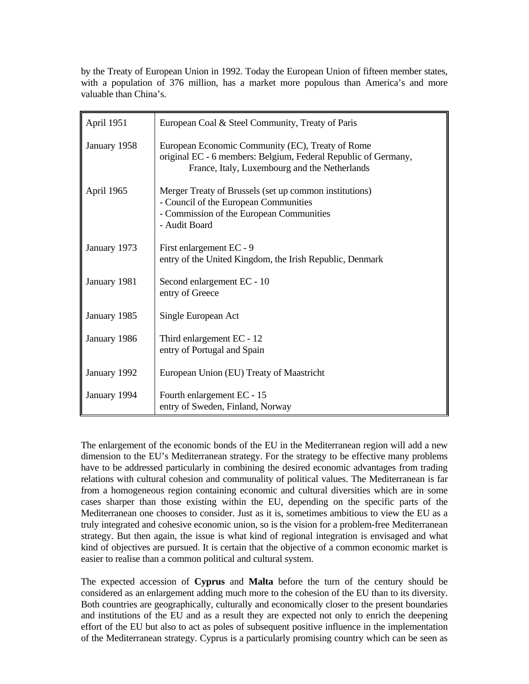by the Treaty of European Union in 1992. Today the European Union of fifteen member states, with a population of 376 million, has a market more populous than America's and more valuable than China's.

| April 1951   | European Coal & Steel Community, Treaty of Paris                                                                                                                    |
|--------------|---------------------------------------------------------------------------------------------------------------------------------------------------------------------|
| January 1958 | European Economic Community (EC), Treaty of Rome<br>original EC - 6 members: Belgium, Federal Republic of Germany,<br>France, Italy, Luxembourg and the Netherlands |
| April 1965   | Merger Treaty of Brussels (set up common institutions)<br>- Council of the European Communities<br>- Commission of the European Communities<br>- Audit Board        |
| January 1973 | First enlargement EC - 9<br>entry of the United Kingdom, the Irish Republic, Denmark                                                                                |
| January 1981 | Second enlargement EC - 10<br>entry of Greece                                                                                                                       |
| January 1985 | Single European Act                                                                                                                                                 |
| January 1986 | Third enlargement EC - 12<br>entry of Portugal and Spain                                                                                                            |
| January 1992 | European Union (EU) Treaty of Maastricht                                                                                                                            |
| January 1994 | Fourth enlargement EC - 15<br>entry of Sweden, Finland, Norway                                                                                                      |

The enlargement of the economic bonds of the EU in the Mediterranean region will add a new dimension to the EU's Mediterranean strategy. For the strategy to be effective many problems have to be addressed particularly in combining the desired economic advantages from trading relations with cultural cohesion and communality of political values. The Mediterranean is far from a homogeneous region containing economic and cultural diversities which are in some cases sharper than those existing within the EU, depending on the specific parts of the Mediterranean one chooses to consider. Just as it is, sometimes ambitious to view the EU as a truly integrated and cohesive economic union, so is the vision for a problem-free Mediterranean strategy. But then again, the issue is what kind of regional integration is envisaged and what kind of objectives are pursued. It is certain that the objective of a common economic market is easier to realise than a common political and cultural system.

The expected accession of **Cyprus** and **Malta** before the turn of the century should be considered as an enlargement adding much more to the cohesion of the EU than to its diversity. Both countries are geographically, culturally and economically closer to the present boundaries and institutions of the EU and as a result they are expected not only to enrich the deepening effort of the EU but also to act as poles of subsequent positive influence in the implementation of the Mediterranean strategy. Cyprus is a particularly promising country which can be seen as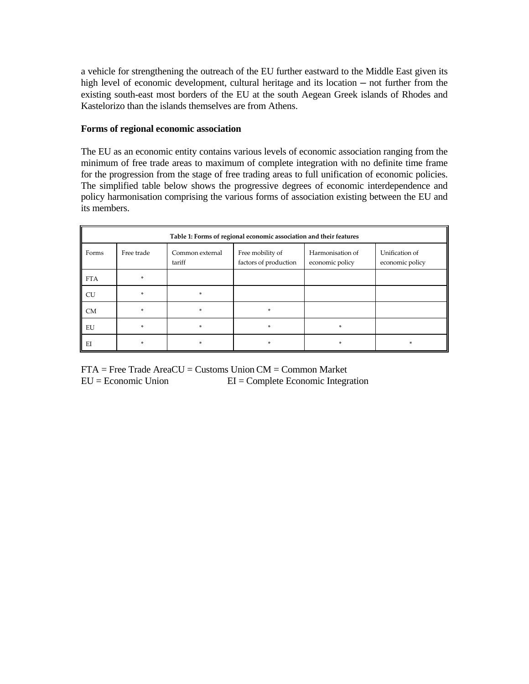a vehicle for strengthening the outreach of the EU further eastward to the Middle East given its high level of economic development, cultural heritage and its location — not further from the existing south-east most borders of the EU at the south Aegean Greek islands of Rhodes and Kastelorizo than the islands themselves are from Athens.

#### **Forms of regional economic association**

The EU as an economic entity contains various levels of economic association ranging from the minimum of free trade areas to maximum of complete integration with no definite time frame for the progression from the stage of free trading areas to full unification of economic policies. The simplified table below shows the progressive degrees of economic interdependence and policy harmonisation comprising the various forms of association existing between the EU and its members.

| Table 1: Forms of regional economic association and their features |            |                                                                                                                                                    |        |    |   |  |  |  |
|--------------------------------------------------------------------|------------|----------------------------------------------------------------------------------------------------------------------------------------------------|--------|----|---|--|--|--|
| Forms                                                              | Free trade | Unification of<br>Free mobility of<br>Harmonisation of<br>Common external<br>factors of production<br>tariff<br>economic policy<br>economic policy |        |    |   |  |  |  |
| <b>FTA</b>                                                         | $\ast$     |                                                                                                                                                    |        |    |   |  |  |  |
| CU                                                                 | $\ast$     | $\ast$                                                                                                                                             |        |    |   |  |  |  |
| <b>CM</b>                                                          | $\ast$     | $\ast$                                                                                                                                             | $\ast$ |    |   |  |  |  |
| EU                                                                 | $\ast$     | ×.                                                                                                                                                 | $\ast$ | *  |   |  |  |  |
| EI                                                                 | $\ast$     | *                                                                                                                                                  | $\ast$ | ×. | * |  |  |  |

FTA = Free Trade AreaCU = Customs Union CM = Common Market EU = Economic Union EI = Complete Economic Integration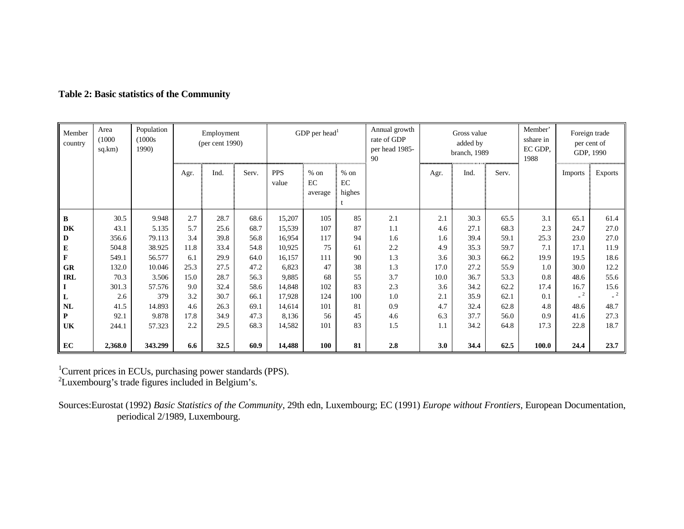| Member<br>country | Area<br>(1000)<br>sq.km) | Population<br>(1000s)<br>1990) | Employment<br>(per cent 1990) |      | GDP per head <sup>1</sup> |                     |                         |                        | Annual growth<br>rate of GDP<br>per head 1985-<br>90 |      | Gross value<br>added by<br>branch, 1989 |       | Member'<br>sshare in<br>EC GDP,<br>1988 |                | Foreign trade<br>per cent of<br>GDP, 1990 |
|-------------------|--------------------------|--------------------------------|-------------------------------|------|---------------------------|---------------------|-------------------------|------------------------|------------------------------------------------------|------|-----------------------------------------|-------|-----------------------------------------|----------------|-------------------------------------------|
|                   |                          |                                | Agr.                          | Ind. | Serv.                     | <b>PPS</b><br>value | $%$ on<br>EC<br>average | $%$ on<br>EC<br>highes |                                                      | Agr. | Ind.                                    | Serv. |                                         | <b>Imports</b> | <b>Exports</b>                            |
| $\, {\bf B}$      | 30.5                     | 9.948                          | 2.7                           | 28.7 | 68.6                      | 15,207              | 105                     | 85                     | 2.1                                                  | 2.1  | 30.3                                    | 65.5  | 3.1                                     | 65.1           | 61.4                                      |
| DK                | 43.1                     | 5.135                          | 5.7                           | 25.6 | 68.7                      | 15,539              | 107                     | 87                     | 1.1                                                  | 4.6  | 27.1                                    | 68.3  | 2.3                                     | 24.7           | 27.0                                      |
| $\mathbf D$       | 356.6                    | 79.113                         | 3.4                           | 39.8 | 56.8                      | 16,954              | 117                     | 94                     | 1.6                                                  | 1.6  | 39.4                                    | 59.1  | 25.3                                    | 23.0           | 27.0                                      |
| ${\bf E}$         | 504.8                    | 38.925                         | 11.8                          | 33.4 | 54.8                      | 10,925              | 75                      | 61                     | 2.2                                                  | 4.9  | 35.3                                    | 59.7  | 7.1                                     | 17.1           | 11.9                                      |
| $\mathbf F$       | 549.1                    | 56.577                         | 6.1                           | 29.9 | 64.0                      | 16,157              | 111                     | 90                     | 1.3                                                  | 3.6  | 30.3                                    | 66.2  | 19.9                                    | 19.5           | 18.6                                      |
| ${\bf G}{\bf R}$  | 132.0                    | 10.046                         | 25.3                          | 27.5 | 47.2                      | 6,823               | 47                      | 38                     | 1.3                                                  | 17.0 | 27.2                                    | 55.9  | 1.0                                     | 30.0           | 12.2                                      |
| <b>IRL</b>        | 70.3                     | 3.506                          | 15.0                          | 28.7 | 56.3                      | 9,885               | 68                      | 55                     | 3.7                                                  | 10.0 | 36.7                                    | 53.3  | 0.8                                     | 48.6           | 55.6                                      |
| $\mathbf I$       | 301.3                    | 57.576                         | 9.0                           | 32.4 | 58.6                      | 14,848              | 102                     | 83                     | 2.3                                                  | 3.6  | 34.2                                    | 62.2  | 17.4                                    | 16.7           | 15.6                                      |
| $\mathbf L$       | 2.6                      | 379                            | 3.2                           | 30.7 | 66.1                      | 17,928              | 124                     | 100                    | 1.0                                                  | 2.1  | 35.9                                    | 62.1  | 0.1                                     |                | $-2$                                      |
| <b>NL</b>         | 41.5                     | 14.893                         | 4.6                           | 26.3 | 69.1                      | 14,614              | 101                     | 81                     | 0.9                                                  | 4.7  | 32.4                                    | 62.8  | 4.8                                     | 48.6           | 48.7                                      |
| $\mathbf{P}$      | 92.1                     | 9.878                          | 17.8                          | 34.9 | 47.3                      | 8,136               | 56                      | 45                     | 4.6                                                  | 6.3  | 37.7                                    | 56.0  | 0.9                                     | 41.6           | 27.3                                      |
| UK                | 244.1                    | 57.323                         | 2.2                           | 29.5 | 68.3                      | 14,582              | 101                     | 83                     | 1.5                                                  | 1.1  | 34.2                                    | 64.8  | 17.3                                    | 22.8           | 18.7                                      |
|                   |                          |                                |                               |      |                           |                     |                         |                        |                                                      |      |                                         |       |                                         |                |                                           |
| EC                | 2,368.0                  | 343.299                        | 6.6                           | 32.5 | 60.9                      | 14,488              | 100                     | 81                     | 2.8                                                  | 3.0  | 34.4                                    | 62.5  | 100.0                                   | 24.4           | 23.7                                      |

# **Table 2: Basic statistics of the Community**

<sup>1</sup>Current prices in ECUs, purchasing power standards (PPS).

 $^{2}$ Luxembourg's trade figures included in Belgium's.

Sources:Eurostat (1992) *Basic Statistics of the Community,* 29th edn, Luxembourg; EC (1991) *Europe without Frontiers,* European Documentation, periodical 2/1989, Luxembourg.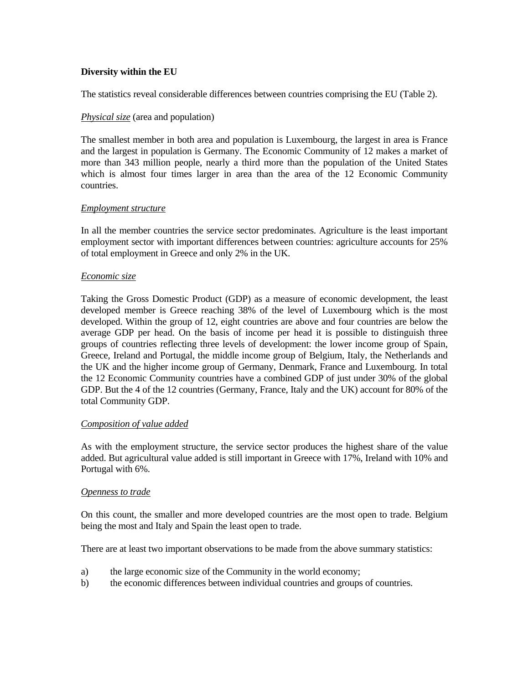#### **Diversity within the EU**

The statistics reveal considerable differences between countries comprising the EU (Table 2).

#### *Physical size* (area and population)

The smallest member in both area and population is Luxembourg, the largest in area is France and the largest in population is Germany. The Economic Community of 12 makes a market of more than 343 million people, nearly a third more than the population of the United States which is almost four times larger in area than the area of the 12 Economic Community countries.

#### *Employment structure*

In all the member countries the service sector predominates. Agriculture is the least important employment sector with important differences between countries: agriculture accounts for 25% of total employment in Greece and only 2% in the UK.

#### *Economic size*

Taking the Gross Domestic Product (GDP) as a measure of economic development, the least developed member is Greece reaching 38% of the level of Luxembourg which is the most developed. Within the group of 12, eight countries are above and four countries are below the average GDP per head. On the basis of income per head it is possible to distinguish three groups of countries reflecting three levels of development: the lower income group of Spain, Greece, Ireland and Portugal, the middle income group of Belgium, Italy, the Netherlands and the UK and the higher income group of Germany, Denmark, France and Luxembourg. In total the 12 Economic Community countries have a combined GDP of just under 30% of the global GDP. But the 4 of the 12 countries (Germany, France, Italy and the UK) account for 80% of the total Community GDP.

#### *Composition of value added*

As with the employment structure, the service sector produces the highest share of the value added. But agricultural value added is still important in Greece with 17%, Ireland with 10% and Portugal with 6%.

#### *Openness to trade*

On this count, the smaller and more developed countries are the most open to trade. Belgium being the most and Italy and Spain the least open to trade.

There are at least two important observations to be made from the above summary statistics:

- a) the large economic size of the Community in the world economy;
- b) the economic differences between individual countries and groups of countries.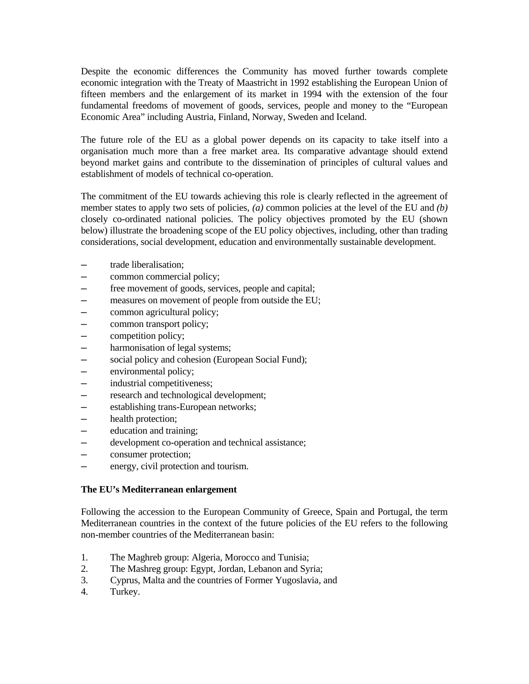Despite the economic differences the Community has moved further towards complete economic integration with the Treaty of Maastricht in 1992 establishing the European Union of fifteen members and the enlargement of its market in 1994 with the extension of the four fundamental freedoms of movement of goods, services, people and money to the "European Economic Area" including Austria, Finland, Norway, Sweden and Iceland.

The future role of the EU as a global power depends on its capacity to take itself into a organisation much more than a free market area. Its comparative advantage should extend beyond market gains and contribute to the dissemination of principles of cultural values and establishment of models of technical co-operation.

The commitment of the EU towards achieving this role is clearly reflected in the agreement of member states to apply two sets of policies, *(a)* common policies at the level of the EU and *(b)* closely co-ordinated national policies. The policy objectives promoted by the EU (shown below) illustrate the broadening scope of the EU policy objectives, including, other than trading considerations, social development, education and environmentally sustainable development.

- trade liberalisation;
- $-$  common commercial policy;
- $-$  free movement of goods, services, people and capital;
- $-$  measures on movement of people from outside the EU;
- $-$  common agricultural policy;
- common transport policy;
- ─ competition policy;
- $-$  harmonisation of legal systems;
- $-$  social policy and cohesion (European Social Fund);
- $-$  environmental policy;
- $-$  industrial competitiveness;
- $-$  research and technological development;
- ─ establishing trans-European networks;
- ─ health protection;
- $-$  education and training;
- $-$  development co-operation and technical assistance;
- ─ consumer protection;
- energy, civil protection and tourism.

#### **The EU's Mediterranean enlargement**

Following the accession to the European Community of Greece, Spain and Portugal, the term Mediterranean countries in the context of the future policies of the EU refers to the following non-member countries of the Mediterranean basin:

- 1. The Maghreb group: Algeria, Morocco and Tunisia;
- 2. The Mashreg group: Egypt, Jordan, Lebanon and Syria;
- 3. Cyprus, Malta and the countries of Former Yugoslavia, and
- 4. Turkey.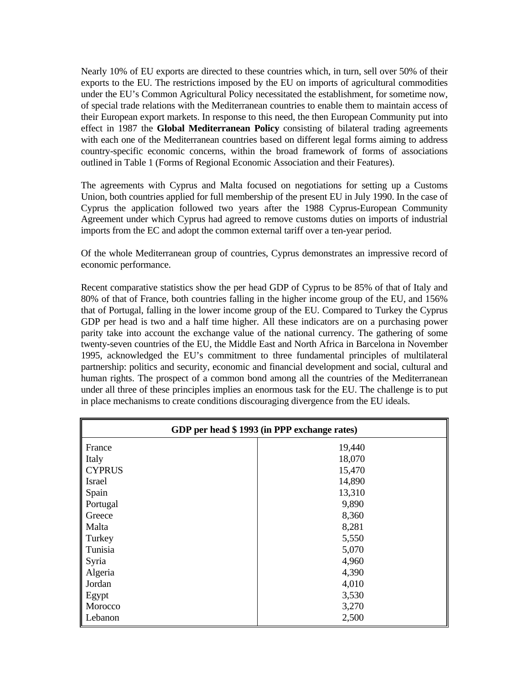Nearly 10% of EU exports are directed to these countries which, in turn, sell over 50% of their exports to the EU. The restrictions imposed by the EU on imports of agricultural commodities under the EU's Common Agricultural Policy necessitated the establishment, for sometime now, of special trade relations with the Mediterranean countries to enable them to maintain access of their European export markets. In response to this need, the then European Community put into effect in 1987 the **Global Mediterranean Policy** consisting of bilateral trading agreements with each one of the Mediterranean countries based on different legal forms aiming to address country-specific economic concerns, within the broad framework of forms of associations outlined in Table 1 (Forms of Regional Economic Association and their Features).

The agreements with Cyprus and Malta focused on negotiations for setting up a Customs Union, both countries applied for full membership of the present EU in July 1990. In the case of Cyprus the application followed two years after the 1988 Cyprus-European Community Agreement under which Cyprus had agreed to remove customs duties on imports of industrial imports from the EC and adopt the common external tariff over a ten-year period.

Of the whole Mediterranean group of countries, Cyprus demonstrates an impressive record of economic performance.

Recent comparative statistics show the per head GDP of Cyprus to be 85% of that of Italy and 80% of that of France, both countries falling in the higher income group of the EU, and 156% that of Portugal, falling in the lower income group of the EU. Compared to Turkey the Cyprus GDP per head is two and a half time higher. All these indicators are on a purchasing power parity take into account the exchange value of the national currency. The gathering of some twenty-seven countries of the EU, the Middle East and North Africa in Barcelona in November 1995, acknowledged the EU's commitment to three fundamental principles of multilateral partnership: politics and security, economic and financial development and social, cultural and human rights. The prospect of a common bond among all the countries of the Mediterranean under all three of these principles implies an enormous task for the EU. The challenge is to put in place mechanisms to create conditions discouraging divergence from the EU ideals.

| GDP per head \$1993 (in PPP exchange rates) |        |  |  |  |
|---------------------------------------------|--------|--|--|--|
| France                                      | 19,440 |  |  |  |
| Italy                                       | 18,070 |  |  |  |
| <b>CYPRUS</b>                               | 15,470 |  |  |  |
| Israel                                      | 14,890 |  |  |  |
| Spain                                       | 13,310 |  |  |  |
| Portugal                                    | 9,890  |  |  |  |
| Greece                                      | 8,360  |  |  |  |
| Malta                                       | 8,281  |  |  |  |
| Turkey                                      | 5,550  |  |  |  |
| Tunisia                                     | 5,070  |  |  |  |
| Syria                                       | 4,960  |  |  |  |
| Algeria                                     | 4,390  |  |  |  |
| Jordan                                      | 4,010  |  |  |  |
| Egypt                                       | 3,530  |  |  |  |
| Morocco                                     | 3,270  |  |  |  |
| Lebanon                                     | 2,500  |  |  |  |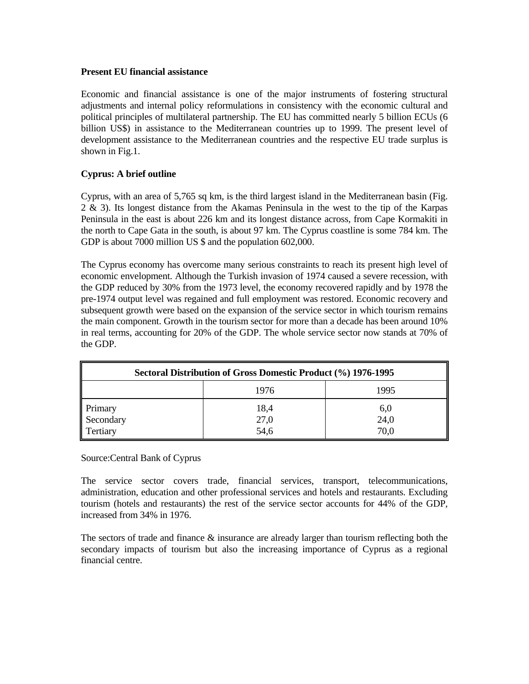#### **Present EU financial assistance**

Economic and financial assistance is one of the major instruments of fostering structural adjustments and internal policy reformulations in consistency with the economic cultural and political principles of multilateral partnership. The EU has committed nearly 5 billion ECUs (6 billion US\$) in assistance to the Mediterranean countries up to 1999. The present level of development assistance to the Mediterranean countries and the respective EU trade surplus is shown in Fig.1.

#### **Cyprus: A brief outline**

Cyprus, with an area of 5,765 sq km, is the third largest island in the Mediterranean basin (Fig. 2 & 3). Its longest distance from the Akamas Peninsula in the west to the tip of the Karpas Peninsula in the east is about 226 km and its longest distance across, from Cape Kormakiti in the north to Cape Gata in the south, is about 97 km. The Cyprus coastline is some 784 km. The GDP is about 7000 million US  $\frac{1}{2}$  and the population 602,000.

The Cyprus economy has overcome many serious constraints to reach its present high level of economic envelopment. Although the Turkish invasion of 1974 caused a severe recession, with the GDP reduced by 30% from the 1973 level, the economy recovered rapidly and by 1978 the pre-1974 output level was regained and full employment was restored. Economic recovery and subsequent growth were based on the expansion of the service sector in which tourism remains the main component. Growth in the tourism sector for more than a decade has been around 10% in real terms, accounting for 20% of the GDP. The whole service sector now stands at 70% of the GDP.

| Sectoral Distribution of Gross Domestic Product (%) 1976-1995 |                      |                     |  |  |  |  |  |
|---------------------------------------------------------------|----------------------|---------------------|--|--|--|--|--|
| 1995<br>1976                                                  |                      |                     |  |  |  |  |  |
| Primary<br>Secondary<br>Tertiary                              | 18,4<br>27,0<br>54,6 | 6,0<br>24,0<br>70,0 |  |  |  |  |  |

#### Source:Central Bank of Cyprus

The service sector covers trade, financial services, transport, telecommunications, administration, education and other professional services and hotels and restaurants. Excluding tourism (hotels and restaurants) the rest of the service sector accounts for 44% of the GDP, increased from 34% in 1976.

The sectors of trade and finance  $\&$  insurance are already larger than tourism reflecting both the secondary impacts of tourism but also the increasing importance of Cyprus as a regional financial centre.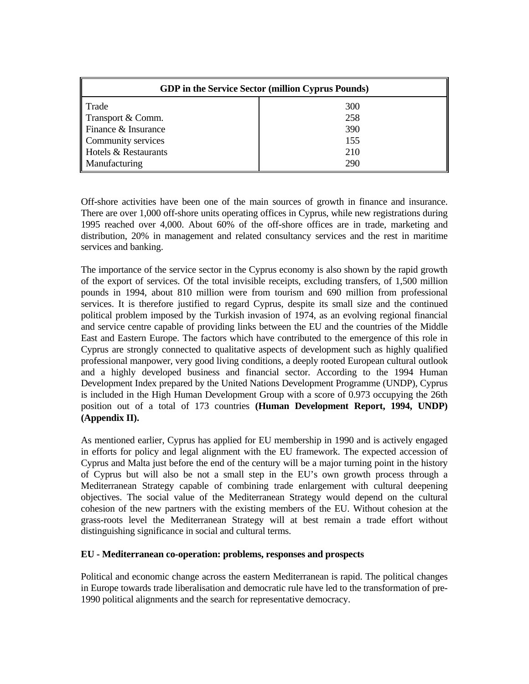| <b>GDP</b> in the Service Sector (million Cyprus Pounds) |     |  |  |  |
|----------------------------------------------------------|-----|--|--|--|
| Trade                                                    | 300 |  |  |  |
| Transport & Comm.                                        | 258 |  |  |  |
| Finance & Insurance                                      | 390 |  |  |  |
| Community services                                       | 155 |  |  |  |
| Hotels & Restaurants                                     | 210 |  |  |  |
| Manufacturing                                            | 290 |  |  |  |

Off-shore activities have been one of the main sources of growth in finance and insurance. There are over 1,000 off-shore units operating offices in Cyprus, while new registrations during 1995 reached over 4,000. About 60% of the off-shore offices are in trade, marketing and distribution, 20% in management and related consultancy services and the rest in maritime services and banking.

The importance of the service sector in the Cyprus economy is also shown by the rapid growth of the export of services. Of the total invisible receipts, excluding transfers, of 1,500 million pounds in 1994, about 810 million were from tourism and 690 million from professional services. It is therefore justified to regard Cyprus, despite its small size and the continued political problem imposed by the Turkish invasion of 1974, as an evolving regional financial and service centre capable of providing links between the EU and the countries of the Middle East and Eastern Europe. The factors which have contributed to the emergence of this role in Cyprus are strongly connected to qualitative aspects of development such as highly qualified professional manpower, very good living conditions, a deeply rooted European cultural outlook and a highly developed business and financial sector. According to the 1994 Human Development Index prepared by the United Nations Development Programme (UNDP), Cyprus is included in the High Human Development Group with a score of 0.973 occupying the 26th position out of a total of 173 countries **(Human Development Report, 1994, UNDP) (Appendix II).**

As mentioned earlier, Cyprus has applied for EU membership in 1990 and is actively engaged in efforts for policy and legal alignment with the EU framework. The expected accession of Cyprus and Malta just before the end of the century will be a major turning point in the history of Cyprus but will also be not a small step in the EU's own growth process through a Mediterranean Strategy capable of combining trade enlargement with cultural deepening objectives. The social value of the Mediterranean Strategy would depend on the cultural cohesion of the new partners with the existing members of the EU. Without cohesion at the grass-roots level the Mediterranean Strategy will at best remain a trade effort without distinguishing significance in social and cultural terms.

#### **EU - Mediterranean co-operation: problems, responses and prospects**

Political and economic change across the eastern Mediterranean is rapid. The political changes in Europe towards trade liberalisation and democratic rule have led to the transformation of pre-1990 political alignments and the search for representative democracy.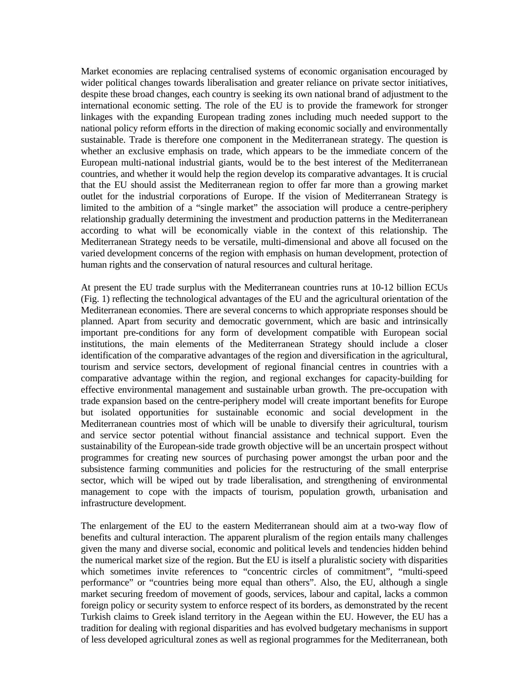Market economies are replacing centralised systems of economic organisation encouraged by wider political changes towards liberalisation and greater reliance on private sector initiatives, despite these broad changes, each country is seeking its own national brand of adjustment to the international economic setting. The role of the EU is to provide the framework for stronger linkages with the expanding European trading zones including much needed support to the national policy reform efforts in the direction of making economic socially and environmentally sustainable. Trade is therefore one component in the Mediterranean strategy. The question is whether an exclusive emphasis on trade, which appears to be the immediate concern of the European multi-national industrial giants, would be to the best interest of the Mediterranean countries, and whether it would help the region develop its comparative advantages. It is crucial that the EU should assist the Mediterranean region to offer far more than a growing market outlet for the industrial corporations of Europe. If the vision of Mediterranean Strategy is limited to the ambition of a "single market" the association will produce a centre-periphery relationship gradually determining the investment and production patterns in the Mediterranean according to what will be economically viable in the context of this relationship. The Mediterranean Strategy needs to be versatile, multi-dimensional and above all focused on the varied development concerns of the region with emphasis on human development, protection of human rights and the conservation of natural resources and cultural heritage.

At present the EU trade surplus with the Mediterranean countries runs at 10-12 billion ECUs (Fig. 1) reflecting the technological advantages of the EU and the agricultural orientation of the Mediterranean economies. There are several concerns to which appropriate responses should be planned. Apart from security and democratic government, which are basic and intrinsically important pre-conditions for any form of development compatible with European social institutions, the main elements of the Mediterranean Strategy should include a closer identification of the comparative advantages of the region and diversification in the agricultural, tourism and service sectors, development of regional financial centres in countries with a comparative advantage within the region, and regional exchanges for capacity-building for effective environmental management and sustainable urban growth. The pre-occupation with trade expansion based on the centre-periphery model will create important benefits for Europe but isolated opportunities for sustainable economic and social development in the Mediterranean countries most of which will be unable to diversify their agricultural, tourism and service sector potential without financial assistance and technical support. Even the sustainability of the European-side trade growth objective will be an uncertain prospect without programmes for creating new sources of purchasing power amongst the urban poor and the subsistence farming communities and policies for the restructuring of the small enterprise sector, which will be wiped out by trade liberalisation, and strengthening of environmental management to cope with the impacts of tourism, population growth, urbanisation and infrastructure development.

The enlargement of the EU to the eastern Mediterranean should aim at a two-way flow of benefits and cultural interaction. The apparent pluralism of the region entails many challenges given the many and diverse social, economic and political levels and tendencies hidden behind the numerical market size of the region. But the EU is itself a pluralistic society with disparities which sometimes invite references to "concentric circles of commitment", "multi-speed performance" or "countries being more equal than others". Also, the EU, although a single market securing freedom of movement of goods, services, labour and capital, lacks a common foreign policy or security system to enforce respect of its borders, as demonstrated by the recent Turkish claims to Greek island territory in the Aegean within the EU. However, the EU has a tradition for dealing with regional disparities and has evolved budgetary mechanisms in support of less developed agricultural zones as well as regional programmes for the Mediterranean, both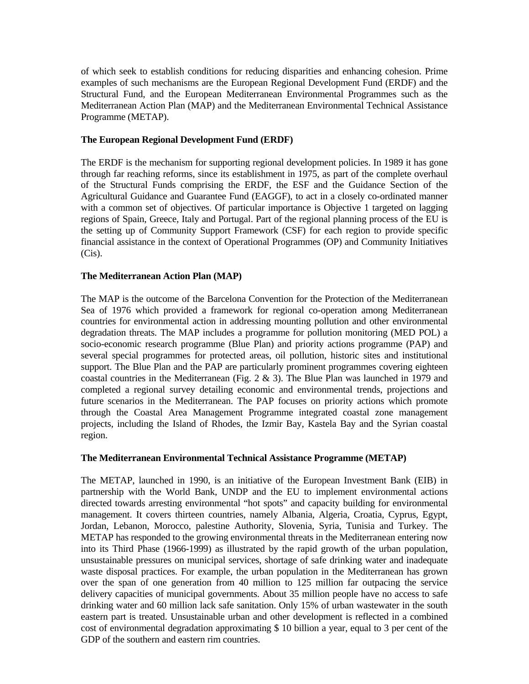of which seek to establish conditions for reducing disparities and enhancing cohesion. Prime examples of such mechanisms are the European Regional Development Fund (ERDF) and the Structural Fund, and the European Mediterranean Environmental Programmes such as the Mediterranean Action Plan (MAP) and the Mediterranean Environmental Technical Assistance Programme (METAP).

#### **The European Regional Development Fund (ERDF)**

The ERDF is the mechanism for supporting regional development policies. In 1989 it has gone through far reaching reforms, since its establishment in 1975, as part of the complete overhaul of the Structural Funds comprising the ERDF, the ESF and the Guidance Section of the Agricultural Guidance and Guarantee Fund (EAGGF), to act in a closely co-ordinated manner with a common set of objectives. Of particular importance is Objective 1 targeted on lagging regions of Spain, Greece, Italy and Portugal. Part of the regional planning process of the EU is the setting up of Community Support Framework (CSF) for each region to provide specific financial assistance in the context of Operational Programmes (OP) and Community Initiatives  $(Cis)$ .

#### **The Mediterranean Action Plan (MAP)**

The MAP is the outcome of the Barcelona Convention for the Protection of the Mediterranean Sea of 1976 which provided a framework for regional co-operation among Mediterranean countries for environmental action in addressing mounting pollution and other environmental degradation threats. The MAP includes a programme for pollution monitoring (MED POL) a socio-economic research programme (Blue Plan) and priority actions programme (PAP) and several special programmes for protected areas, oil pollution, historic sites and institutional support. The Blue Plan and the PAP are particularly prominent programmes covering eighteen coastal countries in the Mediterranean (Fig.  $2 \& 3$ ). The Blue Plan was launched in 1979 and completed a regional survey detailing economic and environmental trends, projections and future scenarios in the Mediterranean. The PAP focuses on priority actions which promote through the Coastal Area Management Programme integrated coastal zone management projects, including the Island of Rhodes, the Izmir Bay, Kastela Bay and the Syrian coastal region.

#### **The Mediterranean Environmental Technical Assistance Programme (METAP)**

The METAP, launched in 1990, is an initiative of the European Investment Bank (EIB) in partnership with the World Bank, UNDP and the EU to implement environmental actions directed towards arresting environmental "hot spots" and capacity building for environmental management. It covers thirteen countries, namely Albania, Algeria, Croatia, Cyprus, Egypt, Jordan, Lebanon, Morocco, palestine Authority, Slovenia, Syria, Tunisia and Turkey. The METAP has responded to the growing environmental threats in the Mediterranean entering now into its Third Phase (1966-1999) as illustrated by the rapid growth of the urban population, unsustainable pressures on municipal services, shortage of safe drinking water and inadequate waste disposal practices. For example, the urban population in the Mediterranean has grown over the span of one generation from 40 million to 125 million far outpacing the service delivery capacities of municipal governments. About 35 million people have no access to safe drinking water and 60 million lack safe sanitation. Only 15% of urban wastewater in the south eastern part is treated. Unsustainable urban and other development is reflected in a combined cost of environmental degradation approximating \$ 10 billion a year, equal to 3 per cent of the GDP of the southern and eastern rim countries.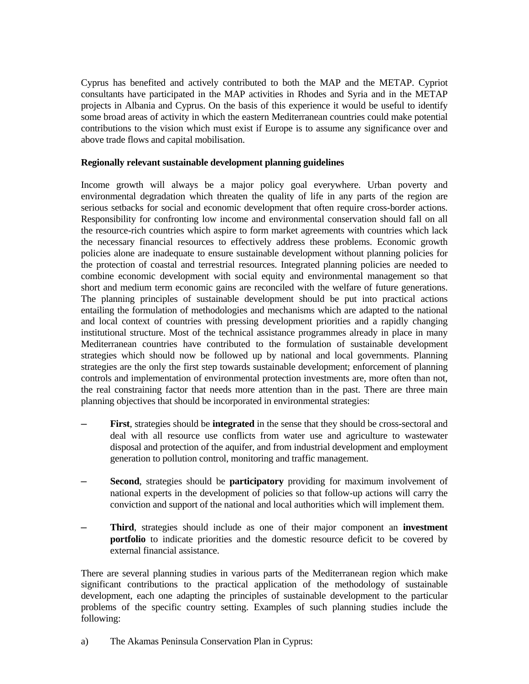Cyprus has benefited and actively contributed to both the MAP and the METAP. Cypriot consultants have participated in the MAP activities in Rhodes and Syria and in the METAP projects in Albania and Cyprus. On the basis of this experience it would be useful to identify some broad areas of activity in which the eastern Mediterranean countries could make potential contributions to the vision which must exist if Europe is to assume any significance over and above trade flows and capital mobilisation.

#### **Regionally relevant sustainable development planning guidelines**

Income growth will always be a major policy goal everywhere. Urban poverty and environmental degradation which threaten the quality of life in any parts of the region are serious setbacks for social and economic development that often require cross-border actions. Responsibility for confronting low income and environmental conservation should fall on all the resource-rich countries which aspire to form market agreements with countries which lack the necessary financial resources to effectively address these problems. Economic growth policies alone are inadequate to ensure sustainable development without planning policies for the protection of coastal and terrestrial resources. Integrated planning policies are needed to combine economic development with social equity and environmental management so that short and medium term economic gains are reconciled with the welfare of future generations. The planning principles of sustainable development should be put into practical actions entailing the formulation of methodologies and mechanisms which are adapted to the national and local context of countries with pressing development priorities and a rapidly changing institutional structure. Most of the technical assistance programmes already in place in many Mediterranean countries have contributed to the formulation of sustainable development strategies which should now be followed up by national and local governments. Planning strategies are the only the first step towards sustainable development; enforcement of planning controls and implementation of environmental protection investments are, more often than not, the real constraining factor that needs more attention than in the past. There are three main planning objectives that should be incorporated in environmental strategies:

- ─ **First**, strategies should be **integrated** in the sense that they should be cross-sectoral and deal with all resource use conflicts from water use and agriculture to wastewater disposal and protection of the aquifer, and from industrial development and employment generation to pollution control, monitoring and traffic management.
- **Second**, strategies should be **participatory** providing for maximum involvement of national experts in the development of policies so that follow-up actions will carry the conviction and support of the national and local authorities which will implement them.
- ─ **Third**, strategies should include as one of their major component an **investment portfolio** to indicate priorities and the domestic resource deficit to be covered by external financial assistance.

There are several planning studies in various parts of the Mediterranean region which make significant contributions to the practical application of the methodology of sustainable development, each one adapting the principles of sustainable development to the particular problems of the specific country setting. Examples of such planning studies include the following:

a) The Akamas Peninsula Conservation Plan in Cyprus: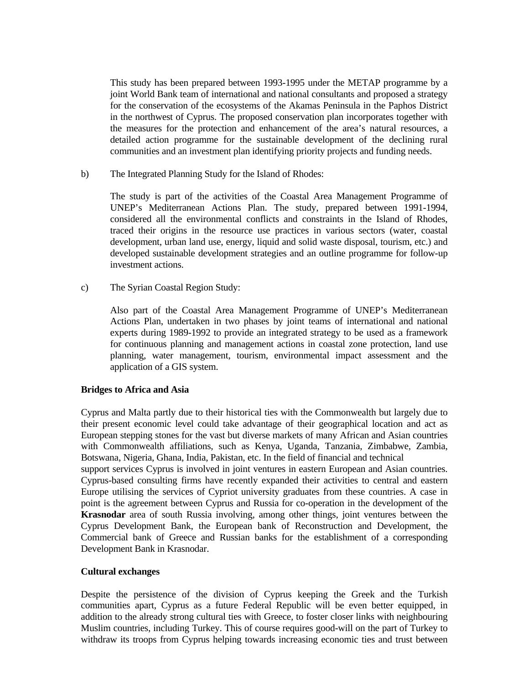This study has been prepared between 1993-1995 under the METAP programme by a joint World Bank team of international and national consultants and proposed a strategy for the conservation of the ecosystems of the Akamas Peninsula in the Paphos District in the northwest of Cyprus. The proposed conservation plan incorporates together with the measures for the protection and enhancement of the area's natural resources, a detailed action programme for the sustainable development of the declining rural communities and an investment plan identifying priority projects and funding needs.

b) The Integrated Planning Study for the Island of Rhodes:

 The study is part of the activities of the Coastal Area Management Programme of UNEP's Mediterranean Actions Plan. The study, prepared between 1991-1994, considered all the environmental conflicts and constraints in the Island of Rhodes, traced their origins in the resource use practices in various sectors (water, coastal development, urban land use, energy, liquid and solid waste disposal, tourism, etc.) and developed sustainable development strategies and an outline programme for follow-up investment actions.

c) The Syrian Coastal Region Study:

 Also part of the Coastal Area Management Programme of UNEP's Mediterranean Actions Plan, undertaken in two phases by joint teams of international and national experts during 1989-1992 to provide an integrated strategy to be used as a framework for continuous planning and management actions in coastal zone protection, land use planning, water management, tourism, environmental impact assessment and the application of a GIS system.

### **Bridges to Africa and Asia**

Cyprus and Malta partly due to their historical ties with the Commonwealth but largely due to their present economic level could take advantage of their geographical location and act as European stepping stones for the vast but diverse markets of many African and Asian countries with Commonwealth affiliations, such as Kenya, Uganda, Tanzania, Zimbabwe, Zambia, Botswana, Nigeria, Ghana, India, Pakistan, etc. In the field of financial and technical

support services Cyprus is involved in joint ventures in eastern European and Asian countries. Cyprus-based consulting firms have recently expanded their activities to central and eastern Europe utilising the services of Cypriot university graduates from these countries. A case in point is the agreement between Cyprus and Russia for co-operation in the development of the **Krasnodar** area of south Russia involving, among other things, joint ventures between the Cyprus Development Bank, the European bank of Reconstruction and Development, the Commercial bank of Greece and Russian banks for the establishment of a corresponding Development Bank in Krasnodar.

#### **Cultural exchanges**

Despite the persistence of the division of Cyprus keeping the Greek and the Turkish communities apart, Cyprus as a future Federal Republic will be even better equipped, in addition to the already strong cultural ties with Greece, to foster closer links with neighbouring Muslim countries, including Turkey. This of course requires good-will on the part of Turkey to withdraw its troops from Cyprus helping towards increasing economic ties and trust between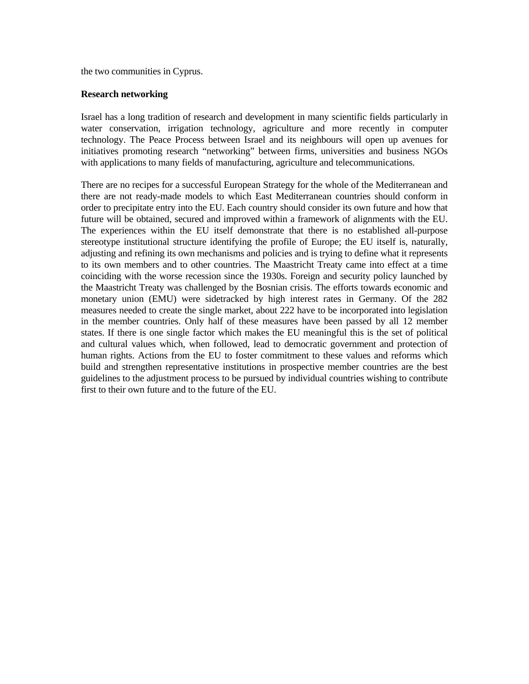the two communities in Cyprus.

#### **Research networking**

Israel has a long tradition of research and development in many scientific fields particularly in water conservation, irrigation technology, agriculture and more recently in computer technology. The Peace Process between Israel and its neighbours will open up avenues for initiatives promoting research "networking" between firms, universities and business NGOs with applications to many fields of manufacturing, agriculture and telecommunications.

There are no recipes for a successful European Strategy for the whole of the Mediterranean and there are not ready-made models to which East Mediterranean countries should conform in order to precipitate entry into the EU. Each country should consider its own future and how that future will be obtained, secured and improved within a framework of alignments with the EU. The experiences within the EU itself demonstrate that there is no established all-purpose stereotype institutional structure identifying the profile of Europe; the EU itself is, naturally, adjusting and refining its own mechanisms and policies and is trying to define what it represents to its own members and to other countries. The Maastricht Treaty came into effect at a time coinciding with the worse recession since the 1930s. Foreign and security policy launched by the Maastricht Treaty was challenged by the Bosnian crisis. The efforts towards economic and monetary union (EMU) were sidetracked by high interest rates in Germany. Of the 282 measures needed to create the single market, about 222 have to be incorporated into legislation in the member countries. Only half of these measures have been passed by all 12 member states. If there is one single factor which makes the EU meaningful this is the set of political and cultural values which, when followed, lead to democratic government and protection of human rights. Actions from the EU to foster commitment to these values and reforms which build and strengthen representative institutions in prospective member countries are the best guidelines to the adjustment process to be pursued by individual countries wishing to contribute first to their own future and to the future of the EU.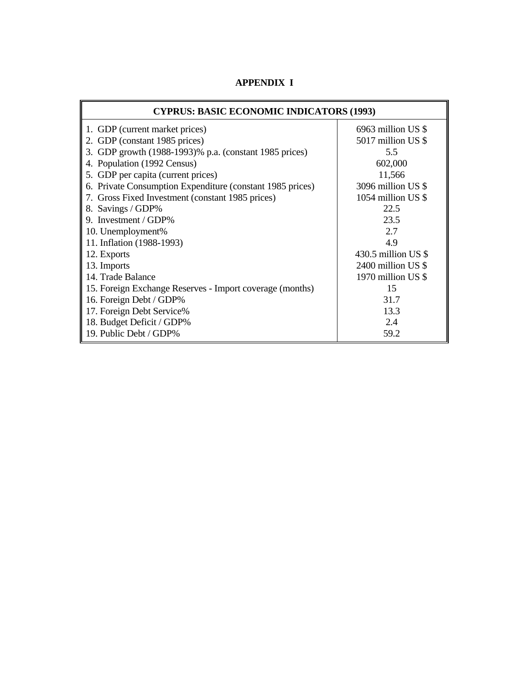| <b>CYPRUS: BASIC ECONOMIC INDICATORS (1993)</b>           |                      |  |  |  |  |
|-----------------------------------------------------------|----------------------|--|--|--|--|
| 1. GDP (current market prices)                            | $6963$ million US \$ |  |  |  |  |
| 2. GDP (constant 1985 prices)                             | 5017 million US \$   |  |  |  |  |
| 3. GDP growth (1988-1993)% p.a. (constant 1985 prices)    | 5.5                  |  |  |  |  |
| 4. Population (1992 Census)                               | 602,000              |  |  |  |  |
| 5. GDP per capita (current prices)                        | 11,566               |  |  |  |  |
| 6. Private Consumption Expenditure (constant 1985 prices) | 3096 million US \$   |  |  |  |  |
| 7. Gross Fixed Investment (constant 1985 prices)          | 1054 million US \$   |  |  |  |  |
| 8. Savings / GDP%                                         | 22.5                 |  |  |  |  |
| 9. Investment / GDP%                                      | 23.5                 |  |  |  |  |
| 10. Unemployment%                                         | 2.7                  |  |  |  |  |
| 11. Inflation (1988-1993)                                 | 4.9                  |  |  |  |  |
| 12. Exports                                               | 430.5 million US $$$ |  |  |  |  |
| 13. Imports                                               | 2400 million US \$   |  |  |  |  |
| 14. Trade Balance                                         | 1970 million US \$   |  |  |  |  |
| 15. Foreign Exchange Reserves - Import coverage (months)  | 15                   |  |  |  |  |
| 16. Foreign Debt / GDP%                                   | 31.7                 |  |  |  |  |
| 17. Foreign Debt Service%                                 | 13.3                 |  |  |  |  |
| 18. Budget Deficit / GDP%                                 | 2.4                  |  |  |  |  |
| 19. Public Debt / GDP%                                    | 59.2                 |  |  |  |  |

 **APPENDIX I**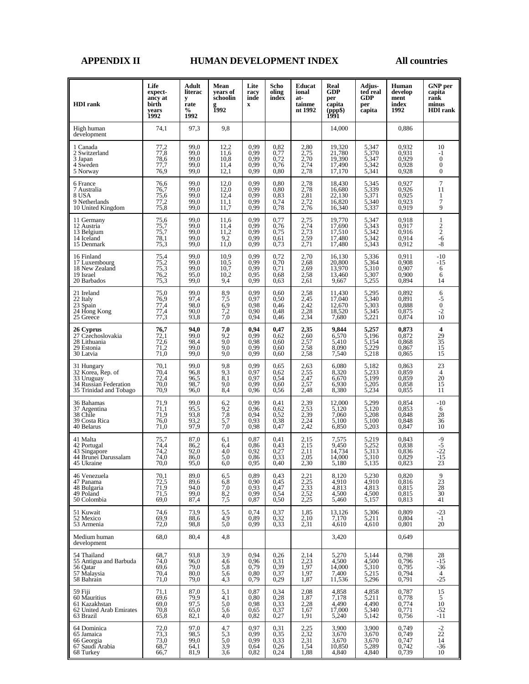#### **APPENDIX II HUMAN DEVELOPMENT INDEX All countries**

| <b>HDI</b> rank                                                                                  | Life<br>expect-<br>ancy at<br>birth<br>vears<br>1992 | Adult<br>literac<br>y<br>rate<br>$\%$<br>1992 | Mean<br>years of<br>schoolin<br><b>1992</b> | Lite<br>racy<br>inde<br>$\mathbf x$               | Scho<br>oling<br>index                            | Educat<br>ional<br>at-<br>tainme<br>nt 1992 | Real<br>GDP<br>per<br>capita<br>(ppp\$)<br>1991 | Adjus-<br>ted real<br><b>GDP</b><br>per<br>capita | Human<br>develop<br>ment<br>index<br>1992 | <b>GNP</b> per<br>capita<br>rank<br>minus<br><b>HDI</b> rank         |
|--------------------------------------------------------------------------------------------------|------------------------------------------------------|-----------------------------------------------|---------------------------------------------|---------------------------------------------------|---------------------------------------------------|---------------------------------------------|-------------------------------------------------|---------------------------------------------------|-------------------------------------------|----------------------------------------------------------------------|
| High human<br>development                                                                        | 74,1                                                 | 97.3                                          | 9,8                                         |                                                   |                                                   |                                             | 14,000                                          |                                                   | 0,886                                     |                                                                      |
| 1 Canada<br>2 Switzerland<br>3 Japan<br>4 Sweden<br>5 Norway                                     | 77,2<br>77,8<br>78,6<br>77,7<br>76,9                 | 99,0<br>99.0<br>99,0<br>99,0<br>99,0          | 12,2<br>11,6<br>10,8<br>11,4<br>12,1        | 0,99<br>0,99<br>0,99<br>0,99<br>0.99              | 0,82<br>0,77<br>0.72<br>0,76<br>0.80              | 2,80<br>2,75<br>2,70<br>2,74<br>2,78        | 19,320<br>21,780<br>19,390<br>17,490<br>17,170  | 5,347<br>5,370<br>5,347<br>5,342<br>5,341         | 0,932<br>0.931<br>0,929<br>0,928<br>0,928 | 10<br>$-1$<br>$\boldsymbol{0}$<br>$\boldsymbol{0}$<br>$\overline{0}$ |
| 6 France<br>7 Australia<br>8 USA<br>9 Netherlands<br>10 United Kingdom                           | 76,6<br>76,7<br>75,6<br>77,2<br>75,8                 | 99,0<br>99,0<br>99.0<br>99,0<br>99,0          | 12,0<br>12,0<br>12,4<br>11,1<br>11,7        | 0,99<br>0,99<br>0,99<br>0,99<br>0,99              | 0,80<br>0,80<br>0.83<br>0,74<br>0.78              | $2,78$<br>$2,78$<br>$2,81$<br>2,72<br>2,76  | 18,430<br>16,680<br>22,130<br>16,820<br>16,340  | 5,345<br>5,339<br>5,371<br>5,340<br>5,337         | 0.927<br>0,926<br>0,925<br>0,923<br>0,919 | 7<br>11<br>$\mathbf{1}$<br>7<br>9                                    |
| 11 Germany<br>12 Austria<br>13 Belgium<br>14 Iceland<br>15 Denmark                               | 75,6<br>75,7<br>75,7<br>78,1<br>75,3                 | 99.0<br>99,0<br>99.0<br>99,0<br>99,0          | 11,6<br>11,4<br>11,2<br>9,2<br>11,0         | 0.99<br>0,99<br>0,99<br>0,99<br>0,99              | 0,77<br>0,76<br>0,75<br>0.61<br>0.73              | 2,75<br>2,74<br>$2,73$<br>2,59<br>2,71      | 19,770<br>17,690<br>17,510<br>17,480<br>17,480  | 5,347<br>5,343<br>5,342<br>5,342<br>5,343         | 0.918<br>0,917<br>0,916<br>0,914<br>0,912 | $\mathbf{1}$<br>$\frac{2}{2}$<br>$-6$<br>-8                          |
| 16 Finland<br>17 Luxembourg<br>18 New Zealand<br>19 Israel<br>20 Barbados                        | 75,4<br>75,2<br>75,3<br>76,2<br>75,3                 | 99.0<br>99,0<br>99.0<br>95,0<br>99,0          | 10,9<br>$\frac{10,5}{10,7}$<br>10,2<br>9,4  | 0.99<br>0,99<br>0,99<br>0.95<br>0,99              | 0,72<br>0,70<br>0,71<br>0.68<br>0.63              | 2,70<br>2,68<br>2,69<br>2,58<br>2,61        | 16.130<br>20,800<br>13,970<br>13,460<br>9,667   | 5,336<br>5,364<br>5,310<br>5,307<br>5,255         | 0.911<br>0,908<br>0,907<br>0.900<br>0,894 | $-10$<br>-15<br>6<br>6<br>14                                         |
| 21 Ireland<br>22 Italy<br>23 Spain<br>24 Hong Kong<br>25 Greece                                  | 75,0<br>76,9<br>77,4<br>77,4<br>77,3                 | 99.0<br>97,4<br>98,0<br>90,0<br>93,8          | 8,9<br>7,5<br>6,9<br>7,2<br>7,0             | 0,99<br>0,97<br>0,98<br>0,90<br>0,94              | 0,60<br>0,50<br>0,46<br>0.48<br>0,46              | 2,58<br>$2,45$<br>$2,42$<br>2,28<br>2,34    | 11,430<br>17,040<br>12,670<br>18,520<br>7,680   | 5,295<br>5,340<br>5,303<br>5,345<br>5,221         | 0,892<br>0,891<br>0,888<br>0,875<br>0,874 | 6<br>$\frac{5}{0}$<br>$\frac{1}{10}$                                 |
| 26 Cyprus<br>27 Czechoslovakia<br>28 Lithuania<br>29 Estonia<br>30 Latvia                        | 76,7<br>72,1<br>72,6<br>71,2<br>71,0                 | 94,0<br>99,0<br>98,4<br>99.0<br>99,0          | 7,0<br>9,2<br>9,0<br>9,0<br>9.0             | 0,94<br>0,99<br>0,98<br>0.99<br>0,99              | 0,47<br>0,62<br>0.60<br>0.60<br>0.60              | 2,35<br>2,60<br>2,57<br>2,58<br>2,58        | 9,844<br>6,570<br>5,410<br>8,090<br>7,540       | 5,257<br>5,196<br>5,154<br>5,229<br>5,218         | 0,873<br>0,872<br>0,868<br>0,867<br>0,865 | 4<br>29<br>35<br>$\overline{15}$<br>15                               |
| 31 Hungary<br>32 Korea, Rep. of<br>33 Uruguay<br>34 Russian Federation<br>35 Trinidad and Tobago | 70,1<br>70,4<br>72,4<br>70,0<br>70,9                 | 99.0<br>96,8<br>96,5<br>98,7<br>96,0          | 9,8<br>9,3<br>8,1<br>9,0<br>8,4             | 0,99<br>0,97<br>0.97<br>0,99<br>0,96              | 0.65<br>0,62<br>0,54<br>0.60<br>0,56              | 2,63<br>2,55<br>2,47<br>2,57<br>2,48        | 6,080<br>8,320<br>6,670<br>6,930<br>8,380       | 5,182<br>5,233<br>5,199<br>5,205<br>5,234         | 0,863<br>0,859<br>0,859<br>0,858<br>0,855 | 23<br>4<br>$20\,$<br>15<br>11                                        |
| 36 Bahamas<br>37 Argentina<br>38 Chile<br>39 Costa Rica<br>40 Belarus                            | 71,9<br>71,1<br>71,9<br>76,0<br>71,0                 | 99.0<br>95.5<br>93.8<br>93,2<br>97,9          | 6,2<br>$\frac{9,2}{7,8}$<br>5,7<br>7.0      | 0,99<br>0,96<br>0,94<br>0.93<br>0,98              | 0.41<br>0,62<br>0.52<br>0,38<br>0,47              | 2,39<br>2,53<br>2,39<br>$2,24$<br>$2,42$    | 12,000<br>5,120<br>7,060<br>5,100<br>6,850      | 5,299<br>5,120<br>5,208<br>5,100<br>5,203         | 0,854<br>0,853<br>0,848<br>0,848<br>0,847 | $-10$<br>6<br>28<br>36<br>10                                         |
| 41 Malta<br>42 Portugal<br>43 Singapore<br>44 Brunei Darussalam<br>45 Ukraine                    | 75,7<br>74,4<br>74,2<br>74.0<br>70,0                 | 87,0<br>86,2<br>92,0<br>86.0<br>95,0          | 6,1<br>6,4<br>4,0<br>5,0<br>6,0             | 0,87<br>0,86<br>0,92<br>0,86<br>0.95              | 0,41<br>0.43<br>0,27<br>0.33<br>0,40              | 2,15<br>2,15<br>2,11<br>2.05<br>2,30        | 7,575<br>9,450<br>14,734<br>14,000<br>5,180     | 5,219<br>5,252<br>5,313<br>5,310<br>5,135         | 0,843<br>0,838<br>0,836<br>0.829<br>0,823 | -9<br>-5<br>$-22$<br>$-15$<br>23                                     |
| 46 Venezuela<br>47 Panama<br>48 Bulgaria<br>49 Poland<br>50 Colombia                             | 70,1<br>72,5<br>71,9<br>71,5<br>69,0                 | 89.0<br>89,6<br>94,0<br>99,0<br>87,4          | 6,5<br>6,8<br>$^{7,0}_{8,2}$<br>7,5         | 0,89<br>0,90<br>0.93<br>0,99<br>0,87              | 0,43<br>0.45<br>0,47<br>0.54<br>0,50              | $^{2,21}_{2,25}$<br>2,33<br>2,52<br>2,25    | 8,120<br>4,910<br>4,813<br>4,500<br>5,460       | 5,230<br>4,910<br>4,813<br>4,500<br>5,157         | 0,820<br>0,816<br>0,815<br>0,815<br>0,813 | $\frac{9}{23}$<br>$\frac{28}{30}$<br>41                              |
| 51 Kuwait<br>52 Mexico<br>53 Armenia                                                             | 74,6<br>69,9<br>72,0                                 | 73,9<br>88,6<br>98.8                          | 5,5<br>4,9<br>5,0                           | 0,74<br>0,89<br>0,99                              | 0,37<br>0,32<br>0,33                              | 1,85<br>2,10<br>2,31                        | 13,126<br>7,170<br>4,610                        | 5,306<br>5,211<br>4,610                           | 0,809<br>0,804<br>0,801                   | $-23$<br>$-1$<br>20                                                  |
| Medium human<br>development                                                                      | 68,0                                                 | 80,4                                          | 4,8                                         |                                                   |                                                   |                                             | 3,420                                           |                                                   | 0,649                                     |                                                                      |
| 54 Thailand<br>55 Antigua and Barbuda<br>56 Oatar<br>57 Malaysia<br>58 Bahrain                   | 68,7<br>74,0<br>69,6<br>70,4<br>71,0                 | 93,8<br>96,0<br>79,0<br>80,0<br>79,0          | 3,9<br>4,6<br>5,8<br>5,6<br>4,3             | 0,94<br>0,96<br>0,79<br>0,80<br>0,79              | 0,26<br>0,31<br>0,39<br>0,37<br>0,29              | 2,14<br>2,23<br>1,97<br>1,97<br>1,87        | 5,270<br>4,500<br>14,000<br>7,400<br>11,536     | 5,144<br>4,500<br>5,310<br>5,215<br>5,296         | 0,798<br>0,796<br>0,795<br>0,794<br>0,791 | 28<br>$-15$<br>$-36$<br>$\overline{4}$<br>$-25$                      |
| 59 Fiji<br>60 Mauritius<br>61 Kazakhstan<br>62 United Arab Emirates<br>63 Brazil                 | 71,1<br>69,6<br>69,0<br>70,8<br>65,8                 | 87,0<br>79,9<br>97,5<br>65,0<br>82,1          | 5,1<br>4,1<br>5,0<br>5,6<br>4,0             | 0,87<br>0,80<br>0,98<br>0.65<br>0,82              | 0,34<br>0,28<br>0,33<br>0,37<br>0,27              | 2,08<br>1,87<br>2,28<br>1,67<br>1,91        | 4,858<br>7,178<br>4,490<br>17,000<br>5,240      | 4,858<br>5,211<br>4,490<br>5,340<br>5,142         | 0,787<br>0,778<br>0,774<br>0,771<br>0,756 | 15<br>5<br>10<br>$-52$<br>$-11$                                      |
| 64 Dominica<br>65 Jamaica<br>66 Georgia<br>67 Saudi Arabia<br>68 Turkey                          | $72,0$<br>$73,3$<br>73,0<br>68,7<br>66,7             | 97,0<br>98,5<br>99,0<br>64,1<br>81,9          | $^{4,7}_{5,3}$<br>5,0<br>$\frac{3,9}{3,6}$  | $\substack{0.97 \\ 0.99}$<br>0,99<br>0,64<br>0,82 | $\substack{0,31 \\ 0,35}$<br>0,33<br>0,26<br>0,24 | $2,25$<br>$2,32$<br>2,31<br>1,54<br>1,88    | 3,900<br>3,670<br>3,670<br>10,850<br>4,840      | 3,900<br>3,670<br>3,670<br>5,289<br>4,840         | 0,749<br>0,749<br>0,747<br>0,742<br>0,739 | $\frac{-2}{22}$<br>14<br>$-36$<br>10                                 |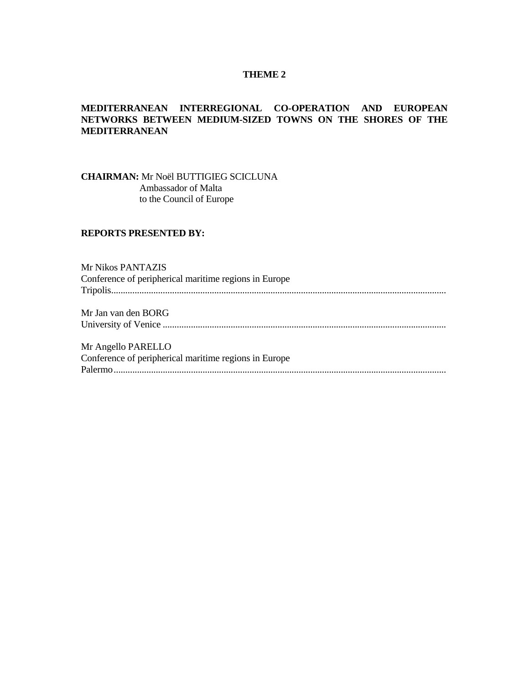#### **THEME 2**

#### **MEDITERRANEAN INTERREGIONAL CO-OPERATION AND EUROPEAN NETWORKS BETWEEN MEDIUM-SIZED TOWNS ON THE SHORES OF THE MEDITERRANEAN**

**CHAIRMAN:** Mr Noël BUTTIGIEG SCICLUNA Ambassador of Malta to the Council of Europe

#### **REPORTS PRESENTED BY:**

Mr Nikos PANTAZIS Conference of peripherical maritime regions in Europe Tripolis............................................................................................................................................... Mr Jan van den BORG University of Venice ......................................................................................................................... Mr Angello PARELLO Conference of peripherical maritime regions in Europe Palermo..............................................................................................................................................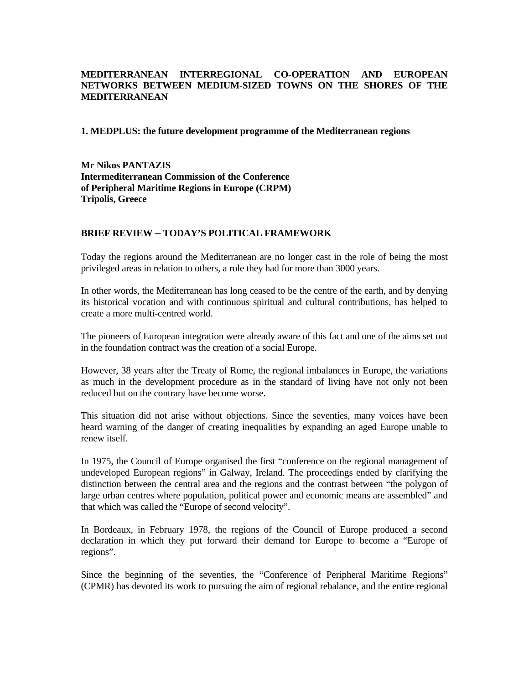### **MEDITERRANEAN INTERREGIONAL CO-OPERATION AND EUROPEAN NETWORKS BETWEEN MEDIUM-SIZED TOWNS ON THE SHORES OF THE MEDITERRANEAN**

#### **1. MEDPLUS: the future development programme of the Mediterranean regions**

**Mr Nikos PANTAZIS Intermediterranean Commission of the Conference of Peripheral Maritime Regions in Europe (CRPM) Tripolis, Greece**

#### **BRIEF REVIEW ─ TODAY'S POLITICAL FRAMEWORK**

Today the regions around the Mediterranean are no longer cast in the role of being the most privileged areas in relation to others, a role they had for more than 3000 years.

In other words, the Mediterranean has long ceased to be the centre of the earth, and by denying its historical vocation and with continuous spiritual and cultural contributions, has helped to create a more multi-centred world.

The pioneers of European integration were already aware of this fact and one of the aims set out in the foundation contract was the creation of a social Europe.

However, 38 years after the Treaty of Rome, the regional imbalances in Europe, the variations as much in the development procedure as in the standard of living have not only not been reduced but on the contrary have become worse.

This situation did not arise without objections. Since the seventies, many voices have been heard warning of the danger of creating inequalities by expanding an aged Europe unable to renew itself.

In 1975, the Council of Europe organised the first "conference on the regional management of undeveloped European regions" in Galway, Ireland. The proceedings ended by clarifying the distinction between the central area and the regions and the contrast between "the polygon of large urban centres where population, political power and economic means are assembled" and that which was called the "Europe of second velocity".

In Bordeaux, in February 1978, the regions of the Council of Europe produced a second declaration in which they put forward their demand for Europe to become a "Europe of regions".

Since the beginning of the seventies, the "Conference of Peripheral Maritime Regions" (CPMR) has devoted its work to pursuing the aim of regional rebalance, and the entire regional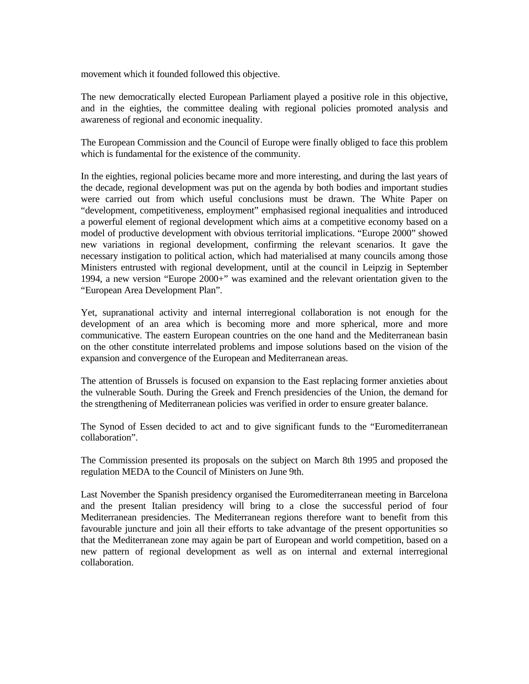movement which it founded followed this objective.

The new democratically elected European Parliament played a positive role in this objective, and in the eighties, the committee dealing with regional policies promoted analysis and awareness of regional and economic inequality.

The European Commission and the Council of Europe were finally obliged to face this problem which is fundamental for the existence of the community.

In the eighties, regional policies became more and more interesting, and during the last years of the decade, regional development was put on the agenda by both bodies and important studies were carried out from which useful conclusions must be drawn. The White Paper on "development, competitiveness, employment" emphasised regional inequalities and introduced a powerful element of regional development which aims at a competitive economy based on a model of productive development with obvious territorial implications. "Europe 2000" showed new variations in regional development, confirming the relevant scenarios. It gave the necessary instigation to political action, which had materialised at many councils among those Ministers entrusted with regional development, until at the council in Leipzig in September 1994, a new version "Europe 2000+" was examined and the relevant orientation given to the "European Area Development Plan".

Yet, supranational activity and internal interregional collaboration is not enough for the development of an area which is becoming more and more spherical, more and more communicative. The eastern European countries on the one hand and the Mediterranean basin on the other constitute interrelated problems and impose solutions based on the vision of the expansion and convergence of the European and Mediterranean areas.

The attention of Brussels is focused on expansion to the East replacing former anxieties about the vulnerable South. During the Greek and French presidencies of the Union, the demand for the strengthening of Mediterranean policies was verified in order to ensure greater balance.

The Synod of Essen decided to act and to give significant funds to the "Euromediterranean collaboration".

The Commission presented its proposals on the subject on March 8th 1995 and proposed the regulation MEDA to the Council of Ministers on June 9th.

Last November the Spanish presidency organised the Euromediterranean meeting in Barcelona and the present Italian presidency will bring to a close the successful period of four Mediterranean presidencies. The Mediterranean regions therefore want to benefit from this favourable juncture and join all their efforts to take advantage of the present opportunities so that the Mediterranean zone may again be part of European and world competition, based on a new pattern of regional development as well as on internal and external interregional collaboration.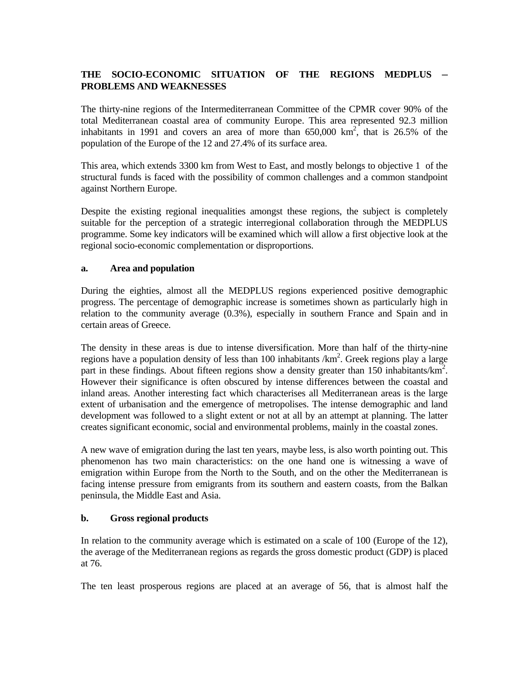# **THE SOCIO-ECONOMIC SITUATION OF THE REGIONS MEDPLUS ─ PROBLEMS AND WEAKNESSES**

The thirty-nine regions of the Intermediterranean Committee of the CPMR cover 90% of the total Mediterranean coastal area of community Europe. This area represented 92.3 million inhabitants in 1991 and covers an area of more than  $650,000 \text{ km}^2$ , that is 26.5% of the population of the Europe of the 12 and 27.4% of its surface area.

This area, which extends 3300 km from West to East, and mostly belongs to objective 1 of the structural funds is faced with the possibility of common challenges and a common standpoint against Northern Europe.

Despite the existing regional inequalities amongst these regions, the subject is completely suitable for the perception of a strategic interregional collaboration through the MEDPLUS programme. Some key indicators will be examined which will allow a first objective look at the regional socio-economic complementation or disproportions.

#### **a. Area and population**

During the eighties, almost all the MEDPLUS regions experienced positive demographic progress. The percentage of demographic increase is sometimes shown as particularly high in relation to the community average (0.3%), especially in southern France and Spain and in certain areas of Greece.

The density in these areas is due to intense diversification. More than half of the thirty-nine regions have a population density of less than 100 inhabitants  $/km<sup>2</sup>$ . Greek regions play a large part in these findings. About fifteen regions show a density greater than 150 inhabitants/km<sup>2</sup>. However their significance is often obscured by intense differences between the coastal and inland areas. Another interesting fact which characterises all Mediterranean areas is the large extent of urbanisation and the emergence of metropolises. The intense demographic and land development was followed to a slight extent or not at all by an attempt at planning. The latter creates significant economic, social and environmental problems, mainly in the coastal zones.

A new wave of emigration during the last ten years, maybe less, is also worth pointing out. This phenomenon has two main characteristics: on the one hand one is witnessing a wave of emigration within Europe from the North to the South, and on the other the Mediterranean is facing intense pressure from emigrants from its southern and eastern coasts, from the Balkan peninsula, the Middle East and Asia.

### **b. Gross regional products**

In relation to the community average which is estimated on a scale of 100 (Europe of the 12), the average of the Mediterranean regions as regards the gross domestic product (GDP) is placed at 76.

The ten least prosperous regions are placed at an average of 56, that is almost half the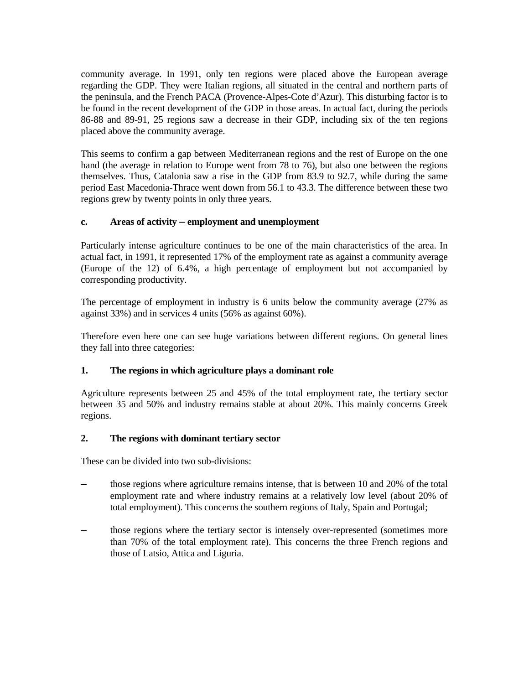community average. In 1991, only ten regions were placed above the European average regarding the GDP. They were Italian regions, all situated in the central and northern parts of the peninsula, and the French PACA (Provence-Alpes-Cote d'Azur). This disturbing factor is to be found in the recent development of the GDP in those areas. In actual fact, during the periods 86-88 and 89-91, 25 regions saw a decrease in their GDP, including six of the ten regions placed above the community average.

This seems to confirm a gap between Mediterranean regions and the rest of Europe on the one hand (the average in relation to Europe went from 78 to 76), but also one between the regions themselves. Thus, Catalonia saw a rise in the GDP from 83.9 to 92.7, while during the same period East Macedonia-Thrace went down from 56.1 to 43.3. The difference between these two regions grew by twenty points in only three years.

### **c. Areas of activity ─ employment and unemployment**

Particularly intense agriculture continues to be one of the main characteristics of the area. In actual fact, in 1991, it represented 17% of the employment rate as against a community average (Europe of the 12) of 6.4%, a high percentage of employment but not accompanied by corresponding productivity.

The percentage of employment in industry is 6 units below the community average (27% as against 33%) and in services 4 units (56% as against 60%).

Therefore even here one can see huge variations between different regions. On general lines they fall into three categories:

### **1. The regions in which agriculture plays a dominant role**

Agriculture represents between 25 and 45% of the total employment rate, the tertiary sector between 35 and 50% and industry remains stable at about 20%. This mainly concerns Greek regions.

#### **2. The regions with dominant tertiary sector**

These can be divided into two sub-divisions:

- those regions where agriculture remains intense, that is between 10 and 20% of the total employment rate and where industry remains at a relatively low level (about 20% of total employment). This concerns the southern regions of Italy, Spain and Portugal;
- those regions where the tertiary sector is intensely over-represented (sometimes more than 70% of the total employment rate). This concerns the three French regions and those of Latsio, Attica and Liguria.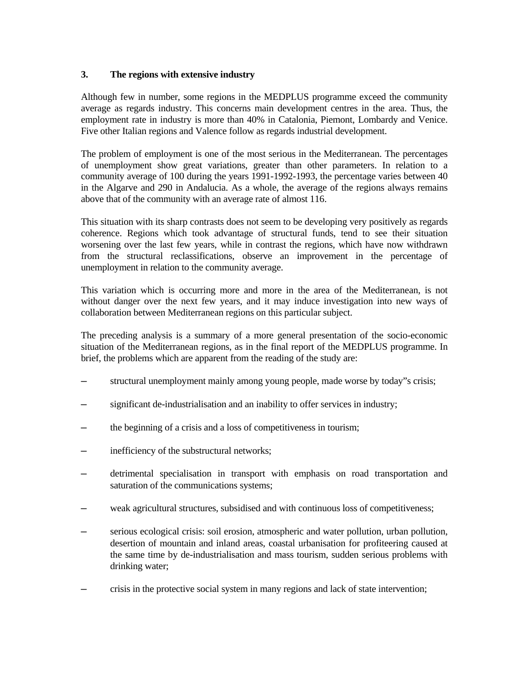#### **3. The regions with extensive industry**

Although few in number, some regions in the MEDPLUS programme exceed the community average as regards industry. This concerns main development centres in the area. Thus, the employment rate in industry is more than 40% in Catalonia, Piemont, Lombardy and Venice. Five other Italian regions and Valence follow as regards industrial development.

The problem of employment is one of the most serious in the Mediterranean. The percentages of unemployment show great variations, greater than other parameters. In relation to a community average of 100 during the years 1991-1992-1993, the percentage varies between 40 in the Algarve and 290 in Andalucia. As a whole, the average of the regions always remains above that of the community with an average rate of almost 116.

This situation with its sharp contrasts does not seem to be developing very positively as regards coherence. Regions which took advantage of structural funds, tend to see their situation worsening over the last few years, while in contrast the regions, which have now withdrawn from the structural reclassifications, observe an improvement in the percentage of unemployment in relation to the community average.

This variation which is occurring more and more in the area of the Mediterranean, is not without danger over the next few years, and it may induce investigation into new ways of collaboration between Mediterranean regions on this particular subject.

The preceding analysis is a summary of a more general presentation of the socio-economic situation of the Mediterranean regions, as in the final report of the MEDPLUS programme. In brief, the problems which are apparent from the reading of the study are:

- structural unemployment mainly among young people, made worse by today"s crisis;
- significant de-industrialisation and an inability to offer services in industry;
- the beginning of a crisis and a loss of competitiveness in tourism;
- inefficiency of the substructural networks;
- ─ detrimental specialisation in transport with emphasis on road transportation and saturation of the communications systems;
- weak agricultural structures, subsidised and with continuous loss of competitiveness;
- serious ecological crisis: soil erosion, atmospheric and water pollution, urban pollution, desertion of mountain and inland areas, coastal urbanisation for profiteering caused at the same time by de-industrialisation and mass tourism, sudden serious problems with drinking water;
- crisis in the protective social system in many regions and lack of state intervention;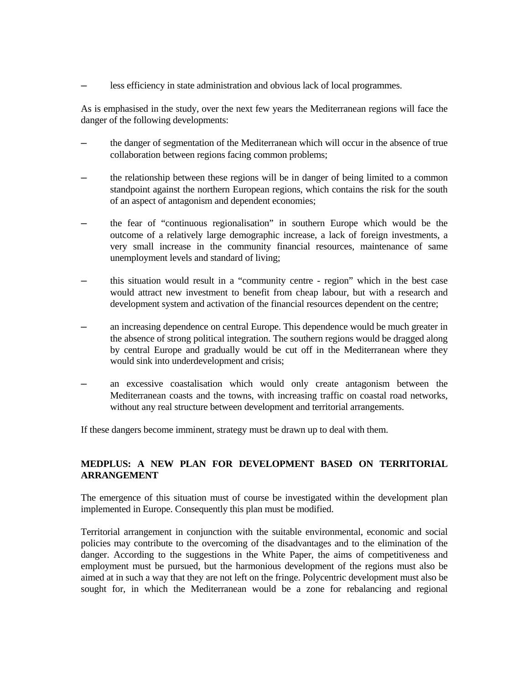less efficiency in state administration and obvious lack of local programmes.

As is emphasised in the study, over the next few years the Mediterranean regions will face the danger of the following developments:

- the danger of segmentation of the Mediterranean which will occur in the absence of true collaboration between regions facing common problems;
- the relationship between these regions will be in danger of being limited to a common standpoint against the northern European regions, which contains the risk for the south of an aspect of antagonism and dependent economies;
- the fear of "continuous regionalisation" in southern Europe which would be the outcome of a relatively large demographic increase, a lack of foreign investments, a very small increase in the community financial resources, maintenance of same unemployment levels and standard of living;
- ─ this situation would result in a "community centre region" which in the best case would attract new investment to benefit from cheap labour, but with a research and development system and activation of the financial resources dependent on the centre;
- an increasing dependence on central Europe. This dependence would be much greater in the absence of strong political integration. The southern regions would be dragged along by central Europe and gradually would be cut off in the Mediterranean where they would sink into underdevelopment and crisis;
- an excessive coastalisation which would only create antagonism between the Mediterranean coasts and the towns, with increasing traffic on coastal road networks, without any real structure between development and territorial arrangements.

If these dangers become imminent, strategy must be drawn up to deal with them.

#### **MEDPLUS: A NEW PLAN FOR DEVELOPMENT BASED ON TERRITORIAL ARRANGEMENT**

The emergence of this situation must of course be investigated within the development plan implemented in Europe. Consequently this plan must be modified.

Territorial arrangement in conjunction with the suitable environmental, economic and social policies may contribute to the overcoming of the disadvantages and to the elimination of the danger. According to the suggestions in the White Paper, the aims of competitiveness and employment must be pursued, but the harmonious development of the regions must also be aimed at in such a way that they are not left on the fringe. Polycentric development must also be sought for, in which the Mediterranean would be a zone for rebalancing and regional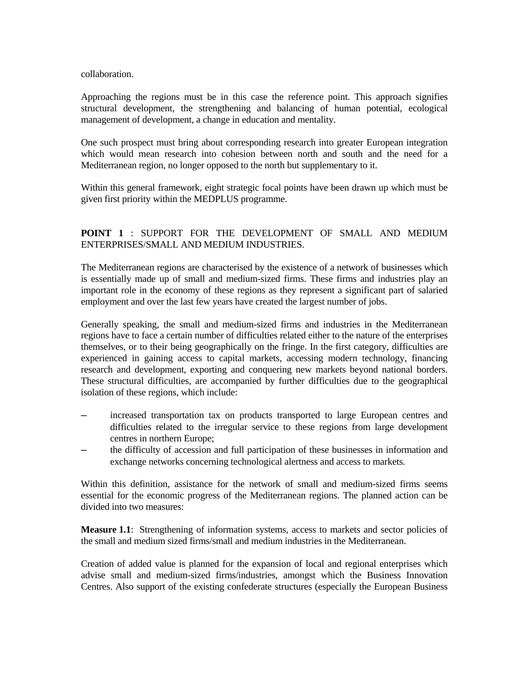collaboration.

Approaching the regions must be in this case the reference point. This approach signifies structural development, the strengthening and balancing of human potential, ecological management of development, a change in education and mentality.

One such prospect must bring about corresponding research into greater European integration which would mean research into cohesion between north and south and the need for a Mediterranean region, no longer opposed to the north but supplementary to it.

Within this general framework, eight strategic focal points have been drawn up which must be given first priority within the MEDPLUS programme.

## **POINT 1** : SUPPORT FOR THE DEVELOPMENT OF SMALL AND MEDIUM ENTERPRISES/SMALL AND MEDIUM INDUSTRIES.

The Mediterranean regions are characterised by the existence of a network of businesses which is essentially made up of small and medium-sized firms. These firms and industries play an important role in the economy of these regions as they represent a significant part of salaried employment and over the last few years have created the largest number of jobs.

Generally speaking, the small and medium-sized firms and industries in the Mediterranean regions have to face a certain number of difficulties related either to the nature of the enterprises themselves, or to their being geographically on the fringe. In the first category, difficulties are experienced in gaining access to capital markets, accessing modern technology, financing research and development, exporting and conquering new markets beyond national borders. These structural difficulties, are accompanied by further difficulties due to the geographical isolation of these regions, which include:

- increased transportation tax on products transported to large European centres and difficulties related to the irregular service to these regions from large development centres in northern Europe;
- the difficulty of accession and full participation of these businesses in information and exchange networks concerning technological alertness and access to markets.

Within this definition, assistance for the network of small and medium-sized firms seems essential for the economic progress of the Mediterranean regions. The planned action can be divided into two measures:

**Measure 1.1**: Strengthening of information systems, access to markets and sector policies of the small and medium sized firms/small and medium industries in the Mediterranean.

Creation of added value is planned for the expansion of local and regional enterprises which advise small and medium-sized firms/industries, amongst which the Business Innovation Centres. Also support of the existing confederate structures (especially the European Business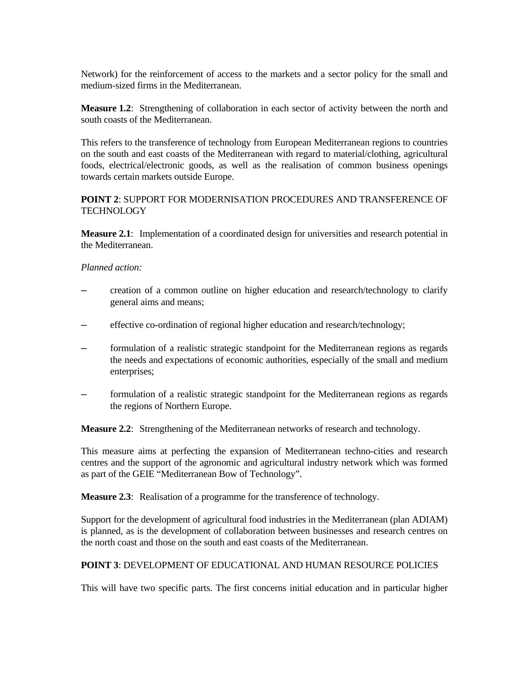Network) for the reinforcement of access to the markets and a sector policy for the small and medium-sized firms in the Mediterranean.

**Measure 1.2**: Strengthening of collaboration in each sector of activity between the north and south coasts of the Mediterranean.

This refers to the transference of technology from European Mediterranean regions to countries on the south and east coasts of the Mediterranean with regard to material/clothing, agricultural foods, electrical/electronic goods, as well as the realisation of common business openings towards certain markets outside Europe.

## **POINT 2**: SUPPORT FOR MODERNISATION PROCEDURES AND TRANSFERENCE OF TECHNOLOGY

**Measure 2.1**: Implementation of a coordinated design for universities and research potential in the Mediterranean.

### *Planned action:*

- ─ creation of a common outline on higher education and research/technology to clarify general aims and means;
- effective co-ordination of regional higher education and research/technology;
- formulation of a realistic strategic standpoint for the Mediterranean regions as regards the needs and expectations of economic authorities, especially of the small and medium enterprises;
- formulation of a realistic strategic standpoint for the Mediterranean regions as regards the regions of Northern Europe.

**Measure 2.2**: Strengthening of the Mediterranean networks of research and technology.

This measure aims at perfecting the expansion of Mediterranean techno-cities and research centres and the support of the agronomic and agricultural industry network which was formed as part of the GEIE "Mediterranean Bow of Technology".

**Measure 2.3**: Realisation of a programme for the transference of technology.

Support for the development of agricultural food industries in the Mediterranean (plan ADIAM) is planned, as is the development of collaboration between businesses and research centres on the north coast and those on the south and east coasts of the Mediterranean.

## **POINT 3**: DEVELOPMENT OF EDUCATIONAL AND HUMAN RESOURCE POLICIES

This will have two specific parts. The first concerns initial education and in particular higher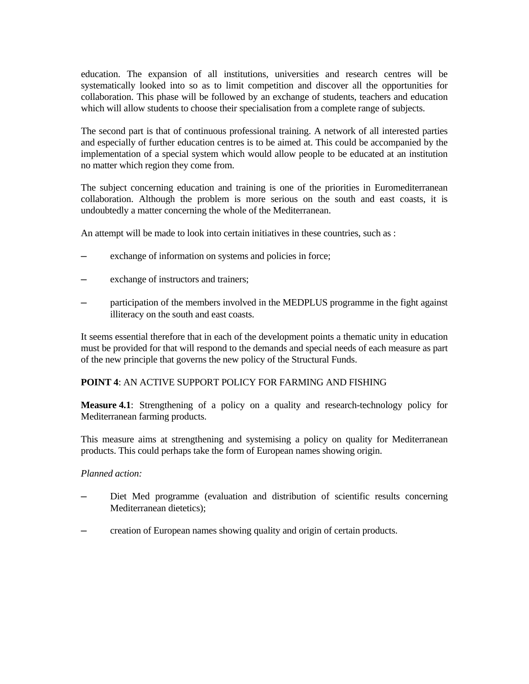education. The expansion of all institutions, universities and research centres will be systematically looked into so as to limit competition and discover all the opportunities for collaboration. This phase will be followed by an exchange of students, teachers and education which will allow students to choose their specialisation from a complete range of subjects.

The second part is that of continuous professional training. A network of all interested parties and especially of further education centres is to be aimed at. This could be accompanied by the implementation of a special system which would allow people to be educated at an institution no matter which region they come from.

The subject concerning education and training is one of the priorities in Euromediterranean collaboration. Although the problem is more serious on the south and east coasts, it is undoubtedly a matter concerning the whole of the Mediterranean.

An attempt will be made to look into certain initiatives in these countries, such as :

- exchange of information on systems and policies in force;
- exchange of instructors and trainers;
- participation of the members involved in the MEDPLUS programme in the fight against illiteracy on the south and east coasts.

It seems essential therefore that in each of the development points a thematic unity in education must be provided for that will respond to the demands and special needs of each measure as part of the new principle that governs the new policy of the Structural Funds.

## **POINT 4**: AN ACTIVE SUPPORT POLICY FOR FARMING AND FISHING

**Measure 4.1**: Strengthening of a policy on a quality and research-technology policy for Mediterranean farming products.

This measure aims at strengthening and systemising a policy on quality for Mediterranean products. This could perhaps take the form of European names showing origin.

### *Planned action:*

- Diet Med programme (evaluation and distribution of scientific results concerning Mediterranean dietetics);
- ─ creation of European names showing quality and origin of certain products.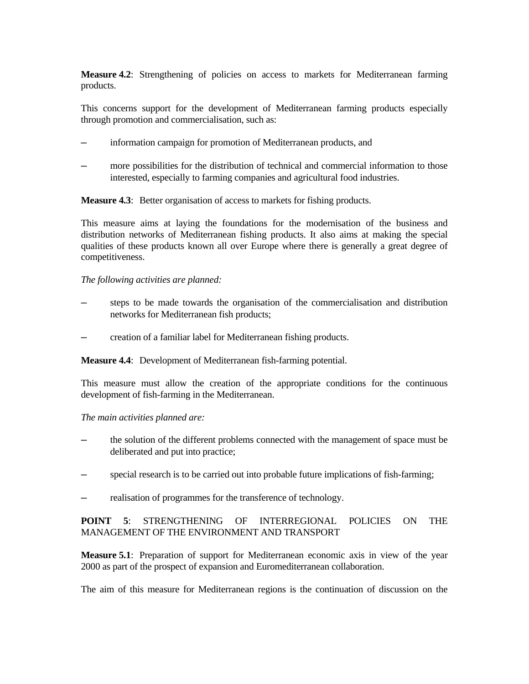**Measure 4.2**: Strengthening of policies on access to markets for Mediterranean farming products.

This concerns support for the development of Mediterranean farming products especially through promotion and commercialisation, such as:

- information campaign for promotion of Mediterranean products, and
- more possibilities for the distribution of technical and commercial information to those interested, especially to farming companies and agricultural food industries.

**Measure 4.3:** Better organisation of access to markets for fishing products.

This measure aims at laying the foundations for the modernisation of the business and distribution networks of Mediterranean fishing products. It also aims at making the special qualities of these products known all over Europe where there is generally a great degree of competitiveness.

### *The following activities are planned:*

- steps to be made towards the organisation of the commercialisation and distribution networks for Mediterranean fish products;
- ─ creation of a familiar label for Mediterranean fishing products.

**Measure 4.4**: Development of Mediterranean fish-farming potential.

This measure must allow the creation of the appropriate conditions for the continuous development of fish-farming in the Mediterranean.

### *The main activities planned are:*

- the solution of the different problems connected with the management of space must be deliberated and put into practice;
- special research is to be carried out into probable future implications of fish-farming;
- realisation of programmes for the transference of technology.

## **POINT 5**: STRENGTHENING OF INTERREGIONAL POLICIES ON THE MANAGEMENT OF THE ENVIRONMENT AND TRANSPORT

**Measure 5.1**: Preparation of support for Mediterranean economic axis in view of the year 2000 as part of the prospect of expansion and Euromediterranean collaboration.

The aim of this measure for Mediterranean regions is the continuation of discussion on the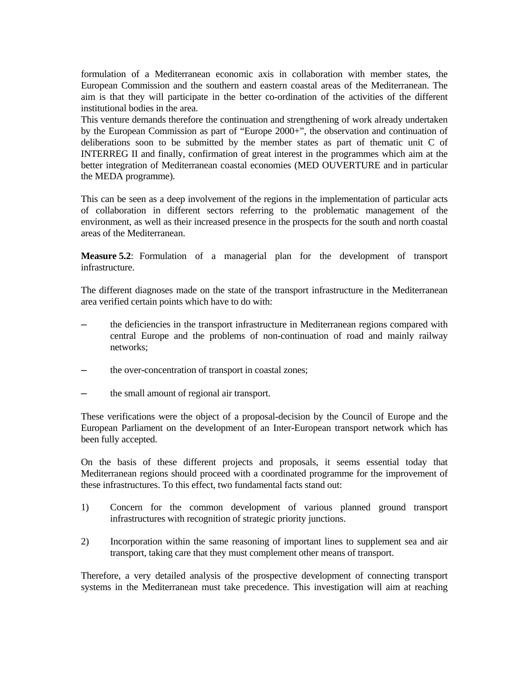formulation of a Mediterranean economic axis in collaboration with member states, the European Commission and the southern and eastern coastal areas of the Mediterranean. The aim is that they will participate in the better co-ordination of the activities of the different institutional bodies in the area.

This venture demands therefore the continuation and strengthening of work already undertaken by the European Commission as part of "Europe 2000+", the observation and continuation of deliberations soon to be submitted by the member states as part of thematic unit C of INTERREG II and finally, confirmation of great interest in the programmes which aim at the better integration of Mediterranean coastal economies (MED OUVERTURE and in particular the MEDA programme).

This can be seen as a deep involvement of the regions in the implementation of particular acts of collaboration in different sectors referring to the problematic management of the environment, as well as their increased presence in the prospects for the south and north coastal areas of the Mediterranean.

**Measure 5.2**: Formulation of a managerial plan for the development of transport infrastructure.

The different diagnoses made on the state of the transport infrastructure in the Mediterranean area verified certain points which have to do with:

- the deficiencies in the transport infrastructure in Mediterranean regions compared with central Europe and the problems of non-continuation of road and mainly railway networks;
- the over-concentration of transport in coastal zones;
- the small amount of regional air transport.

These verifications were the object of a proposal-decision by the Council of Europe and the European Parliament on the development of an Inter-European transport network which has been fully accepted.

On the basis of these different projects and proposals, it seems essential today that Mediterranean regions should proceed with a coordinated programme for the improvement of these infrastructures. To this effect, two fundamental facts stand out:

- 1) Concern for the common development of various planned ground transport infrastructures with recognition of strategic priority junctions.
- 2) Incorporation within the same reasoning of important lines to supplement sea and air transport, taking care that they must complement other means of transport.

Therefore, a very detailed analysis of the prospective development of connecting transport systems in the Mediterranean must take precedence. This investigation will aim at reaching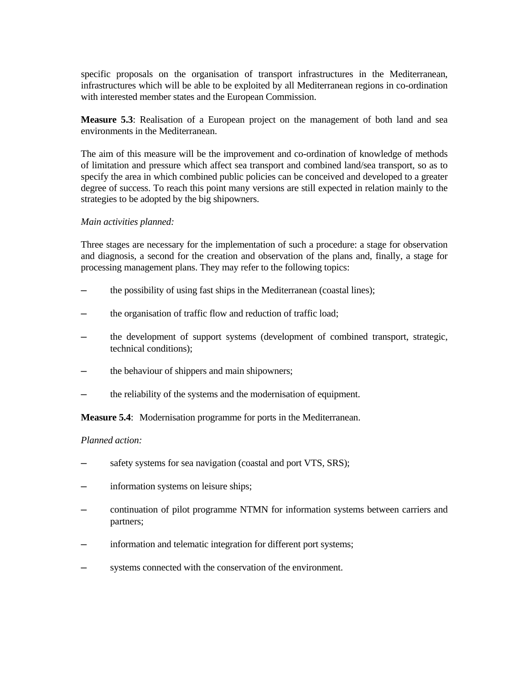specific proposals on the organisation of transport infrastructures in the Mediterranean, infrastructures which will be able to be exploited by all Mediterranean regions in co-ordination with interested member states and the European Commission.

**Measure 5.3**: Realisation of a European project on the management of both land and sea environments in the Mediterranean.

The aim of this measure will be the improvement and co-ordination of knowledge of methods of limitation and pressure which affect sea transport and combined land/sea transport, so as to specify the area in which combined public policies can be conceived and developed to a greater degree of success. To reach this point many versions are still expected in relation mainly to the strategies to be adopted by the big shipowners.

### *Main activities planned:*

Three stages are necessary for the implementation of such a procedure: a stage for observation and diagnosis, a second for the creation and observation of the plans and, finally, a stage for processing management plans. They may refer to the following topics:

- the possibility of using fast ships in the Mediterranean (coastal lines);
- the organisation of traffic flow and reduction of traffic load;
- the development of support systems (development of combined transport, strategic, technical conditions);
- the behaviour of shippers and main shipowners;
- the reliability of the systems and the modernisation of equipment.

**Measure 5.4**: Modernisation programme for ports in the Mediterranean.

#### *Planned action:*

- safety systems for sea navigation (coastal and port VTS, SRS);
- information systems on leisure ships;
- ─ continuation of pilot programme NTMN for information systems between carriers and partners;
- $\overline{\phantom{a}}$  information and telematic integration for different port systems;
- systems connected with the conservation of the environment.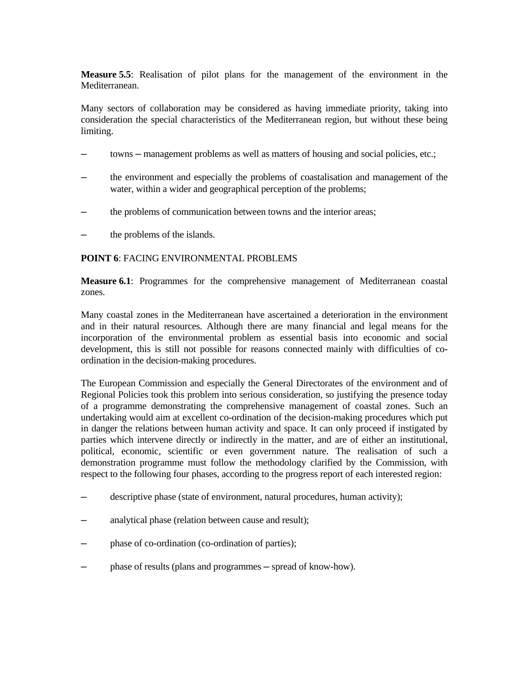**Measure 5.5**: Realisation of pilot plans for the management of the environment in the Mediterranean.

Many sectors of collaboration may be considered as having immediate priority, taking into consideration the special characteristics of the Mediterranean region, but without these being limiting.

- towns management problems as well as matters of housing and social policies, etc.;
- ─ the environment and especially the problems of coastalisation and management of the water, within a wider and geographical perception of the problems;
- the problems of communication between towns and the interior areas;
- the problems of the islands.

### **POINT 6**: FACING ENVIRONMENTAL PROBLEMS

**Measure 6.1**: Programmes for the comprehensive management of Mediterranean coastal zones.

Many coastal zones in the Mediterranean have ascertained a deterioration in the environment and in their natural resources. Although there are many financial and legal means for the incorporation of the environmental problem as essential basis into economic and social development, this is still not possible for reasons connected mainly with difficulties of coordination in the decision-making procedures.

The European Commission and especially the General Directorates of the environment and of Regional Policies took this problem into serious consideration, so justifying the presence today of a programme demonstrating the comprehensive management of coastal zones. Such an undertaking would aim at excellent co-ordination of the decision-making procedures which put in danger the relations between human activity and space. It can only proceed if instigated by parties which intervene directly or indirectly in the matter, and are of either an institutional, political, economic, scientific or even government nature. The realisation of such a demonstration programme must follow the methodology clarified by the Commission, with respect to the following four phases, according to the progress report of each interested region:

- descriptive phase (state of environment, natural procedures, human activity);
- analytical phase (relation between cause and result);
- phase of co-ordination (co-ordination of parties);
- phase of results (plans and programmes spread of know-how).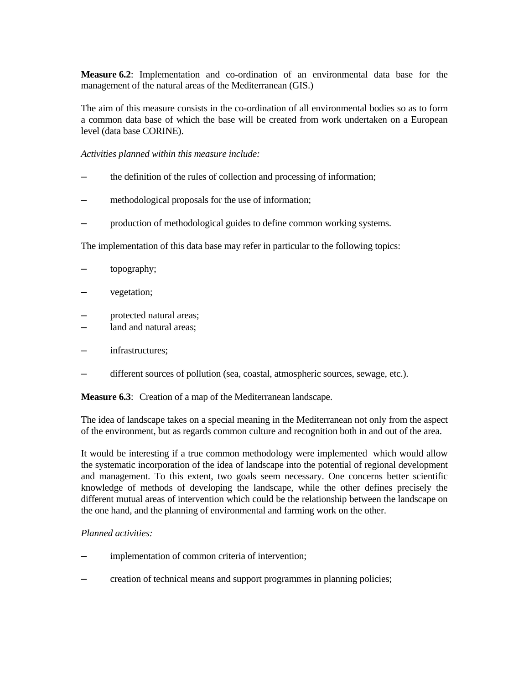**Measure 6.2**: Implementation and co-ordination of an environmental data base for the management of the natural areas of the Mediterranean (GIS.)

The aim of this measure consists in the co-ordination of all environmental bodies so as to form a common data base of which the base will be created from work undertaken on a European level (data base CORINE).

*Activities planned within this measure include:*

- the definition of the rules of collection and processing of information;
- methodological proposals for the use of information;
- production of methodological guides to define common working systems.

The implementation of this data base may refer in particular to the following topics:

- topography;
- vegetation;
- protected natural areas;
- land and natural areas;
- infrastructures;
- different sources of pollution (sea, coastal, atmospheric sources, sewage, etc.).

**Measure 6.3**: Creation of a map of the Mediterranean landscape.

The idea of landscape takes on a special meaning in the Mediterranean not only from the aspect of the environment, but as regards common culture and recognition both in and out of the area.

It would be interesting if a true common methodology were implemented which would allow the systematic incorporation of the idea of landscape into the potential of regional development and management. To this extent, two goals seem necessary. One concerns better scientific knowledge of methods of developing the landscape, while the other defines precisely the different mutual areas of intervention which could be the relationship between the landscape on the one hand, and the planning of environmental and farming work on the other.

### *Planned activities:*

- implementation of common criteria of intervention;
- creation of technical means and support programmes in planning policies;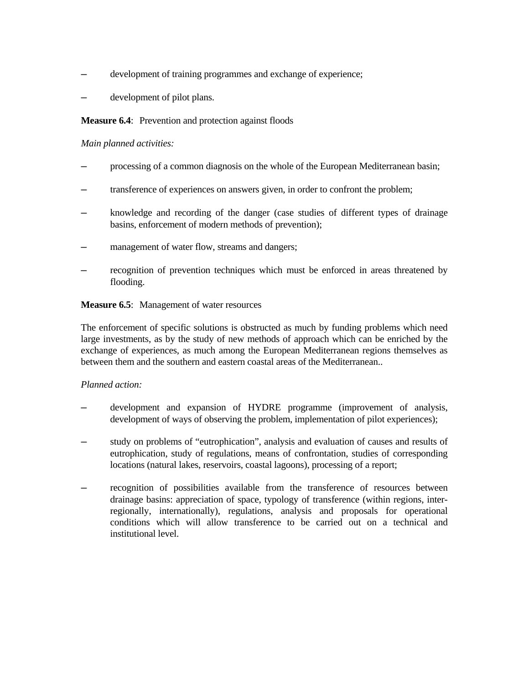- development of training programmes and exchange of experience;
- development of pilot plans.

### **Measure 6.4:** Prevention and protection against floods

### *Main planned activities:*

- processing of a common diagnosis on the whole of the European Mediterranean basin;
- transference of experiences on answers given, in order to confront the problem;
- knowledge and recording of the danger (case studies of different types of drainage basins, enforcement of modern methods of prevention);
- management of water flow, streams and dangers;
- recognition of prevention techniques which must be enforced in areas threatened by flooding.

### **Measure 6.5**: Management of water resources

The enforcement of specific solutions is obstructed as much by funding problems which need large investments, as by the study of new methods of approach which can be enriched by the exchange of experiences, as much among the European Mediterranean regions themselves as between them and the southern and eastern coastal areas of the Mediterranean..

### *Planned action:*

- development and expansion of HYDRE programme (improvement of analysis, development of ways of observing the problem, implementation of pilot experiences);
- study on problems of "eutrophication", analysis and evaluation of causes and results of eutrophication, study of regulations, means of confrontation, studies of corresponding locations (natural lakes, reservoirs, coastal lagoons), processing of a report;
- recognition of possibilities available from the transference of resources between drainage basins: appreciation of space, typology of transference (within regions, interregionally, internationally), regulations, analysis and proposals for operational conditions which will allow transference to be carried out on a technical and institutional level.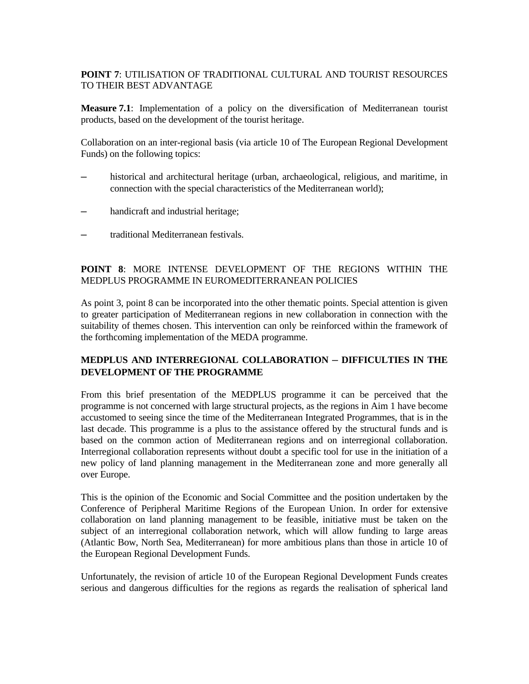## **POINT 7**: UTILISATION OF TRADITIONAL CULTURAL AND TOURIST RESOURCES TO THEIR BEST ADVANTAGE

**Measure 7.1**: Implementation of a policy on the diversification of Mediterranean tourist products, based on the development of the tourist heritage.

Collaboration on an inter-regional basis (via article 10 of The European Regional Development Funds) on the following topics:

- historical and architectural heritage (urban, archaeological, religious, and maritime, in connection with the special characteristics of the Mediterranean world);
- handicraft and industrial heritage;
- ─ traditional Mediterranean festivals.

## **POINT 8**: MORE INTENSE DEVELOPMENT OF THE REGIONS WITHIN THE MEDPLUS PROGRAMME IN EUROMEDITERRANEAN POLICIES

As point 3, point 8 can be incorporated into the other thematic points. Special attention is given to greater participation of Mediterranean regions in new collaboration in connection with the suitability of themes chosen. This intervention can only be reinforced within the framework of the forthcoming implementation of the MEDA programme.

# **MEDPLUS AND INTERREGIONAL COLLABORATION ─ DIFFICULTIES IN THE DEVELOPMENT OF THE PROGRAMME**

From this brief presentation of the MEDPLUS programme it can be perceived that the programme is not concerned with large structural projects, as the regions in Aim 1 have become accustomed to seeing since the time of the Mediterranean Integrated Programmes, that is in the last decade. This programme is a plus to the assistance offered by the structural funds and is based on the common action of Mediterranean regions and on interregional collaboration. Interregional collaboration represents without doubt a specific tool for use in the initiation of a new policy of land planning management in the Mediterranean zone and more generally all over Europe.

This is the opinion of the Economic and Social Committee and the position undertaken by the Conference of Peripheral Maritime Regions of the European Union. In order for extensive collaboration on land planning management to be feasible, initiative must be taken on the subject of an interregional collaboration network, which will allow funding to large areas (Atlantic Bow, North Sea, Mediterranean) for more ambitious plans than those in article 10 of the European Regional Development Funds.

Unfortunately, the revision of article 10 of the European Regional Development Funds creates serious and dangerous difficulties for the regions as regards the realisation of spherical land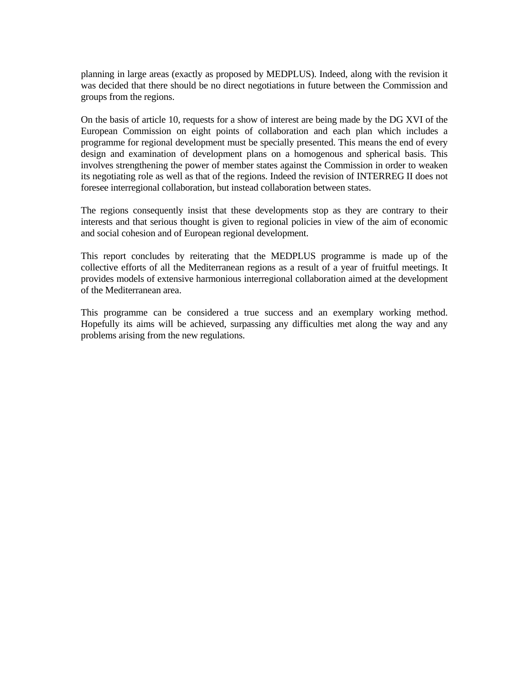planning in large areas (exactly as proposed by MEDPLUS). Indeed, along with the revision it was decided that there should be no direct negotiations in future between the Commission and groups from the regions.

On the basis of article 10, requests for a show of interest are being made by the DG XVI of the European Commission on eight points of collaboration and each plan which includes a programme for regional development must be specially presented. This means the end of every design and examination of development plans on a homogenous and spherical basis. This involves strengthening the power of member states against the Commission in order to weaken its negotiating role as well as that of the regions. Indeed the revision of INTERREG II does not foresee interregional collaboration, but instead collaboration between states.

The regions consequently insist that these developments stop as they are contrary to their interests and that serious thought is given to regional policies in view of the aim of economic and social cohesion and of European regional development.

This report concludes by reiterating that the MEDPLUS programme is made up of the collective efforts of all the Mediterranean regions as a result of a year of fruitful meetings. It provides models of extensive harmonious interregional collaboration aimed at the development of the Mediterranean area.

This programme can be considered a true success and an exemplary working method. Hopefully its aims will be achieved, surpassing any difficulties met along the way and any problems arising from the new regulations.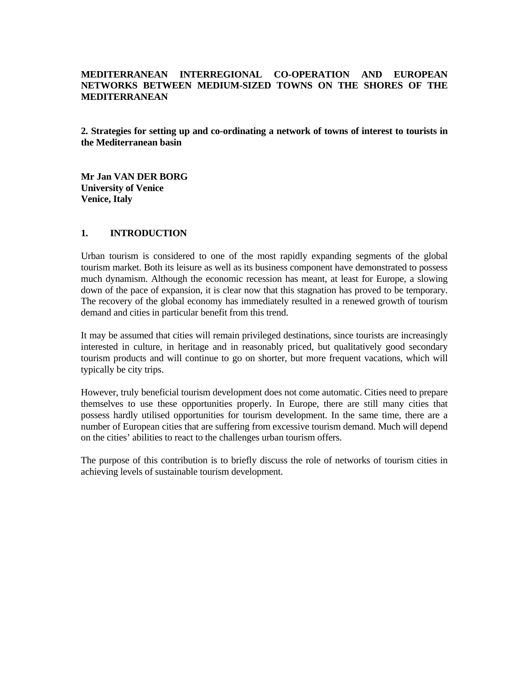## **MEDITERRANEAN INTERREGIONAL CO-OPERATION AND EUROPEAN NETWORKS BETWEEN MEDIUM-SIZED TOWNS ON THE SHORES OF THE MEDITERRANEAN**

**2. Strategies for setting up and co-ordinating a network of towns of interest to tourists in the Mediterranean basin**

**Mr Jan VAN DER BORG University of Venice Venice, Italy**

### **1. INTRODUCTION**

Urban tourism is considered to one of the most rapidly expanding segments of the global tourism market. Both its leisure as well as its business component have demonstrated to possess much dynamism. Although the economic recession has meant, at least for Europe, a slowing down of the pace of expansion, it is clear now that this stagnation has proved to be temporary. The recovery of the global economy has immediately resulted in a renewed growth of tourism demand and cities in particular benefit from this trend.

It may be assumed that cities will remain privileged destinations, since tourists are increasingly interested in culture, in heritage and in reasonably priced, but qualitatively good secondary tourism products and will continue to go on shorter, but more frequent vacations, which will typically be city trips.

However, truly beneficial tourism development does not come automatic. Cities need to prepare themselves to use these opportunities properly. In Europe, there are still many cities that possess hardly utilised opportunities for tourism development. In the same time, there are a number of European cities that are suffering from excessive tourism demand. Much will depend on the cities' abilities to react to the challenges urban tourism offers.

The purpose of this contribution is to briefly discuss the role of networks of tourism cities in achieving levels of sustainable tourism development.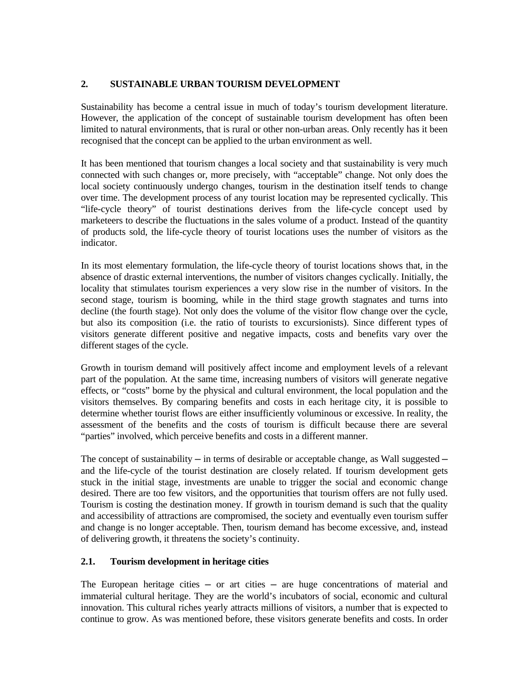## **2. SUSTAINABLE URBAN TOURISM DEVELOPMENT**

Sustainability has become a central issue in much of today's tourism development literature. However, the application of the concept of sustainable tourism development has often been limited to natural environments, that is rural or other non-urban areas. Only recently has it been recognised that the concept can be applied to the urban environment as well.

It has been mentioned that tourism changes a local society and that sustainability is very much connected with such changes or, more precisely, with "acceptable" change. Not only does the local society continuously undergo changes, tourism in the destination itself tends to change over time. The development process of any tourist location may be represented cyclically. This "life-cycle theory" of tourist destinations derives from the life-cycle concept used by marketeers to describe the fluctuations in the sales volume of a product. Instead of the quantity of products sold, the life-cycle theory of tourist locations uses the number of visitors as the indicator.

In its most elementary formulation, the life-cycle theory of tourist locations shows that, in the absence of drastic external interventions, the number of visitors changes cyclically. Initially, the locality that stimulates tourism experiences a very slow rise in the number of visitors. In the second stage, tourism is booming, while in the third stage growth stagnates and turns into decline (the fourth stage). Not only does the volume of the visitor flow change over the cycle, but also its composition (i.e. the ratio of tourists to excursionists). Since different types of visitors generate different positive and negative impacts, costs and benefits vary over the different stages of the cycle.

Growth in tourism demand will positively affect income and employment levels of a relevant part of the population. At the same time, increasing numbers of visitors will generate negative effects, or "costs" borne by the physical and cultural environment, the local population and the visitors themselves. By comparing benefits and costs in each heritage city, it is possible to determine whether tourist flows are either insufficiently voluminous or excessive. In reality, the assessment of the benefits and the costs of tourism is difficult because there are several "parties" involved, which perceive benefits and costs in a different manner.

The concept of sustainability  $-$  in terms of desirable or acceptable change, as Wall suggested  $$ and the life-cycle of the tourist destination are closely related. If tourism development gets stuck in the initial stage, investments are unable to trigger the social and economic change desired. There are too few visitors, and the opportunities that tourism offers are not fully used. Tourism is costing the destination money. If growth in tourism demand is such that the quality and accessibility of attractions are compromised, the society and eventually even tourism suffer and change is no longer acceptable. Then, tourism demand has become excessive, and, instead of delivering growth, it threatens the society's continuity.

## **2.1. Tourism development in heritage cities**

The European heritage cities  $-$  or art cities  $-$  are huge concentrations of material and immaterial cultural heritage. They are the world's incubators of social, economic and cultural innovation. This cultural riches yearly attracts millions of visitors, a number that is expected to continue to grow. As was mentioned before, these visitors generate benefits and costs. In order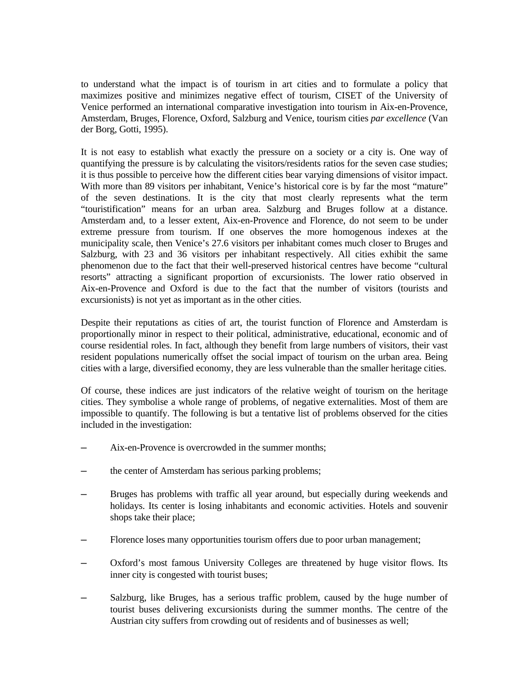to understand what the impact is of tourism in art cities and to formulate a policy that maximizes positive and minimizes negative effect of tourism, CISET of the University of Venice performed an international comparative investigation into tourism in Aix-en-Provence, Amsterdam, Bruges, Florence, Oxford, Salzburg and Venice, tourism cities *par excellence* (Van der Borg, Gotti, 1995).

It is not easy to establish what exactly the pressure on a society or a city is. One way of quantifying the pressure is by calculating the visitors/residents ratios for the seven case studies; it is thus possible to perceive how the different cities bear varying dimensions of visitor impact. With more than 89 visitors per inhabitant, Venice's historical core is by far the most "mature" of the seven destinations. It is the city that most clearly represents what the term "touristification" means for an urban area. Salzburg and Bruges follow at a distance. Amsterdam and, to a lesser extent, Aix-en-Provence and Florence, do not seem to be under extreme pressure from tourism. If one observes the more homogenous indexes at the municipality scale, then Venice's 27.6 visitors per inhabitant comes much closer to Bruges and Salzburg, with 23 and 36 visitors per inhabitant respectively. All cities exhibit the same phenomenon due to the fact that their well-preserved historical centres have become "cultural resorts" attracting a significant proportion of excursionists. The lower ratio observed in Aix-en-Provence and Oxford is due to the fact that the number of visitors (tourists and excursionists) is not yet as important as in the other cities.

Despite their reputations as cities of art, the tourist function of Florence and Amsterdam is proportionally minor in respect to their political, administrative, educational, economic and of course residential roles. In fact, although they benefit from large numbers of visitors, their vast resident populations numerically offset the social impact of tourism on the urban area. Being cities with a large, diversified economy, they are less vulnerable than the smaller heritage cities.

Of course, these indices are just indicators of the relative weight of tourism on the heritage cities. They symbolise a whole range of problems, of negative externalities. Most of them are impossible to quantify. The following is but a tentative list of problems observed for the cities included in the investigation:

- Aix-en-Provence is overcrowded in the summer months:
- the center of Amsterdam has serious parking problems;
- Bruges has problems with traffic all year around, but especially during weekends and holidays. Its center is losing inhabitants and economic activities. Hotels and souvenir shops take their place;
- Florence loses many opportunities tourism offers due to poor urban management;
- ─ Oxford's most famous University Colleges are threatened by huge visitor flows. Its inner city is congested with tourist buses;
- Salzburg, like Bruges, has a serious traffic problem, caused by the huge number of tourist buses delivering excursionists during the summer months. The centre of the Austrian city suffers from crowding out of residents and of businesses as well;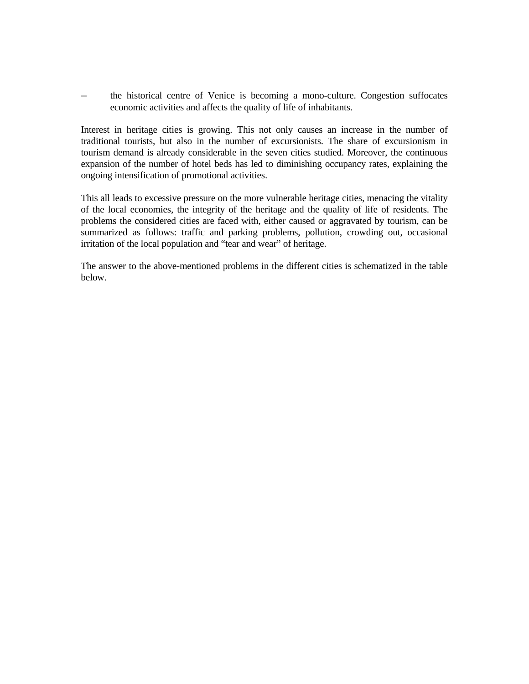the historical centre of Venice is becoming a mono-culture. Congestion suffocates economic activities and affects the quality of life of inhabitants.

Interest in heritage cities is growing. This not only causes an increase in the number of traditional tourists, but also in the number of excursionists. The share of excursionism in tourism demand is already considerable in the seven cities studied. Moreover, the continuous expansion of the number of hotel beds has led to diminishing occupancy rates, explaining the ongoing intensification of promotional activities.

This all leads to excessive pressure on the more vulnerable heritage cities, menacing the vitality of the local economies, the integrity of the heritage and the quality of life of residents. The problems the considered cities are faced with, either caused or aggravated by tourism, can be summarized as follows: traffic and parking problems, pollution, crowding out, occasional irritation of the local population and "tear and wear" of heritage.

The answer to the above-mentioned problems in the different cities is schematized in the table below.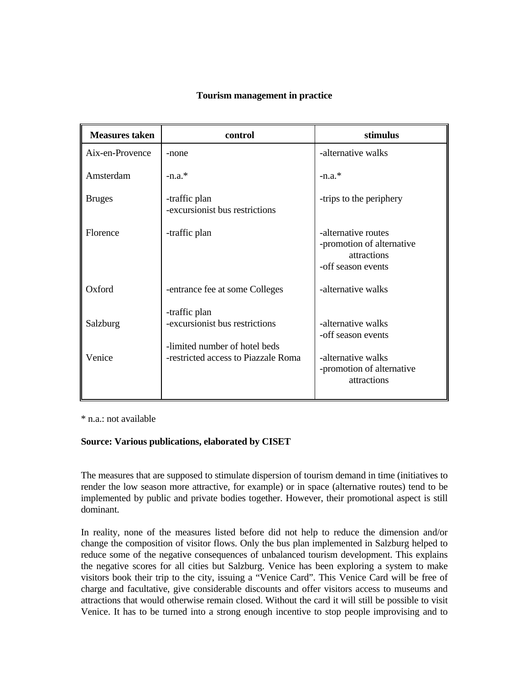|  | Tourism management in practice |  |
|--|--------------------------------|--|
|--|--------------------------------|--|

| <b>Measures taken</b> | control                                                                                                                 | stimulus                                                                                                   |
|-----------------------|-------------------------------------------------------------------------------------------------------------------------|------------------------------------------------------------------------------------------------------------|
| Aix-en-Provence       | -none                                                                                                                   | -alternative walks                                                                                         |
| Amsterdam             | $-n.a.*$                                                                                                                | $-n.a.*$                                                                                                   |
| <b>Bruges</b>         | -traffic plan<br>-excursionist bus restrictions                                                                         | -trips to the periphery                                                                                    |
| Florence              | -traffic plan                                                                                                           | -alternative routes<br>-promotion of alternative<br>attractions<br>-off season events                      |
| Oxford                | -entrance fee at some Colleges                                                                                          | -alternative walks                                                                                         |
| Salzburg<br>Venice    | -traffic plan<br>-excursionist bus restrictions<br>-limited number of hotel beds<br>-restricted access to Piazzale Roma | -alternative walks<br>-off season events<br>-alternative walks<br>-promotion of alternative<br>attractions |

\* n.a.: not available

### **Source: Various publications, elaborated by CISET**

The measures that are supposed to stimulate dispersion of tourism demand in time (initiatives to render the low season more attractive, for example) or in space (alternative routes) tend to be implemented by public and private bodies together. However, their promotional aspect is still dominant.

In reality, none of the measures listed before did not help to reduce the dimension and/or change the composition of visitor flows. Only the bus plan implemented in Salzburg helped to reduce some of the negative consequences of unbalanced tourism development. This explains the negative scores for all cities but Salzburg. Venice has been exploring a system to make visitors book their trip to the city, issuing a "Venice Card". This Venice Card will be free of charge and facultative, give considerable discounts and offer visitors access to museums and attractions that would otherwise remain closed. Without the card it will still be possible to visit Venice. It has to be turned into a strong enough incentive to stop people improvising and to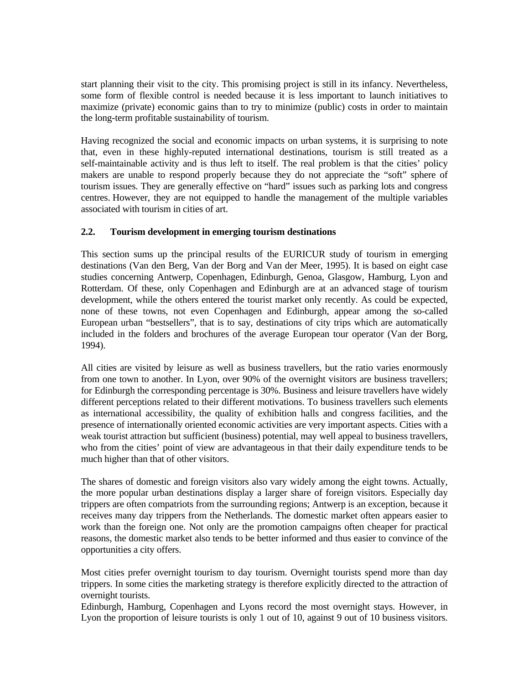start planning their visit to the city. This promising project is still in its infancy. Nevertheless, some form of flexible control is needed because it is less important to launch initiatives to maximize (private) economic gains than to try to minimize (public) costs in order to maintain the long-term profitable sustainability of tourism.

Having recognized the social and economic impacts on urban systems, it is surprising to note that, even in these highly-reputed international destinations, tourism is still treated as a self-maintainable activity and is thus left to itself. The real problem is that the cities' policy makers are unable to respond properly because they do not appreciate the "soft" sphere of tourism issues. They are generally effective on "hard" issues such as parking lots and congress centres. However, they are not equipped to handle the management of the multiple variables associated with tourism in cities of art.

### **2.2. Tourism development in emerging tourism destinations**

This section sums up the principal results of the EURICUR study of tourism in emerging destinations (Van den Berg, Van der Borg and Van der Meer, 1995). It is based on eight case studies concerning Antwerp, Copenhagen, Edinburgh, Genoa, Glasgow, Hamburg, Lyon and Rotterdam. Of these, only Copenhagen and Edinburgh are at an advanced stage of tourism development, while the others entered the tourist market only recently. As could be expected, none of these towns, not even Copenhagen and Edinburgh, appear among the so-called European urban "bestsellers", that is to say, destinations of city trips which are automatically included in the folders and brochures of the average European tour operator (Van der Borg, 1994).

All cities are visited by leisure as well as business travellers, but the ratio varies enormously from one town to another. In Lyon, over 90% of the overnight visitors are business travellers; for Edinburgh the corresponding percentage is 30%. Business and leisure travellers have widely different perceptions related to their different motivations. To business travellers such elements as international accessibility, the quality of exhibition halls and congress facilities, and the presence of internationally oriented economic activities are very important aspects. Cities with a weak tourist attraction but sufficient (business) potential, may well appeal to business travellers, who from the cities' point of view are advantageous in that their daily expenditure tends to be much higher than that of other visitors.

The shares of domestic and foreign visitors also vary widely among the eight towns. Actually, the more popular urban destinations display a larger share of foreign visitors. Especially day trippers are often compatriots from the surrounding regions; Antwerp is an exception, because it receives many day trippers from the Netherlands. The domestic market often appears easier to work than the foreign one. Not only are the promotion campaigns often cheaper for practical reasons, the domestic market also tends to be better informed and thus easier to convince of the opportunities a city offers.

Most cities prefer overnight tourism to day tourism. Overnight tourists spend more than day trippers. In some cities the marketing strategy is therefore explicitly directed to the attraction of overnight tourists.

Edinburgh, Hamburg, Copenhagen and Lyons record the most overnight stays. However, in Lyon the proportion of leisure tourists is only 1 out of 10, against 9 out of 10 business visitors.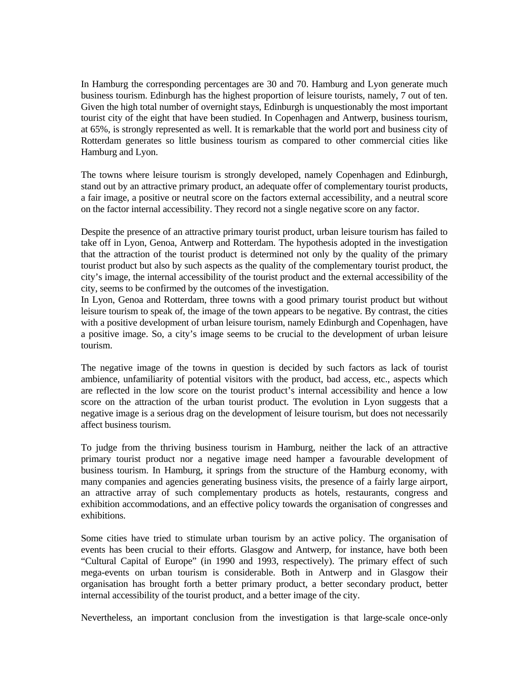In Hamburg the corresponding percentages are 30 and 70. Hamburg and Lyon generate much business tourism. Edinburgh has the highest proportion of leisure tourists, namely, 7 out of ten. Given the high total number of overnight stays, Edinburgh is unquestionably the most important tourist city of the eight that have been studied. In Copenhagen and Antwerp, business tourism, at 65%, is strongly represented as well. It is remarkable that the world port and business city of Rotterdam generates so little business tourism as compared to other commercial cities like Hamburg and Lyon.

The towns where leisure tourism is strongly developed, namely Copenhagen and Edinburgh, stand out by an attractive primary product, an adequate offer of complementary tourist products, a fair image, a positive or neutral score on the factors external accessibility, and a neutral score on the factor internal accessibility. They record not a single negative score on any factor.

Despite the presence of an attractive primary tourist product, urban leisure tourism has failed to take off in Lyon, Genoa, Antwerp and Rotterdam. The hypothesis adopted in the investigation that the attraction of the tourist product is determined not only by the quality of the primary tourist product but also by such aspects as the quality of the complementary tourist product, the city's image, the internal accessibility of the tourist product and the external accessibility of the city, seems to be confirmed by the outcomes of the investigation.

In Lyon, Genoa and Rotterdam, three towns with a good primary tourist product but without leisure tourism to speak of, the image of the town appears to be negative. By contrast, the cities with a positive development of urban leisure tourism, namely Edinburgh and Copenhagen, have a positive image. So, a city's image seems to be crucial to the development of urban leisure tourism.

The negative image of the towns in question is decided by such factors as lack of tourist ambience, unfamiliarity of potential visitors with the product, bad access, etc., aspects which are reflected in the low score on the tourist product's internal accessibility and hence a low score on the attraction of the urban tourist product. The evolution in Lyon suggests that a negative image is a serious drag on the development of leisure tourism, but does not necessarily affect business tourism.

To judge from the thriving business tourism in Hamburg, neither the lack of an attractive primary tourist product nor a negative image need hamper a favourable development of business tourism. In Hamburg, it springs from the structure of the Hamburg economy, with many companies and agencies generating business visits, the presence of a fairly large airport, an attractive array of such complementary products as hotels, restaurants, congress and exhibition accommodations, and an effective policy towards the organisation of congresses and exhibitions.

Some cities have tried to stimulate urban tourism by an active policy. The organisation of events has been crucial to their efforts. Glasgow and Antwerp, for instance, have both been "Cultural Capital of Europe" (in 1990 and 1993, respectively). The primary effect of such mega-events on urban tourism is considerable. Both in Antwerp and in Glasgow their organisation has brought forth a better primary product, a better secondary product, better internal accessibility of the tourist product, and a better image of the city.

Nevertheless, an important conclusion from the investigation is that large-scale once-only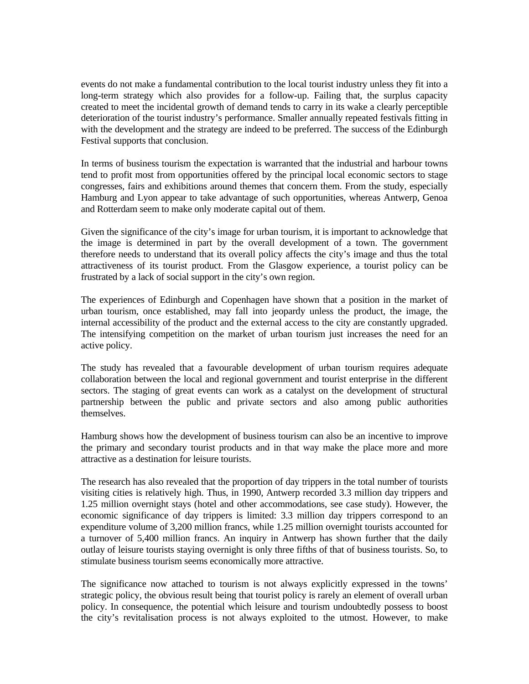events do not make a fundamental contribution to the local tourist industry unless they fit into a long-term strategy which also provides for a follow-up. Failing that, the surplus capacity created to meet the incidental growth of demand tends to carry in its wake a clearly perceptible deterioration of the tourist industry's performance. Smaller annually repeated festivals fitting in with the development and the strategy are indeed to be preferred. The success of the Edinburgh Festival supports that conclusion.

In terms of business tourism the expectation is warranted that the industrial and harbour towns tend to profit most from opportunities offered by the principal local economic sectors to stage congresses, fairs and exhibitions around themes that concern them. From the study, especially Hamburg and Lyon appear to take advantage of such opportunities, whereas Antwerp, Genoa and Rotterdam seem to make only moderate capital out of them.

Given the significance of the city's image for urban tourism, it is important to acknowledge that the image is determined in part by the overall development of a town. The government therefore needs to understand that its overall policy affects the city's image and thus the total attractiveness of its tourist product. From the Glasgow experience, a tourist policy can be frustrated by a lack of social support in the city's own region.

The experiences of Edinburgh and Copenhagen have shown that a position in the market of urban tourism, once established, may fall into jeopardy unless the product, the image, the internal accessibility of the product and the external access to the city are constantly upgraded. The intensifying competition on the market of urban tourism just increases the need for an active policy.

The study has revealed that a favourable development of urban tourism requires adequate collaboration between the local and regional government and tourist enterprise in the different sectors. The staging of great events can work as a catalyst on the development of structural partnership between the public and private sectors and also among public authorities themselves.

Hamburg shows how the development of business tourism can also be an incentive to improve the primary and secondary tourist products and in that way make the place more and more attractive as a destination for leisure tourists.

The research has also revealed that the proportion of day trippers in the total number of tourists visiting cities is relatively high. Thus, in 1990, Antwerp recorded 3.3 million day trippers and 1.25 million overnight stays (hotel and other accommodations, see case study). However, the economic significance of day trippers is limited: 3.3 million day trippers correspond to an expenditure volume of 3,200 million francs, while 1.25 million overnight tourists accounted for a turnover of 5,400 million francs. An inquiry in Antwerp has shown further that the daily outlay of leisure tourists staying overnight is only three fifths of that of business tourists. So, to stimulate business tourism seems economically more attractive.

The significance now attached to tourism is not always explicitly expressed in the towns' strategic policy, the obvious result being that tourist policy is rarely an element of overall urban policy. In consequence, the potential which leisure and tourism undoubtedly possess to boost the city's revitalisation process is not always exploited to the utmost. However, to make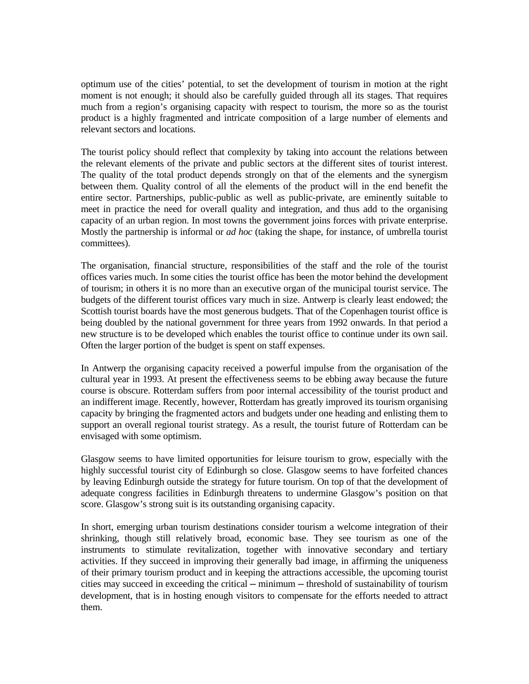optimum use of the cities' potential, to set the development of tourism in motion at the right moment is not enough; it should also be carefully guided through all its stages. That requires much from a region's organising capacity with respect to tourism, the more so as the tourist product is a highly fragmented and intricate composition of a large number of elements and relevant sectors and locations.

The tourist policy should reflect that complexity by taking into account the relations between the relevant elements of the private and public sectors at the different sites of tourist interest. The quality of the total product depends strongly on that of the elements and the synergism between them. Quality control of all the elements of the product will in the end benefit the entire sector. Partnerships, public-public as well as public-private, are eminently suitable to meet in practice the need for overall quality and integration, and thus add to the organising capacity of an urban region. In most towns the government joins forces with private enterprise. Mostly the partnership is informal or *ad hoc* (taking the shape, for instance, of umbrella tourist committees).

The organisation, financial structure, responsibilities of the staff and the role of the tourist offices varies much. In some cities the tourist office has been the motor behind the development of tourism; in others it is no more than an executive organ of the municipal tourist service. The budgets of the different tourist offices vary much in size. Antwerp is clearly least endowed; the Scottish tourist boards have the most generous budgets. That of the Copenhagen tourist office is being doubled by the national government for three years from 1992 onwards. In that period a new structure is to be developed which enables the tourist office to continue under its own sail. Often the larger portion of the budget is spent on staff expenses.

In Antwerp the organising capacity received a powerful impulse from the organisation of the cultural year in 1993. At present the effectiveness seems to be ebbing away because the future course is obscure. Rotterdam suffers from poor internal accessibility of the tourist product and an indifferent image. Recently, however, Rotterdam has greatly improved its tourism organising capacity by bringing the fragmented actors and budgets under one heading and enlisting them to support an overall regional tourist strategy. As a result, the tourist future of Rotterdam can be envisaged with some optimism.

Glasgow seems to have limited opportunities for leisure tourism to grow, especially with the highly successful tourist city of Edinburgh so close. Glasgow seems to have forfeited chances by leaving Edinburgh outside the strategy for future tourism. On top of that the development of adequate congress facilities in Edinburgh threatens to undermine Glasgow's position on that score. Glasgow's strong suit is its outstanding organising capacity.

In short, emerging urban tourism destinations consider tourism a welcome integration of their shrinking, though still relatively broad, economic base. They see tourism as one of the instruments to stimulate revitalization, together with innovative secondary and tertiary activities. If they succeed in improving their generally bad image, in affirming the uniqueness of their primary tourism product and in keeping the attractions accessible, the upcoming tourist cities may succeed in exceeding the critical — minimum — threshold of sustainability of tourism development, that is in hosting enough visitors to compensate for the efforts needed to attract them.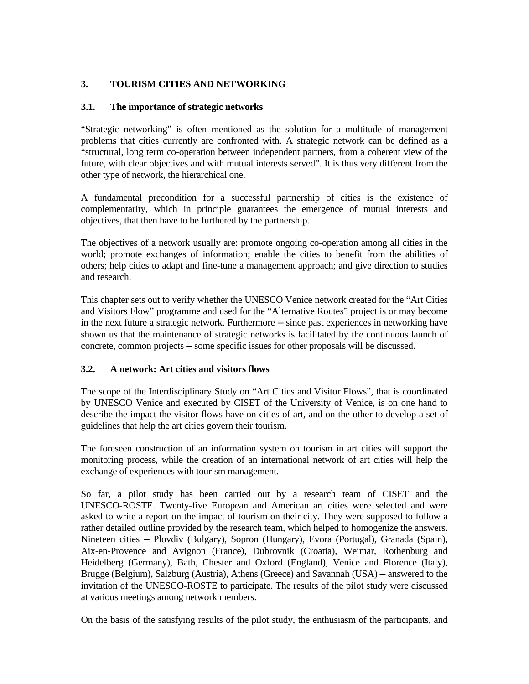# **3. TOURISM CITIES AND NETWORKING**

## **3.1. The importance of strategic networks**

"Strategic networking" is often mentioned as the solution for a multitude of management problems that cities currently are confronted with. A strategic network can be defined as a "structural, long term co-operation between independent partners, from a coherent view of the future, with clear objectives and with mutual interests served". It is thus very different from the other type of network, the hierarchical one.

A fundamental precondition for a successful partnership of cities is the existence of complementarity, which in principle guarantees the emergence of mutual interests and objectives, that then have to be furthered by the partnership.

The objectives of a network usually are: promote ongoing co-operation among all cities in the world; promote exchanges of information; enable the cities to benefit from the abilities of others; help cities to adapt and fine-tune a management approach; and give direction to studies and research.

This chapter sets out to verify whether the UNESCO Venice network created for the "Art Cities and Visitors Flow" programme and used for the "Alternative Routes" project is or may become in the next future a strategic network. Furthermore — since past experiences in networking have shown us that the maintenance of strategic networks is facilitated by the continuous launch of concrete, common projects ─ some specific issues for other proposals will be discussed.

## **3.2. A network: Art cities and visitors flows**

The scope of the Interdisciplinary Study on "Art Cities and Visitor Flows", that is coordinated by UNESCO Venice and executed by CISET of the University of Venice, is on one hand to describe the impact the visitor flows have on cities of art, and on the other to develop a set of guidelines that help the art cities govern their tourism.

The foreseen construction of an information system on tourism in art cities will support the monitoring process, while the creation of an international network of art cities will help the exchange of experiences with tourism management.

So far, a pilot study has been carried out by a research team of CISET and the UNESCO-ROSTE. Twenty-five European and American art cities were selected and were asked to write a report on the impact of tourism on their city. They were supposed to follow a rather detailed outline provided by the research team, which helped to homogenize the answers. Nineteen cities ─ Plovdiv (Bulgary), Sopron (Hungary), Evora (Portugal), Granada (Spain), Aix-en-Provence and Avignon (France), Dubrovnik (Croatia), Weimar, Rothenburg and Heidelberg (Germany), Bath, Chester and Oxford (England), Venice and Florence (Italy), Brugge (Belgium), Salzburg (Austria), Athens (Greece) and Savannah (USA) – answered to the invitation of the UNESCO-ROSTE to participate. The results of the pilot study were discussed at various meetings among network members.

On the basis of the satisfying results of the pilot study, the enthusiasm of the participants, and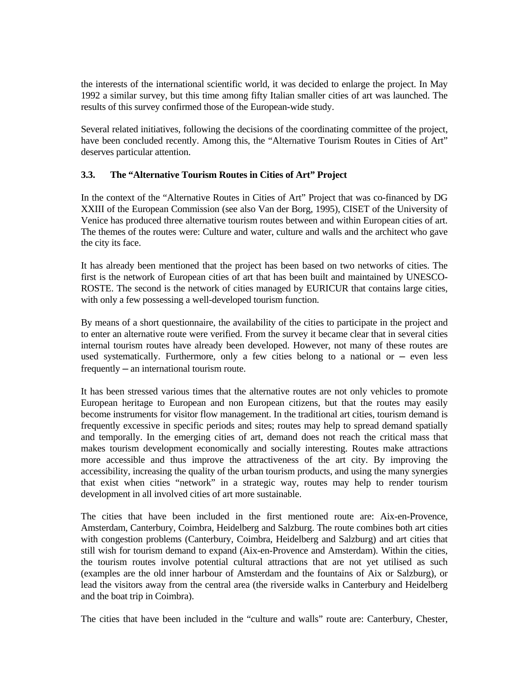the interests of the international scientific world, it was decided to enlarge the project. In May 1992 a similar survey, but this time among fifty Italian smaller cities of art was launched. The results of this survey confirmed those of the European-wide study.

Several related initiatives, following the decisions of the coordinating committee of the project, have been concluded recently. Among this, the "Alternative Tourism Routes in Cities of Art" deserves particular attention.

### **3.3. The "Alternative Tourism Routes in Cities of Art" Project**

In the context of the "Alternative Routes in Cities of Art" Project that was co-financed by DG XXIII of the European Commission (see also Van der Borg, 1995), CISET of the University of Venice has produced three alternative tourism routes between and within European cities of art. The themes of the routes were: Culture and water, culture and walls and the architect who gave the city its face.

It has already been mentioned that the project has been based on two networks of cities. The first is the network of European cities of art that has been built and maintained by UNESCO-ROSTE. The second is the network of cities managed by EURICUR that contains large cities, with only a few possessing a well-developed tourism function.

By means of a short questionnaire, the availability of the cities to participate in the project and to enter an alternative route were verified. From the survey it became clear that in several cities internal tourism routes have already been developed. However, not many of these routes are used systematically. Furthermore, only a few cities belong to a national or  $-$  even less frequently ─ an international tourism route.

It has been stressed various times that the alternative routes are not only vehicles to promote European heritage to European and non European citizens, but that the routes may easily become instruments for visitor flow management. In the traditional art cities, tourism demand is frequently excessive in specific periods and sites; routes may help to spread demand spatially and temporally. In the emerging cities of art, demand does not reach the critical mass that makes tourism development economically and socially interesting. Routes make attractions more accessible and thus improve the attractiveness of the art city. By improving the accessibility, increasing the quality of the urban tourism products, and using the many synergies that exist when cities "network" in a strategic way, routes may help to render tourism development in all involved cities of art more sustainable.

The cities that have been included in the first mentioned route are: Aix-en-Provence, Amsterdam, Canterbury, Coimbra, Heidelberg and Salzburg. The route combines both art cities with congestion problems (Canterbury, Coimbra, Heidelberg and Salzburg) and art cities that still wish for tourism demand to expand (Aix-en-Provence and Amsterdam). Within the cities, the tourism routes involve potential cultural attractions that are not yet utilised as such (examples are the old inner harbour of Amsterdam and the fountains of Aix or Salzburg), or lead the visitors away from the central area (the riverside walks in Canterbury and Heidelberg and the boat trip in Coimbra).

The cities that have been included in the "culture and walls" route are: Canterbury, Chester,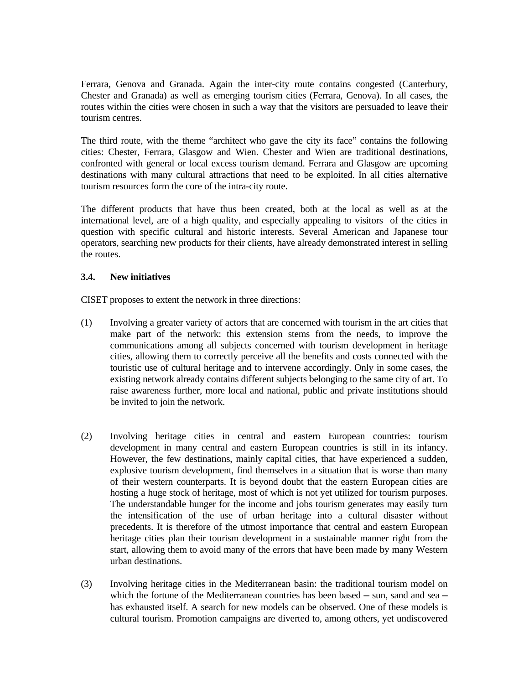Ferrara, Genova and Granada. Again the inter-city route contains congested (Canterbury, Chester and Granada) as well as emerging tourism cities (Ferrara, Genova). In all cases, the routes within the cities were chosen in such a way that the visitors are persuaded to leave their tourism centres.

The third route, with the theme "architect who gave the city its face" contains the following cities: Chester, Ferrara, Glasgow and Wien. Chester and Wien are traditional destinations, confronted with general or local excess tourism demand. Ferrara and Glasgow are upcoming destinations with many cultural attractions that need to be exploited. In all cities alternative tourism resources form the core of the intra-city route.

The different products that have thus been created, both at the local as well as at the international level, are of a high quality, and especially appealing to visitors of the cities in question with specific cultural and historic interests. Several American and Japanese tour operators, searching new products for their clients, have already demonstrated interest in selling the routes.

### **3.4. New initiatives**

CISET proposes to extent the network in three directions:

- (1) Involving a greater variety of actors that are concerned with tourism in the art cities that make part of the network: this extension stems from the needs, to improve the communications among all subjects concerned with tourism development in heritage cities, allowing them to correctly perceive all the benefits and costs connected with the touristic use of cultural heritage and to intervene accordingly. Only in some cases, the existing network already contains different subjects belonging to the same city of art. To raise awareness further, more local and national, public and private institutions should be invited to join the network.
- (2) Involving heritage cities in central and eastern European countries: tourism development in many central and eastern European countries is still in its infancy. However, the few destinations, mainly capital cities, that have experienced a sudden, explosive tourism development, find themselves in a situation that is worse than many of their western counterparts. It is beyond doubt that the eastern European cities are hosting a huge stock of heritage, most of which is not yet utilized for tourism purposes. The understandable hunger for the income and jobs tourism generates may easily turn the intensification of the use of urban heritage into a cultural disaster without precedents. It is therefore of the utmost importance that central and eastern European heritage cities plan their tourism development in a sustainable manner right from the start, allowing them to avoid many of the errors that have been made by many Western urban destinations.
- (3) Involving heritage cities in the Mediterranean basin: the traditional tourism model on which the fortune of the Mediterranean countries has been based  $-$  sun, sand and sea  $$ has exhausted itself. A search for new models can be observed. One of these models is cultural tourism. Promotion campaigns are diverted to, among others, yet undiscovered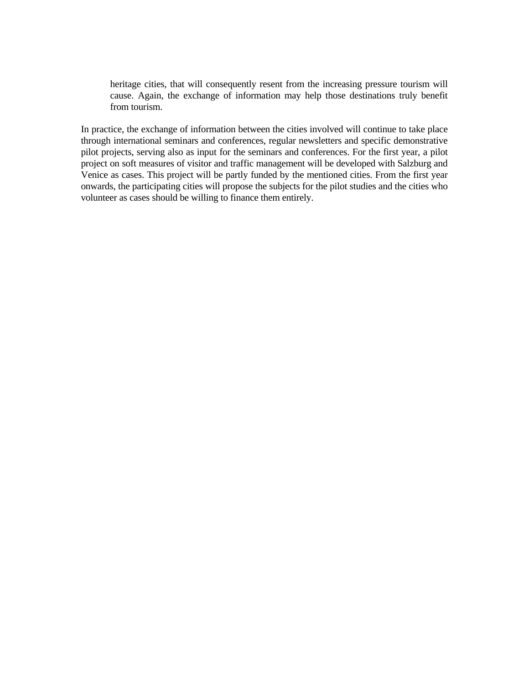heritage cities, that will consequently resent from the increasing pressure tourism will cause. Again, the exchange of information may help those destinations truly benefit from tourism.

In practice, the exchange of information between the cities involved will continue to take place through international seminars and conferences, regular newsletters and specific demonstrative pilot projects, serving also as input for the seminars and conferences. For the first year, a pilot project on soft measures of visitor and traffic management will be developed with Salzburg and Venice as cases. This project will be partly funded by the mentioned cities. From the first year onwards, the participating cities will propose the subjects for the pilot studies and the cities who volunteer as cases should be willing to finance them entirely.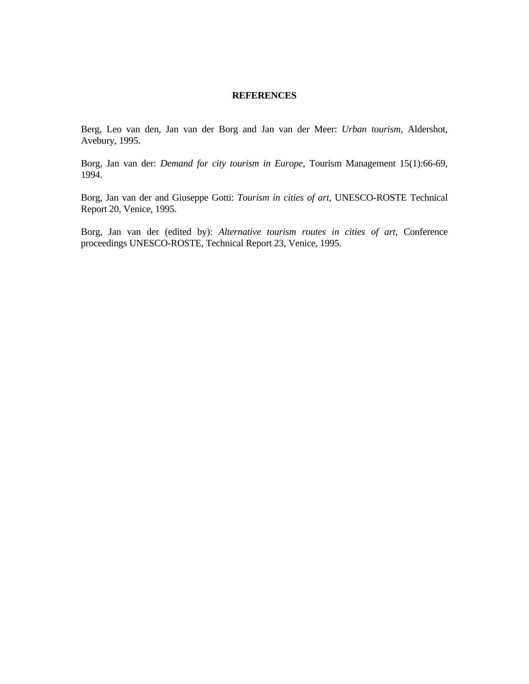### **REFERENCES**

Berg, Leo van den, Jan van der Borg and Jan van der Meer: *Urban tourism*, Aldershot, Avebury, 1995.

Borg, Jan van der: *Demand for city tourism in Europe*, Tourism Management 15(1):66-69, 1994.

Borg, Jan van der and Giuseppe Gotti: *Tourism in cities of art*, UNESCO-ROSTE Technical Report 20, Venice, 1995.

Borg, Jan van der (edited by): *Alternative tourism routes in cities of art*, Conference proceedings UNESCO-ROSTE, Technical Report 23, Venice, 1995.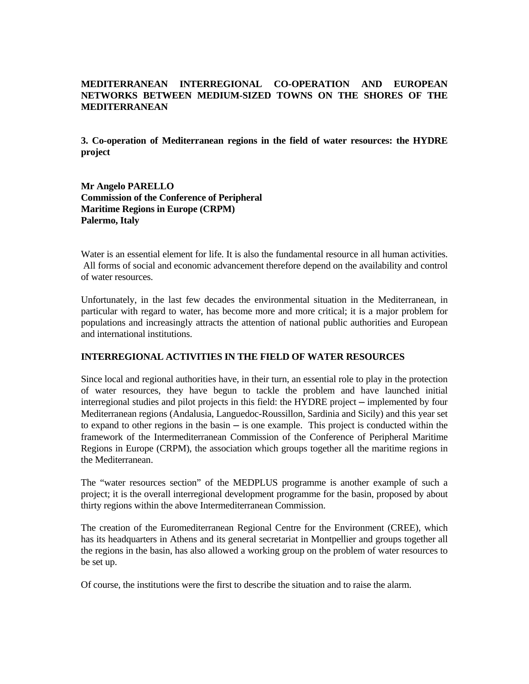## **MEDITERRANEAN INTERREGIONAL CO-OPERATION AND EUROPEAN NETWORKS BETWEEN MEDIUM-SIZED TOWNS ON THE SHORES OF THE MEDITERRANEAN**

**3. Co-operation of Mediterranean regions in the field of water resources: the HYDRE project** 

**Mr Angelo PARELLO Commission of the Conference of Peripheral Maritime Regions in Europe (CRPM) Palermo, Italy**

Water is an essential element for life. It is also the fundamental resource in all human activities. All forms of social and economic advancement therefore depend on the availability and control of water resources.

Unfortunately, in the last few decades the environmental situation in the Mediterranean, in particular with regard to water, has become more and more critical; it is a major problem for populations and increasingly attracts the attention of national public authorities and European and international institutions.

### **INTERREGIONAL ACTIVITIES IN THE FIELD OF WATER RESOURCES**

Since local and regional authorities have, in their turn, an essential role to play in the protection of water resources, they have begun to tackle the problem and have launched initial interregional studies and pilot projects in this field: the HYDRE project – implemented by four Mediterranean regions (Andalusia, Languedoc-Roussillon, Sardinia and Sicily) and this year set to expand to other regions in the basin  $-$  is one example. This project is conducted within the framework of the Intermediterranean Commission of the Conference of Peripheral Maritime Regions in Europe (CRPM), the association which groups together all the maritime regions in the Mediterranean.

The "water resources section" of the MEDPLUS programme is another example of such a project; it is the overall interregional development programme for the basin, proposed by about thirty regions within the above Intermediterranean Commission.

The creation of the Euromediterranean Regional Centre for the Environment (CREE), which has its headquarters in Athens and its general secretariat in Montpellier and groups together all the regions in the basin, has also allowed a working group on the problem of water resources to be set up.

Of course, the institutions were the first to describe the situation and to raise the alarm.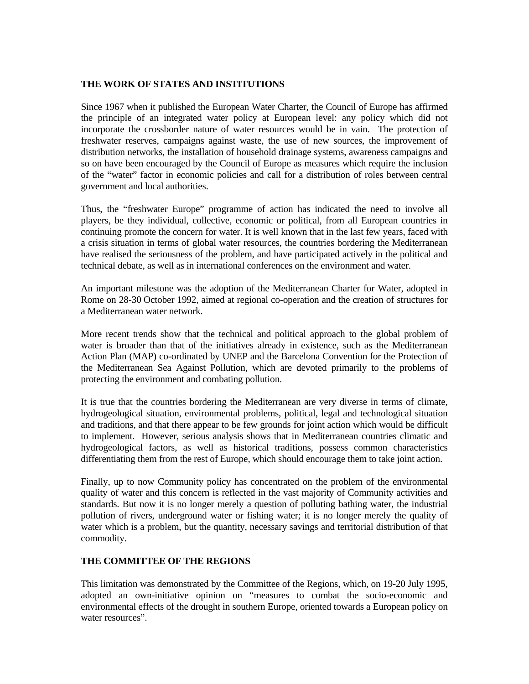### **THE WORK OF STATES AND INSTITUTIONS**

Since 1967 when it published the European Water Charter, the Council of Europe has affirmed the principle of an integrated water policy at European level: any policy which did not incorporate the crossborder nature of water resources would be in vain. The protection of freshwater reserves, campaigns against waste, the use of new sources, the improvement of distribution networks, the installation of household drainage systems, awareness campaigns and so on have been encouraged by the Council of Europe as measures which require the inclusion of the "water" factor in economic policies and call for a distribution of roles between central government and local authorities.

Thus, the "freshwater Europe" programme of action has indicated the need to involve all players, be they individual, collective, economic or political, from all European countries in continuing promote the concern for water. It is well known that in the last few years, faced with a crisis situation in terms of global water resources, the countries bordering the Mediterranean have realised the seriousness of the problem, and have participated actively in the political and technical debate, as well as in international conferences on the environment and water.

An important milestone was the adoption of the Mediterranean Charter for Water, adopted in Rome on 28-30 October 1992, aimed at regional co-operation and the creation of structures for a Mediterranean water network.

More recent trends show that the technical and political approach to the global problem of water is broader than that of the initiatives already in existence, such as the Mediterranean Action Plan (MAP) co-ordinated by UNEP and the Barcelona Convention for the Protection of the Mediterranean Sea Against Pollution, which are devoted primarily to the problems of protecting the environment and combating pollution.

It is true that the countries bordering the Mediterranean are very diverse in terms of climate, hydrogeological situation, environmental problems, political, legal and technological situation and traditions, and that there appear to be few grounds for joint action which would be difficult to implement. However, serious analysis shows that in Mediterranean countries climatic and hydrogeological factors, as well as historical traditions, possess common characteristics differentiating them from the rest of Europe, which should encourage them to take joint action.

Finally, up to now Community policy has concentrated on the problem of the environmental quality of water and this concern is reflected in the vast majority of Community activities and standards. But now it is no longer merely a question of polluting bathing water, the industrial pollution of rivers, underground water or fishing water; it is no longer merely the quality of water which is a problem, but the quantity, necessary savings and territorial distribution of that commodity.

### **THE COMMITTEE OF THE REGIONS**

This limitation was demonstrated by the Committee of the Regions, which, on 19-20 July 1995, adopted an own-initiative opinion on "measures to combat the socio-economic and environmental effects of the drought in southern Europe, oriented towards a European policy on water resources".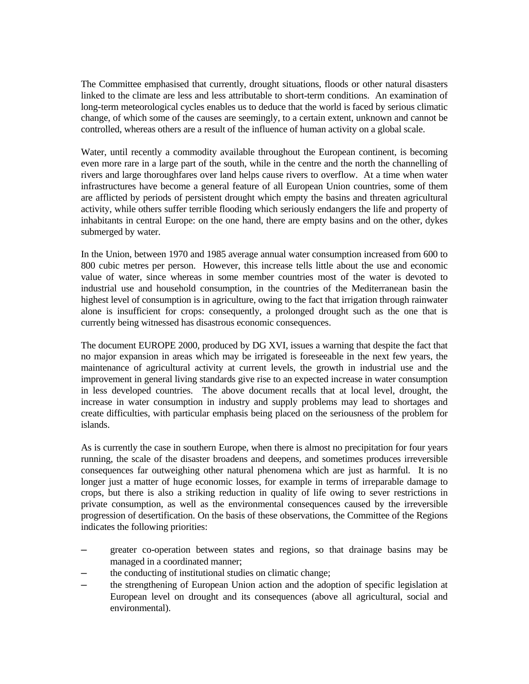The Committee emphasised that currently, drought situations, floods or other natural disasters linked to the climate are less and less attributable to short-term conditions. An examination of long-term meteorological cycles enables us to deduce that the world is faced by serious climatic change, of which some of the causes are seemingly, to a certain extent, unknown and cannot be controlled, whereas others are a result of the influence of human activity on a global scale.

Water, until recently a commodity available throughout the European continent, is becoming even more rare in a large part of the south, while in the centre and the north the channelling of rivers and large thoroughfares over land helps cause rivers to overflow. At a time when water infrastructures have become a general feature of all European Union countries, some of them are afflicted by periods of persistent drought which empty the basins and threaten agricultural activity, while others suffer terrible flooding which seriously endangers the life and property of inhabitants in central Europe: on the one hand, there are empty basins and on the other, dykes submerged by water.

In the Union, between 1970 and 1985 average annual water consumption increased from 600 to 800 cubic metres per person. However, this increase tells little about the use and economic value of water, since whereas in some member countries most of the water is devoted to industrial use and household consumption, in the countries of the Mediterranean basin the highest level of consumption is in agriculture, owing to the fact that irrigation through rainwater alone is insufficient for crops: consequently, a prolonged drought such as the one that is currently being witnessed has disastrous economic consequences.

The document EUROPE 2000, produced by DG XVI, issues a warning that despite the fact that no major expansion in areas which may be irrigated is foreseeable in the next few years, the maintenance of agricultural activity at current levels, the growth in industrial use and the improvement in general living standards give rise to an expected increase in water consumption in less developed countries. The above document recalls that at local level, drought, the increase in water consumption in industry and supply problems may lead to shortages and create difficulties, with particular emphasis being placed on the seriousness of the problem for islands.

As is currently the case in southern Europe, when there is almost no precipitation for four years running, the scale of the disaster broadens and deepens, and sometimes produces irreversible consequences far outweighing other natural phenomena which are just as harmful. It is no longer just a matter of huge economic losses, for example in terms of irreparable damage to crops, but there is also a striking reduction in quality of life owing to sever restrictions in private consumption, as well as the environmental consequences caused by the irreversible progression of desertification. On the basis of these observations, the Committee of the Regions indicates the following priorities:

- greater co-operation between states and regions, so that drainage basins may be managed in a coordinated manner;
- the conducting of institutional studies on climatic change;
- ─ the strengthening of European Union action and the adoption of specific legislation at European level on drought and its consequences (above all agricultural, social and environmental).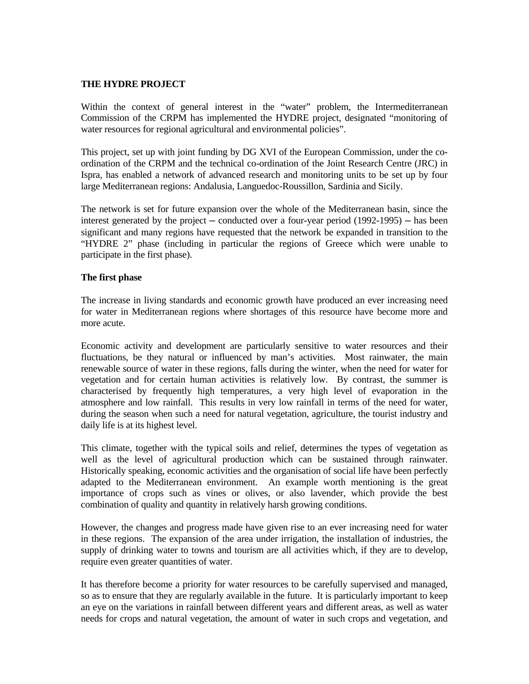#### **THE HYDRE PROJECT**

Within the context of general interest in the "water" problem, the Intermediterranean Commission of the CRPM has implemented the HYDRE project, designated "monitoring of water resources for regional agricultural and environmental policies".

This project, set up with joint funding by DG XVI of the European Commission, under the coordination of the CRPM and the technical co-ordination of the Joint Research Centre (JRC) in Ispra, has enabled a network of advanced research and monitoring units to be set up by four large Mediterranean regions: Andalusia, Languedoc-Roussillon, Sardinia and Sicily.

The network is set for future expansion over the whole of the Mediterranean basin, since the interest generated by the project — conducted over a four-year period (1992-1995) — has been significant and many regions have requested that the network be expanded in transition to the "HYDRE 2" phase (including in particular the regions of Greece which were unable to participate in the first phase).

### **The first phase**

The increase in living standards and economic growth have produced an ever increasing need for water in Mediterranean regions where shortages of this resource have become more and more acute.

Economic activity and development are particularly sensitive to water resources and their fluctuations, be they natural or influenced by man's activities. Most rainwater, the main renewable source of water in these regions, falls during the winter, when the need for water for vegetation and for certain human activities is relatively low. By contrast, the summer is characterised by frequently high temperatures, a very high level of evaporation in the atmosphere and low rainfall. This results in very low rainfall in terms of the need for water, during the season when such a need for natural vegetation, agriculture, the tourist industry and daily life is at its highest level.

This climate, together with the typical soils and relief, determines the types of vegetation as well as the level of agricultural production which can be sustained through rainwater. Historically speaking, economic activities and the organisation of social life have been perfectly adapted to the Mediterranean environment. An example worth mentioning is the great importance of crops such as vines or olives, or also lavender, which provide the best combination of quality and quantity in relatively harsh growing conditions.

However, the changes and progress made have given rise to an ever increasing need for water in these regions. The expansion of the area under irrigation, the installation of industries, the supply of drinking water to towns and tourism are all activities which, if they are to develop, require even greater quantities of water.

It has therefore become a priority for water resources to be carefully supervised and managed, so as to ensure that they are regularly available in the future. It is particularly important to keep an eye on the variations in rainfall between different years and different areas, as well as water needs for crops and natural vegetation, the amount of water in such crops and vegetation, and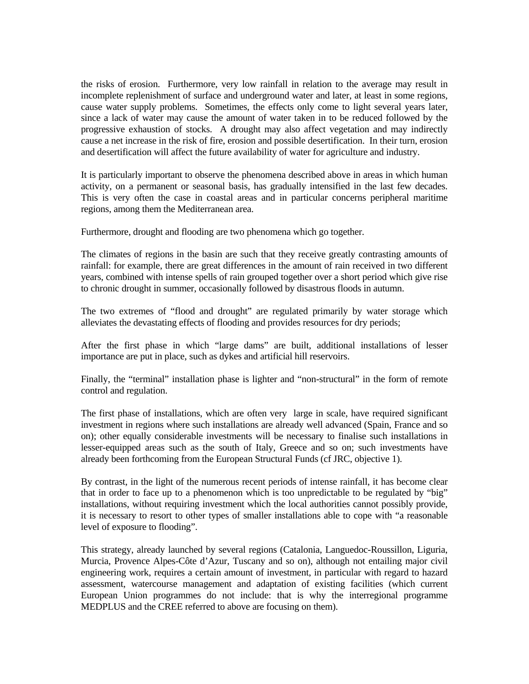the risks of erosion. Furthermore, very low rainfall in relation to the average may result in incomplete replenishment of surface and underground water and later, at least in some regions, cause water supply problems. Sometimes, the effects only come to light several years later, since a lack of water may cause the amount of water taken in to be reduced followed by the progressive exhaustion of stocks. A drought may also affect vegetation and may indirectly cause a net increase in the risk of fire, erosion and possible desertification. In their turn, erosion and desertification will affect the future availability of water for agriculture and industry.

It is particularly important to observe the phenomena described above in areas in which human activity, on a permanent or seasonal basis, has gradually intensified in the last few decades. This is very often the case in coastal areas and in particular concerns peripheral maritime regions, among them the Mediterranean area.

Furthermore, drought and flooding are two phenomena which go together.

The climates of regions in the basin are such that they receive greatly contrasting amounts of rainfall: for example, there are great differences in the amount of rain received in two different years, combined with intense spells of rain grouped together over a short period which give rise to chronic drought in summer, occasionally followed by disastrous floods in autumn.

The two extremes of "flood and drought" are regulated primarily by water storage which alleviates the devastating effects of flooding and provides resources for dry periods;

After the first phase in which "large dams" are built, additional installations of lesser importance are put in place, such as dykes and artificial hill reservoirs.

Finally, the "terminal" installation phase is lighter and "non-structural" in the form of remote control and regulation.

The first phase of installations, which are often very large in scale, have required significant investment in regions where such installations are already well advanced (Spain, France and so on); other equally considerable investments will be necessary to finalise such installations in lesser-equipped areas such as the south of Italy, Greece and so on; such investments have already been forthcoming from the European Structural Funds (cf JRC, objective 1).

By contrast, in the light of the numerous recent periods of intense rainfall, it has become clear that in order to face up to a phenomenon which is too unpredictable to be regulated by "big" installations, without requiring investment which the local authorities cannot possibly provide, it is necessary to resort to other types of smaller installations able to cope with "a reasonable level of exposure to flooding".

This strategy, already launched by several regions (Catalonia, Languedoc-Roussillon, Liguria, Murcia, Provence Alpes-Côte d'Azur, Tuscany and so on), although not entailing major civil engineering work, requires a certain amount of investment, in particular with regard to hazard assessment, watercourse management and adaptation of existing facilities (which current European Union programmes do not include: that is why the interregional programme MEDPLUS and the CREE referred to above are focusing on them).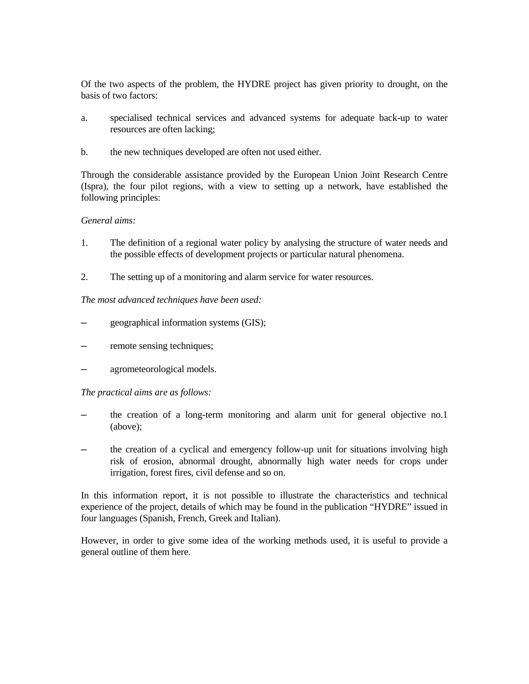Of the two aspects of the problem, the HYDRE project has given priority to drought, on the basis of two factors:

- a. specialised technical services and advanced systems for adequate back-up to water resources are often lacking;
- b. the new techniques developed are often not used either.

Through the considerable assistance provided by the European Union Joint Research Centre (Ispra), the four pilot regions, with a view to setting up a network, have established the following principles:

### *General aims:*

- 1. The definition of a regional water policy by analysing the structure of water needs and the possible effects of development projects or particular natural phenomena.
- 2. The setting up of a monitoring and alarm service for water resources.

### *The most advanced techniques have been used:*

- geographical information systems (GIS);
- remote sensing techniques;
- agrometeorological models.

### *The practical aims are as follows:*

- the creation of a long-term monitoring and alarm unit for general objective no.1 (above);
- the creation of a cyclical and emergency follow-up unit for situations involving high risk of erosion, abnormal drought, abnormally high water needs for crops under irrigation, forest fires, civil defense and so on.

In this information report, it is not possible to illustrate the characteristics and technical experience of the project, details of which may be found in the publication "HYDRE" issued in four languages (Spanish, French, Greek and Italian).

However, in order to give some idea of the working methods used, it is useful to provide a general outline of them here.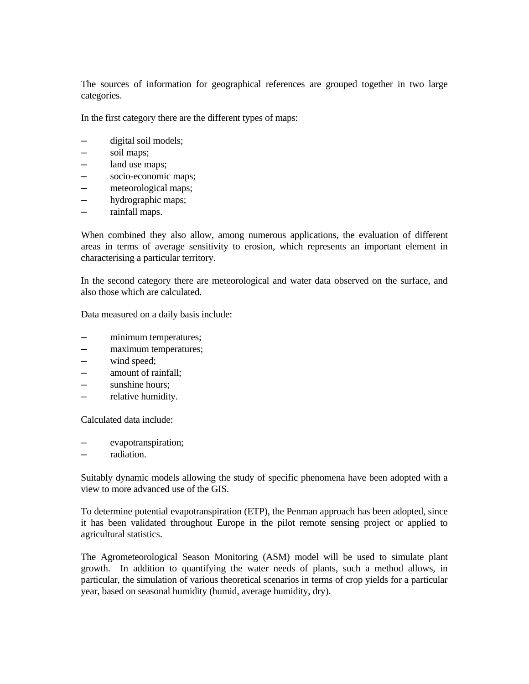The sources of information for geographical references are grouped together in two large categories.

In the first category there are the different types of maps:

- digital soil models;
- ─ soil maps;
- land use maps;
- $-$  socio-economic maps;
- ─ meteorological maps;
- hydrographic maps;
- ─ rainfall maps.

When combined they also allow, among numerous applications, the evaluation of different areas in terms of average sensitivity to erosion, which represents an important element in characterising a particular territory.

In the second category there are meteorological and water data observed on the surface, and also those which are calculated.

Data measured on a daily basis include:

- minimum temperatures;
- ─ maximum temperatures;
- ─ wind speed;
- ─ amount of rainfall;
- ─ sunshine hours;
- ─ relative humidity.

Calculated data include:

- evapotranspiration;
- radiation

Suitably dynamic models allowing the study of specific phenomena have been adopted with a view to more advanced use of the GIS.

To determine potential evapotranspiration (ETP), the Penman approach has been adopted, since it has been validated throughout Europe in the pilot remote sensing project or applied to agricultural statistics.

The Agrometeorological Season Monitoring (ASM) model will be used to simulate plant growth. In addition to quantifying the water needs of plants, such a method allows, in particular, the simulation of various theoretical scenarios in terms of crop yields for a particular year, based on seasonal humidity (humid, average humidity, dry).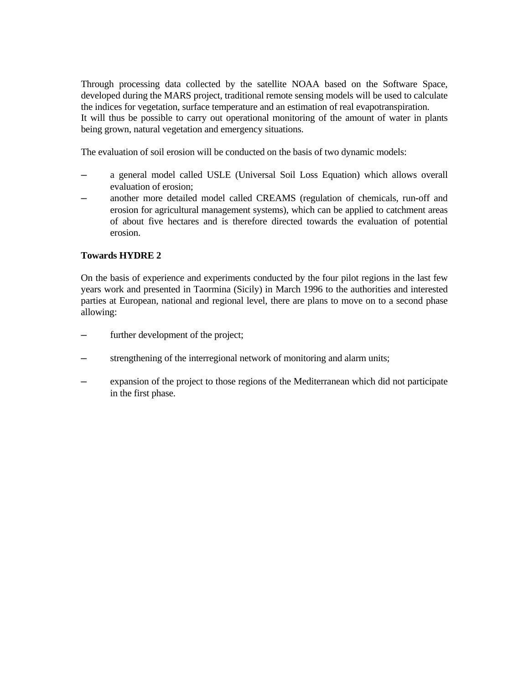Through processing data collected by the satellite NOAA based on the Software Space, developed during the MARS project, traditional remote sensing models will be used to calculate the indices for vegetation, surface temperature and an estimation of real evapotranspiration. It will thus be possible to carry out operational monitoring of the amount of water in plants being grown, natural vegetation and emergency situations.

The evaluation of soil erosion will be conducted on the basis of two dynamic models:

- ─ a general model called USLE (Universal Soil Loss Equation) which allows overall evaluation of erosion;
- ─ another more detailed model called CREAMS (regulation of chemicals, run-off and erosion for agricultural management systems), which can be applied to catchment areas of about five hectares and is therefore directed towards the evaluation of potential erosion.

### **Towards HYDRE 2**

On the basis of experience and experiments conducted by the four pilot regions in the last few years work and presented in Taormina (Sicily) in March 1996 to the authorities and interested parties at European, national and regional level, there are plans to move on to a second phase allowing:

- ─ further development of the project;
- strengthening of the interregional network of monitoring and alarm units;
- ─ expansion of the project to those regions of the Mediterranean which did not participate in the first phase.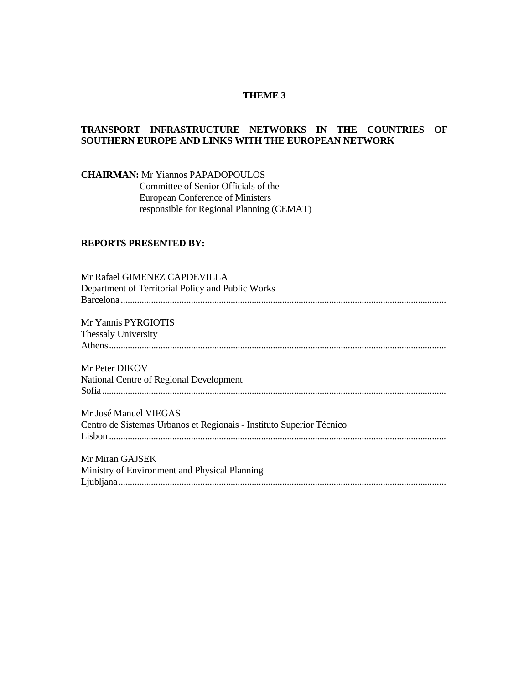### **THEME 3**

### **TRANSPORT INFRASTRUCTURE NETWORKS IN THE COUNTRIES OF SOUTHERN EUROPE AND LINKS WITH THE EUROPEAN NETWORK**

**CHAIRMAN:** Mr Yiannos PAPADOPOULOS Committee of Senior Officials of the European Conference of Ministers responsible for Regional Planning (CEMAT)

## **REPORTS PRESENTED BY:**

| Mr Rafael GIMENEZ CAPDEVILLA<br>Department of Territorial Policy and Public Works |
|-----------------------------------------------------------------------------------|
| Mr Yannis PYRGIOTIS                                                               |
| <b>Thessaly University</b>                                                        |
|                                                                                   |
| Mr Peter DIKOV                                                                    |
| National Centre of Regional Development                                           |
|                                                                                   |
| Mr José Manuel VIEGAS                                                             |
| Centro de Sistemas Urbanos et Regionais - Instituto Superior Técnico              |
|                                                                                   |
| Mr Miran GAJSEK                                                                   |
| Ministry of Environment and Physical Planning                                     |
|                                                                                   |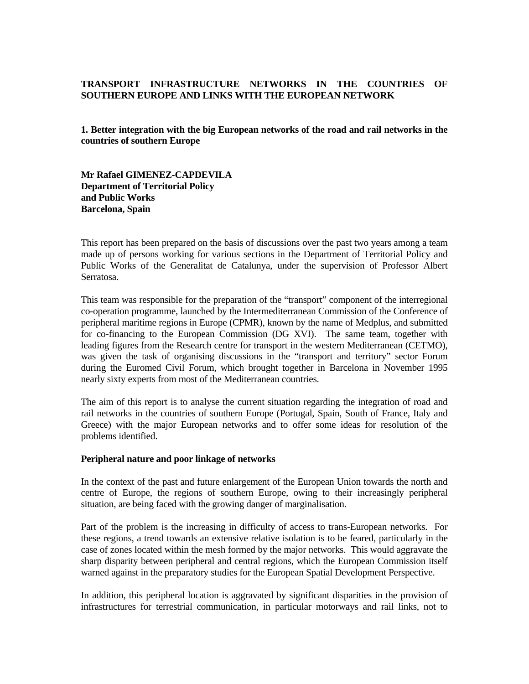## **TRANSPORT INFRASTRUCTURE NETWORKS IN THE COUNTRIES OF SOUTHERN EUROPE AND LINKS WITH THE EUROPEAN NETWORK**

**1. Better integration with the big European networks of the road and rail networks in the countries of southern Europe** 

**Mr Rafael GIMENEZ-CAPDEVILA Department of Territorial Policy and Public Works Barcelona, Spain**

This report has been prepared on the basis of discussions over the past two years among a team made up of persons working for various sections in the Department of Territorial Policy and Public Works of the Generalitat de Catalunya, under the supervision of Professor Albert Serratosa.

This team was responsible for the preparation of the "transport" component of the interregional co-operation programme, launched by the Intermediterranean Commission of the Conference of peripheral maritime regions in Europe (CPMR), known by the name of Medplus, and submitted for co-financing to the European Commission (DG XVI). The same team, together with leading figures from the Research centre for transport in the western Mediterranean (CETMO), was given the task of organising discussions in the "transport and territory" sector Forum during the Euromed Civil Forum, which brought together in Barcelona in November 1995 nearly sixty experts from most of the Mediterranean countries.

The aim of this report is to analyse the current situation regarding the integration of road and rail networks in the countries of southern Europe (Portugal, Spain, South of France, Italy and Greece) with the major European networks and to offer some ideas for resolution of the problems identified.

#### **Peripheral nature and poor linkage of networks**

In the context of the past and future enlargement of the European Union towards the north and centre of Europe, the regions of southern Europe, owing to their increasingly peripheral situation, are being faced with the growing danger of marginalisation.

Part of the problem is the increasing in difficulty of access to trans-European networks. For these regions, a trend towards an extensive relative isolation is to be feared, particularly in the case of zones located within the mesh formed by the major networks. This would aggravate the sharp disparity between peripheral and central regions, which the European Commission itself warned against in the preparatory studies for the European Spatial Development Perspective.

In addition, this peripheral location is aggravated by significant disparities in the provision of infrastructures for terrestrial communication, in particular motorways and rail links, not to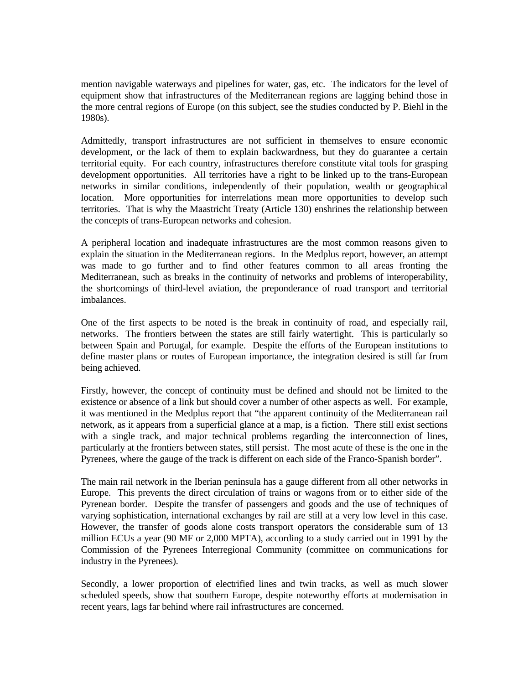mention navigable waterways and pipelines for water, gas, etc. The indicators for the level of equipment show that infrastructures of the Mediterranean regions are lagging behind those in the more central regions of Europe (on this subject, see the studies conducted by P. Biehl in the 1980s).

Admittedly, transport infrastructures are not sufficient in themselves to ensure economic development, or the lack of them to explain backwardness, but they do guarantee a certain territorial equity. For each country, infrastructures therefore constitute vital tools for grasping development opportunities. All territories have a right to be linked up to the trans-European networks in similar conditions, independently of their population, wealth or geographical location. More opportunities for interrelations mean more opportunities to develop such territories. That is why the Maastricht Treaty (Article 130) enshrines the relationship between the concepts of trans-European networks and cohesion.

A peripheral location and inadequate infrastructures are the most common reasons given to explain the situation in the Mediterranean regions. In the Medplus report, however, an attempt was made to go further and to find other features common to all areas fronting the Mediterranean, such as breaks in the continuity of networks and problems of interoperability, the shortcomings of third-level aviation, the preponderance of road transport and territorial imbalances.

One of the first aspects to be noted is the break in continuity of road, and especially rail, networks. The frontiers between the states are still fairly watertight. This is particularly so between Spain and Portugal, for example. Despite the efforts of the European institutions to define master plans or routes of European importance, the integration desired is still far from being achieved.

Firstly, however, the concept of continuity must be defined and should not be limited to the existence or absence of a link but should cover a number of other aspects as well. For example, it was mentioned in the Medplus report that "the apparent continuity of the Mediterranean rail network, as it appears from a superficial glance at a map, is a fiction. There still exist sections with a single track, and major technical problems regarding the interconnection of lines, particularly at the frontiers between states, still persist. The most acute of these is the one in the Pyrenees, where the gauge of the track is different on each side of the Franco-Spanish border".

The main rail network in the Iberian peninsula has a gauge different from all other networks in Europe. This prevents the direct circulation of trains or wagons from or to either side of the Pyrenean border. Despite the transfer of passengers and goods and the use of techniques of varying sophistication, international exchanges by rail are still at a very low level in this case. However, the transfer of goods alone costs transport operators the considerable sum of 13 million ECUs a year (90 MF or 2,000 MPTA), according to a study carried out in 1991 by the Commission of the Pyrenees Interregional Community (committee on communications for industry in the Pyrenees).

Secondly, a lower proportion of electrified lines and twin tracks, as well as much slower scheduled speeds, show that southern Europe, despite noteworthy efforts at modernisation in recent years, lags far behind where rail infrastructures are concerned.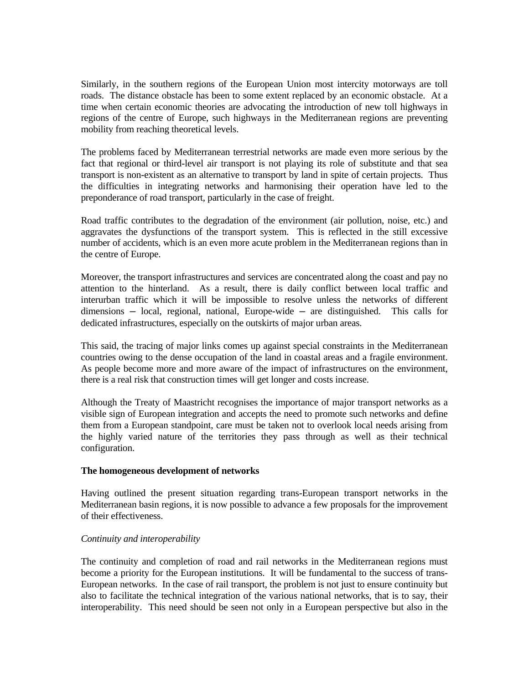Similarly, in the southern regions of the European Union most intercity motorways are toll roads. The distance obstacle has been to some extent replaced by an economic obstacle. At a time when certain economic theories are advocating the introduction of new toll highways in regions of the centre of Europe, such highways in the Mediterranean regions are preventing mobility from reaching theoretical levels.

The problems faced by Mediterranean terrestrial networks are made even more serious by the fact that regional or third-level air transport is not playing its role of substitute and that sea transport is non-existent as an alternative to transport by land in spite of certain projects. Thus the difficulties in integrating networks and harmonising their operation have led to the preponderance of road transport, particularly in the case of freight.

Road traffic contributes to the degradation of the environment (air pollution, noise, etc.) and aggravates the dysfunctions of the transport system. This is reflected in the still excessive number of accidents, which is an even more acute problem in the Mediterranean regions than in the centre of Europe.

Moreover, the transport infrastructures and services are concentrated along the coast and pay no attention to the hinterland. As a result, there is daily conflict between local traffic and interurban traffic which it will be impossible to resolve unless the networks of different  $dimensions - local$ , regional, national, Europe-wide  $-$  are distinguished. This calls for dedicated infrastructures, especially on the outskirts of major urban areas.

This said, the tracing of major links comes up against special constraints in the Mediterranean countries owing to the dense occupation of the land in coastal areas and a fragile environment. As people become more and more aware of the impact of infrastructures on the environment, there is a real risk that construction times will get longer and costs increase.

Although the Treaty of Maastricht recognises the importance of major transport networks as a visible sign of European integration and accepts the need to promote such networks and define them from a European standpoint, care must be taken not to overlook local needs arising from the highly varied nature of the territories they pass through as well as their technical configuration.

### **The homogeneous development of networks**

Having outlined the present situation regarding trans-European transport networks in the Mediterranean basin regions, it is now possible to advance a few proposals for the improvement of their effectiveness.

### *Continuity and interoperability*

The continuity and completion of road and rail networks in the Mediterranean regions must become a priority for the European institutions. It will be fundamental to the success of trans-European networks. In the case of rail transport, the problem is not just to ensure continuity but also to facilitate the technical integration of the various national networks, that is to say, their interoperability. This need should be seen not only in a European perspective but also in the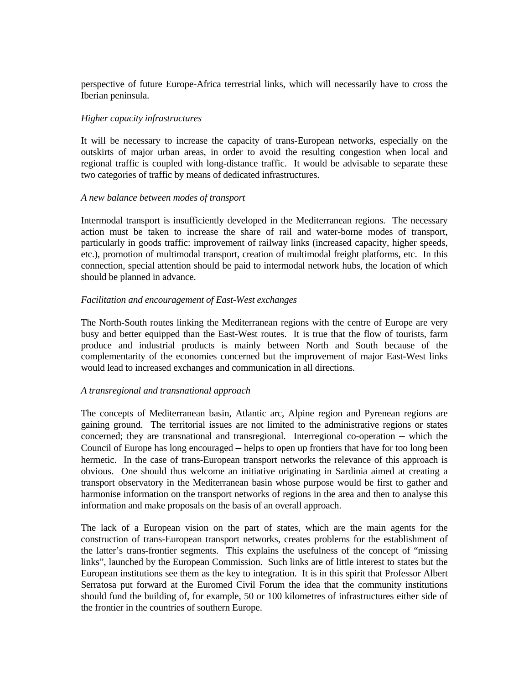perspective of future Europe-Africa terrestrial links, which will necessarily have to cross the Iberian peninsula.

#### *Higher capacity infrastructures*

It will be necessary to increase the capacity of trans-European networks, especially on the outskirts of major urban areas, in order to avoid the resulting congestion when local and regional traffic is coupled with long-distance traffic. It would be advisable to separate these two categories of traffic by means of dedicated infrastructures.

#### *A new balance between modes of transport*

Intermodal transport is insufficiently developed in the Mediterranean regions. The necessary action must be taken to increase the share of rail and water-borne modes of transport, particularly in goods traffic: improvement of railway links (increased capacity, higher speeds, etc.), promotion of multimodal transport, creation of multimodal freight platforms, etc. In this connection, special attention should be paid to intermodal network hubs, the location of which should be planned in advance.

## *Facilitation and encouragement of East-West exchanges*

The North-South routes linking the Mediterranean regions with the centre of Europe are very busy and better equipped than the East-West routes. It is true that the flow of tourists, farm produce and industrial products is mainly between North and South because of the complementarity of the economies concerned but the improvement of major East-West links would lead to increased exchanges and communication in all directions.

#### *A transregional and transnational approach*

The concepts of Mediterranean basin, Atlantic arc, Alpine region and Pyrenean regions are gaining ground. The territorial issues are not limited to the administrative regions or states concerned; they are transnational and transregional. Interregional co-operation — which the Council of Europe has long encouraged — helps to open up frontiers that have for too long been hermetic. In the case of trans-European transport networks the relevance of this approach is obvious. One should thus welcome an initiative originating in Sardinia aimed at creating a transport observatory in the Mediterranean basin whose purpose would be first to gather and harmonise information on the transport networks of regions in the area and then to analyse this information and make proposals on the basis of an overall approach.

The lack of a European vision on the part of states, which are the main agents for the construction of trans-European transport networks, creates problems for the establishment of the latter's trans-frontier segments. This explains the usefulness of the concept of "missing links", launched by the European Commission. Such links are of little interest to states but the European institutions see them as the key to integration. It is in this spirit that Professor Albert Serratosa put forward at the Euromed Civil Forum the idea that the community institutions should fund the building of, for example, 50 or 100 kilometres of infrastructures either side of the frontier in the countries of southern Europe.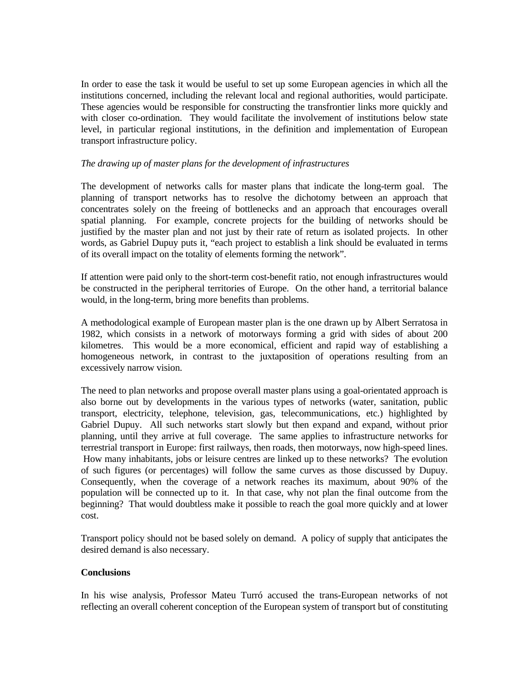In order to ease the task it would be useful to set up some European agencies in which all the institutions concerned, including the relevant local and regional authorities, would participate. These agencies would be responsible for constructing the transfrontier links more quickly and with closer co-ordination. They would facilitate the involvement of institutions below state level, in particular regional institutions, in the definition and implementation of European transport infrastructure policy.

## *The drawing up of master plans for the development of infrastructures*

The development of networks calls for master plans that indicate the long-term goal. The planning of transport networks has to resolve the dichotomy between an approach that concentrates solely on the freeing of bottlenecks and an approach that encourages overall spatial planning. For example, concrete projects for the building of networks should be justified by the master plan and not just by their rate of return as isolated projects. In other words, as Gabriel Dupuy puts it, "each project to establish a link should be evaluated in terms of its overall impact on the totality of elements forming the network".

If attention were paid only to the short-term cost-benefit ratio, not enough infrastructures would be constructed in the peripheral territories of Europe. On the other hand, a territorial balance would, in the long-term, bring more benefits than problems.

A methodological example of European master plan is the one drawn up by Albert Serratosa in 1982, which consists in a network of motorways forming a grid with sides of about 200 kilometres. This would be a more economical, efficient and rapid way of establishing a homogeneous network, in contrast to the juxtaposition of operations resulting from an excessively narrow vision.

The need to plan networks and propose overall master plans using a goal-orientated approach is also borne out by developments in the various types of networks (water, sanitation, public transport, electricity, telephone, television, gas, telecommunications, etc.) highlighted by Gabriel Dupuy. All such networks start slowly but then expand and expand, without prior planning, until they arrive at full coverage. The same applies to infrastructure networks for terrestrial transport in Europe: first railways, then roads, then motorways, now high-speed lines. How many inhabitants, jobs or leisure centres are linked up to these networks? The evolution of such figures (or percentages) will follow the same curves as those discussed by Dupuy. Consequently, when the coverage of a network reaches its maximum, about 90% of the population will be connected up to it. In that case, why not plan the final outcome from the beginning? That would doubtless make it possible to reach the goal more quickly and at lower cost.

Transport policy should not be based solely on demand. A policy of supply that anticipates the desired demand is also necessary.

## **Conclusions**

In his wise analysis, Professor Mateu Turró accused the trans-European networks of not reflecting an overall coherent conception of the European system of transport but of constituting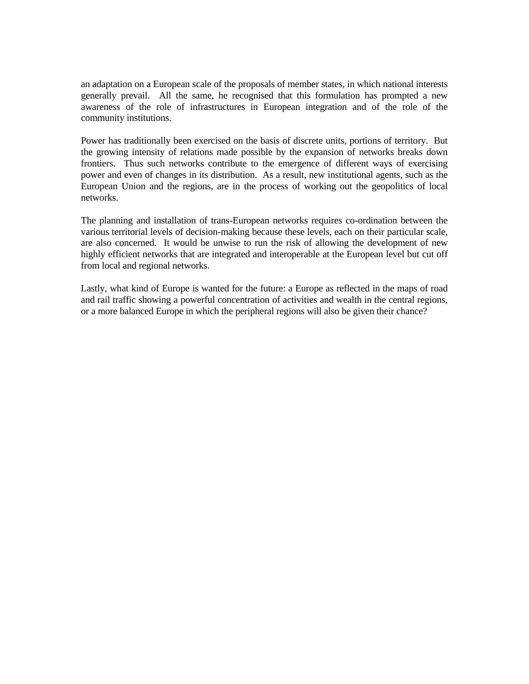an adaptation on a European scale of the proposals of member states, in which national interests generally prevail. All the same, he recognised that this formulation has prompted a new awareness of the role of infrastructures in European integration and of the role of the community institutions.

Power has traditionally been exercised on the basis of discrete units, portions of territory. But the growing intensity of relations made possible by the expansion of networks breaks down frontiers. Thus such networks contribute to the emergence of different ways of exercising power and even of changes in its distribution. As a result, new institutional agents, such as the European Union and the regions, are in the process of working out the geopolitics of local networks.

The planning and installation of trans-European networks requires co-ordination between the various territorial levels of decision-making because these levels, each on their particular scale, are also concerned. It would be unwise to run the risk of allowing the development of new highly efficient networks that are integrated and interoperable at the European level but cut off from local and regional networks.

Lastly, what kind of Europe is wanted for the future: a Europe as reflected in the maps of road and rail traffic showing a powerful concentration of activities and wealth in the central regions, or a more balanced Europe in which the peripheral regions will also be given their chance?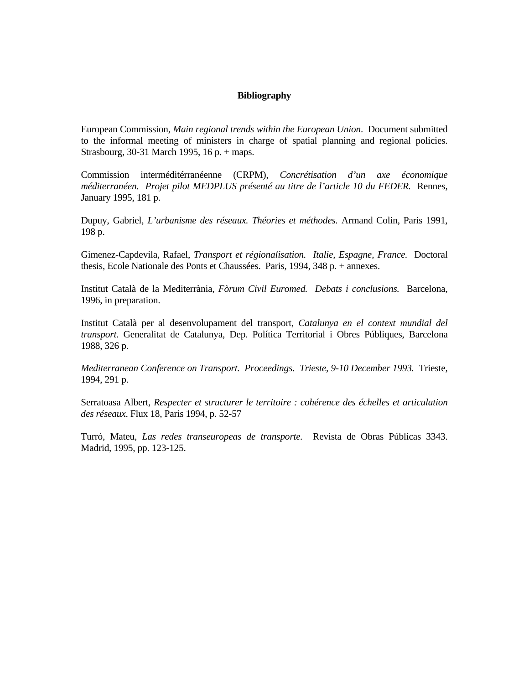#### **Bibliography**

European Commission, *Main regional trends within the European Union*. Document submitted to the informal meeting of ministers in charge of spatial planning and regional policies. Strasbourg, 30-31 March 1995, 16 p. + maps.

Commission interméditérranéenne (CRPM), *Concrétisation d'un axe économique méditerranéen. Projet pilot MEDPLUS présenté au titre de l'article 10 du FEDER.* Rennes, January 1995, 181 p.

Dupuy, Gabriel, *L'urbanisme des réseaux. Théories et méthodes.* Armand Colin, Paris 1991, 198 p.

Gimenez-Capdevila, Rafael, *Transport et régionalisation. Italie, Espagne, France.* Doctoral thesis, Ecole Nationale des Ponts et Chaussées. Paris, 1994, 348 p. + annexes.

Institut Català de la Mediterrània, *Fòrum Civil Euromed. Debats i conclusions.* Barcelona, 1996, in preparation.

Institut Català per al desenvolupament del transport, *Catalunya en el context mundial del transport*. Generalitat de Catalunya, Dep. Política Territorial i Obres Públiques, Barcelona 1988, 326 p.

*Mediterranean Conference on Transport. Proceedings. Trieste, 9-10 December 1993.* Trieste, 1994, 291 p.

Serratoasa Albert, *Respecter et structurer le territoire : cohérence des échelles et articulation des réseaux*. Flux 18, Paris 1994, p. 52-57

Turró, Mateu, *Las redes transeuropeas de transporte.* Revista de Obras Públicas 3343. Madrid, 1995, pp. 123-125.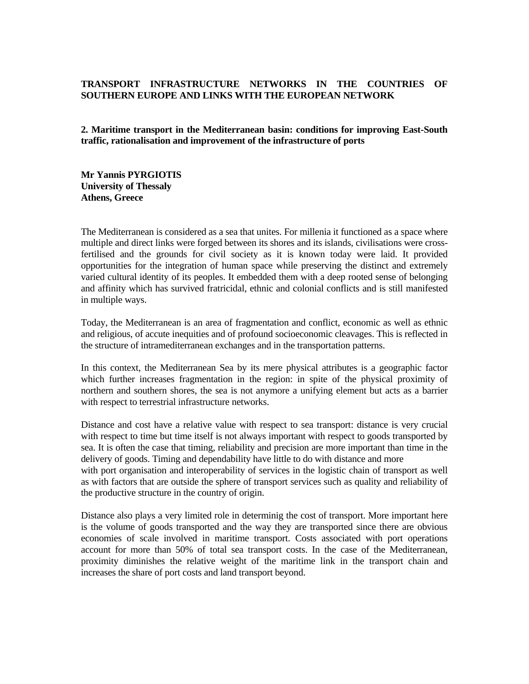# **TRANSPORT INFRASTRUCTURE NETWORKS IN THE COUNTRIES OF SOUTHERN EUROPE AND LINKS WITH THE EUROPEAN NETWORK**

**2. Maritime transport in the Mediterranean basin: conditions for improving East-South traffic, rationalisation and improvement of the infrastructure of ports** 

**Mr Yannis PYRGIOTIS University of Thessaly Athens, Greece**

The Mediterranean is considered as a sea that unites. For millenia it functioned as a space where multiple and direct links were forged between its shores and its islands, civilisations were crossfertilised and the grounds for civil society as it is known today were laid. It provided opportunities for the integration of human space while preserving the distinct and extremely varied cultural identity of its peoples. It embedded them with a deep rooted sense of belonging and affinity which has survived fratricidal, ethnic and colonial conflicts and is still manifested in multiple ways.

Today, the Mediterranean is an area of fragmentation and conflict, economic as well as ethnic and religious, of accute inequities and of profound socioeconomic cleavages. This is reflected in the structure of intramediterranean exchanges and in the transportation patterns.

In this context, the Mediterranean Sea by its mere physical attributes is a geographic factor which further increases fragmentation in the region: in spite of the physical proximity of northern and southern shores, the sea is not anymore a unifying element but acts as a barrier with respect to terrestrial infrastructure networks.

Distance and cost have a relative value with respect to sea transport: distance is very crucial with respect to time but time itself is not always important with respect to goods transported by sea. It is often the case that timing, reliability and precision are more important than time in the delivery of goods. Timing and dependability have little to do with distance and more with port organisation and interoperability of services in the logistic chain of transport as well as with factors that are outside the sphere of transport services such as quality and reliability of the productive structure in the country of origin.

Distance also plays a very limited role in determinig the cost of transport. More important here is the volume of goods transported and the way they are transported since there are obvious economies of scale involved in maritime transport. Costs associated with port operations account for more than 50% of total sea transport costs. In the case of the Mediterranean, proximity diminishes the relative weight of the maritime link in the transport chain and increases the share of port costs and land transport beyond.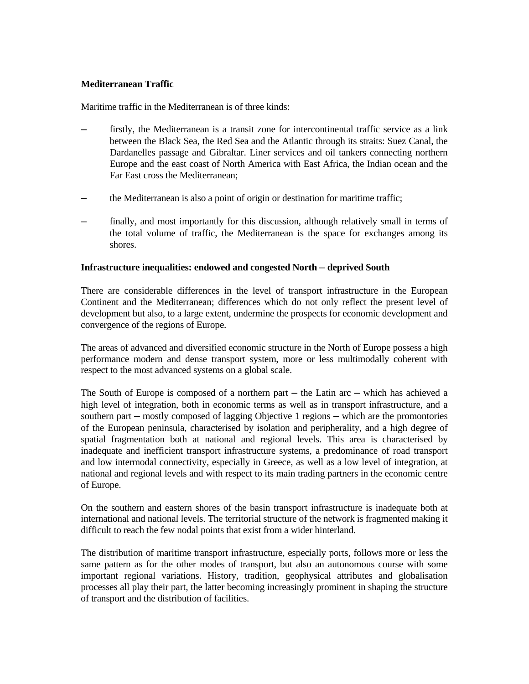# **Mediterranean Traffic**

Maritime traffic in the Mediterranean is of three kinds:

- firstly, the Mediterranean is a transit zone for intercontinental traffic service as a link between the Black Sea, the Red Sea and the Atlantic through its straits: Suez Canal, the Dardanelles passage and Gibraltar. Liner services and oil tankers connecting northern Europe and the east coast of North America with East Africa, the Indian ocean and the Far East cross the Mediterranean;
- the Mediterranean is also a point of origin or destination for maritime traffic;
- finally, and most importantly for this discussion, although relatively small in terms of the total volume of traffic, the Mediterranean is the space for exchanges among its shores.

## **Infrastructure inequalities: endowed and congested North ─ deprived South**

There are considerable differences in the level of transport infrastructure in the European Continent and the Mediterranean; differences which do not only reflect the present level of development but also, to a large extent, undermine the prospects for economic development and convergence of the regions of Europe.

The areas of advanced and diversified economic structure in the North of Europe possess a high performance modern and dense transport system, more or less multimodally coherent with respect to the most advanced systems on a global scale.

The South of Europe is composed of a northern part — the Latin arc — which has achieved a high level of integration, both in economic terms as well as in transport infrastructure, and a southern part — mostly composed of lagging Objective 1 regions — which are the promontories of the European peninsula, characterised by isolation and peripherality, and a high degree of spatial fragmentation both at national and regional levels. This area is characterised by inadequate and inefficient transport infrastructure systems, a predominance of road transport and low intermodal connectivity, especially in Greece, as well as a low level of integration, at national and regional levels and with respect to its main trading partners in the economic centre of Europe.

On the southern and eastern shores of the basin transport infrastructure is inadequate both at international and national levels. The territorial structure of the network is fragmented making it difficult to reach the few nodal points that exist from a wider hinterland.

The distribution of maritime transport infrastructure, especially ports, follows more or less the same pattern as for the other modes of transport, but also an autonomous course with some important regional variations. History, tradition, geophysical attributes and globalisation processes all play their part, the latter becoming increasingly prominent in shaping the structure of transport and the distribution of facilities.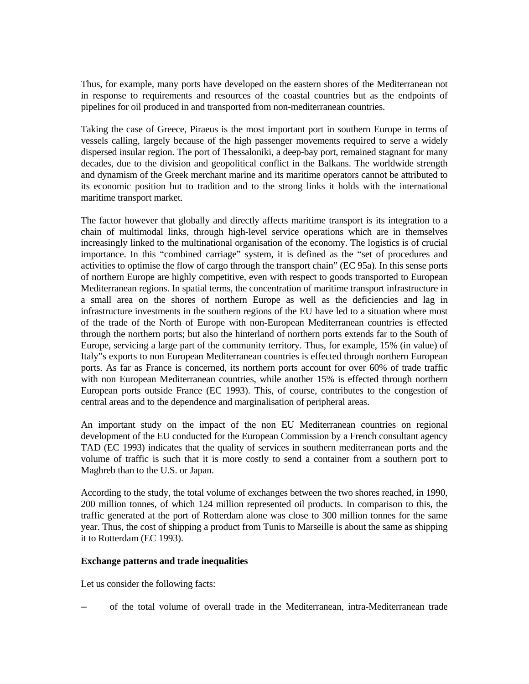Thus, for example, many ports have developed on the eastern shores of the Mediterranean not in response to requirements and resources of the coastal countries but as the endpoints of pipelines for oil produced in and transported from non-mediterranean countries.

Taking the case of Greece, Piraeus is the most important port in southern Europe in terms of vessels calling, largely because of the high passenger movements required to serve a widely dispersed insular region. The port of Thessaloniki, a deep-bay port, remained stagnant for many decades, due to the division and geopolitical conflict in the Balkans. The worldwide strength and dynamism of the Greek merchant marine and its maritime operators cannot be attributed to its economic position but to tradition and to the strong links it holds with the international maritime transport market.

The factor however that globally and directly affects maritime transport is its integration to a chain of multimodal links, through high-level service operations which are in themselves increasingly linked to the multinational organisation of the economy. The logistics is of crucial importance. In this "combined carriage" system, it is defined as the "set of procedures and activities to optimise the flow of cargo through the transport chain" (EC 95a). In this sense ports of northern Europe are highly competitive, even with respect to goods transported to European Mediterranean regions. In spatial terms, the concentration of maritime transport infrastructure in a small area on the shores of northern Europe as well as the deficiencies and lag in infrastructure investments in the southern regions of the EU have led to a situation where most of the trade of the North of Europe with non-European Mediterranean countries is effected through the northern ports; but also the hinterland of northern ports extends far to the South of Europe, servicing a large part of the community territory. Thus, for example, 15% (in value) of Italy"s exports to non European Mediterranean countries is effected through northern European ports. As far as France is concerned, its northern ports account for over 60% of trade traffic with non European Mediterranean countries, while another 15% is effected through northern European ports outside France (EC 1993). This, of course, contributes to the congestion of central areas and to the dependence and marginalisation of peripheral areas.

An important study on the impact of the non EU Mediterranean countries on regional development of the EU conducted for the European Commission by a French consultant agency TAD (EC 1993) indicates that the quality of services in southern mediterranean ports and the volume of traffic is such that it is more costly to send a container from a southern port to Maghreb than to the U.S. or Japan.

According to the study, the total volume of exchanges between the two shores reached, in 1990, 200 million tonnes, of which 124 million represented oil products. In comparison to this, the traffic generated at the port of Rotterdam alone was close to 300 million tonnes for the same year. Thus, the cost of shipping a product from Tunis to Marseille is about the same as shipping it to Rotterdam (EC 1993).

#### **Exchange patterns and trade inequalities**

Let us consider the following facts:

─ of the total volume of overall trade in the Mediterranean, intra-Mediterranean trade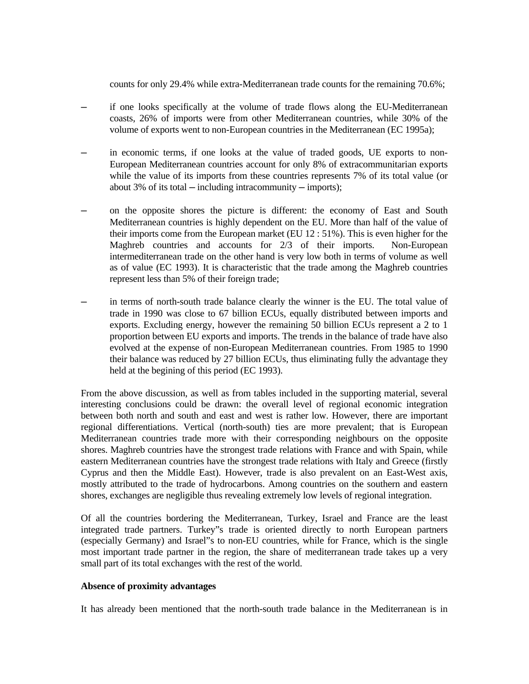counts for only 29.4% while extra-Mediterranean trade counts for the remaining 70.6%;

- if one looks specifically at the volume of trade flows along the EU-Mediterranean coasts, 26% of imports were from other Mediterranean countries, while 30% of the volume of exports went to non-European countries in the Mediterranean (EC 1995a);
- in economic terms, if one looks at the value of traded goods, UE exports to non-European Mediterranean countries account for only 8% of extracommunitarian exports while the value of its imports from these countries represents 7% of its total value (or about 3% of its total  $-$  including intracommunity  $-$  imports);
- ─ on the opposite shores the picture is different: the economy of East and South Mediterranean countries is highly dependent on the EU. More than half of the value of their imports come from the European market (EU 12 : 51%). This is even higher for the Maghreb countries and accounts for 2/3 of their imports. Non-European intermediterranean trade on the other hand is very low both in terms of volume as well as of value (EC 1993). It is characteristic that the trade among the Maghreb countries represent less than 5% of their foreign trade;
- in terms of north-south trade balance clearly the winner is the EU. The total value of trade in 1990 was close to 67 billion ECUs, equally distributed between imports and exports. Excluding energy, however the remaining 50 billion ECUs represent a 2 to 1 proportion between EU exports and imports. The trends in the balance of trade have also evolved at the expense of non-European Mediterranean countries. From 1985 to 1990 their balance was reduced by 27 billion ECUs, thus eliminating fully the advantage they held at the begining of this period (EC 1993).

From the above discussion, as well as from tables included in the supporting material, several interesting conclusions could be drawn: the overall level of regional economic integration between both north and south and east and west is rather low. However, there are important regional differentiations. Vertical (north-south) ties are more prevalent; that is European Mediterranean countries trade more with their corresponding neighbours on the opposite shores. Maghreb countries have the strongest trade relations with France and with Spain, while eastern Mediterranean countries have the strongest trade relations with Italy and Greece (firstly Cyprus and then the Middle East). However, trade is also prevalent on an East-West axis, mostly attributed to the trade of hydrocarbons. Among countries on the southern and eastern shores, exchanges are negligible thus revealing extremely low levels of regional integration.

Of all the countries bordering the Mediterranean, Turkey, Israel and France are the least integrated trade partners. Turkey"s trade is oriented directly to north European partners (especially Germany) and Israel"s to non-EU countries, while for France, which is the single most important trade partner in the region, the share of mediterranean trade takes up a very small part of its total exchanges with the rest of the world.

## **Absence of proximity advantages**

It has already been mentioned that the north-south trade balance in the Mediterranean is in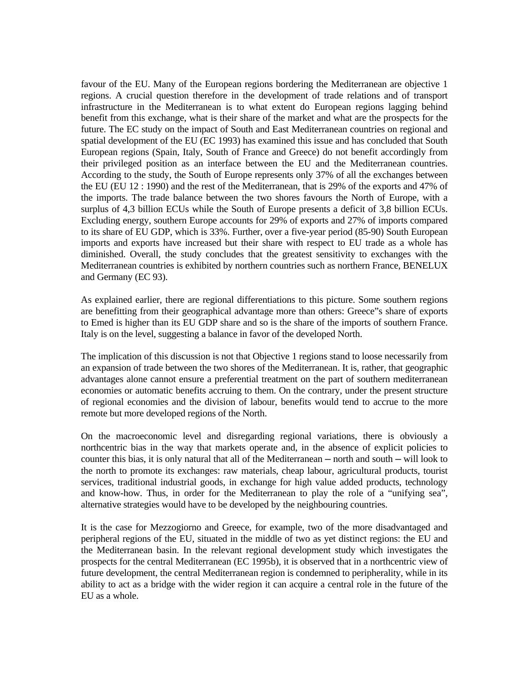favour of the EU. Many of the European regions bordering the Mediterranean are objective 1 regions. A crucial question therefore in the development of trade relations and of transport infrastructure in the Mediterranean is to what extent do European regions lagging behind benefit from this exchange, what is their share of the market and what are the prospects for the future. The EC study on the impact of South and East Mediterranean countries on regional and spatial development of the EU (EC 1993) has examined this issue and has concluded that South European regions (Spain, Italy, South of France and Greece) do not benefit accordingly from their privileged position as an interface between the EU and the Mediterranean countries. According to the study, the South of Europe represents only 37% of all the exchanges between the EU (EU 12 : 1990) and the rest of the Mediterranean, that is 29% of the exports and 47% of the imports. The trade balance between the two shores favours the North of Europe, with a surplus of 4,3 billion ECUs while the South of Europe presents a deficit of 3,8 billion ECUs. Excluding energy, southern Europe accounts for 29% of exports and 27% of imports compared to its share of EU GDP, which is 33%. Further, over a five-year period (85-90) South European imports and exports have increased but their share with respect to EU trade as a whole has diminished. Overall, the study concludes that the greatest sensitivity to exchanges with the Mediterranean countries is exhibited by northern countries such as northern France, BENELUX and Germany (EC 93).

As explained earlier, there are regional differentiations to this picture. Some southern regions are benefitting from their geographical advantage more than others: Greece"s share of exports to Emed is higher than its EU GDP share and so is the share of the imports of southern France. Italy is on the level, suggesting a balance in favor of the developed North.

The implication of this discussion is not that Objective 1 regions stand to loose necessarily from an expansion of trade between the two shores of the Mediterranean. It is, rather, that geographic advantages alone cannot ensure a preferential treatment on the part of southern mediterranean economies or automatic benefits accruing to them. On the contrary, under the present structure of regional economies and the division of labour, benefits would tend to accrue to the more remote but more developed regions of the North.

On the macroeconomic level and disregarding regional variations, there is obviously a northcentric bias in the way that markets operate and, in the absence of explicit policies to counter this bias, it is only natural that all of the Mediterranean — north and south — will look to the north to promote its exchanges: raw materials, cheap labour, agricultural products, tourist services, traditional industrial goods, in exchange for high value added products, technology and know-how. Thus, in order for the Mediterranean to play the role of a "unifying sea", alternative strategies would have to be developed by the neighbouring countries.

It is the case for Mezzogiorno and Greece, for example, two of the more disadvantaged and peripheral regions of the EU, situated in the middle of two as yet distinct regions: the EU and the Mediterranean basin. In the relevant regional development study which investigates the prospects for the central Mediterranean (EC 1995b), it is observed that in a northcentric view of future development, the central Mediterranean region is condemned to peripherality, while in its ability to act as a bridge with the wider region it can acquire a central role in the future of the EU as a whole.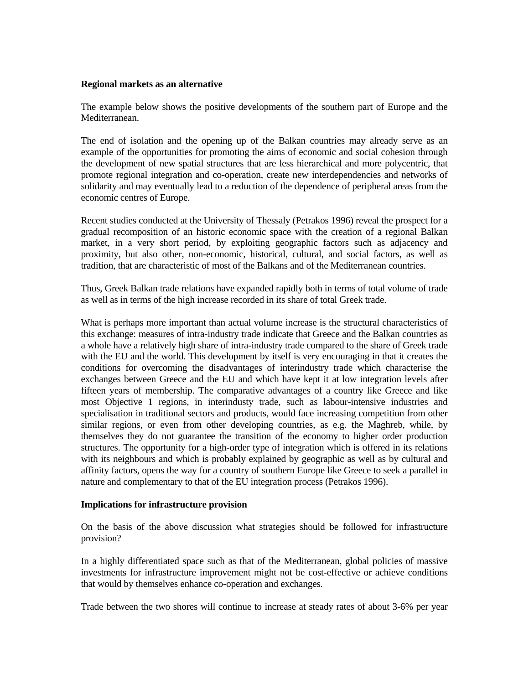#### **Regional markets as an alternative**

The example below shows the positive developments of the southern part of Europe and the Mediterranean.

The end of isolation and the opening up of the Balkan countries may already serve as an example of the opportunities for promoting the aims of economic and social cohesion through the development of new spatial structures that are less hierarchical and more polycentric, that promote regional integration and co-operation, create new interdependencies and networks of solidarity and may eventually lead to a reduction of the dependence of peripheral areas from the economic centres of Europe.

Recent studies conducted at the University of Thessaly (Petrakos 1996) reveal the prospect for a gradual recomposition of an historic economic space with the creation of a regional Balkan market, in a very short period, by exploiting geographic factors such as adjacency and proximity, but also other, non-economic, historical, cultural, and social factors, as well as tradition, that are characteristic of most of the Balkans and of the Mediterranean countries.

Thus, Greek Balkan trade relations have expanded rapidly both in terms of total volume of trade as well as in terms of the high increase recorded in its share of total Greek trade.

What is perhaps more important than actual volume increase is the structural characteristics of this exchange: measures of intra-industry trade indicate that Greece and the Balkan countries as a whole have a relatively high share of intra-industry trade compared to the share of Greek trade with the EU and the world. This development by itself is very encouraging in that it creates the conditions for overcoming the disadvantages of interindustry trade which characterise the exchanges between Greece and the EU and which have kept it at low integration levels after fifteen years of membership. The comparative advantages of a country like Greece and like most Objective 1 regions, in interindusty trade, such as labour-intensive industries and specialisation in traditional sectors and products, would face increasing competition from other similar regions, or even from other developing countries, as e.g. the Maghreb, while, by themselves they do not guarantee the transition of the economy to higher order production structures. The opportunity for a high-order type of integration which is offered in its relations with its neighbours and which is probably explained by geographic as well as by cultural and affinity factors, opens the way for a country of southern Europe like Greece to seek a parallel in nature and complementary to that of the EU integration process (Petrakos 1996).

## **Implications for infrastructure provision**

On the basis of the above discussion what strategies should be followed for infrastructure provision?

In a highly differentiated space such as that of the Mediterranean, global policies of massive investments for infrastructure improvement might not be cost-effective or achieve conditions that would by themselves enhance co-operation and exchanges.

Trade between the two shores will continue to increase at steady rates of about 3-6% per year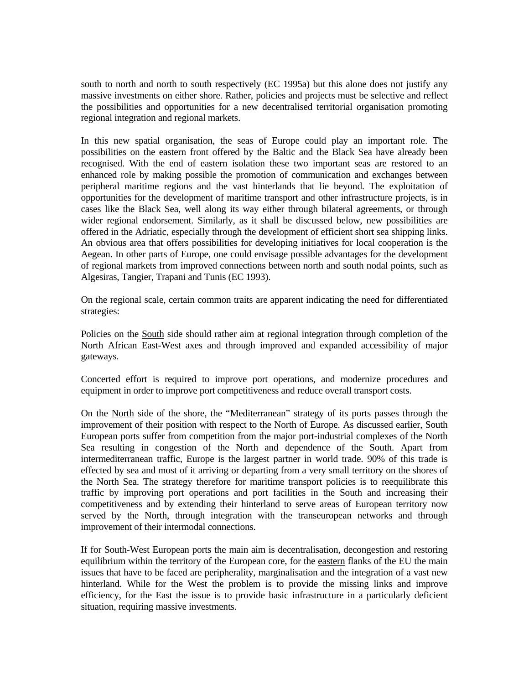south to north and north to south respectively (EC 1995a) but this alone does not justify any massive investments on either shore. Rather, policies and projects must be selective and reflect the possibilities and opportunities for a new decentralised territorial organisation promoting regional integration and regional markets.

In this new spatial organisation, the seas of Europe could play an important role. The possibilities on the eastern front offered by the Baltic and the Black Sea have already been recognised. With the end of eastern isolation these two important seas are restored to an enhanced role by making possible the promotion of communication and exchanges between peripheral maritime regions and the vast hinterlands that lie beyond. The exploitation of opportunities for the development of maritime transport and other infrastructure projects, is in cases like the Black Sea, well along its way either through bilateral agreements, or through wider regional endorsement. Similarly, as it shall be discussed below, new possibilities are offered in the Adriatic, especially through the development of efficient short sea shipping links. An obvious area that offers possibilities for developing initiatives for local cooperation is the Aegean. In other parts of Europe, one could envisage possible advantages for the development of regional markets from improved connections between north and south nodal points, such as Algesiras, Tangier, Trapani and Tunis (EC 1993).

On the regional scale, certain common traits are apparent indicating the need for differentiated strategies:

Policies on the South side should rather aim at regional integration through completion of the North African East-West axes and through improved and expanded accessibility of major gateways.

Concerted effort is required to improve port operations, and modernize procedures and equipment in order to improve port competitiveness and reduce overall transport costs.

On the North side of the shore, the "Mediterranean" strategy of its ports passes through the improvement of their position with respect to the North of Europe. As discussed earlier, South European ports suffer from competition from the major port-industrial complexes of the North Sea resulting in congestion of the North and dependence of the South. Apart from intermediterranean traffic, Europe is the largest partner in world trade. 90% of this trade is effected by sea and most of it arriving or departing from a very small territory on the shores of the North Sea. The strategy therefore for maritime transport policies is to reequilibrate this traffic by improving port operations and port facilities in the South and increasing their competitiveness and by extending their hinterland to serve areas of European territory now served by the North, through integration with the transeuropean networks and through improvement of their intermodal connections.

If for South-West European ports the main aim is decentralisation, decongestion and restoring equilibrium within the territory of the European core, for the eastern flanks of the EU the main issues that have to be faced are peripherality, marginalisation and the integration of a vast new hinterland. While for the West the problem is to provide the missing links and improve efficiency, for the East the issue is to provide basic infrastructure in a particularly deficient situation, requiring massive investments.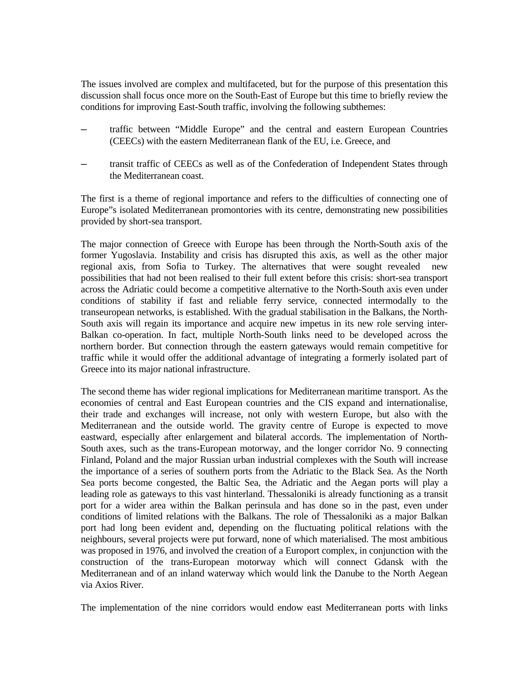The issues involved are complex and multifaceted, but for the purpose of this presentation this discussion shall focus once more on the South-East of Europe but this time to briefly review the conditions for improving East-South traffic, involving the following subthemes:

- ─ traffic between "Middle Europe" and the central and eastern European Countries (CEECs) with the eastern Mediterranean flank of the EU, i.e. Greece, and
- ─ transit traffic of CEECs as well as of the Confederation of Independent States through the Mediterranean coast.

The first is a theme of regional importance and refers to the difficulties of connecting one of Europe"s isolated Mediterranean promontories with its centre, demonstrating new possibilities provided by short-sea transport.

The major connection of Greece with Europe has been through the North-South axis of the former Yugoslavia. Instability and crisis has disrupted this axis, as well as the other major regional axis, from Sofia to Turkey. The alternatives that were sought revealed new possibilities that had not been realised to their full extent before this crisis: short-sea transport across the Adriatic could become a competitive alternative to the North-South axis even under conditions of stability if fast and reliable ferry service, connected intermodally to the transeuropean networks, is established. With the gradual stabilisation in the Balkans, the North-South axis will regain its importance and acquire new impetus in its new role serving inter-Balkan co-operation. In fact, multiple North-South links need to be developed across the northern border. But connection through the eastern gateways would remain competitive for traffic while it would offer the additional advantage of integrating a formerly isolated part of Greece into its major national infrastructure.

The second theme has wider regional implications for Mediterranean maritime transport. As the economies of central and East European countries and the CIS expand and internationalise, their trade and exchanges will increase, not only with western Europe, but also with the Mediterranean and the outside world. The gravity centre of Europe is expected to move eastward, especially after enlargement and bilateral accords. The implementation of North-South axes, such as the trans-European motorway, and the longer corridor No. 9 connecting Finland, Poland and the major Russian urban industrial complexes with the South will increase the importance of a series of southern ports from the Adriatic to the Black Sea. As the North Sea ports become congested, the Baltic Sea, the Adriatic and the Aegan ports will play a leading role as gateways to this vast hinterland. Thessaloniki is already functioning as a transit port for a wider area within the Balkan perinsula and has done so in the past, even under conditions of limited relations with the Balkans. The role of Thessaloniki as a major Balkan port had long been evident and, depending on the fluctuating political relations with the neighbours, several projects were put forward, none of which materialised. The most ambitious was proposed in 1976, and involved the creation of a Europort complex, in conjunction with the construction of the trans-European motorway which will connect Gdansk with the Mediterranean and of an inland waterway which would link the Danube to the North Aegean via Axios River.

The implementation of the nine corridors would endow east Mediterranean ports with links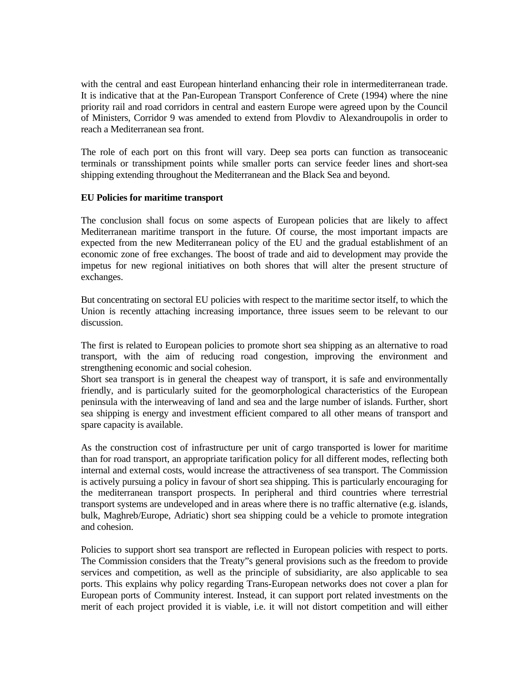with the central and east European hinterland enhancing their role in intermediterranean trade. It is indicative that at the Pan-European Transport Conference of Crete (1994) where the nine priority rail and road corridors in central and eastern Europe were agreed upon by the Council of Ministers, Corridor 9 was amended to extend from Plovdiv to Alexandroupolis in order to reach a Mediterranean sea front.

The role of each port on this front will vary. Deep sea ports can function as transoceanic terminals or transshipment points while smaller ports can service feeder lines and short-sea shipping extending throughout the Mediterranean and the Black Sea and beyond.

## **EU Policies for maritime transport**

The conclusion shall focus on some aspects of European policies that are likely to affect Mediterranean maritime transport in the future. Of course, the most important impacts are expected from the new Mediterranean policy of the EU and the gradual establishment of an economic zone of free exchanges. The boost of trade and aid to development may provide the impetus for new regional initiatives on both shores that will alter the present structure of exchanges.

But concentrating on sectoral EU policies with respect to the maritime sector itself, to which the Union is recently attaching increasing importance, three issues seem to be relevant to our discussion.

The first is related to European policies to promote short sea shipping as an alternative to road transport, with the aim of reducing road congestion, improving the environment and strengthening economic and social cohesion.

Short sea transport is in general the cheapest way of transport, it is safe and environmentally friendly, and is particularly suited for the geomorphological characteristics of the European peninsula with the interweaving of land and sea and the large number of islands. Further, short sea shipping is energy and investment efficient compared to all other means of transport and spare capacity is available.

As the construction cost of infrastructure per unit of cargo transported is lower for maritime than for road transport, an appropriate tarification policy for all different modes, reflecting both internal and external costs, would increase the attractiveness of sea transport. The Commission is actively pursuing a policy in favour of short sea shipping. This is particularly encouraging for the mediterranean transport prospects. In peripheral and third countries where terrestrial transport systems are undeveloped and in areas where there is no traffic alternative (e.g. islands, bulk, Maghreb/Europe, Adriatic) short sea shipping could be a vehicle to promote integration and cohesion.

Policies to support short sea transport are reflected in European policies with respect to ports. The Commission considers that the Treaty"s general provisions such as the freedom to provide services and competition, as well as the principle of subsidiarity, are also applicable to sea ports. This explains why policy regarding Trans-European networks does not cover a plan for European ports of Community interest. Instead, it can support port related investments on the merit of each project provided it is viable, i.e. it will not distort competition and will either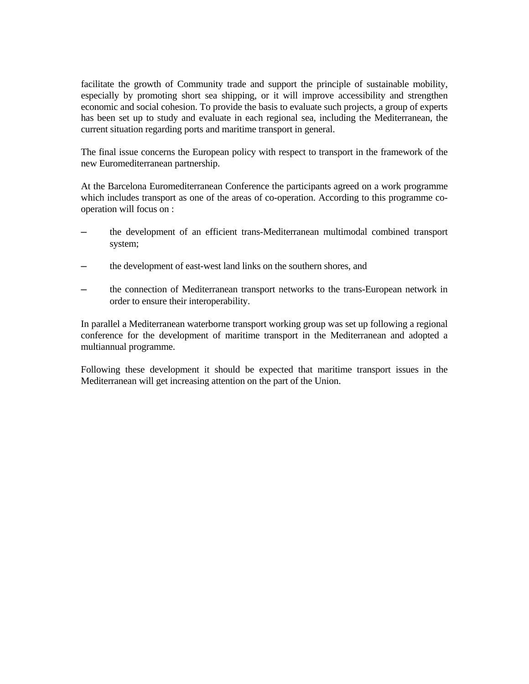facilitate the growth of Community trade and support the principle of sustainable mobility, especially by promoting short sea shipping, or it will improve accessibility and strengthen economic and social cohesion. To provide the basis to evaluate such projects, a group of experts has been set up to study and evaluate in each regional sea, including the Mediterranean, the current situation regarding ports and maritime transport in general.

The final issue concerns the European policy with respect to transport in the framework of the new Euromediterranean partnership.

At the Barcelona Euromediterranean Conference the participants agreed on a work programme which includes transport as one of the areas of co-operation. According to this programme cooperation will focus on :

- ─ the development of an efficient trans-Mediterranean multimodal combined transport system;
- the development of east-west land links on the southern shores, and
- the connection of Mediterranean transport networks to the trans-European network in order to ensure their interoperability.

In parallel a Mediterranean waterborne transport working group was set up following a regional conference for the development of maritime transport in the Mediterranean and adopted a multiannual programme.

Following these development it should be expected that maritime transport issues in the Mediterranean will get increasing attention on the part of the Union.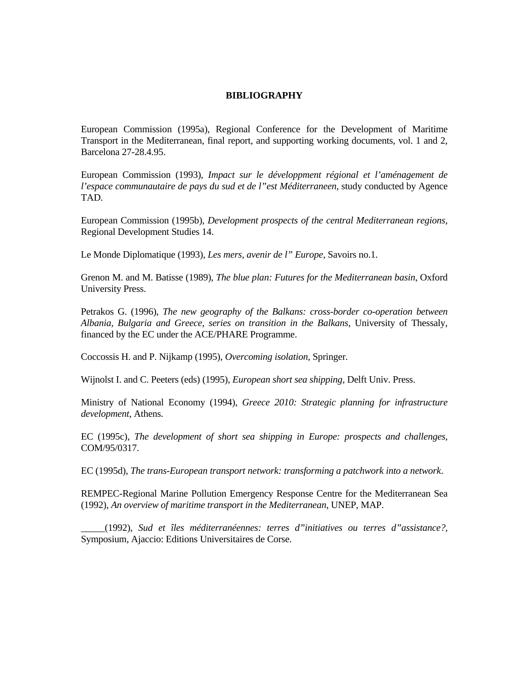#### **BIBLIOGRAPHY**

European Commission (1995a), Regional Conference for the Development of Maritime Transport in the Mediterranean, final report, and supporting working documents, vol. 1 and 2, Barcelona 27-28.4.95.

European Commission (1993), *Impact sur le développment régional et l'aménagement de l'espace communautaire de pays du sud et de l"est Méditerraneen*, study conducted by Agence TAD.

European Commission (1995b), *Development prospects of the central Mediterranean regions*, Regional Development Studies 14.

Le Monde Diplomatique (1993), *Les mers, avenir de l" Europe*, Savoirs no.1.

Grenon M. and M. Batisse (1989), *The blue plan: Futures for the Mediterranean basin*, Oxford University Press.

Petrakos G. (1996), *The new geography of the Balkans: cross-border co-operation between Albania, Bulgaria and Greece, series on transition in the Balkans*, University of Thessaly, financed by the EC under the ACE/PHARE Programme.

Coccossis H. and P. Nijkamp (1995), *Overcoming isolation*, Springer.

Wijnolst I. and C. Peeters (eds) (1995), *European short sea shipping*, Delft Univ. Press.

Ministry of National Economy (1994), *Greece 2010: Strategic planning for infrastructure development*, Athens.

EC (1995c), *The development of short sea shipping in Europe: prospects and challenges*, COM/95/0317.

EC (1995d), *The trans-European transport network: transforming a patchwork into a network*.

REMPEC-Regional Marine Pollution Emergency Response Centre for the Mediterranean Sea (1992), *An overview of maritime transport in the Mediterranean*, UNEP, MAP.

\_\_\_\_\_(1992), *Sud et îles méditerranéennes: terres d"initiatives ou terres d"assistance?*, Symposium, Ajaccio: Editions Universitaires de Corse.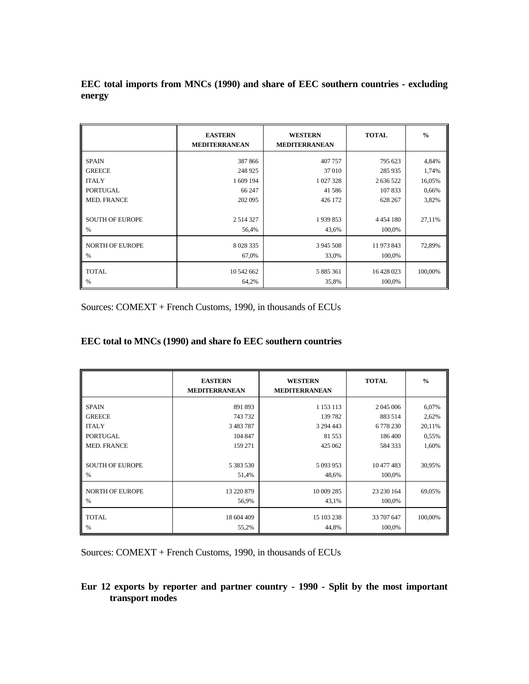**EEC total imports from MNCs (1990) and share of EEC southern countries - excluding energy** 

|                        | <b>EASTERN</b><br><b>MEDITERRANEAN</b> | <b>WESTERN</b><br><b>MEDITERRANEAN</b> | <b>TOTAL</b>  | $\frac{0}{0}$ |
|------------------------|----------------------------------------|----------------------------------------|---------------|---------------|
| <b>SPAIN</b>           | 387866                                 | 407 757                                | 795 623       | 4,84%         |
| <b>GREECE</b>          | 248 925                                | 37010                                  | 285 935       | 1,74%         |
| <b>ITALY</b>           | 1 609 194                              | 1 027 328                              | 2 636 522     | 16,05%        |
| <b>PORTUGAL</b>        | 66 247                                 | 41586                                  | 107833        | 0,66%         |
| <b>MED. FRANCE</b>     | 202 095                                | 426 172                                | 628 267       | 3,82%         |
|                        |                                        |                                        |               |               |
| <b>SOUTH OF EUROPE</b> | 2 5 1 4 3 2 7                          | 1939853                                | 4 4 5 4 1 8 0 | 27,11%        |
| $\%$                   | 56,4%                                  | 43,6%                                  | 100,0%        |               |
| <b>NORTH OF EUROPE</b> | 8 0 28 3 35                            | 3 945 508                              | 11 973 843    | 72,89%        |
| %                      | 67,0%                                  | 33,0%                                  | 100,0%        |               |
| <b>TOTAL</b>           | 10 542 662                             | 5 885 361                              | 16 428 023    | 100,00%       |
| %                      | 64,2%                                  | 35,8%                                  | 100,0%        |               |

Sources: COMEXT + French Customs, 1990, in thousands of ECUs

# **EEC total to MNCs (1990) and share fo EEC southern countries**

|                                                                      | <b>EASTERN</b><br><b>MEDITERRANEAN</b>       | <b>WESTERN</b><br><b>MEDITERRANEAN</b>   | <b>TOTAL</b>                              | $\frac{0}{0}$            |
|----------------------------------------------------------------------|----------------------------------------------|------------------------------------------|-------------------------------------------|--------------------------|
| <b>SPAIN</b>                                                         | 891 893                                      | 1 1 5 3 1 1 3                            | 2 045 006                                 | 6,07%                    |
| <b>GREECE</b>                                                        | 743732                                       | 139782                                   | 883514                                    | 2,62%                    |
| <b>ITALY</b>                                                         | 3 4 8 3 7 8 7                                | 3 294 443                                | 6778230                                   | 20,11%                   |
| <b>PORTUGAL</b><br><b>MED. FRANCE</b><br><b>SOUTH OF EUROPE</b><br>% | 104 847<br>159 271<br>5 3 8 3 5 3 0<br>51,4% | 81 5 53<br>425 062<br>5 093 953<br>48,6% | 186400<br>584 333<br>10 477 483<br>100,0% | 0,55%<br>1,60%<br>30,95% |
| <b>NORTH OF EUROPE</b>                                               | 13 220 879                                   | 10 009 285                               | 23 230 164                                | 69,05%                   |
| %                                                                    | 56,9%                                        | 43,1%                                    | 100,0%                                    |                          |
| <b>TOTAL</b>                                                         | 18 604 409                                   | 15 103 238                               | 33 707 647                                | 100,00%                  |
| %                                                                    | 55,2%                                        | 44,8%                                    | 100,0%                                    |                          |

Sources: COMEXT + French Customs, 1990, in thousands of ECUs

# **Eur 12 exports by reporter and partner country - 1990 - Split by the most important transport modes**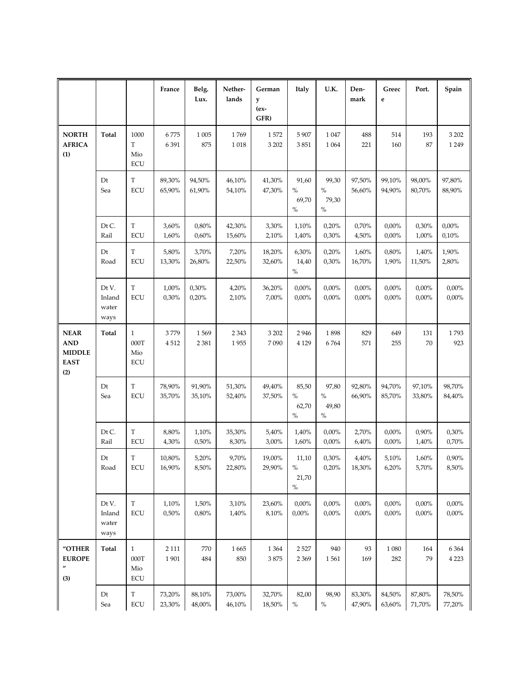|                                                                  |                                  |                                           | France           | Belg.<br>Lux.    | Nether-<br>lands | German<br>y<br>(ex-<br>GFR) | <b>Italy</b>                   | U.K.                           | Den-<br>mark           | Greec<br>$\mathbf e$ | Port.                 | Spain                  |
|------------------------------------------------------------------|----------------------------------|-------------------------------------------|------------------|------------------|------------------|-----------------------------|--------------------------------|--------------------------------|------------------------|----------------------|-----------------------|------------------------|
| <b>NORTH</b><br><b>AFRICA</b><br>(1)                             | <b>Total</b>                     | 1000<br>T<br>Mio<br><b>ECU</b>            | 6775<br>6391     | 1 0 0 5<br>875   | 1769<br>1018     | 1572<br>3 2 0 2             | 5 907<br>3851                  | 1047<br>1 0 6 4                | 488<br>221             | 514<br>160           | 193<br>87             | 3 2 0 2<br>1 2 4 9     |
|                                                                  | Dt<br>Sea                        | $\mathbf T$<br><b>ECU</b>                 | 89,30%<br>65,90% | 94,50%<br>61,90% | 46,10%<br>54,10% | 41,30%<br>47,30%            | 91,60<br>$\%$<br>69,70<br>$\%$ | 99,30<br>$\%$<br>79,30<br>$\%$ | 97,50%<br>56,60%       | 99,10%<br>94,90%     | 98,00%<br>80,70%      | 97,80%<br>88,90%       |
|                                                                  | Dt C.<br>Rail                    | T<br><b>ECU</b>                           | 3,60%<br>1,60%   | 0,80%<br>0,60%   | 42,30%<br>15,60% | 3,30%<br>2,10%              | 1,10%<br>1,40%                 | 0,20%<br>0,30%                 | 0,70%<br>4,50%         | 0,00%<br>0,00%       | 0,30%<br>1,00%        | 0,00%<br>0,10%         |
|                                                                  | Dt<br>Road                       | T<br><b>ECU</b>                           | 5,80%<br>13,30%  | 3,70%<br>26,80%  | 7,20%<br>22,50%  | 18,20%<br>32,60%            | 6,30%<br>14,40<br>$\%$         | 0,20%<br>0,30%                 | 1,60%<br>16,70%        | 0,80%<br>1,90%       | 1,40%<br>11,50%       | 1,90%<br>2,80%         |
|                                                                  | Dt V.<br>Inland<br>water<br>ways | T<br><b>ECU</b>                           | 1,00%<br>0,30%   | 0,30%<br>0,20%   | 4,20%<br>2,10%   | 36,20%<br>7,00%             | 0,00%<br>0,00%                 | 0,00%<br>0,00%                 | 0,00%<br>$0,\!00\%$    | 0,00%<br>0,00%       | 0,00%<br>0,00%        | $0,\!00\%$<br>$0,00\%$ |
| <b>NEAR</b><br><b>AND</b><br><b>MIDDLE</b><br><b>EAST</b><br>(2) | Total                            | $\mathbf{1}$<br>000T<br>Mio<br><b>ECU</b> | 3779<br>4512     | 1569<br>2 3 8 1  | 2 3 4 3<br>1955  | 3 2 0 2<br>7090             | 2946<br>4 1 2 9                | 1898<br>6764                   | 829<br>571             | 649<br>255           | 131<br>70             | 1793<br>923            |
|                                                                  | Dt<br>Sea                        | $\mathbf T$<br><b>ECU</b>                 | 78,90%<br>35,70% | 91,90%<br>35,10% | 51,30%<br>52,40% | 49,40%<br>37,50%            | 85,50<br>$\%$<br>62,70<br>$\%$ | 97,80<br>$\%$<br>49,80<br>$\%$ | 92,80%<br>66,90%       | 94,70%<br>85,70%     | 97,10%<br>33,80%      | 98,70%<br>84,40%       |
|                                                                  | Dt C.<br>Rail                    | $\mathbf T$<br><b>ECU</b>                 | 8,80%<br>4,30%   | 1,10%<br>0,50%   | 35,30%<br>8,30%  | 5,40%<br>3,00%              | 1,40%<br>1,60%                 | 0,00%<br>0,00%                 | 2,70%<br>6,40%         | 0,00%<br>0,00%       | 0,90%<br>1,40%        | 0,30%<br>0,70%         |
|                                                                  | Dt<br>Road                       | T<br>ECU                                  | 10,80%<br>16,90% | 5,20%<br>8,50%   | 9,70%<br>22,80%  | 19,00%<br>29,90%            | 11,10<br>$\%$<br>21,70<br>$\%$ | 0,30%<br>0,20%                 | 4,40%<br>18,30%        | 5,10%<br>6,20%       | 1,60%<br>5,70%        | 0,90%<br>8,50%         |
|                                                                  | Dt V.<br>Inland<br>water<br>ways | $\mathbf T$<br><b>ECU</b>                 | 1,10%<br>0,50%   | 1,50%<br>0,80%   | 3,10%<br>1,40%   | 23,60%<br>8,10%             | 0,00%<br>$0,\!00\%$            | 0,00%<br>0,00%                 | $0,\!00\%$<br>$0.00\%$ | 0,00%<br>0,00%       | 0,00%<br>0,00%        | 0,00%<br>0,00%         |
| "OTHER<br><b>EUROPE</b><br>(3)                                   | Total                            | $\mathbf{1}$<br>000T<br>Mio<br><b>ECU</b> | 2 1 1 1<br>1901  | 770<br>484       | 1665<br>850      | 1 3 6 4<br>3875             | 2 5 2 7<br>2 3 6 9             | 940<br>1561                    | 93<br>169              | 1 0 8 0<br>282       | 164<br>79             | 6 3 6 4<br>4 2 2 3     |
|                                                                  | Dt<br>Sea                        | ${\bf T}$<br>$\ensuremath{\text{ECU}}$    | 73,20%<br>23,30% | 88,10%<br>48,00% | 73,00%<br>46,10% | 32,70%<br>18,50%            | 82,00<br>$\%$                  | 98,90<br>$\%$                  | 83,30%<br>47,90%       | 84,50%<br>63,60%     | $87,\!80\%$<br>71,70% | 78,50%<br>77,20%       |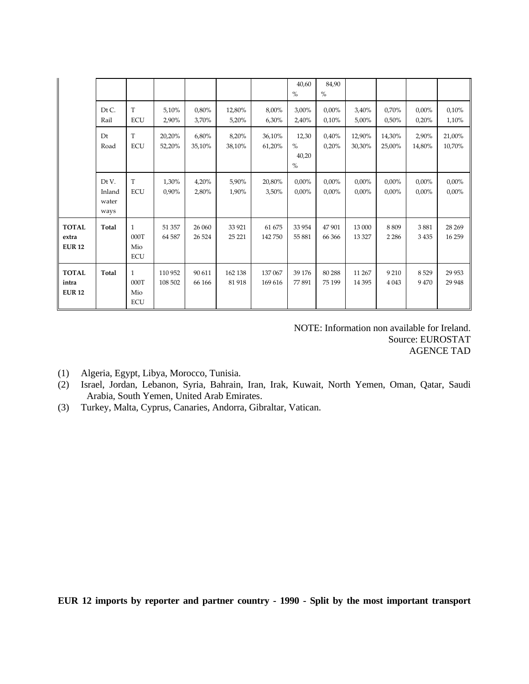|                                        |                                  |                                           |                    |                   |                   |                    | 40,60<br>$\%$                  | 84,90<br>$\%$        |                      |                      |                      |                    |
|----------------------------------------|----------------------------------|-------------------------------------------|--------------------|-------------------|-------------------|--------------------|--------------------------------|----------------------|----------------------|----------------------|----------------------|--------------------|
|                                        | DtC<br>Rail                      | T<br><b>ECU</b>                           | 5,10%<br>2,90%     | 0,80%<br>3,70%    | 12,80%<br>5,20%   | 8,00%<br>6,30%     | 3,00%<br>2,40%                 | 0,00%<br>0.10%       | 3,40%<br>5,00%       | 0,70%<br>0,50%       | $0.00\%$<br>0,20%    | 0,10%<br>1,10%     |
|                                        | Dt<br>Road                       | T<br><b>ECU</b>                           | 20,20%<br>52,20%   | 6,80%<br>35,10%   | 8,20%<br>38,10%   | 36,10%<br>61,20%   | 12,30<br>$\%$<br>40,20<br>$\%$ | 0.40%<br>0,20%       | 12,90%<br>30,30%     | 14,30%<br>25,00%     | 2,90%<br>14,80%      | 21,00%<br>10,70%   |
|                                        | Dt V.<br>Inland<br>water<br>ways | T<br><b>ECU</b>                           | 1,30%<br>0,90%     | 4,20%<br>2,80%    | 5,90%<br>1,90%    | 20,80%<br>3,50%    | $0.00\%$<br>0,00%              | $0.00\%$<br>$0.00\%$ | $0,00\%$<br>$0.00\%$ | $0.00\%$<br>$0.00\%$ | $0.00\%$<br>$0.00\%$ | 0,00%<br>$0,00\%$  |
| <b>TOTAL</b><br>extra<br><b>EUR 12</b> | <b>Total</b>                     | $\mathbf{1}$<br>000T<br>Mio<br><b>ECU</b> | 51 357<br>64 5 87  | 26 060<br>26 5 24 | 33 9 21<br>25 221 | 61 675<br>142750   | 33 954<br>55 881               | 47901<br>66 366      | 13 000<br>13 3 27    | 8809<br>2 2 8 6      | 3881<br>3435         | 28 26 9<br>16 25 9 |
| <b>TOTAL</b><br>intra<br><b>EUR 12</b> | Total                            | $\mathbf{1}$<br>000T<br>Mio<br><b>ECU</b> | 110 952<br>108 502 | 90 611<br>66 166  | 162 138<br>81918  | 137 067<br>169 616 | 39 176<br>77891                | 80 288<br>75 199     | 11 267<br>14 3 95    | 9 2 10<br>4 0 4 3    | 8529<br>9470         | 29 9 53<br>29 9 48 |

 NOTE: Information non available for Ireland. Source: EUROSTAT AGENCE TAD

- (1) Algeria, Egypt, Libya, Morocco, Tunisia.
- (2) Israel, Jordan, Lebanon, Syria, Bahrain, Iran, Irak, Kuwait, North Yemen, Oman, Qatar, Saudi Arabia, South Yemen, United Arab Emirates.
- (3) Turkey, Malta, Cyprus, Canaries, Andorra, Gibraltar, Vatican.

**EUR 12 imports by reporter and partner country - 1990 - Split by the most important transport**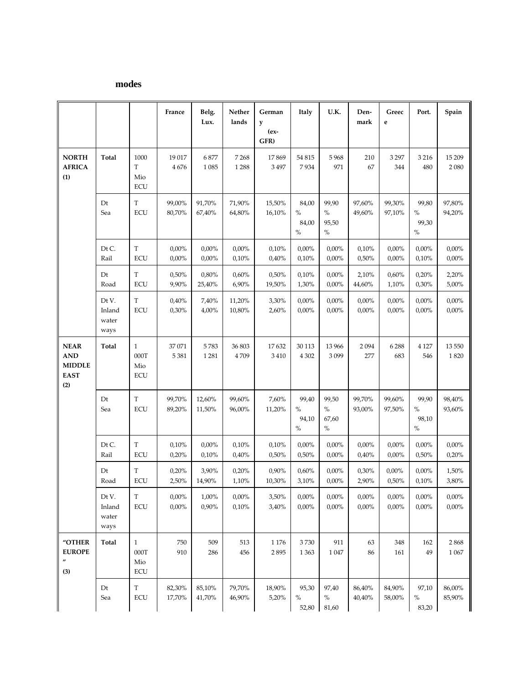# **modes**

|                                                                  |                                  |                                                      | France            | Belg.<br>Lux.     | Nether<br>lands     | German<br>у      | Italy                          | U.K.                           | Den-<br>mark     | Greec<br>e        | Port.                          | Spain            |
|------------------------------------------------------------------|----------------------------------|------------------------------------------------------|-------------------|-------------------|---------------------|------------------|--------------------------------|--------------------------------|------------------|-------------------|--------------------------------|------------------|
|                                                                  |                                  |                                                      |                   |                   |                     | $(ex-$<br>GFR)   |                                |                                |                  |                   |                                |                  |
| <b>NORTH</b><br><b>AFRICA</b><br>(1)                             | <b>Total</b>                     | 1000<br>T<br>Mio<br><b>ECU</b>                       | 19 017<br>4676    | 6877<br>1 0 8 5   | 7268<br>1288        | 17869<br>3 4 9 7 | 54 815<br>7934                 | 5968<br>971                    | 210<br>67        | 3 2 9 7<br>344    | 3 2 1 6<br>480                 | 15 209<br>2080   |
|                                                                  | Dt<br>Sea                        | $\mathbf T$<br><b>ECU</b>                            | 99,00%<br>80,70%  | 91,70%<br>67,40%  | 71,90%<br>64,80%    | 15,50%<br>16,10% | 84,00<br>$\%$<br>84,00<br>$\%$ | 99,90<br>$\%$<br>95,50<br>$\%$ | 97,60%<br>49,60% | 99,30%<br>97,10%  | 99,80<br>$\%$<br>99,30<br>$\%$ | 97,80%<br>94,20% |
|                                                                  | Dt C.<br>Rail                    | T<br><b>ECU</b>                                      | 0,00%<br>0,00%    | 0,00%<br>0,00%    | 0,00%<br>0,10%      | 0,10%<br>0,40%   | 0,00%<br>0,10%                 | 0,00%<br>0,00%                 | 0,10%<br>0,50%   | 0,00%<br>0,00%    | 0,00%<br>0,10%                 | 0,00%<br>0,00%   |
|                                                                  | Dt<br>Road                       | T<br><b>ECU</b>                                      | 0,50%<br>9,90%    | 0,80%<br>25,40%   | 0,60%<br>6,90%      | 0,50%<br>19,50%  | 0,10%<br>1,30%                 | 0,00%<br>0,00%                 | 2,10%<br>44,60%  | 0,60%<br>1,10%    | 0,20%<br>0,30%                 | 2,20%<br>5,00%   |
|                                                                  | Dt V.<br>Inland<br>water<br>ways | T<br><b>ECU</b>                                      | 0,40%<br>0,30%    | 7,40%<br>4,00%    | 11,20%<br>10,80%    | 3,30%<br>2,60%   | 0,00%<br>0,00%                 | 0,00%<br>0,00%                 | 0,00%<br>0,00%   | $0.00\%$<br>0,00% | 0,00%<br>0,00%                 | 0,00%<br>0,00%   |
| <b>NEAR</b><br><b>AND</b><br><b>MIDDLE</b><br><b>EAST</b><br>(2) | Total                            | $\mathbf{1}$<br>000T<br>Mio<br><b>ECU</b>            | 37 071<br>5 3 8 1 | 5783<br>1 2 8 1   | 36 803<br>4709      | 17632<br>3 4 1 0 | 30 113<br>4 3 0 2              | 13 966<br>3099                 | 2094<br>277      | 6288<br>683       | 4 1 2 7<br>546                 | 13 550<br>1820   |
|                                                                  | Dt<br>Sea                        | T<br><b>ECU</b>                                      | 99,70%<br>89,20%  | 12,60%<br>11,50%  | 99,60%<br>96,00%    | 7,60%<br>11,20%  | 99,40<br>$\%$<br>94,10<br>$\%$ | 99,50<br>$\%$<br>67,60<br>$\%$ | 99,70%<br>93,00% | 99,60%<br>97,50%  | 99,90<br>$\%$<br>98,10<br>$\%$ | 98,40%<br>93,60% |
|                                                                  | Dt C.<br>Rail                    | T<br>ECU                                             | 0,10%<br>0,20%    | 0,00%<br>0,10%    | 0,10%<br>0,40%      | 0,10%<br>0,50%   | 0,00%<br>0,50%                 | 0,00%<br>0,00%                 | 0,00%<br>0,40%   | 0,00%<br>0,00%    | 0,00%<br>0,50%                 | 0,00%<br>0,20%   |
|                                                                  | Dt<br>Road                       | T<br>ECU                                             | 0,20%<br>2,50%    | 3,90%<br>14,90%   | 0,20%<br>1,10%      | 0,90%<br>10,30%  | 0,60%<br>3,10%                 | 0,00%<br>0,00%                 | 0,30%<br>2,90%   | 0,00%<br>0,50%    | 0,00%<br>0,10%                 | 1,50%<br>3,80%   |
|                                                                  | Dt V.<br>Inland<br>water<br>ways | $\mathbf T$<br>ECU                                   | 0,00%<br>0,00%    | $1,00\%$<br>0,90% | $0,\!00\%$<br>0,10% | 3,50%<br>3,40%   | $0,\!00\%$<br>$0,00\%$         | 0,00%<br>0,00%                 | 0,00%<br>0,00%   | 0,00%<br>0,00%    | $0,00\%$<br>0,00%              | 0,00%<br>0,00%   |
| "OTHER<br><b>EUROPE</b><br>$^{\prime\prime}$<br>(3)              | Total                            | $\mathbf{1}$<br>$000\mathrm{T}$<br>Mio<br><b>ECU</b> | 750<br>910        | 509<br>286        | 513<br>456          | 1 1 7 6<br>2895  | 3730<br>1 3 6 3                | 911<br>1 0 4 7                 | 63<br>86         | 348<br>161        | 162<br>49                      | 2868<br>1 0 6 7  |
|                                                                  | Dt<br>Sea                        | T<br>ECU                                             | 82,30%<br>17,70%  | 85,10%<br>41,70%  | 79,70%<br>46,90%    | 18,90%<br>5,20%  | 95,30<br>$\%$<br>52,80         | 97,40<br>$\%$<br>81,60         | 86,40%<br>40,40% | 84,90%<br>58,00%  | 97,10<br>$\%$<br>83,20         | 86,00%<br>85,90% |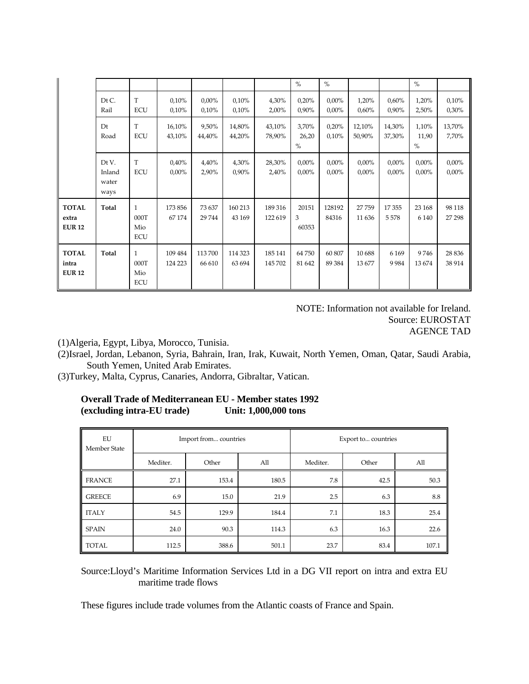|                                        |                                  |                                           |                    |                   |                   |                    | $\%$                   | $\%$                 |                      |                      | $\%$                   |                   |
|----------------------------------------|----------------------------------|-------------------------------------------|--------------------|-------------------|-------------------|--------------------|------------------------|----------------------|----------------------|----------------------|------------------------|-------------------|
|                                        | Dt C.<br>Rail                    | T<br><b>ECU</b>                           | 0,10%<br>0.10%     | $0.00\%$<br>0.10% | 0,10%<br>0,10%    | 4,30%<br>2,00%     | 0,20%<br>0,90%         | $0.00\%$<br>$0.00\%$ | 1,20%<br>0.60%       | 0,60%<br>0,90%       | 1,20%<br>2,50%         | 0,10%<br>0,30%    |
|                                        | Dt<br>Road                       | T<br><b>ECU</b>                           | 16,10%<br>43,10%   | 9,50%<br>44,40%   | 14,80%<br>44,20%  | 43,10%<br>78,90%   | 3,70%<br>26,20<br>$\%$ | 0,20%<br>0,10%       | 12,10%<br>50,90%     | 14,30%<br>37,30%     | 1,10%<br>11,90<br>$\%$ | 13,70%<br>7,70%   |
|                                        | Dt V.<br>Inland<br>water<br>ways | T<br><b>ECU</b>                           | 0,40%<br>$0.00\%$  | 4,40%<br>2,90%    | 4,30%<br>0,90%    | 28,30%<br>2,40%    | $0.00\%$<br>$0.00\%$   | $0.00\%$<br>$0.00\%$ | $0.00\%$<br>$0.00\%$ | $0.00\%$<br>$0.00\%$ | $0.00\%$<br>$0.00\%$   | 0,00%<br>$0,00\%$ |
| <b>TOTAL</b><br>extra<br><b>EUR 12</b> | Total                            | $\mathbf{1}$<br>000T<br>Mio<br><b>ECU</b> | 173 856<br>67 174  | 73 637<br>29 744  | 160 213<br>43 169 | 189 316<br>122 619 | 20151<br>3<br>60353    | 128192<br>84316      | 27759<br>11 636      | 17 355<br>5578       | 23 168<br>6 1 4 0      | 98 118<br>27 298  |
| <b>TOTAL</b><br>intra<br><b>EUR 12</b> | Total                            | $\mathbf{1}$<br>000T<br>Mio<br><b>ECU</b> | 109 484<br>124 223 | 113700<br>66 610  | 114 323<br>63 694 | 185 141<br>145 702 | 64 750<br>81 642       | 60 807<br>89 384     | 10688<br>13677       | 6 1 6 9<br>9984      | 9746<br>13674          | 28 8 36<br>38 914 |

 NOTE: Information not available for Ireland. Source: EUROSTAT AGENCE TAD

(1)Algeria, Egypt, Libya, Morocco, Tunisia.

- (2)Israel, Jordan, Lebanon, Syria, Bahrain, Iran, Irak, Kuwait, North Yemen, Oman, Qatar, Saudi Arabia, South Yemen, United Arab Emirates.
- (3)Turkey, Malta, Cyprus, Canaries, Andorra, Gibraltar, Vatican.

| EU<br><b>Member State</b> |          | Import from countries |       | Export to countries |       |       |  |  |
|---------------------------|----------|-----------------------|-------|---------------------|-------|-------|--|--|
|                           | Mediter. | Other                 | All   | Mediter.            | Other | All   |  |  |
| <b>FRANCE</b>             | 27.1     | 153.4                 | 180.5 | 7.8                 | 42.5  | 50.3  |  |  |
| <b>GREECE</b>             | 6.9      | 15.0                  | 21.9  | 2.5                 | 6.3   | 8.8   |  |  |
| <b>ITALY</b>              | 54.5     | 129.9                 | 184.4 | 7.1                 | 18.3  | 25.4  |  |  |
| <b>SPAIN</b>              | 24.0     | 90.3                  | 114.3 | 6.3                 | 16.3  | 22.6  |  |  |
| TOTAL                     | 112.5    | 388.6                 | 501.1 | 23.7                | 83.4  | 107.1 |  |  |

# **Overall Trade of Mediterranean EU - Member states 1992 (excluding intra-EU trade) Unit: 1,000,000 tons**

Source:Lloyd's Maritime Information Services Ltd in a DG VII report on intra and extra EU maritime trade flows

These figures include trade volumes from the Atlantic coasts of France and Spain.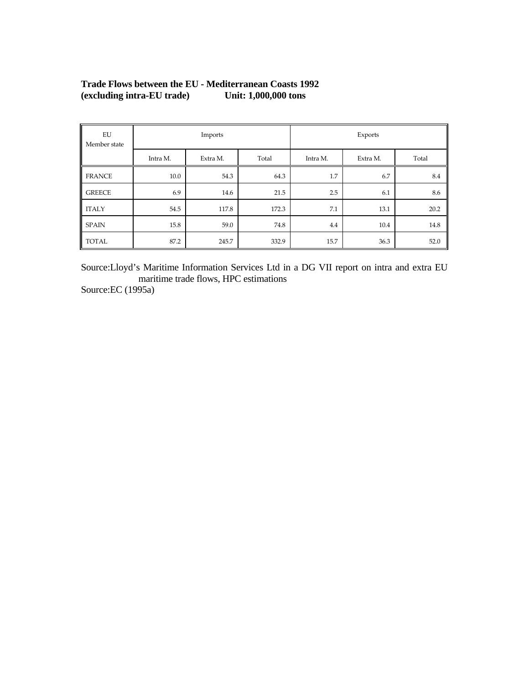| EU<br>Member state |          | Imports  |       | Exports  |          |       |  |  |
|--------------------|----------|----------|-------|----------|----------|-------|--|--|
|                    | Intra M. | Extra M. | Total | Intra M. | Extra M. | Total |  |  |
| <b>FRANCE</b>      | 10.0     | 54.3     | 64.3  | 1.7      | 6.7      | 8.4   |  |  |
| <b>GREECE</b>      | 6.9      | 14.6     | 21.5  | 2.5      | 6.1      | 8.6   |  |  |
| <b>ITALY</b>       | 54.5     | 117.8    | 172.3 | 7.1      | 13.1     | 20.2  |  |  |
| <b>SPAIN</b>       | 15.8     | 59.0     | 74.8  | 4.4      | 10.4     | 14.8  |  |  |
| <b>TOTAL</b>       | 87.2     | 245.7    | 332.9 | 15.7     | 36.3     | 52.0  |  |  |

# **Trade Flows between the EU - Mediterranean Coasts 1992**  (excluding intra-EU trade)

Source:Lloyd's Maritime Information Services Ltd in a DG VII report on intra and extra EU maritime trade flows, HPC estimations

Source:EC (1995a)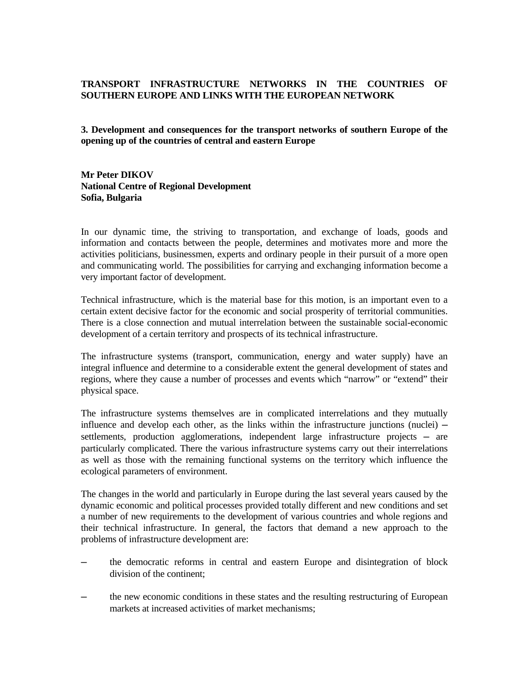# **TRANSPORT INFRASTRUCTURE NETWORKS IN THE COUNTRIES OF SOUTHERN EUROPE AND LINKS WITH THE EUROPEAN NETWORK**

**3. Development and consequences for the transport networks of southern Europe of the opening up of the countries of central and eastern Europe** 

**Mr Peter DIKOV National Centre of Regional Development Sofia, Bulgaria**

In our dynamic time, the striving to transportation, and exchange of loads, goods and information and contacts between the people, determines and motivates more and more the activities politicians, businessmen, experts and ordinary people in their pursuit of a more open and communicating world. The possibilities for carrying and exchanging information become a very important factor of development.

Technical infrastructure, which is the material base for this motion, is an important even to a certain extent decisive factor for the economic and social prosperity of territorial communities. There is a close connection and mutual interrelation between the sustainable social-economic development of a certain territory and prospects of its technical infrastructure.

The infrastructure systems (transport, communication, energy and water supply) have an integral influence and determine to a considerable extent the general development of states and regions, where they cause a number of processes and events which "narrow" or "extend" their physical space.

The infrastructure systems themselves are in complicated interrelations and they mutually influence and develop each other, as the links within the infrastructure junctions (nuclei)  $$ settlements, production agglomerations, independent large infrastructure projects — are particularly complicated. There the various infrastructure systems carry out their interrelations as well as those with the remaining functional systems on the territory which influence the ecological parameters of environment.

The changes in the world and particularly in Europe during the last several years caused by the dynamic economic and political processes provided totally different and new conditions and set a number of new requirements to the development of various countries and whole regions and their technical infrastructure. In general, the factors that demand a new approach to the problems of infrastructure development are:

- ─ the democratic reforms in central and eastern Europe and disintegration of block division of the continent;
- the new economic conditions in these states and the resulting restructuring of European markets at increased activities of market mechanisms;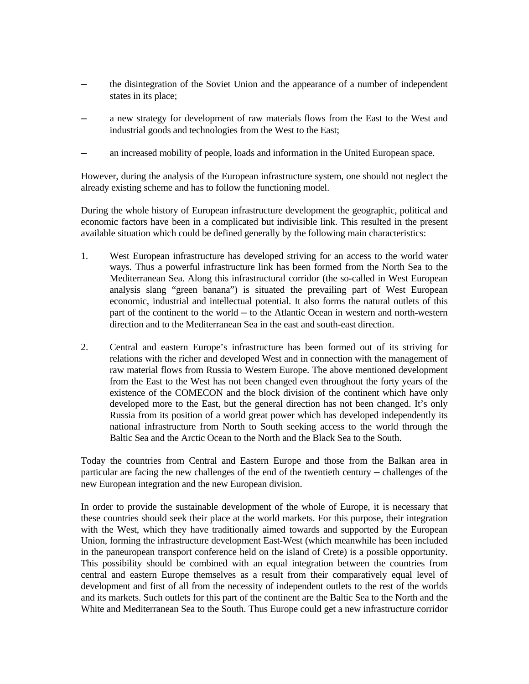- the disintegration of the Soviet Union and the appearance of a number of independent states in its place;
- a new strategy for development of raw materials flows from the East to the West and industrial goods and technologies from the West to the East;
- ─ an increased mobility of people, loads and information in the United European space.

However, during the analysis of the European infrastructure system, one should not neglect the already existing scheme and has to follow the functioning model.

During the whole history of European infrastructure development the geographic, political and economic factors have been in a complicated but indivisible link. This resulted in the present available situation which could be defined generally by the following main characteristics:

- 1. West European infrastructure has developed striving for an access to the world water ways. Thus a powerful infrastructure link has been formed from the North Sea to the Mediterranean Sea. Along this infrastructural corridor (the so-called in West European analysis slang "green banana") is situated the prevailing part of West European economic, industrial and intellectual potential. It also forms the natural outlets of this part of the continent to the world ─ to the Atlantic Ocean in western and north-western direction and to the Mediterranean Sea in the east and south-east direction.
- 2. Central and eastern Europe's infrastructure has been formed out of its striving for relations with the richer and developed West and in connection with the management of raw material flows from Russia to Western Europe. The above mentioned development from the East to the West has not been changed even throughout the forty years of the existence of the COMECON and the block division of the continent which have only developed more to the East, but the general direction has not been changed. It's only Russia from its position of a world great power which has developed independently its national infrastructure from North to South seeking access to the world through the Baltic Sea and the Arctic Ocean to the North and the Black Sea to the South.

Today the countries from Central and Eastern Europe and those from the Balkan area in particular are facing the new challenges of the end of the twentieth century — challenges of the new European integration and the new European division.

In order to provide the sustainable development of the whole of Europe, it is necessary that these countries should seek their place at the world markets. For this purpose, their integration with the West, which they have traditionally aimed towards and supported by the European Union, forming the infrastructure development East-West (which meanwhile has been included in the paneuropean transport conference held on the island of Crete) is a possible opportunity. This possibility should be combined with an equal integration between the countries from central and eastern Europe themselves as a result from their comparatively equal level of development and first of all from the necessity of independent outlets to the rest of the worlds and its markets. Such outlets for this part of the continent are the Baltic Sea to the North and the White and Mediterranean Sea to the South. Thus Europe could get a new infrastructure corridor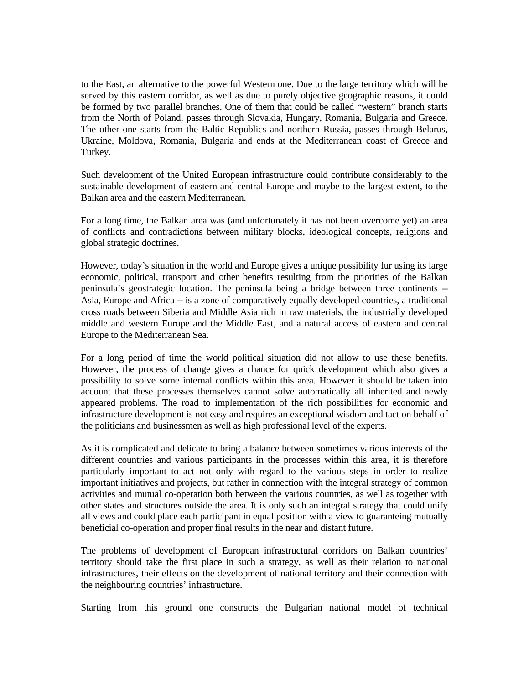to the East, an alternative to the powerful Western one. Due to the large territory which will be served by this eastern corridor, as well as due to purely objective geographic reasons, it could be formed by two parallel branches. One of them that could be called "western" branch starts from the North of Poland, passes through Slovakia, Hungary, Romania, Bulgaria and Greece. The other one starts from the Baltic Republics and northern Russia, passes through Belarus, Ukraine, Moldova, Romania, Bulgaria and ends at the Mediterranean coast of Greece and Turkey.

Such development of the United European infrastructure could contribute considerably to the sustainable development of eastern and central Europe and maybe to the largest extent, to the Balkan area and the eastern Mediterranean.

For a long time, the Balkan area was (and unfortunately it has not been overcome yet) an area of conflicts and contradictions between military blocks, ideological concepts, religions and global strategic doctrines.

However, today's situation in the world and Europe gives a unique possibility fur using its large economic, political, transport and other benefits resulting from the priorities of the Balkan peninsula's geostrategic location. The peninsula being a bridge between three continents — Asia, Europe and Africa ─ is a zone of comparatively equally developed countries, a traditional cross roads between Siberia and Middle Asia rich in raw materials, the industrially developed middle and western Europe and the Middle East, and a natural access of eastern and central Europe to the Mediterranean Sea.

For a long period of time the world political situation did not allow to use these benefits. However, the process of change gives a chance for quick development which also gives a possibility to solve some internal conflicts within this area. However it should be taken into account that these processes themselves cannot solve automatically all inherited and newly appeared problems. The road to implementation of the rich possibilities for economic and infrastructure development is not easy and requires an exceptional wisdom and tact on behalf of the politicians and businessmen as well as high professional level of the experts.

As it is complicated and delicate to bring a balance between sometimes various interests of the different countries and various participants in the processes within this area, it is therefore particularly important to act not only with regard to the various steps in order to realize important initiatives and projects, but rather in connection with the integral strategy of common activities and mutual co-operation both between the various countries, as well as together with other states and structures outside the area. It is only such an integral strategy that could unify all views and could place each participant in equal position with a view to guaranteing mutually beneficial co-operation and proper final results in the near and distant future.

The problems of development of European infrastructural corridors on Balkan countries' territory should take the first place in such a strategy, as well as their relation to national infrastructures, their effects on the development of national territory and their connection with the neighbouring countries' infrastructure.

Starting from this ground one constructs the Bulgarian national model of technical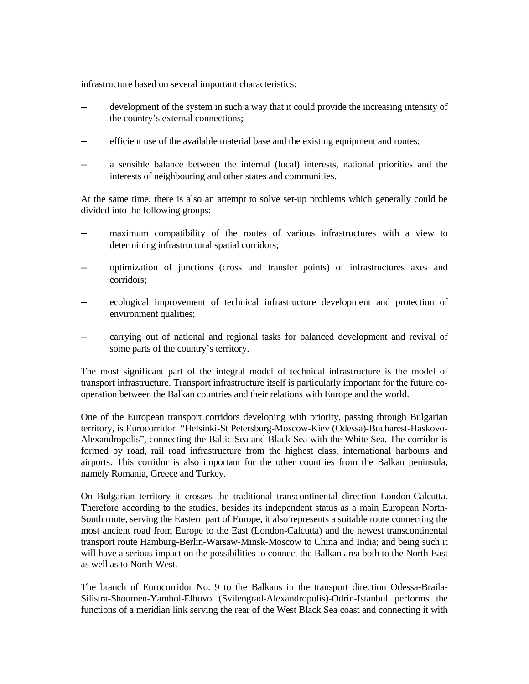infrastructure based on several important characteristics:

- development of the system in such a way that it could provide the increasing intensity of the country's external connections;
- efficient use of the available material base and the existing equipment and routes;
- ─ a sensible balance between the internal (local) interests, national priorities and the interests of neighbouring and other states and communities.

At the same time, there is also an attempt to solve set-up problems which generally could be divided into the following groups:

- maximum compatibility of the routes of various infrastructures with a view to determining infrastructural spatial corridors;
- ─ optimization of junctions (cross and transfer points) of infrastructures axes and corridors;
- ─ ecological improvement of technical infrastructure development and protection of environment qualities;
- carrying out of national and regional tasks for balanced development and revival of some parts of the country's territory.

The most significant part of the integral model of technical infrastructure is the model of transport infrastructure. Transport infrastructure itself is particularly important for the future cooperation between the Balkan countries and their relations with Europe and the world.

One of the European transport corridors developing with priority, passing through Bulgarian territory, is Eurocorridor "Helsinki-St Petersburg-Moscow-Kiev (Odessa)-Bucharest-Haskovo-Alexandropolis", connecting the Baltic Sea and Black Sea with the White Sea. The corridor is formed by road, rail road infrastructure from the highest class, international harbours and airports. This corridor is also important for the other countries from the Balkan peninsula, namely Romania, Greece and Turkey.

On Bulgarian territory it crosses the traditional transcontinental direction London-Calcutta. Therefore according to the studies, besides its independent status as a main European North-South route, serving the Eastern part of Europe, it also represents a suitable route connecting the most ancient road from Europe to the East (London-Calcutta) and the newest transcontinental transport route Hamburg-Berlin-Warsaw-Minsk-Moscow to China and India; and being such it will have a serious impact on the possibilities to connect the Balkan area both to the North-East as well as to North-West.

The branch of Eurocorridor No. 9 to the Balkans in the transport direction Odessa-Braila-Silistra-Shoumen-Yambol-Elhovo (Svilengrad-Alexandropolis)-Odrin-Istanbul performs the functions of a meridian link serving the rear of the West Black Sea coast and connecting it with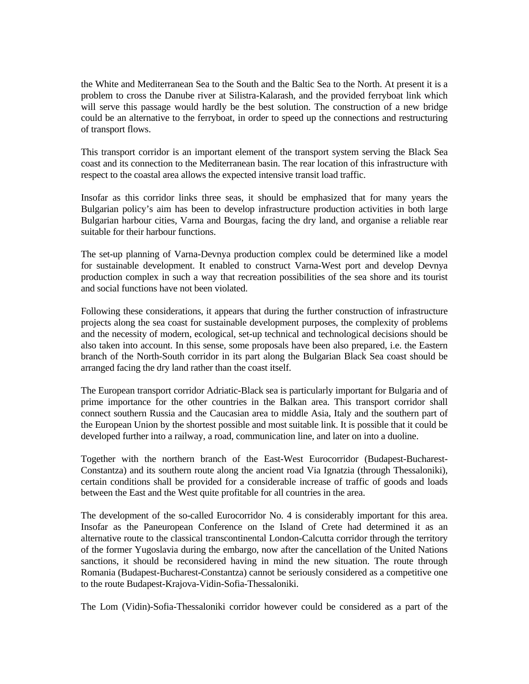the White and Mediterranean Sea to the South and the Baltic Sea to the North. At present it is a problem to cross the Danube river at Silistra-Kalarash, and the provided ferryboat link which will serve this passage would hardly be the best solution. The construction of a new bridge could be an alternative to the ferryboat, in order to speed up the connections and restructuring of transport flows.

This transport corridor is an important element of the transport system serving the Black Sea coast and its connection to the Mediterranean basin. The rear location of this infrastructure with respect to the coastal area allows the expected intensive transit load traffic.

Insofar as this corridor links three seas, it should be emphasized that for many years the Bulgarian policy's aim has been to develop infrastructure production activities in both large Bulgarian harbour cities, Varna and Bourgas, facing the dry land, and organise a reliable rear suitable for their harbour functions.

The set-up planning of Varna-Devnya production complex could be determined like a model for sustainable development. It enabled to construct Varna-West port and develop Devnya production complex in such a way that recreation possibilities of the sea shore and its tourist and social functions have not been violated.

Following these considerations, it appears that during the further construction of infrastructure projects along the sea coast for sustainable development purposes, the complexity of problems and the necessity of modern, ecological, set-up technical and technological decisions should be also taken into account. In this sense, some proposals have been also prepared, i.e. the Eastern branch of the North-South corridor in its part along the Bulgarian Black Sea coast should be arranged facing the dry land rather than the coast itself.

The European transport corridor Adriatic-Black sea is particularly important for Bulgaria and of prime importance for the other countries in the Balkan area. This transport corridor shall connect southern Russia and the Caucasian area to middle Asia, Italy and the southern part of the European Union by the shortest possible and most suitable link. It is possible that it could be developed further into a railway, a road, communication line, and later on into a duoline.

Together with the northern branch of the East-West Eurocorridor (Budapest-Bucharest-Constantza) and its southern route along the ancient road Via Ignatzia (through Thessaloniki), certain conditions shall be provided for a considerable increase of traffic of goods and loads between the East and the West quite profitable for all countries in the area.

The development of the so-called Eurocorridor No. 4 is considerably important for this area. Insofar as the Paneuropean Conference on the Island of Crete had determined it as an alternative route to the classical transcontinental London-Calcutta corridor through the territory of the former Yugoslavia during the embargo, now after the cancellation of the United Nations sanctions, it should be reconsidered having in mind the new situation. The route through Romania (Budapest-Bucharest-Constantza) cannot be seriously considered as a competitive one to the route Budapest-Krajova-Vidin-Sofia-Thessaloniki.

The Lom (Vidin)-Sofia-Thessaloniki corridor however could be considered as a part of the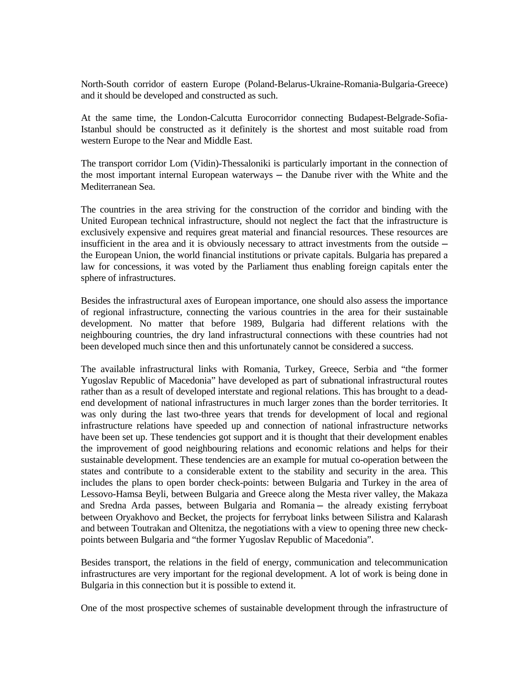North-South corridor of eastern Europe (Poland-Belarus-Ukraine-Romania-Bulgaria-Greece) and it should be developed and constructed as such.

At the same time, the London-Calcutta Eurocorridor connecting Budapest-Belgrade-Sofia-Istanbul should be constructed as it definitely is the shortest and most suitable road from western Europe to the Near and Middle East.

The transport corridor Lom (Vidin)-Thessaloniki is particularly important in the connection of the most important internal European waterways ─ the Danube river with the White and the Mediterranean Sea.

The countries in the area striving for the construction of the corridor and binding with the United European technical infrastructure, should not neglect the fact that the infrastructure is exclusively expensive and requires great material and financial resources. These resources are insufficient in the area and it is obviously necessary to attract investments from the outside  $$ the European Union, the world financial institutions or private capitals. Bulgaria has prepared a law for concessions, it was voted by the Parliament thus enabling foreign capitals enter the sphere of infrastructures.

Besides the infrastructural axes of European importance, one should also assess the importance of regional infrastructure, connecting the various countries in the area for their sustainable development. No matter that before 1989, Bulgaria had different relations with the neighbouring countries, the dry land infrastructural connections with these countries had not been developed much since then and this unfortunately cannot be considered a success.

The available infrastructural links with Romania, Turkey, Greece, Serbia and "the former Yugoslav Republic of Macedonia" have developed as part of subnational infrastructural routes rather than as a result of developed interstate and regional relations. This has brought to a deadend development of national infrastructures in much larger zones than the border territories. It was only during the last two-three years that trends for development of local and regional infrastructure relations have speeded up and connection of national infrastructure networks have been set up. These tendencies got support and it is thought that their development enables the improvement of good neighbouring relations and economic relations and helps for their sustainable development. These tendencies are an example for mutual co-operation between the states and contribute to a considerable extent to the stability and security in the area. This includes the plans to open border check-points: between Bulgaria and Turkey in the area of Lessovo-Hamsa Beyli, between Bulgaria and Greece along the Mesta river valley, the Makaza and Sredna Arda passes, between Bulgaria and Romania ─ the already existing ferryboat between Oryakhovo and Becket, the projects for ferryboat links between Silistra and Kalarash and between Toutrakan and Oltenitza, the negotiations with a view to opening three new checkpoints between Bulgaria and "the former Yugoslav Republic of Macedonia".

Besides transport, the relations in the field of energy, communication and telecommunication infrastructures are very important for the regional development. A lot of work is being done in Bulgaria in this connection but it is possible to extend it.

One of the most prospective schemes of sustainable development through the infrastructure of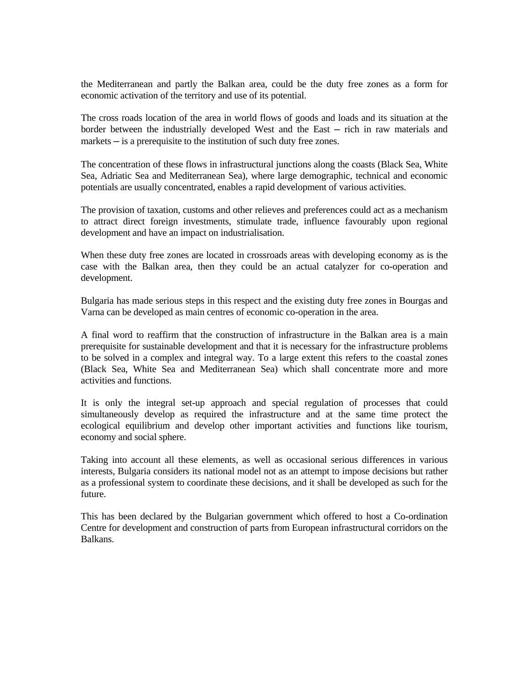the Mediterranean and partly the Balkan area, could be the duty free zones as a form for economic activation of the territory and use of its potential.

The cross roads location of the area in world flows of goods and loads and its situation at the border between the industrially developed West and the East ─ rich in raw materials and markets — is a prerequisite to the institution of such duty free zones.

The concentration of these flows in infrastructural junctions along the coasts (Black Sea, White Sea, Adriatic Sea and Mediterranean Sea), where large demographic, technical and economic potentials are usually concentrated, enables a rapid development of various activities.

The provision of taxation, customs and other relieves and preferences could act as a mechanism to attract direct foreign investments, stimulate trade, influence favourably upon regional development and have an impact on industrialisation.

When these duty free zones are located in crossroads areas with developing economy as is the case with the Balkan area, then they could be an actual catalyzer for co-operation and development.

Bulgaria has made serious steps in this respect and the existing duty free zones in Bourgas and Varna can be developed as main centres of economic co-operation in the area.

A final word to reaffirm that the construction of infrastructure in the Balkan area is a main prerequisite for sustainable development and that it is necessary for the infrastructure problems to be solved in a complex and integral way. To a large extent this refers to the coastal zones (Black Sea, White Sea and Mediterranean Sea) which shall concentrate more and more activities and functions.

It is only the integral set-up approach and special regulation of processes that could simultaneously develop as required the infrastructure and at the same time protect the ecological equilibrium and develop other important activities and functions like tourism, economy and social sphere.

Taking into account all these elements, as well as occasional serious differences in various interests, Bulgaria considers its national model not as an attempt to impose decisions but rather as a professional system to coordinate these decisions, and it shall be developed as such for the future.

This has been declared by the Bulgarian government which offered to host a Co-ordination Centre for development and construction of parts from European infrastructural corridors on the Balkans.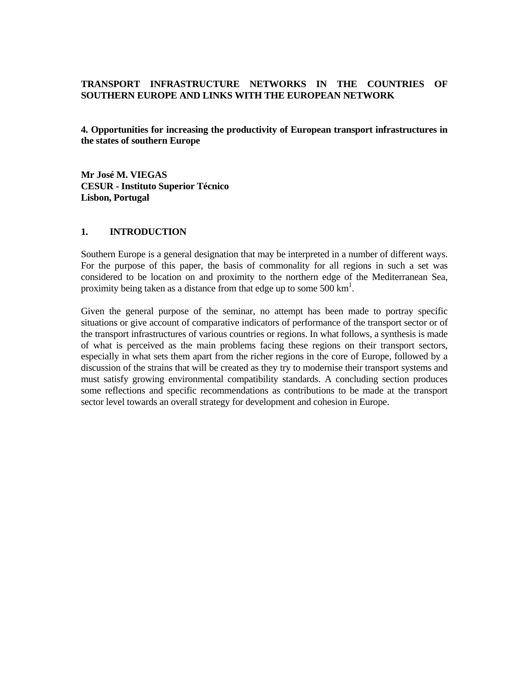# **TRANSPORT INFRASTRUCTURE NETWORKS IN THE COUNTRIES OF SOUTHERN EUROPE AND LINKS WITH THE EUROPEAN NETWORK**

**4. Opportunities for increasing the productivity of European transport infrastructures in the states of southern Europe**

**Mr José M. VIEGAS CESUR - Instituto Superior Técnico Lisbon, Portugal** 

#### **1. INTRODUCTION**

Southern Europe is a general designation that may be interpreted in a number of different ways. For the purpose of this paper, the basis of commonality for all regions in such a set was considered to be location on and proximity to the northern edge of the Mediterranean Sea, proximity being taken as a distance from that edge up to some  $500 \text{ km}^1$ .

Given the general purpose of the seminar, no attempt has been made to portray specific situations or give account of comparative indicators of performance of the transport sector or of the transport infrastructures of various countries or regions. In what follows, a synthesis is made of what is perceived as the main problems facing these regions on their transport sectors, especially in what sets them apart from the richer regions in the core of Europe, followed by a discussion of the strains that will be created as they try to modernise their transport systems and must satisfy growing environmental compatibility standards. A concluding section produces some reflections and specific recommendations as contributions to be made at the transport sector level towards an overall strategy for development and cohesion in Europe.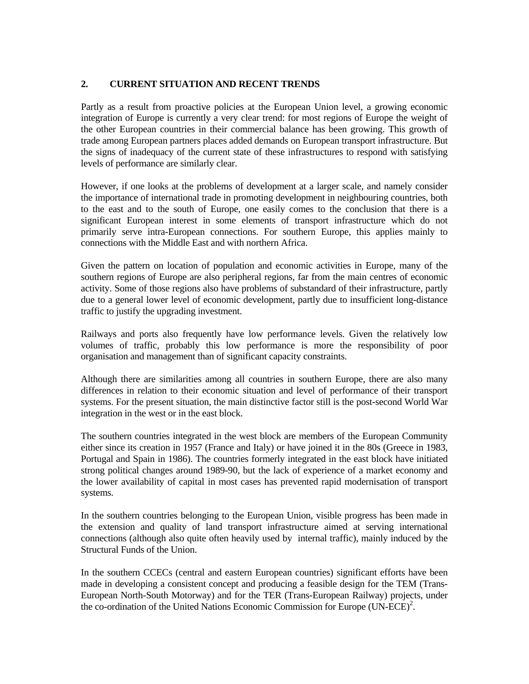# **2. CURRENT SITUATION AND RECENT TRENDS**

Partly as a result from proactive policies at the European Union level, a growing economic integration of Europe is currently a very clear trend: for most regions of Europe the weight of the other European countries in their commercial balance has been growing. This growth of trade among European partners places added demands on European transport infrastructure. But the signs of inadequacy of the current state of these infrastructures to respond with satisfying levels of performance are similarly clear.

However, if one looks at the problems of development at a larger scale, and namely consider the importance of international trade in promoting development in neighbouring countries, both to the east and to the south of Europe, one easily comes to the conclusion that there is a significant European interest in some elements of transport infrastructure which do not primarily serve intra-European connections. For southern Europe, this applies mainly to connections with the Middle East and with northern Africa.

Given the pattern on location of population and economic activities in Europe, many of the southern regions of Europe are also peripheral regions, far from the main centres of economic activity. Some of those regions also have problems of substandard of their infrastructure, partly due to a general lower level of economic development, partly due to insufficient long-distance traffic to justify the upgrading investment.

Railways and ports also frequently have low performance levels. Given the relatively low volumes of traffic, probably this low performance is more the responsibility of poor organisation and management than of significant capacity constraints.

Although there are similarities among all countries in southern Europe, there are also many differences in relation to their economic situation and level of performance of their transport systems. For the present situation, the main distinctive factor still is the post-second World War integration in the west or in the east block.

The southern countries integrated in the west block are members of the European Community either since its creation in 1957 (France and Italy) or have joined it in the 80s (Greece in 1983, Portugal and Spain in 1986). The countries formerly integrated in the east block have initiated strong political changes around 1989-90, but the lack of experience of a market economy and the lower availability of capital in most cases has prevented rapid modernisation of transport systems.

In the southern countries belonging to the European Union, visible progress has been made in the extension and quality of land transport infrastructure aimed at serving international connections (although also quite often heavily used by internal traffic), mainly induced by the Structural Funds of the Union.

In the southern CCECs (central and eastern European countries) significant efforts have been made in developing a consistent concept and producing a feasible design for the TEM (Trans-European North-South Motorway) and for the TER (Trans-European Railway) projects, under the co-ordination of the United Nations Economic Commission for Europe  $(UN-ECE)^2$ .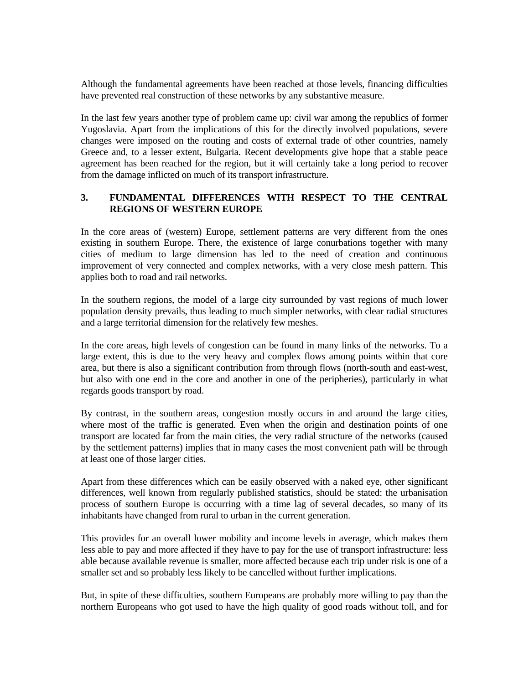Although the fundamental agreements have been reached at those levels, financing difficulties have prevented real construction of these networks by any substantive measure.

In the last few years another type of problem came up: civil war among the republics of former Yugoslavia. Apart from the implications of this for the directly involved populations, severe changes were imposed on the routing and costs of external trade of other countries, namely Greece and, to a lesser extent, Bulgaria. Recent developments give hope that a stable peace agreement has been reached for the region, but it will certainly take a long period to recover from the damage inflicted on much of its transport infrastructure.

# **3. FUNDAMENTAL DIFFERENCES WITH RESPECT TO THE CENTRAL REGIONS OF WESTERN EUROPE**

In the core areas of (western) Europe, settlement patterns are very different from the ones existing in southern Europe. There, the existence of large conurbations together with many cities of medium to large dimension has led to the need of creation and continuous improvement of very connected and complex networks, with a very close mesh pattern. This applies both to road and rail networks.

In the southern regions, the model of a large city surrounded by vast regions of much lower population density prevails, thus leading to much simpler networks, with clear radial structures and a large territorial dimension for the relatively few meshes.

In the core areas, high levels of congestion can be found in many links of the networks. To a large extent, this is due to the very heavy and complex flows among points within that core area, but there is also a significant contribution from through flows (north-south and east-west, but also with one end in the core and another in one of the peripheries), particularly in what regards goods transport by road.

By contrast, in the southern areas, congestion mostly occurs in and around the large cities, where most of the traffic is generated. Even when the origin and destination points of one transport are located far from the main cities, the very radial structure of the networks (caused by the settlement patterns) implies that in many cases the most convenient path will be through at least one of those larger cities.

Apart from these differences which can be easily observed with a naked eye, other significant differences, well known from regularly published statistics, should be stated: the urbanisation process of southern Europe is occurring with a time lag of several decades, so many of its inhabitants have changed from rural to urban in the current generation.

This provides for an overall lower mobility and income levels in average, which makes them less able to pay and more affected if they have to pay for the use of transport infrastructure: less able because available revenue is smaller, more affected because each trip under risk is one of a smaller set and so probably less likely to be cancelled without further implications.

But, in spite of these difficulties, southern Europeans are probably more willing to pay than the northern Europeans who got used to have the high quality of good roads without toll, and for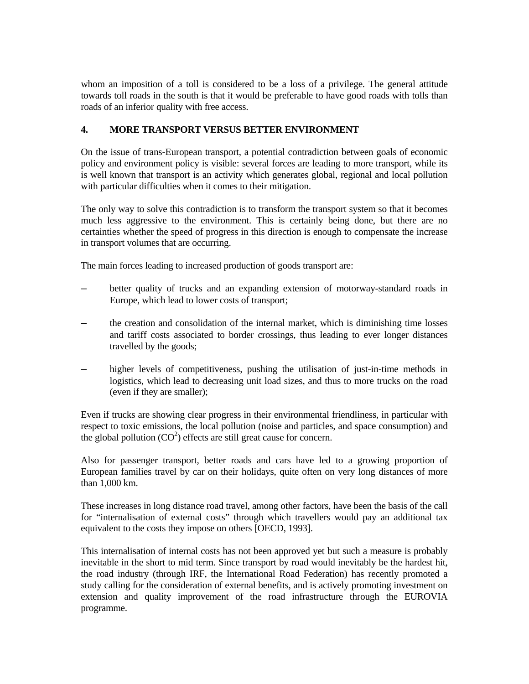whom an imposition of a toll is considered to be a loss of a privilege. The general attitude towards toll roads in the south is that it would be preferable to have good roads with tolls than roads of an inferior quality with free access.

# **4. MORE TRANSPORT VERSUS BETTER ENVIRONMENT**

On the issue of trans-European transport, a potential contradiction between goals of economic policy and environment policy is visible: several forces are leading to more transport, while its is well known that transport is an activity which generates global, regional and local pollution with particular difficulties when it comes to their mitigation.

The only way to solve this contradiction is to transform the transport system so that it becomes much less aggressive to the environment. This is certainly being done, but there are no certainties whether the speed of progress in this direction is enough to compensate the increase in transport volumes that are occurring.

The main forces leading to increased production of goods transport are:

- better quality of trucks and an expanding extension of motorway-standard roads in Europe, which lead to lower costs of transport;
- the creation and consolidation of the internal market, which is diminishing time losses and tariff costs associated to border crossings, thus leading to ever longer distances travelled by the goods;
- higher levels of competitiveness, pushing the utilisation of just-in-time methods in logistics, which lead to decreasing unit load sizes, and thus to more trucks on the road (even if they are smaller);

Even if trucks are showing clear progress in their environmental friendliness, in particular with respect to toxic emissions, the local pollution (noise and particles, and space consumption) and the global pollution  $(CO<sup>2</sup>)$  effects are still great cause for concern.

Also for passenger transport, better roads and cars have led to a growing proportion of European families travel by car on their holidays, quite often on very long distances of more than 1,000 km.

These increases in long distance road travel, among other factors, have been the basis of the call for "internalisation of external costs" through which travellers would pay an additional tax equivalent to the costs they impose on others [OECD, 1993].

This internalisation of internal costs has not been approved yet but such a measure is probably inevitable in the short to mid term. Since transport by road would inevitably be the hardest hit, the road industry (through IRF, the International Road Federation) has recently promoted a study calling for the consideration of external benefits, and is actively promoting investment on extension and quality improvement of the road infrastructure through the EUROVIA programme.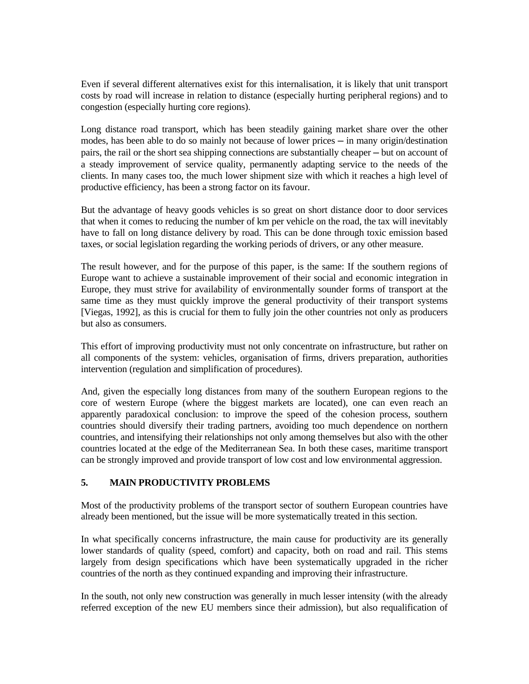Even if several different alternatives exist for this internalisation, it is likely that unit transport costs by road will increase in relation to distance (especially hurting peripheral regions) and to congestion (especially hurting core regions).

Long distance road transport, which has been steadily gaining market share over the other modes, has been able to do so mainly not because of lower prices — in many origin/destination pairs, the rail or the short sea shipping connections are substantially cheaper — but on account of a steady improvement of service quality, permanently adapting service to the needs of the clients. In many cases too, the much lower shipment size with which it reaches a high level of productive efficiency, has been a strong factor on its favour.

But the advantage of heavy goods vehicles is so great on short distance door to door services that when it comes to reducing the number of km per vehicle on the road, the tax will inevitably have to fall on long distance delivery by road. This can be done through toxic emission based taxes, or social legislation regarding the working periods of drivers, or any other measure.

The result however, and for the purpose of this paper, is the same: If the southern regions of Europe want to achieve a sustainable improvement of their social and economic integration in Europe, they must strive for availability of environmentally sounder forms of transport at the same time as they must quickly improve the general productivity of their transport systems [Viegas, 1992], as this is crucial for them to fully join the other countries not only as producers but also as consumers.

This effort of improving productivity must not only concentrate on infrastructure, but rather on all components of the system: vehicles, organisation of firms, drivers preparation, authorities intervention (regulation and simplification of procedures).

And, given the especially long distances from many of the southern European regions to the core of western Europe (where the biggest markets are located), one can even reach an apparently paradoxical conclusion: to improve the speed of the cohesion process, southern countries should diversify their trading partners, avoiding too much dependence on northern countries, and intensifying their relationships not only among themselves but also with the other countries located at the edge of the Mediterranean Sea. In both these cases, maritime transport can be strongly improved and provide transport of low cost and low environmental aggression.

# **5. MAIN PRODUCTIVITY PROBLEMS**

Most of the productivity problems of the transport sector of southern European countries have already been mentioned, but the issue will be more systematically treated in this section.

In what specifically concerns infrastructure, the main cause for productivity are its generally lower standards of quality (speed, comfort) and capacity, both on road and rail. This stems largely from design specifications which have been systematically upgraded in the richer countries of the north as they continued expanding and improving their infrastructure.

In the south, not only new construction was generally in much lesser intensity (with the already referred exception of the new EU members since their admission), but also requalification of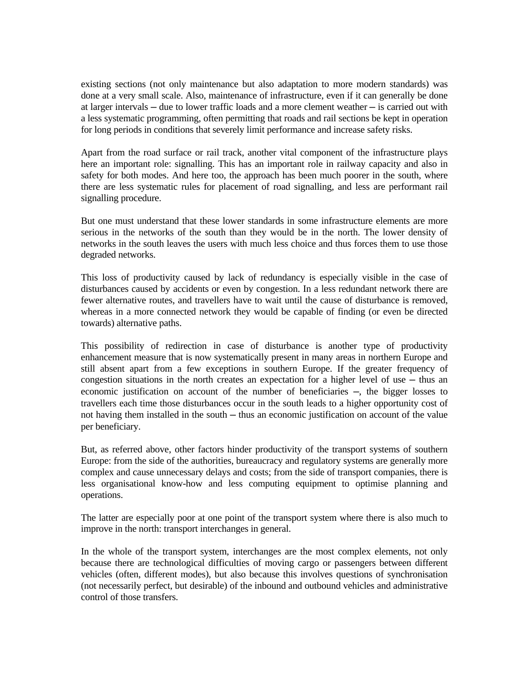existing sections (not only maintenance but also adaptation to more modern standards) was done at a very small scale. Also, maintenance of infrastructure, even if it can generally be done at larger intervals ─ due to lower traffic loads and a more clement weather ─ is carried out with a less systematic programming, often permitting that roads and rail sections be kept in operation for long periods in conditions that severely limit performance and increase safety risks.

Apart from the road surface or rail track, another vital component of the infrastructure plays here an important role: signalling. This has an important role in railway capacity and also in safety for both modes. And here too, the approach has been much poorer in the south, where there are less systematic rules for placement of road signalling, and less are performant rail signalling procedure.

But one must understand that these lower standards in some infrastructure elements are more serious in the networks of the south than they would be in the north. The lower density of networks in the south leaves the users with much less choice and thus forces them to use those degraded networks.

This loss of productivity caused by lack of redundancy is especially visible in the case of disturbances caused by accidents or even by congestion. In a less redundant network there are fewer alternative routes, and travellers have to wait until the cause of disturbance is removed, whereas in a more connected network they would be capable of finding (or even be directed towards) alternative paths.

This possibility of redirection in case of disturbance is another type of productivity enhancement measure that is now systematically present in many areas in northern Europe and still absent apart from a few exceptions in southern Europe. If the greater frequency of congestion situations in the north creates an expectation for a higher level of use  $-$  thus an economic justification on account of the number of beneficiaries ─, the bigger losses to travellers each time those disturbances occur in the south leads to a higher opportunity cost of not having them installed in the south — thus an economic justification on account of the value per beneficiary.

But, as referred above, other factors hinder productivity of the transport systems of southern Europe: from the side of the authorities, bureaucracy and regulatory systems are generally more complex and cause unnecessary delays and costs; from the side of transport companies, there is less organisational know-how and less computing equipment to optimise planning and operations.

The latter are especially poor at one point of the transport system where there is also much to improve in the north: transport interchanges in general.

In the whole of the transport system, interchanges are the most complex elements, not only because there are technological difficulties of moving cargo or passengers between different vehicles (often, different modes), but also because this involves questions of synchronisation (not necessarily perfect, but desirable) of the inbound and outbound vehicles and administrative control of those transfers.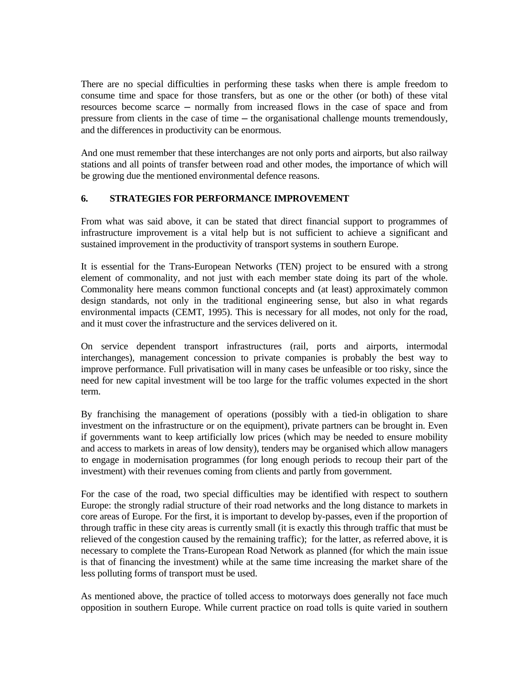There are no special difficulties in performing these tasks when there is ample freedom to consume time and space for those transfers, but as one or the other (or both) of these vital resources become scarce ─ normally from increased flows in the case of space and from pressure from clients in the case of time — the organisational challenge mounts tremendously, and the differences in productivity can be enormous.

And one must remember that these interchanges are not only ports and airports, but also railway stations and all points of transfer between road and other modes, the importance of which will be growing due the mentioned environmental defence reasons.

# **6. STRATEGIES FOR PERFORMANCE IMPROVEMENT**

From what was said above, it can be stated that direct financial support to programmes of infrastructure improvement is a vital help but is not sufficient to achieve a significant and sustained improvement in the productivity of transport systems in southern Europe.

It is essential for the Trans-European Networks (TEN) project to be ensured with a strong element of commonality, and not just with each member state doing its part of the whole. Commonality here means common functional concepts and (at least) approximately common design standards, not only in the traditional engineering sense, but also in what regards environmental impacts (CEMT, 1995). This is necessary for all modes, not only for the road, and it must cover the infrastructure and the services delivered on it.

On service dependent transport infrastructures (rail, ports and airports, intermodal interchanges), management concession to private companies is probably the best way to improve performance. Full privatisation will in many cases be unfeasible or too risky, since the need for new capital investment will be too large for the traffic volumes expected in the short term.

By franchising the management of operations (possibly with a tied-in obligation to share investment on the infrastructure or on the equipment), private partners can be brought in. Even if governments want to keep artificially low prices (which may be needed to ensure mobility and access to markets in areas of low density), tenders may be organised which allow managers to engage in modernisation programmes (for long enough periods to recoup their part of the investment) with their revenues coming from clients and partly from government.

For the case of the road, two special difficulties may be identified with respect to southern Europe: the strongly radial structure of their road networks and the long distance to markets in core areas of Europe. For the first, it is important to develop by-passes, even if the proportion of through traffic in these city areas is currently small (it is exactly this through traffic that must be relieved of the congestion caused by the remaining traffic); for the latter, as referred above, it is necessary to complete the Trans-European Road Network as planned (for which the main issue is that of financing the investment) while at the same time increasing the market share of the less polluting forms of transport must be used.

As mentioned above, the practice of tolled access to motorways does generally not face much opposition in southern Europe. While current practice on road tolls is quite varied in southern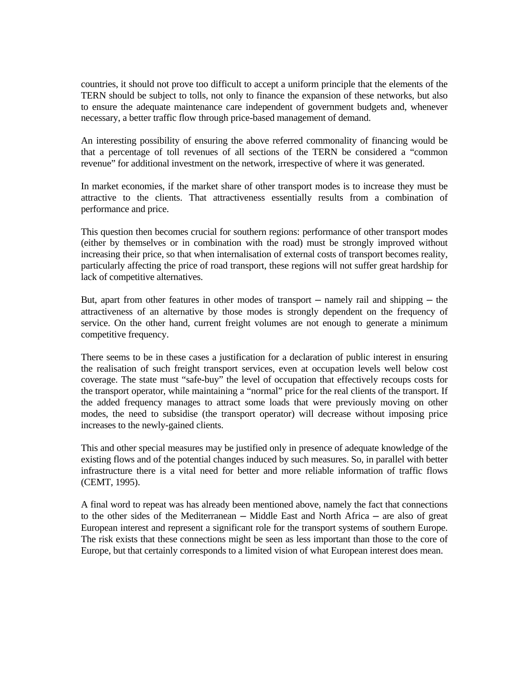countries, it should not prove too difficult to accept a uniform principle that the elements of the TERN should be subject to tolls, not only to finance the expansion of these networks, but also to ensure the adequate maintenance care independent of government budgets and, whenever necessary, a better traffic flow through price-based management of demand.

An interesting possibility of ensuring the above referred commonality of financing would be that a percentage of toll revenues of all sections of the TERN be considered a "common revenue" for additional investment on the network, irrespective of where it was generated.

In market economies, if the market share of other transport modes is to increase they must be attractive to the clients. That attractiveness essentially results from a combination of performance and price.

This question then becomes crucial for southern regions: performance of other transport modes (either by themselves or in combination with the road) must be strongly improved without increasing their price, so that when internalisation of external costs of transport becomes reality, particularly affecting the price of road transport, these regions will not suffer great hardship for lack of competitive alternatives.

But, apart from other features in other modes of transport  $-$  namely rail and shipping  $-$  the attractiveness of an alternative by those modes is strongly dependent on the frequency of service. On the other hand, current freight volumes are not enough to generate a minimum competitive frequency.

There seems to be in these cases a justification for a declaration of public interest in ensuring the realisation of such freight transport services, even at occupation levels well below cost coverage. The state must "safe-buy" the level of occupation that effectively recoups costs for the transport operator, while maintaining a "normal" price for the real clients of the transport. If the added frequency manages to attract some loads that were previously moving on other modes, the need to subsidise (the transport operator) will decrease without imposing price increases to the newly-gained clients.

This and other special measures may be justified only in presence of adequate knowledge of the existing flows and of the potential changes induced by such measures. So, in parallel with better infrastructure there is a vital need for better and more reliable information of traffic flows (CEMT, 1995).

A final word to repeat was has already been mentioned above, namely the fact that connections to the other sides of the Mediterranean — Middle East and North Africa — are also of great European interest and represent a significant role for the transport systems of southern Europe. The risk exists that these connections might be seen as less important than those to the core of Europe, but that certainly corresponds to a limited vision of what European interest does mean.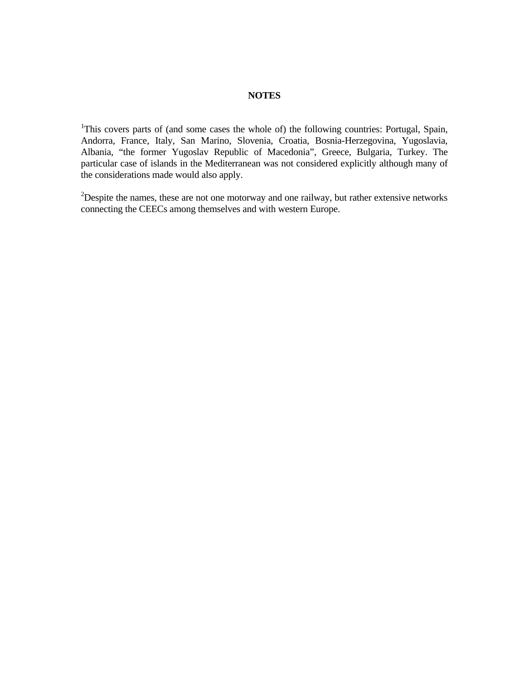## **NOTES**

<sup>1</sup>This covers parts of (and some cases the whole of) the following countries: Portugal, Spain, Andorra, France, Italy, San Marino, Slovenia, Croatia, Bosnia-Herzegovina, Yugoslavia, Albania, "the former Yugoslav Republic of Macedonia", Greece, Bulgaria, Turkey. The particular case of islands in the Mediterranean was not considered explicitly although many of the considerations made would also apply.

 $2$ Despite the names, these are not one motorway and one railway, but rather extensive networks connecting the CEECs among themselves and with western Europe.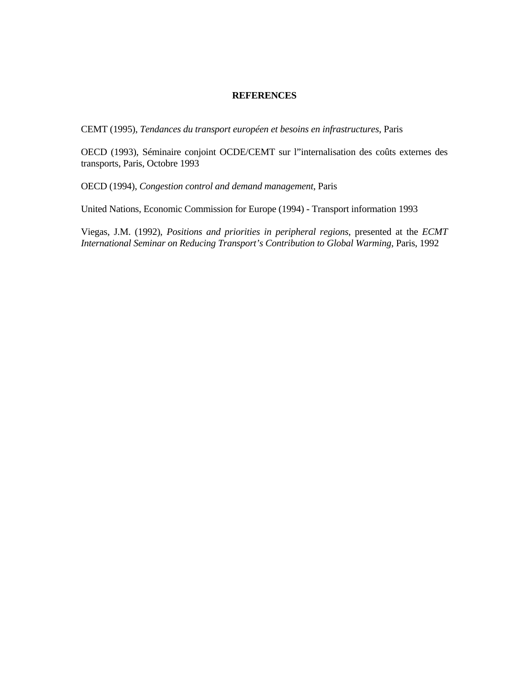## **REFERENCES**

CEMT (1995), *Tendances du transport européen et besoins en infrastructures*, Paris

OECD (1993), Séminaire conjoint OCDE/CEMT sur l"internalisation des coûts externes des transports, Paris, Octobre 1993

OECD (1994), *Congestion control and demand management*, Paris

United Nations, Economic Commission for Europe (1994) - Transport information 1993

Viegas, J.M. (1992), *Positions and priorities in peripheral regions*, presented at the *ECMT International Seminar on Reducing Transport's Contribution to Global Warming*, Paris, 1992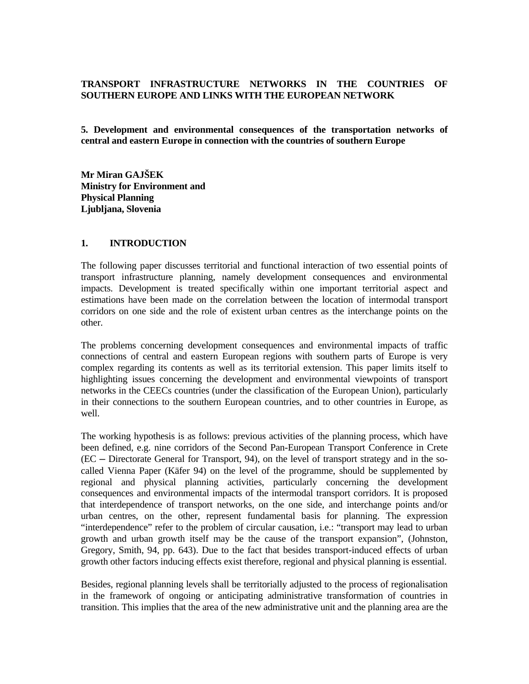## **TRANSPORT INFRASTRUCTURE NETWORKS IN THE COUNTRIES OF SOUTHERN EUROPE AND LINKS WITH THE EUROPEAN NETWORK**

**5. Development and environmental consequences of the transportation networks of central and eastern Europe in connection with the countries of southern Europe** 

**Mr Miran GAJŠEK Ministry for Environment and Physical Planning Ljubljana, Slovenia** 

#### **1. INTRODUCTION**

The following paper discusses territorial and functional interaction of two essential points of transport infrastructure planning, namely development consequences and environmental impacts. Development is treated specifically within one important territorial aspect and estimations have been made on the correlation between the location of intermodal transport corridors on one side and the role of existent urban centres as the interchange points on the other.

The problems concerning development consequences and environmental impacts of traffic connections of central and eastern European regions with southern parts of Europe is very complex regarding its contents as well as its territorial extension. This paper limits itself to highlighting issues concerning the development and environmental viewpoints of transport networks in the CEECs countries (under the classification of the European Union), particularly in their connections to the southern European countries, and to other countries in Europe, as well.

The working hypothesis is as follows: previous activities of the planning process, which have been defined, e.g. nine corridors of the Second Pan-European Transport Conference in Crete (EC ─ Directorate General for Transport, 94), on the level of transport strategy and in the socalled Vienna Paper (Käfer 94) on the level of the programme, should be supplemented by regional and physical planning activities, particularly concerning the development consequences and environmental impacts of the intermodal transport corridors. It is proposed that interdependence of transport networks, on the one side, and interchange points and/or urban centres, on the other, represent fundamental basis for planning. The expression "interdependence" refer to the problem of circular causation, i.e.: "transport may lead to urban growth and urban growth itself may be the cause of the transport expansion", (Johnston, Gregory, Smith, 94, pp. 643). Due to the fact that besides transport-induced effects of urban growth other factors inducing effects exist therefore, regional and physical planning is essential.

Besides, regional planning levels shall be territorially adjusted to the process of regionalisation in the framework of ongoing or anticipating administrative transformation of countries in transition. This implies that the area of the new administrative unit and the planning area are the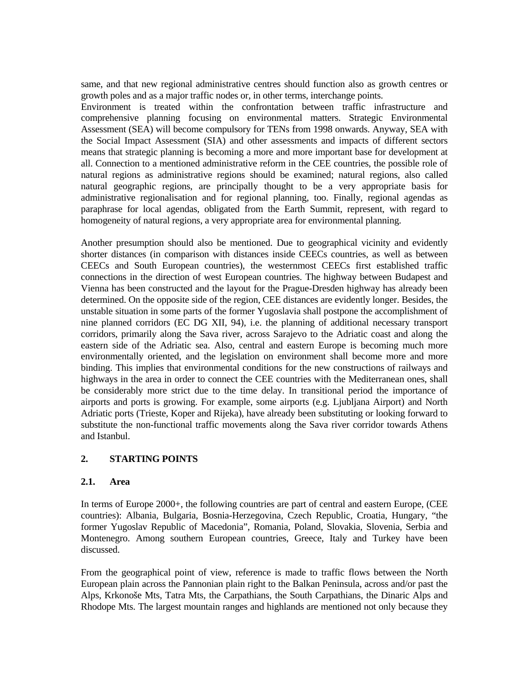same, and that new regional administrative centres should function also as growth centres or growth poles and as a major traffic nodes or, in other terms, interchange points.

Environment is treated within the confrontation between traffic infrastructure and comprehensive planning focusing on environmental matters. Strategic Environmental Assessment (SEA) will become compulsory for TENs from 1998 onwards. Anyway, SEA with the Social Impact Assessment (SIA) and other assessments and impacts of different sectors means that strategic planning is becoming a more and more important base for development at all. Connection to a mentioned administrative reform in the CEE countries, the possible role of natural regions as administrative regions should be examined; natural regions, also called natural geographic regions, are principally thought to be a very appropriate basis for administrative regionalisation and for regional planning, too. Finally, regional agendas as paraphrase for local agendas, obligated from the Earth Summit, represent, with regard to homogeneity of natural regions, a very appropriate area for environmental planning.

Another presumption should also be mentioned. Due to geographical vicinity and evidently shorter distances (in comparison with distances inside CEECs countries, as well as between CEECs and South European countries), the westernmost CEECs first established traffic connections in the direction of west European countries. The highway between Budapest and Vienna has been constructed and the layout for the Prague-Dresden highway has already been determined. On the opposite side of the region, CEE distances are evidently longer. Besides, the unstable situation in some parts of the former Yugoslavia shall postpone the accomplishment of nine planned corridors (EC DG XII, 94), i.e. the planning of additional necessary transport corridors, primarily along the Sava river, across Sarajevo to the Adriatic coast and along the eastern side of the Adriatic sea. Also, central and eastern Europe is becoming much more environmentally oriented, and the legislation on environment shall become more and more binding. This implies that environmental conditions for the new constructions of railways and highways in the area in order to connect the CEE countries with the Mediterranean ones, shall be considerably more strict due to the time delay. In transitional period the importance of airports and ports is growing. For example, some airports (e.g. Ljubljana Airport) and North Adriatic ports (Trieste, Koper and Rijeka), have already been substituting or looking forward to substitute the non-functional traffic movements along the Sava river corridor towards Athens and Istanbul.

# **2. STARTING POINTS**

#### **2.1. Area**

In terms of Europe 2000+, the following countries are part of central and eastern Europe, (CEE countries): Albania, Bulgaria, Bosnia-Herzegovina, Czech Republic, Croatia, Hungary, "the former Yugoslav Republic of Macedonia", Romania, Poland, Slovakia, Slovenia, Serbia and Montenegro. Among southern European countries, Greece, Italy and Turkey have been discussed.

From the geographical point of view, reference is made to traffic flows between the North European plain across the Pannonian plain right to the Balkan Peninsula, across and/or past the Alps, Krkonoše Mts, Tatra Mts, the Carpathians, the South Carpathians, the Dinaric Alps and Rhodope Mts. The largest mountain ranges and highlands are mentioned not only because they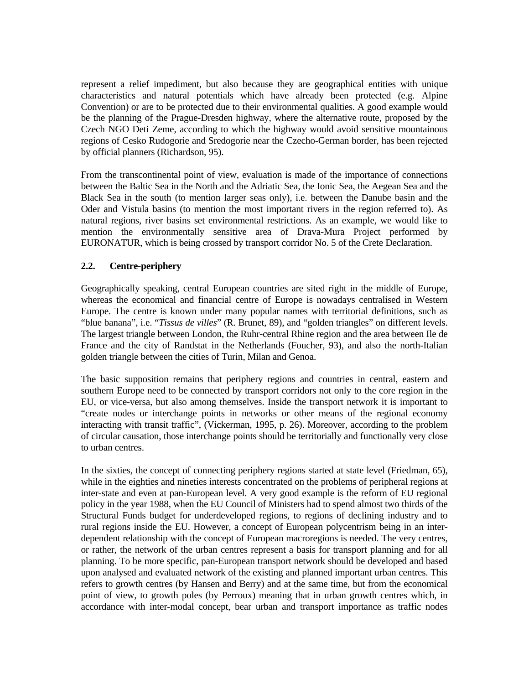represent a relief impediment, but also because they are geographical entities with unique characteristics and natural potentials which have already been protected (e.g. Alpine Convention) or are to be protected due to their environmental qualities. A good example would be the planning of the Prague-Dresden highway, where the alternative route, proposed by the Czech NGO Deti Zeme, according to which the highway would avoid sensitive mountainous regions of Cesko Rudogorie and Sredogorie near the Czecho-German border, has been rejected by official planners (Richardson, 95).

From the transcontinental point of view, evaluation is made of the importance of connections between the Baltic Sea in the North and the Adriatic Sea, the Ionic Sea, the Aegean Sea and the Black Sea in the south (to mention larger seas only), i.e. between the Danube basin and the Oder and Vistula basins (to mention the most important rivers in the region referred to). As natural regions, river basins set environmental restrictions. As an example, we would like to mention the environmentally sensitive area of Drava-Mura Project performed by EURONATUR, which is being crossed by transport corridor No. 5 of the Crete Declaration.

# **2.2. Centre-periphery**

Geographically speaking, central European countries are sited right in the middle of Europe, whereas the economical and financial centre of Europe is nowadays centralised in Western Europe. The centre is known under many popular names with territorial definitions, such as "blue banana", i.e. "*Tissus de villes*" (R. Brunet, 89), and "golden triangles" on different levels. The largest triangle between London, the Ruhr-central Rhine region and the area between Ile de France and the city of Randstat in the Netherlands (Foucher, 93), and also the north-Italian golden triangle between the cities of Turin, Milan and Genoa.

The basic supposition remains that periphery regions and countries in central, eastern and southern Europe need to be connected by transport corridors not only to the core region in the EU, or vice-versa, but also among themselves. Inside the transport network it is important to "create nodes or interchange points in networks or other means of the regional economy interacting with transit traffic", (Vickerman, 1995, p. 26). Moreover, according to the problem of circular causation, those interchange points should be territorially and functionally very close to urban centres.

In the sixties, the concept of connecting periphery regions started at state level (Friedman, 65), while in the eighties and nineties interests concentrated on the problems of peripheral regions at inter-state and even at pan-European level. A very good example is the reform of EU regional policy in the year 1988, when the EU Council of Ministers had to spend almost two thirds of the Structural Funds budget for underdeveloped regions, to regions of declining industry and to rural regions inside the EU. However, a concept of European polycentrism being in an interdependent relationship with the concept of European macroregions is needed. The very centres, or rather, the network of the urban centres represent a basis for transport planning and for all planning. To be more specific, pan-European transport network should be developed and based upon analysed and evaluated network of the existing and planned important urban centres. This refers to growth centres (by Hansen and Berry) and at the same time, but from the economical point of view, to growth poles (by Perroux) meaning that in urban growth centres which, in accordance with inter-modal concept, bear urban and transport importance as traffic nodes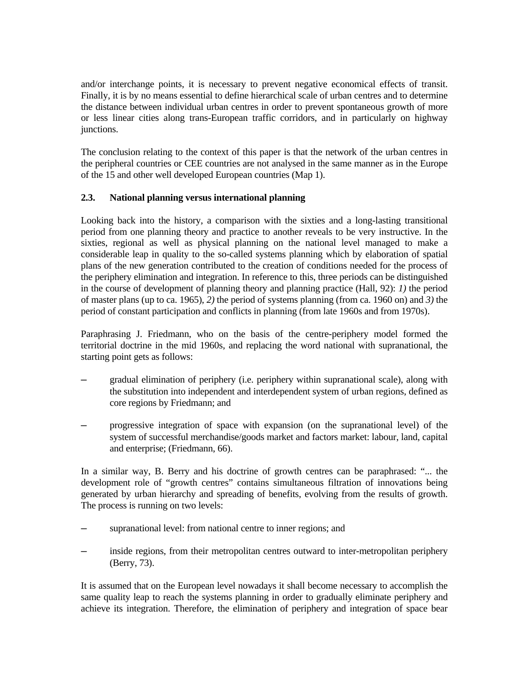and/or interchange points, it is necessary to prevent negative economical effects of transit. Finally, it is by no means essential to define hierarchical scale of urban centres and to determine the distance between individual urban centres in order to prevent spontaneous growth of more or less linear cities along trans-European traffic corridors, and in particularly on highway junctions.

The conclusion relating to the context of this paper is that the network of the urban centres in the peripheral countries or CEE countries are not analysed in the same manner as in the Europe of the 15 and other well developed European countries (Map 1).

# **2.3. National planning versus international planning**

Looking back into the history, a comparison with the sixties and a long-lasting transitional period from one planning theory and practice to another reveals to be very instructive. In the sixties, regional as well as physical planning on the national level managed to make a considerable leap in quality to the so-called systems planning which by elaboration of spatial plans of the new generation contributed to the creation of conditions needed for the process of the periphery elimination and integration. In reference to this, three periods can be distinguished in the course of development of planning theory and planning practice (Hall, 92): *1)* the period of master plans (up to ca. 1965), *2)* the period of systems planning (from ca. 1960 on) and *3)* the period of constant participation and conflicts in planning (from late 1960s and from 1970s).

Paraphrasing J. Friedmann, who on the basis of the centre-periphery model formed the territorial doctrine in the mid 1960s, and replacing the word national with supranational, the starting point gets as follows:

- gradual elimination of periphery (i.e. periphery within supranational scale), along with the substitution into independent and interdependent system of urban regions, defined as core regions by Friedmann; and
- ─ progressive integration of space with expansion (on the supranational level) of the system of successful merchandise/goods market and factors market: labour, land, capital and enterprise; (Friedmann, 66).

In a similar way, B. Berry and his doctrine of growth centres can be paraphrased: "... the development role of "growth centres" contains simultaneous filtration of innovations being generated by urban hierarchy and spreading of benefits, evolving from the results of growth. The process is running on two levels:

- supranational level: from national centre to inner regions; and
- inside regions, from their metropolitan centres outward to inter-metropolitan periphery (Berry, 73).

It is assumed that on the European level nowadays it shall become necessary to accomplish the same quality leap to reach the systems planning in order to gradually eliminate periphery and achieve its integration. Therefore, the elimination of periphery and integration of space bear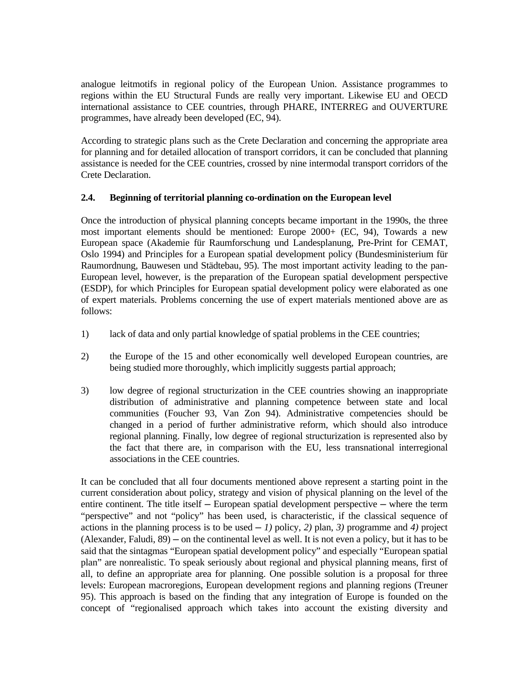analogue leitmotifs in regional policy of the European Union. Assistance programmes to regions within the EU Structural Funds are really very important. Likewise EU and OECD international assistance to CEE countries, through PHARE, INTERREG and OUVERTURE programmes, have already been developed (EC, 94).

According to strategic plans such as the Crete Declaration and concerning the appropriate area for planning and for detailed allocation of transport corridors, it can be concluded that planning assistance is needed for the CEE countries, crossed by nine intermodal transport corridors of the Crete Declaration.

## **2.4. Beginning of territorial planning co-ordination on the European level**

Once the introduction of physical planning concepts became important in the 1990s, the three most important elements should be mentioned: Europe 2000+ (EC, 94), Towards a new European space (Akademie für Raumforschung und Landesplanung, Pre-Print for CEMAT, Oslo 1994) and Principles for a European spatial development policy (Bundesministerium für Raumordnung, Bauwesen und Städtebau, 95). The most important activity leading to the pan-European level, however, is the preparation of the European spatial development perspective (ESDP), for which Principles for European spatial development policy were elaborated as one of expert materials. Problems concerning the use of expert materials mentioned above are as follows:

- 1) lack of data and only partial knowledge of spatial problems in the CEE countries;
- 2) the Europe of the 15 and other economically well developed European countries, are being studied more thoroughly, which implicitly suggests partial approach;
- 3) low degree of regional structurization in the CEE countries showing an inappropriate distribution of administrative and planning competence between state and local communities (Foucher 93, Van Zon 94). Administrative competencies should be changed in a period of further administrative reform, which should also introduce regional planning. Finally, low degree of regional structurization is represented also by the fact that there are, in comparison with the EU, less transnational interregional associations in the CEE countries.

It can be concluded that all four documents mentioned above represent a starting point in the current consideration about policy, strategy and vision of physical planning on the level of the entire continent. The title itself — European spatial development perspective — where the term "perspective" and not "policy" has been used, is characteristic, if the classical sequence of actions in the planning process is to be used  $-1$ ) policy, 2) plan, 3) programme and 4) project  $(Alexander, Faludi, 89)$   $-$  on the continental level as well. It is not even a policy, but it has to be said that the sintagmas "European spatial development policy" and especially "European spatial plan" are nonrealistic. To speak seriously about regional and physical planning means, first of all, to define an appropriate area for planning. One possible solution is a proposal for three levels: European macroregions, European development regions and planning regions (Treuner 95). This approach is based on the finding that any integration of Europe is founded on the concept of "regionalised approach which takes into account the existing diversity and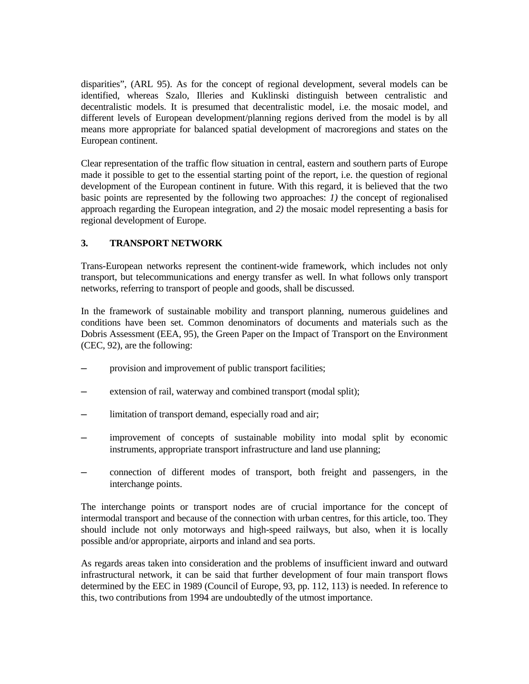disparities", (ARL 95). As for the concept of regional development, several models can be identified, whereas Szalo, Illeries and Kuklinski distinguish between centralistic and decentralistic models. It is presumed that decentralistic model, i.e. the mosaic model, and different levels of European development/planning regions derived from the model is by all means more appropriate for balanced spatial development of macroregions and states on the European continent.

Clear representation of the traffic flow situation in central, eastern and southern parts of Europe made it possible to get to the essential starting point of the report, i.e. the question of regional development of the European continent in future. With this regard, it is believed that the two basic points are represented by the following two approaches: *1)* the concept of regionalised approach regarding the European integration, and *2)* the mosaic model representing a basis for regional development of Europe.

# **3. TRANSPORT NETWORK**

Trans-European networks represent the continent-wide framework, which includes not only transport, but telecommunications and energy transfer as well. In what follows only transport networks, referring to transport of people and goods, shall be discussed.

In the framework of sustainable mobility and transport planning, numerous guidelines and conditions have been set. Common denominators of documents and materials such as the Dobris Assessment (EEA, 95), the Green Paper on the Impact of Transport on the Environment (CEC, 92), are the following:

- provision and improvement of public transport facilities;
- extension of rail, waterway and combined transport (modal split);
- limitation of transport demand, especially road and air;
- ─ improvement of concepts of sustainable mobility into modal split by economic instruments, appropriate transport infrastructure and land use planning;
- ─ connection of different modes of transport, both freight and passengers, in the interchange points.

The interchange points or transport nodes are of crucial importance for the concept of intermodal transport and because of the connection with urban centres, for this article, too. They should include not only motorways and high-speed railways, but also, when it is locally possible and/or appropriate, airports and inland and sea ports.

As regards areas taken into consideration and the problems of insufficient inward and outward infrastructural network, it can be said that further development of four main transport flows determined by the EEC in 1989 (Council of Europe, 93, pp. 112, 113) is needed. In reference to this, two contributions from 1994 are undoubtedly of the utmost importance.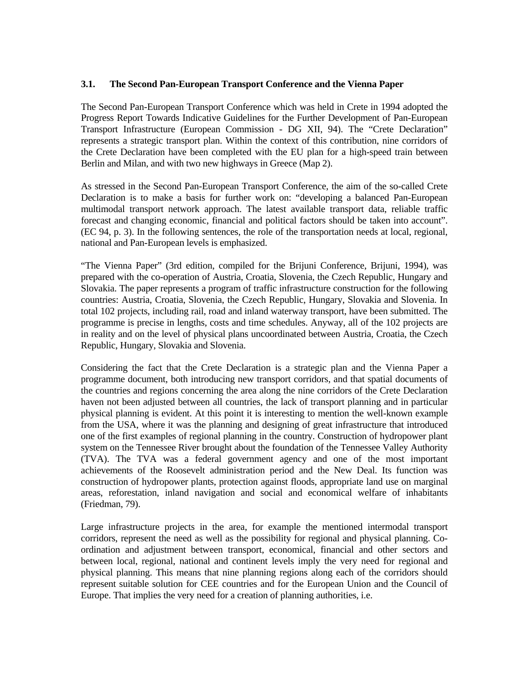### **3.1. The Second Pan-European Transport Conference and the Vienna Paper**

The Second Pan-European Transport Conference which was held in Crete in 1994 adopted the Progress Report Towards Indicative Guidelines for the Further Development of Pan-European Transport Infrastructure (European Commission - DG XII, 94). The "Crete Declaration" represents a strategic transport plan. Within the context of this contribution, nine corridors of the Crete Declaration have been completed with the EU plan for a high-speed train between Berlin and Milan, and with two new highways in Greece (Map 2).

As stressed in the Second Pan-European Transport Conference, the aim of the so-called Crete Declaration is to make a basis for further work on: "developing a balanced Pan-European multimodal transport network approach. The latest available transport data, reliable traffic forecast and changing economic, financial and political factors should be taken into account". (EC 94, p. 3). In the following sentences, the role of the transportation needs at local, regional, national and Pan-European levels is emphasized.

"The Vienna Paper" (3rd edition, compiled for the Brijuni Conference, Brijuni, 1994), was prepared with the co-operation of Austria, Croatia, Slovenia, the Czech Republic, Hungary and Slovakia. The paper represents a program of traffic infrastructure construction for the following countries: Austria, Croatia, Slovenia, the Czech Republic, Hungary, Slovakia and Slovenia. In total 102 projects, including rail, road and inland waterway transport, have been submitted. The programme is precise in lengths, costs and time schedules. Anyway, all of the 102 projects are in reality and on the level of physical plans uncoordinated between Austria, Croatia, the Czech Republic, Hungary, Slovakia and Slovenia.

Considering the fact that the Crete Declaration is a strategic plan and the Vienna Paper a programme document, both introducing new transport corridors, and that spatial documents of the countries and regions concerning the area along the nine corridors of the Crete Declaration haven not been adjusted between all countries, the lack of transport planning and in particular physical planning is evident. At this point it is interesting to mention the well-known example from the USA, where it was the planning and designing of great infrastructure that introduced one of the first examples of regional planning in the country. Construction of hydropower plant system on the Tennessee River brought about the foundation of the Tennessee Valley Authority (TVA). The TVA was a federal government agency and one of the most important achievements of the Roosevelt administration period and the New Deal. Its function was construction of hydropower plants, protection against floods, appropriate land use on marginal areas, reforestation, inland navigation and social and economical welfare of inhabitants (Friedman, 79).

Large infrastructure projects in the area, for example the mentioned intermodal transport corridors, represent the need as well as the possibility for regional and physical planning. Coordination and adjustment between transport, economical, financial and other sectors and between local, regional, national and continent levels imply the very need for regional and physical planning. This means that nine planning regions along each of the corridors should represent suitable solution for CEE countries and for the European Union and the Council of Europe. That implies the very need for a creation of planning authorities, i.e.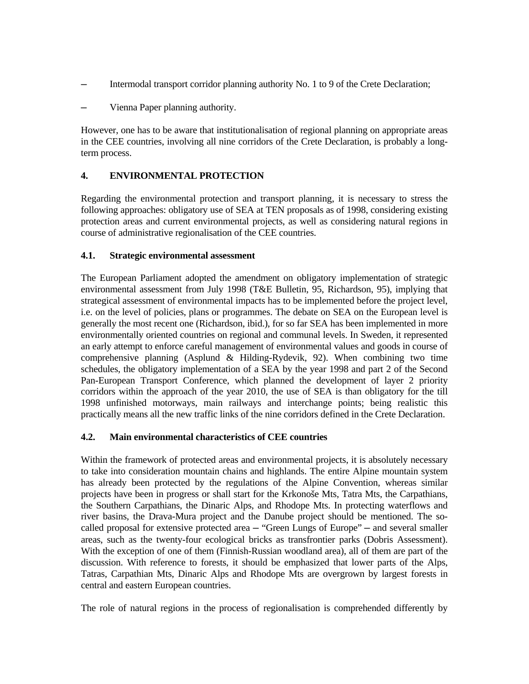- Intermodal transport corridor planning authority No. 1 to 9 of the Crete Declaration;
- Vienna Paper planning authority.

However, one has to be aware that institutionalisation of regional planning on appropriate areas in the CEE countries, involving all nine corridors of the Crete Declaration, is probably a longterm process.

## **4. ENVIRONMENTAL PROTECTION**

Regarding the environmental protection and transport planning, it is necessary to stress the following approaches: obligatory use of SEA at TEN proposals as of 1998, considering existing protection areas and current environmental projects, as well as considering natural regions in course of administrative regionalisation of the CEE countries.

## **4.1. Strategic environmental assessment**

The European Parliament adopted the amendment on obligatory implementation of strategic environmental assessment from July 1998 (T&E Bulletin, 95, Richardson, 95), implying that strategical assessment of environmental impacts has to be implemented before the project level, i.e. on the level of policies, plans or programmes. The debate on SEA on the European level is generally the most recent one (Richardson, ibid.), for so far SEA has been implemented in more environmentally oriented countries on regional and communal levels. In Sweden, it represented an early attempt to enforce careful management of environmental values and goods in course of comprehensive planning (Asplund & Hilding-Rydevik, 92). When combining two time schedules, the obligatory implementation of a SEA by the year 1998 and part 2 of the Second Pan-European Transport Conference, which planned the development of layer 2 priority corridors within the approach of the year 2010, the use of SEA is than obligatory for the till 1998 unfinished motorways, main railways and interchange points; being realistic this practically means all the new traffic links of the nine corridors defined in the Crete Declaration.

# **4.2. Main environmental characteristics of CEE countries**

Within the framework of protected areas and environmental projects, it is absolutely necessary to take into consideration mountain chains and highlands. The entire Alpine mountain system has already been protected by the regulations of the Alpine Convention, whereas similar projects have been in progress or shall start for the Krkonoše Mts, Tatra Mts, the Carpathians, the Southern Carpathians, the Dinaric Alps, and Rhodope Mts. In protecting waterflows and river basins, the Drava-Mura project and the Danube project should be mentioned. The socalled proposal for extensive protected area — "Green Lungs of Europe" — and several smaller areas, such as the twenty-four ecological bricks as transfrontier parks (Dobris Assessment). With the exception of one of them (Finnish-Russian woodland area), all of them are part of the discussion. With reference to forests, it should be emphasized that lower parts of the Alps, Tatras, Carpathian Mts, Dinaric Alps and Rhodope Mts are overgrown by largest forests in central and eastern European countries.

The role of natural regions in the process of regionalisation is comprehended differently by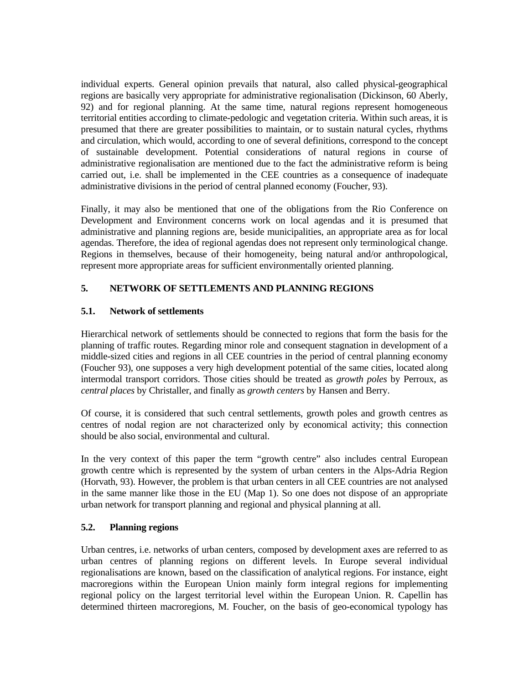individual experts. General opinion prevails that natural, also called physical-geographical regions are basically very appropriate for administrative regionalisation (Dickinson, 60 Aberly, 92) and for regional planning. At the same time, natural regions represent homogeneous territorial entities according to climate-pedologic and vegetation criteria. Within such areas, it is presumed that there are greater possibilities to maintain, or to sustain natural cycles, rhythms and circulation, which would, according to one of several definitions, correspond to the concept of sustainable development. Potential considerations of natural regions in course of administrative regionalisation are mentioned due to the fact the administrative reform is being carried out, i.e. shall be implemented in the CEE countries as a consequence of inadequate administrative divisions in the period of central planned economy (Foucher, 93).

Finally, it may also be mentioned that one of the obligations from the Rio Conference on Development and Environment concerns work on local agendas and it is presumed that administrative and planning regions are, beside municipalities, an appropriate area as for local agendas. Therefore, the idea of regional agendas does not represent only terminological change. Regions in themselves, because of their homogeneity, being natural and/or anthropological, represent more appropriate areas for sufficient environmentally oriented planning.

# **5. NETWORK OF SETTLEMENTS AND PLANNING REGIONS**

#### **5.1. Network of settlements**

Hierarchical network of settlements should be connected to regions that form the basis for the planning of traffic routes. Regarding minor role and consequent stagnation in development of a middle-sized cities and regions in all CEE countries in the period of central planning economy (Foucher 93), one supposes a very high development potential of the same cities, located along intermodal transport corridors. Those cities should be treated as *growth poles* by Perroux, as *central places* by Christaller, and finally as *growth centers* by Hansen and Berry.

Of course, it is considered that such central settlements, growth poles and growth centres as centres of nodal region are not characterized only by economical activity; this connection should be also social, environmental and cultural.

In the very context of this paper the term "growth centre" also includes central European growth centre which is represented by the system of urban centers in the Alps-Adria Region (Horvath, 93). However, the problem is that urban centers in all CEE countries are not analysed in the same manner like those in the EU (Map 1). So one does not dispose of an appropriate urban network for transport planning and regional and physical planning at all.

#### **5.2. Planning regions**

Urban centres, i.e. networks of urban centers, composed by development axes are referred to as urban centres of planning regions on different levels. In Europe several individual regionalisations are known, based on the classification of analytical regions. For instance, eight macroregions within the European Union mainly form integral regions for implementing regional policy on the largest territorial level within the European Union. R. Capellin has determined thirteen macroregions, M. Foucher, on the basis of geo-economical typology has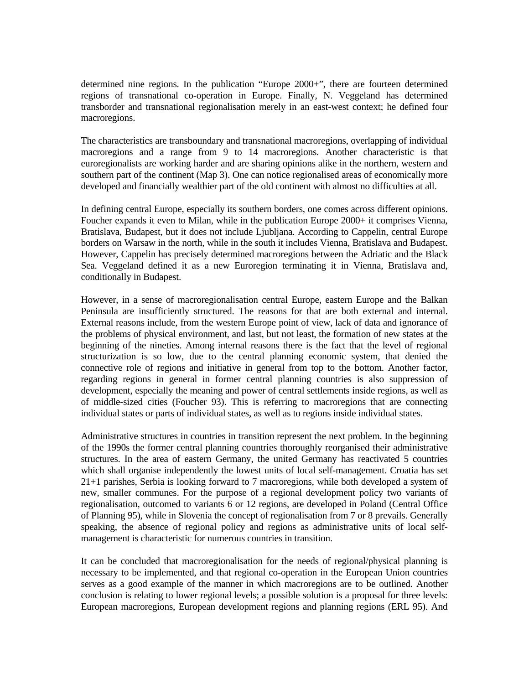determined nine regions. In the publication "Europe 2000+", there are fourteen determined regions of transnational co-operation in Europe. Finally, N. Veggeland has determined transborder and transnational regionalisation merely in an east-west context; he defined four macroregions.

The characteristics are transboundary and transnational macroregions, overlapping of individual macroregions and a range from 9 to 14 macroregions. Another characteristic is that euroregionalists are working harder and are sharing opinions alike in the northern, western and southern part of the continent (Map 3). One can notice regionalised areas of economically more developed and financially wealthier part of the old continent with almost no difficulties at all.

In defining central Europe, especially its southern borders, one comes across different opinions. Foucher expands it even to Milan, while in the publication Europe 2000+ it comprises Vienna, Bratislava, Budapest, but it does not include Ljubljana. According to Cappelin, central Europe borders on Warsaw in the north, while in the south it includes Vienna, Bratislava and Budapest. However, Cappelin has precisely determined macroregions between the Adriatic and the Black Sea. Veggeland defined it as a new Euroregion terminating it in Vienna, Bratislava and, conditionally in Budapest.

However, in a sense of macroregionalisation central Europe, eastern Europe and the Balkan Peninsula are insufficiently structured. The reasons for that are both external and internal. External reasons include, from the western Europe point of view, lack of data and ignorance of the problems of physical environment, and last, but not least, the formation of new states at the beginning of the nineties. Among internal reasons there is the fact that the level of regional structurization is so low, due to the central planning economic system, that denied the connective role of regions and initiative in general from top to the bottom. Another factor, regarding regions in general in former central planning countries is also suppression of development, especially the meaning and power of central settlements inside regions, as well as of middle-sized cities (Foucher 93). This is referring to macroregions that are connecting individual states or parts of individual states, as well as to regions inside individual states.

Administrative structures in countries in transition represent the next problem. In the beginning of the 1990s the former central planning countries thoroughly reorganised their administrative structures. In the area of eastern Germany, the united Germany has reactivated 5 countries which shall organise independently the lowest units of local self-management. Croatia has set 21+1 parishes, Serbia is looking forward to 7 macroregions, while both developed a system of new, smaller communes. For the purpose of a regional development policy two variants of regionalisation, outcomed to variants 6 or 12 regions, are developed in Poland (Central Office of Planning 95), while in Slovenia the concept of regionalisation from 7 or 8 prevails. Generally speaking, the absence of regional policy and regions as administrative units of local selfmanagement is characteristic for numerous countries in transition.

It can be concluded that macroregionalisation for the needs of regional/physical planning is necessary to be implemented, and that regional co-operation in the European Union countries serves as a good example of the manner in which macroregions are to be outlined. Another conclusion is relating to lower regional levels; a possible solution is a proposal for three levels: European macroregions, European development regions and planning regions (ERL 95). And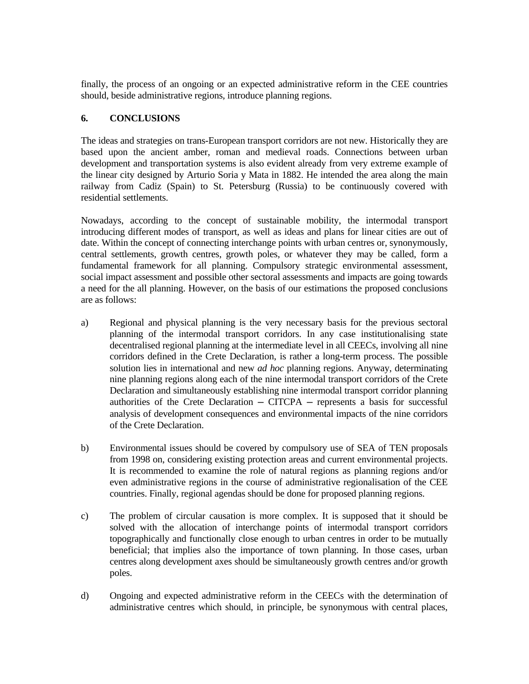finally, the process of an ongoing or an expected administrative reform in the CEE countries should, beside administrative regions, introduce planning regions.

### **6. CONCLUSIONS**

The ideas and strategies on trans-European transport corridors are not new. Historically they are based upon the ancient amber, roman and medieval roads. Connections between urban development and transportation systems is also evident already from very extreme example of the linear city designed by Arturio Soria y Mata in 1882. He intended the area along the main railway from Cadiz (Spain) to St. Petersburg (Russia) to be continuously covered with residential settlements.

Nowadays, according to the concept of sustainable mobility, the intermodal transport introducing different modes of transport, as well as ideas and plans for linear cities are out of date. Within the concept of connecting interchange points with urban centres or, synonymously, central settlements, growth centres, growth poles, or whatever they may be called, form a fundamental framework for all planning. Compulsory strategic environmental assessment, social impact assessment and possible other sectoral assessments and impacts are going towards a need for the all planning. However, on the basis of our estimations the proposed conclusions are as follows:

- a) Regional and physical planning is the very necessary basis for the previous sectoral planning of the intermodal transport corridors. In any case institutionalising state decentralised regional planning at the intermediate level in all CEECs, involving all nine corridors defined in the Crete Declaration, is rather a long-term process. The possible solution lies in international and new *ad hoc* planning regions. Anyway, determinating nine planning regions along each of the nine intermodal transport corridors of the Crete Declaration and simultaneously establishing nine intermodal transport corridor planning authorities of the Crete Declaration  $-$  CITCPA  $-$  represents a basis for successful analysis of development consequences and environmental impacts of the nine corridors of the Crete Declaration.
- b) Environmental issues should be covered by compulsory use of SEA of TEN proposals from 1998 on, considering existing protection areas and current environmental projects. It is recommended to examine the role of natural regions as planning regions and/or even administrative regions in the course of administrative regionalisation of the CEE countries. Finally, regional agendas should be done for proposed planning regions.
- c) The problem of circular causation is more complex. It is supposed that it should be solved with the allocation of interchange points of intermodal transport corridors topographically and functionally close enough to urban centres in order to be mutually beneficial; that implies also the importance of town planning. In those cases, urban centres along development axes should be simultaneously growth centres and/or growth poles.
- d) Ongoing and expected administrative reform in the CEECs with the determination of administrative centres which should, in principle, be synonymous with central places,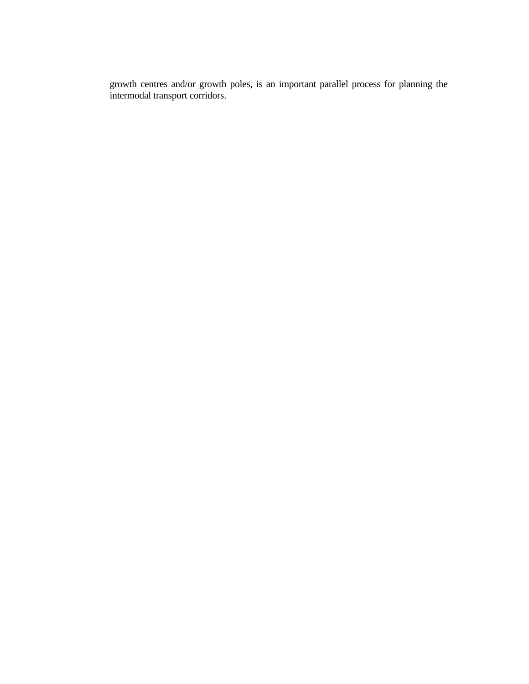growth centres and/or growth poles, is an important parallel process for planning the intermodal transport corridors.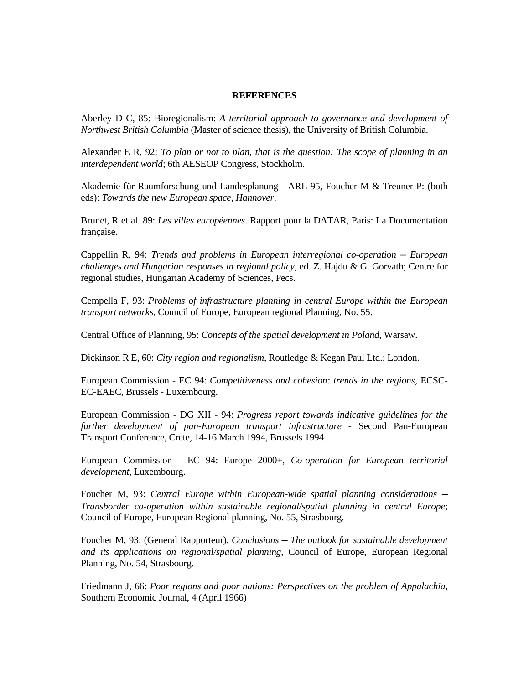#### **REFERENCES**

Aberley D C, 85: Bioregionalism: *A territorial approach to governance and development of Northwest British Columbia* (Master of science thesis), the University of British Columbia.

Alexander E R, 92: *To plan or not to plan, that is the question: The scope of planning in an interdependent world*; 6th AESEOP Congress, Stockholm.

Akademie für Raumforschung und Landesplanung - ARL 95, Foucher M & Treuner P: (both eds): *Towards the new European space, Hannover*.

Brunet, R et al. 89: *Les villes européennes*. Rapport pour la DATAR, Paris: La Documentation française.

Cappellin R, 94: *Trends and problems in European interregional co-operation - European challenges and Hungarian responses in regional policy*, ed. Z. Hajdu & G. Gorvath; Centre for regional studies, Hungarian Academy of Sciences, Pecs.

Cempella F, 93: *Problems of infrastructure planning in central Europe within the European transport networks*, Council of Europe, European regional Planning, No. 55.

Central Office of Planning, 95: *Concepts of the spatial development in Poland*, Warsaw.

Dickinson R E, 60: *City region and regionalism*, Routledge & Kegan Paul Ltd.; London.

European Commission - EC 94: *Competitiveness and cohesion: trends in the regions*, ECSC-EC-EAEC, Brussels - Luxembourg.

European Commission - DG XII - 94: *Progress report towards indicative guidelines for the further development of pan-European transport infrastructure* - Second Pan-European Transport Conference, Crete, 14-16 March 1994, Brussels 1994.

European Commission - EC 94: Europe 2000+, *Co-operation for European territorial development*, Luxembourg.

Foucher M, 93: *Central Europe within European-wide spatial planning considerations ─ Transborder co-operation within sustainable regional/spatial planning in central Europe*; Council of Europe, European Regional planning, No. 55, Strasbourg.

Foucher M, 93: (General Rapporteur), *Conclusions ─ The outlook for sustainable development and its applications on regional/spatial planning*, Council of Europe, European Regional Planning, No. 54, Strasbourg.

Friedmann J, 66: *Poor regions and poor nations: Perspectives on the problem of Appalachia*, Southern Economic Journal, 4 (April 1966)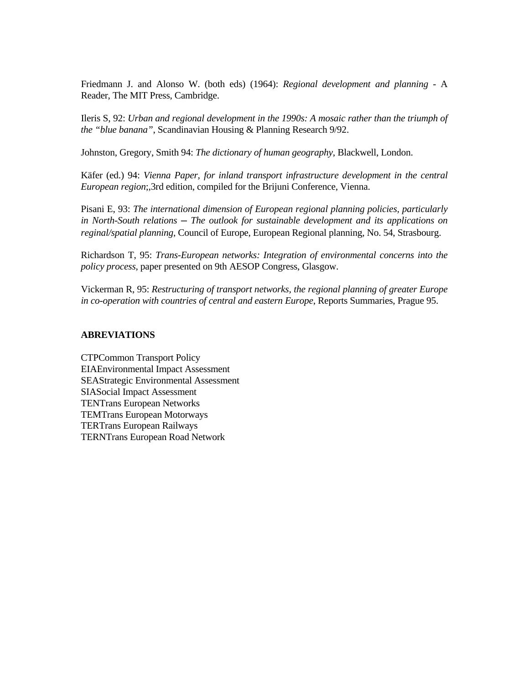Friedmann J. and Alonso W. (both eds) (1964): *Regional development and planning* - A Reader, The MIT Press, Cambridge.

Ileris S, 92: *Urban and regional development in the 1990s: A mosaic rather than the triumph of the "blue banana"*, Scandinavian Housing & Planning Research 9/92.

Johnston, Gregory, Smith 94: *The dictionary of human geography*, Blackwell, London.

Käfer (ed.) 94: *Vienna Paper, for inland transport infrastructure development in the central European region*;,3rd edition, compiled for the Brijuni Conference, Vienna.

Pisani E, 93: *The international dimension of European regional planning policies, particularly in North-South relations ─ The outlook for sustainable development and its applications on reginal/spatial planning*, Council of Europe, European Regional planning, No. 54, Strasbourg.

Richardson T, 95: *Trans-European networks: Integration of environmental concerns into the policy process*, paper presented on 9th AESOP Congress, Glasgow.

Vickerman R, 95: *Restructuring of transport networks, the regional planning of greater Europe in co-operation with countries of central and eastern Europe*, Reports Summaries, Prague 95.

#### **ABREVIATIONS**

CTPCommon Transport Policy EIAEnvironmental Impact Assessment SEAStrategic Environmental Assessment SIASocial Impact Assessment TENTrans European Networks TEMTrans European Motorways TERTrans European Railways TERNTrans European Road Network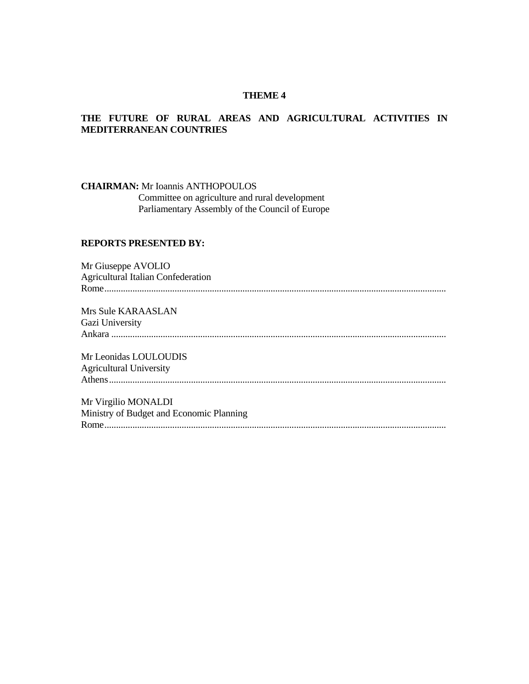# **THEME 4**

# **THE FUTURE OF RURAL AREAS AND AGRICULTURAL ACTIVITIES IN MEDITERRANEAN COUNTRIES**

**CHAIRMAN:** Mr Ioannis ANTHOPOULOS

 Committee on agriculture and rural development Parliamentary Assembly of the Council of Europe

# **REPORTS PRESENTED BY:**

Mr Giuseppe AVOLIO Agricultural Italian Confederation Rome.................................................................................................................................................. Mrs Sule KARAASLAN Gazi University Ankara ............................................................................................................................................... Mr Leonidas LOULOUDIS Agricultural University Athens................................................................................................................................................ Mr Virgilio MONALDI

Ministry of Budget and Economic Planning Rome..................................................................................................................................................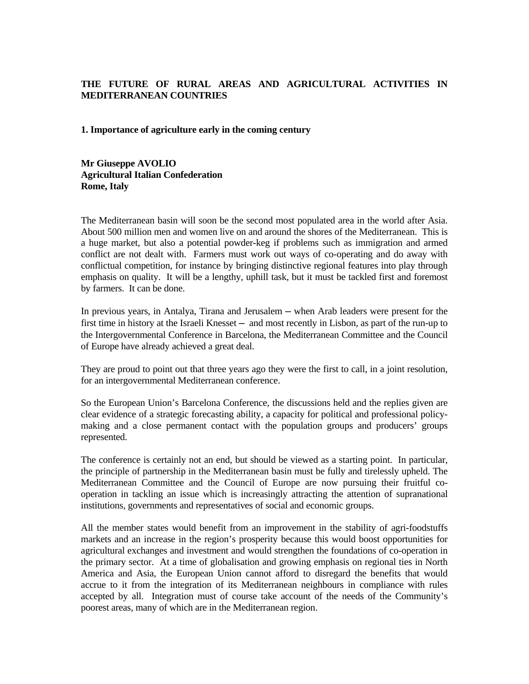# **THE FUTURE OF RURAL AREAS AND AGRICULTURAL ACTIVITIES IN MEDITERRANEAN COUNTRIES**

#### **1. Importance of agriculture early in the coming century**

**Mr Giuseppe AVOLIO Agricultural Italian Confederation Rome, Italy**

The Mediterranean basin will soon be the second most populated area in the world after Asia. About 500 million men and women live on and around the shores of the Mediterranean. This is a huge market, but also a potential powder-keg if problems such as immigration and armed conflict are not dealt with. Farmers must work out ways of co-operating and do away with conflictual competition, for instance by bringing distinctive regional features into play through emphasis on quality. It will be a lengthy, uphill task, but it must be tackled first and foremost by farmers. It can be done.

In previous years, in Antalya, Tirana and Jerusalem — when Arab leaders were present for the first time in history at the Israeli Knesset — and most recently in Lisbon, as part of the run-up to the Intergovernmental Conference in Barcelona, the Mediterranean Committee and the Council of Europe have already achieved a great deal.

They are proud to point out that three years ago they were the first to call, in a joint resolution, for an intergovernmental Mediterranean conference.

So the European Union's Barcelona Conference, the discussions held and the replies given are clear evidence of a strategic forecasting ability, a capacity for political and professional policymaking and a close permanent contact with the population groups and producers' groups represented.

The conference is certainly not an end, but should be viewed as a starting point. In particular, the principle of partnership in the Mediterranean basin must be fully and tirelessly upheld. The Mediterranean Committee and the Council of Europe are now pursuing their fruitful cooperation in tackling an issue which is increasingly attracting the attention of supranational institutions, governments and representatives of social and economic groups.

All the member states would benefit from an improvement in the stability of agri-foodstuffs markets and an increase in the region's prosperity because this would boost opportunities for agricultural exchanges and investment and would strengthen the foundations of co-operation in the primary sector. At a time of globalisation and growing emphasis on regional ties in North America and Asia, the European Union cannot afford to disregard the benefits that would accrue to it from the integration of its Mediterranean neighbours in compliance with rules accepted by all. Integration must of course take account of the needs of the Community's poorest areas, many of which are in the Mediterranean region.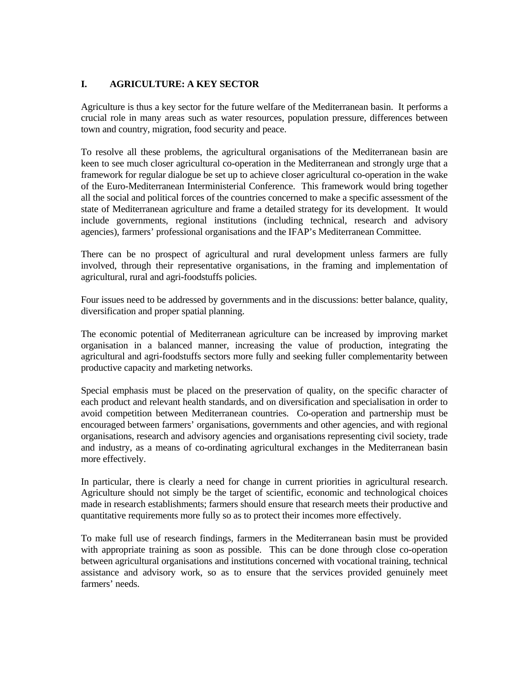# **I. AGRICULTURE: A KEY SECTOR**

Agriculture is thus a key sector for the future welfare of the Mediterranean basin. It performs a crucial role in many areas such as water resources, population pressure, differences between town and country, migration, food security and peace.

To resolve all these problems, the agricultural organisations of the Mediterranean basin are keen to see much closer agricultural co-operation in the Mediterranean and strongly urge that a framework for regular dialogue be set up to achieve closer agricultural co-operation in the wake of the Euro-Mediterranean Interministerial Conference. This framework would bring together all the social and political forces of the countries concerned to make a specific assessment of the state of Mediterranean agriculture and frame a detailed strategy for its development. It would include governments, regional institutions (including technical, research and advisory agencies), farmers' professional organisations and the IFAP's Mediterranean Committee.

There can be no prospect of agricultural and rural development unless farmers are fully involved, through their representative organisations, in the framing and implementation of agricultural, rural and agri-foodstuffs policies.

Four issues need to be addressed by governments and in the discussions: better balance, quality, diversification and proper spatial planning.

The economic potential of Mediterranean agriculture can be increased by improving market organisation in a balanced manner, increasing the value of production, integrating the agricultural and agri-foodstuffs sectors more fully and seeking fuller complementarity between productive capacity and marketing networks.

Special emphasis must be placed on the preservation of quality, on the specific character of each product and relevant health standards, and on diversification and specialisation in order to avoid competition between Mediterranean countries. Co-operation and partnership must be encouraged between farmers' organisations, governments and other agencies, and with regional organisations, research and advisory agencies and organisations representing civil society, trade and industry, as a means of co-ordinating agricultural exchanges in the Mediterranean basin more effectively.

In particular, there is clearly a need for change in current priorities in agricultural research. Agriculture should not simply be the target of scientific, economic and technological choices made in research establishments; farmers should ensure that research meets their productive and quantitative requirements more fully so as to protect their incomes more effectively.

To make full use of research findings, farmers in the Mediterranean basin must be provided with appropriate training as soon as possible. This can be done through close co-operation between agricultural organisations and institutions concerned with vocational training, technical assistance and advisory work, so as to ensure that the services provided genuinely meet farmers' needs.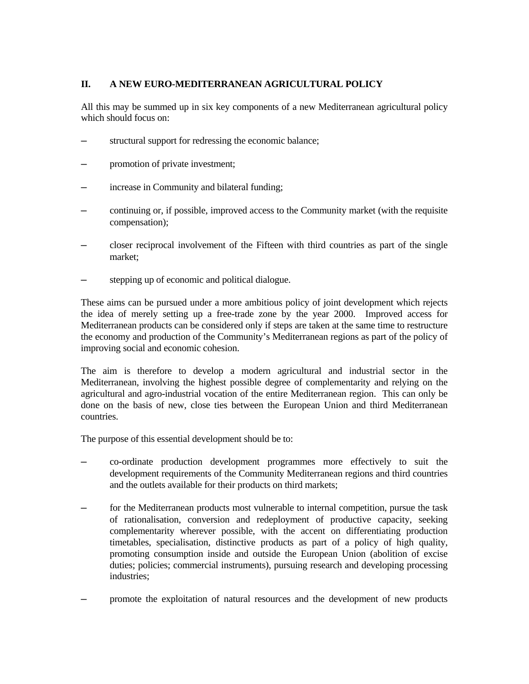# **II. A NEW EURO-MEDITERRANEAN AGRICULTURAL POLICY**

All this may be summed up in six key components of a new Mediterranean agricultural policy which should focus on:

- structural support for redressing the economic balance;
- promotion of private investment;
- increase in Community and bilateral funding;
- ─ continuing or, if possible, improved access to the Community market (with the requisite compensation);
- ─ closer reciprocal involvement of the Fifteen with third countries as part of the single market;
- stepping up of economic and political dialogue.

These aims can be pursued under a more ambitious policy of joint development which rejects the idea of merely setting up a free-trade zone by the year 2000. Improved access for Mediterranean products can be considered only if steps are taken at the same time to restructure the economy and production of the Community's Mediterranean regions as part of the policy of improving social and economic cohesion.

The aim is therefore to develop a modern agricultural and industrial sector in the Mediterranean, involving the highest possible degree of complementarity and relying on the agricultural and agro-industrial vocation of the entire Mediterranean region. This can only be done on the basis of new, close ties between the European Union and third Mediterranean countries.

The purpose of this essential development should be to:

- ─ co-ordinate production development programmes more effectively to suit the development requirements of the Community Mediterranean regions and third countries and the outlets available for their products on third markets;
- for the Mediterranean products most vulnerable to internal competition, pursue the task of rationalisation, conversion and redeployment of productive capacity, seeking complementarity wherever possible, with the accent on differentiating production timetables, specialisation, distinctive products as part of a policy of high quality, promoting consumption inside and outside the European Union (abolition of excise duties; policies; commercial instruments), pursuing research and developing processing industries;
- ─ promote the exploitation of natural resources and the development of new products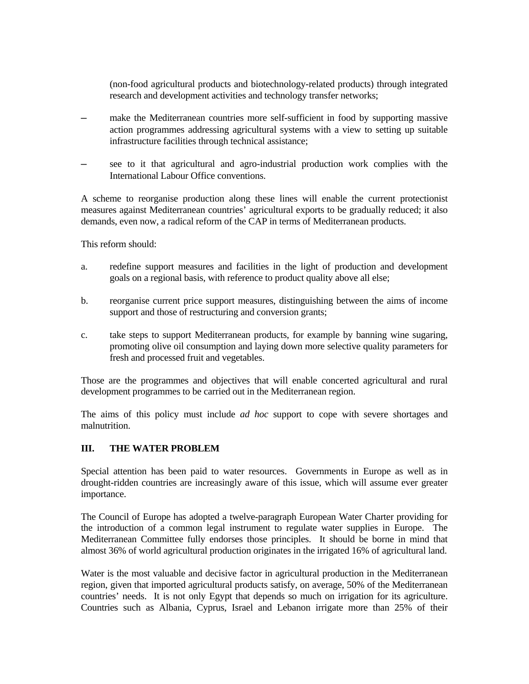(non-food agricultural products and biotechnology-related products) through integrated research and development activities and technology transfer networks;

- ─ make the Mediterranean countries more self-sufficient in food by supporting massive action programmes addressing agricultural systems with a view to setting up suitable infrastructure facilities through technical assistance;
- see to it that agricultural and agro-industrial production work complies with the International Labour Office conventions.

A scheme to reorganise production along these lines will enable the current protectionist measures against Mediterranean countries' agricultural exports to be gradually reduced; it also demands, even now, a radical reform of the CAP in terms of Mediterranean products.

This reform should:

- a. redefine support measures and facilities in the light of production and development goals on a regional basis, with reference to product quality above all else;
- b. reorganise current price support measures, distinguishing between the aims of income support and those of restructuring and conversion grants;
- c. take steps to support Mediterranean products, for example by banning wine sugaring, promoting olive oil consumption and laying down more selective quality parameters for fresh and processed fruit and vegetables.

Those are the programmes and objectives that will enable concerted agricultural and rural development programmes to be carried out in the Mediterranean region.

The aims of this policy must include *ad hoc* support to cope with severe shortages and malnutrition.

# **III. THE WATER PROBLEM**

Special attention has been paid to water resources. Governments in Europe as well as in drought-ridden countries are increasingly aware of this issue, which will assume ever greater importance.

The Council of Europe has adopted a twelve-paragraph European Water Charter providing for the introduction of a common legal instrument to regulate water supplies in Europe. The Mediterranean Committee fully endorses those principles. It should be borne in mind that almost 36% of world agricultural production originates in the irrigated 16% of agricultural land.

Water is the most valuable and decisive factor in agricultural production in the Mediterranean region, given that imported agricultural products satisfy, on average, 50% of the Mediterranean countries' needs. It is not only Egypt that depends so much on irrigation for its agriculture. Countries such as Albania, Cyprus, Israel and Lebanon irrigate more than 25% of their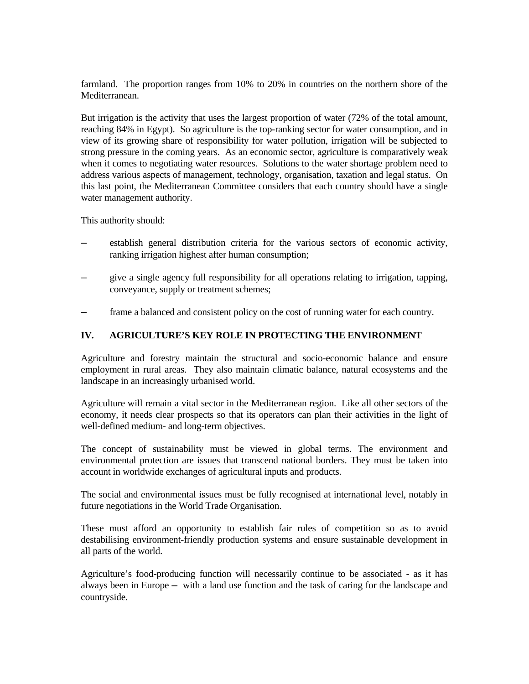farmland. The proportion ranges from 10% to 20% in countries on the northern shore of the Mediterranean.

But irrigation is the activity that uses the largest proportion of water (72% of the total amount, reaching 84% in Egypt). So agriculture is the top-ranking sector for water consumption, and in view of its growing share of responsibility for water pollution, irrigation will be subjected to strong pressure in the coming years. As an economic sector, agriculture is comparatively weak when it comes to negotiating water resources. Solutions to the water shortage problem need to address various aspects of management, technology, organisation, taxation and legal status. On this last point, the Mediterranean Committee considers that each country should have a single water management authority.

This authority should:

- establish general distribution criteria for the various sectors of economic activity, ranking irrigation highest after human consumption;
- give a single agency full responsibility for all operations relating to irrigation, tapping, conveyance, supply or treatment schemes;
- frame a balanced and consistent policy on the cost of running water for each country.

## **IV. AGRICULTURE'S KEY ROLE IN PROTECTING THE ENVIRONMENT**

Agriculture and forestry maintain the structural and socio-economic balance and ensure employment in rural areas. They also maintain climatic balance, natural ecosystems and the landscape in an increasingly urbanised world.

Agriculture will remain a vital sector in the Mediterranean region. Like all other sectors of the economy, it needs clear prospects so that its operators can plan their activities in the light of well-defined medium- and long-term objectives.

The concept of sustainability must be viewed in global terms. The environment and environmental protection are issues that transcend national borders. They must be taken into account in worldwide exchanges of agricultural inputs and products.

The social and environmental issues must be fully recognised at international level, notably in future negotiations in the World Trade Organisation.

These must afford an opportunity to establish fair rules of competition so as to avoid destabilising environment-friendly production systems and ensure sustainable development in all parts of the world.

Agriculture's food-producing function will necessarily continue to be associated - as it has always been in Europe — with a land use function and the task of caring for the landscape and countryside.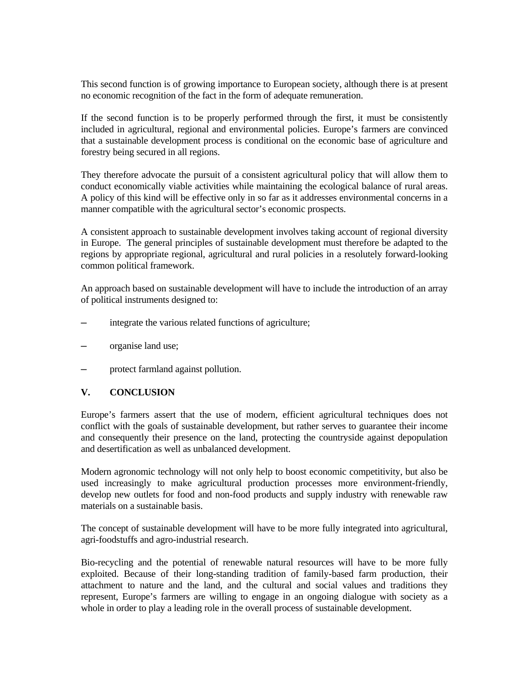This second function is of growing importance to European society, although there is at present no economic recognition of the fact in the form of adequate remuneration.

If the second function is to be properly performed through the first, it must be consistently included in agricultural, regional and environmental policies. Europe's farmers are convinced that a sustainable development process is conditional on the economic base of agriculture and forestry being secured in all regions.

They therefore advocate the pursuit of a consistent agricultural policy that will allow them to conduct economically viable activities while maintaining the ecological balance of rural areas. A policy of this kind will be effective only in so far as it addresses environmental concerns in a manner compatible with the agricultural sector's economic prospects.

A consistent approach to sustainable development involves taking account of regional diversity in Europe. The general principles of sustainable development must therefore be adapted to the regions by appropriate regional, agricultural and rural policies in a resolutely forward-looking common political framework.

An approach based on sustainable development will have to include the introduction of an array of political instruments designed to:

- integrate the various related functions of agriculture;
- organise land use;
- protect farmland against pollution.

### **V. CONCLUSION**

Europe's farmers assert that the use of modern, efficient agricultural techniques does not conflict with the goals of sustainable development, but rather serves to guarantee their income and consequently their presence on the land, protecting the countryside against depopulation and desertification as well as unbalanced development.

Modern agronomic technology will not only help to boost economic competitivity, but also be used increasingly to make agricultural production processes more environment-friendly, develop new outlets for food and non-food products and supply industry with renewable raw materials on a sustainable basis.

The concept of sustainable development will have to be more fully integrated into agricultural, agri-foodstuffs and agro-industrial research.

Bio-recycling and the potential of renewable natural resources will have to be more fully exploited. Because of their long-standing tradition of family-based farm production, their attachment to nature and the land, and the cultural and social values and traditions they represent, Europe's farmers are willing to engage in an ongoing dialogue with society as a whole in order to play a leading role in the overall process of sustainable development.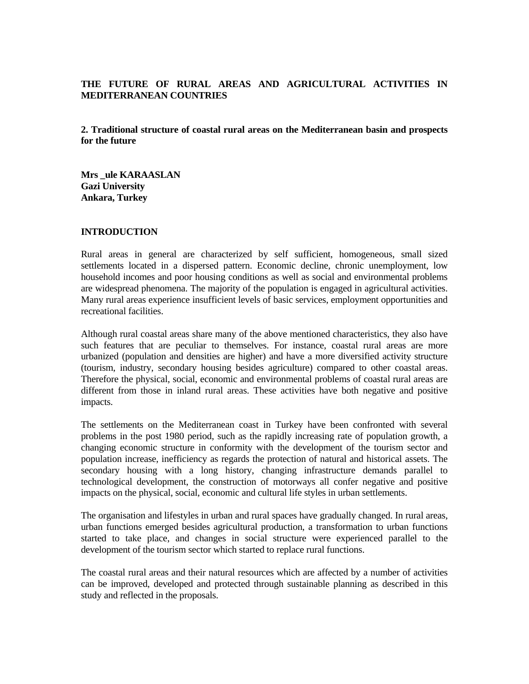## **THE FUTURE OF RURAL AREAS AND AGRICULTURAL ACTIVITIES IN MEDITERRANEAN COUNTRIES**

**2. Traditional structure of coastal rural areas on the Mediterranean basin and prospects for the future**

**Mrs \_ule KARAASLAN Gazi University Ankara, Turkey**

#### **INTRODUCTION**

Rural areas in general are characterized by self sufficient, homogeneous, small sized settlements located in a dispersed pattern. Economic decline, chronic unemployment, low household incomes and poor housing conditions as well as social and environmental problems are widespread phenomena. The majority of the population is engaged in agricultural activities. Many rural areas experience insufficient levels of basic services, employment opportunities and recreational facilities.

Although rural coastal areas share many of the above mentioned characteristics, they also have such features that are peculiar to themselves. For instance, coastal rural areas are more urbanized (population and densities are higher) and have a more diversified activity structure (tourism, industry, secondary housing besides agriculture) compared to other coastal areas. Therefore the physical, social, economic and environmental problems of coastal rural areas are different from those in inland rural areas. These activities have both negative and positive impacts.

The settlements on the Mediterranean coast in Turkey have been confronted with several problems in the post 1980 period, such as the rapidly increasing rate of population growth, a changing economic structure in conformity with the development of the tourism sector and population increase, inefficiency as regards the protection of natural and historical assets. The secondary housing with a long history, changing infrastructure demands parallel to technological development, the construction of motorways all confer negative and positive impacts on the physical, social, economic and cultural life styles in urban settlements.

The organisation and lifestyles in urban and rural spaces have gradually changed. In rural areas, urban functions emerged besides agricultural production, a transformation to urban functions started to take place, and changes in social structure were experienced parallel to the development of the tourism sector which started to replace rural functions.

The coastal rural areas and their natural resources which are affected by a number of activities can be improved, developed and protected through sustainable planning as described in this study and reflected in the proposals.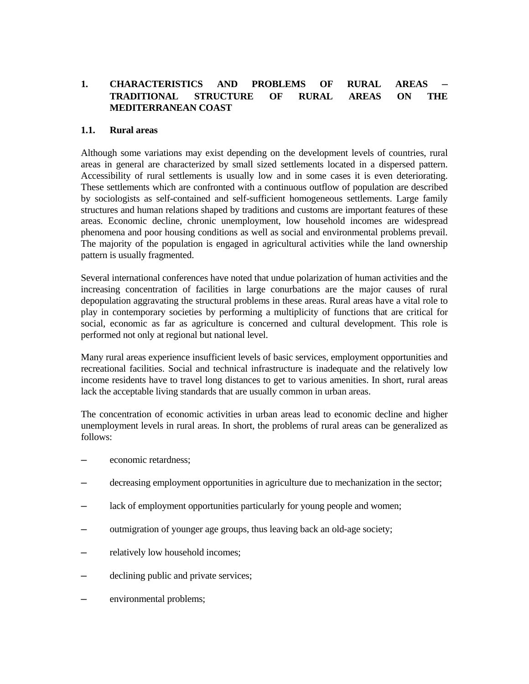# 1. CHARACTERISTICS AND PROBLEMS OF RURAL AREAS **TRADITIONAL STRUCTURE OF RURAL AREAS ON THE MEDITERRANEAN COAST**

### **1.1. Rural areas**

Although some variations may exist depending on the development levels of countries, rural areas in general are characterized by small sized settlements located in a dispersed pattern. Accessibility of rural settlements is usually low and in some cases it is even deteriorating. These settlements which are confronted with a continuous outflow of population are described by sociologists as self-contained and self-sufficient homogeneous settlements. Large family structures and human relations shaped by traditions and customs are important features of these areas. Economic decline, chronic unemployment, low household incomes are widespread phenomena and poor housing conditions as well as social and environmental problems prevail. The majority of the population is engaged in agricultural activities while the land ownership pattern is usually fragmented.

Several international conferences have noted that undue polarization of human activities and the increasing concentration of facilities in large conurbations are the major causes of rural depopulation aggravating the structural problems in these areas. Rural areas have a vital role to play in contemporary societies by performing a multiplicity of functions that are critical for social, economic as far as agriculture is concerned and cultural development. This role is performed not only at regional but national level.

Many rural areas experience insufficient levels of basic services, employment opportunities and recreational facilities. Social and technical infrastructure is inadequate and the relatively low income residents have to travel long distances to get to various amenities. In short, rural areas lack the acceptable living standards that are usually common in urban areas.

The concentration of economic activities in urban areas lead to economic decline and higher unemployment levels in rural areas. In short, the problems of rural areas can be generalized as follows:

- economic retardness;
- ─ decreasing employment opportunities in agriculture due to mechanization in the sector;
- lack of employment opportunities particularly for young people and women;
- outmigration of younger age groups, thus leaving back an old-age society;
- relatively low household incomes;
- declining public and private services;
- environmental problems;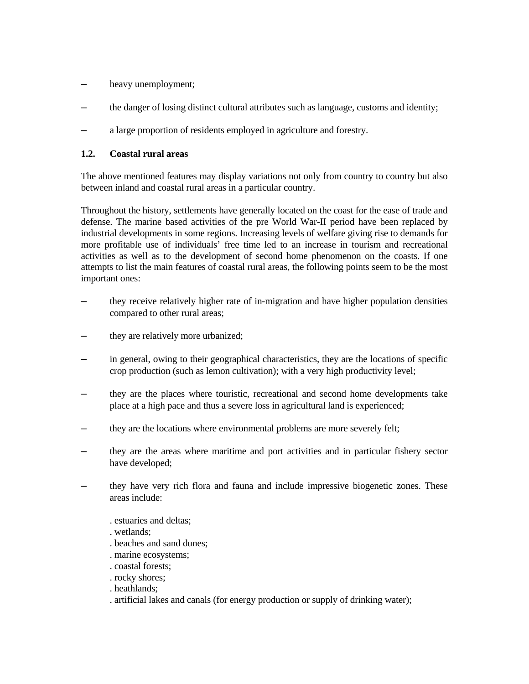- ─ heavy unemployment;
- ─ the danger of losing distinct cultural attributes such as language, customs and identity;
- a large proportion of residents employed in agriculture and forestry.

# **1.2. Coastal rural areas**

The above mentioned features may display variations not only from country to country but also between inland and coastal rural areas in a particular country.

Throughout the history, settlements have generally located on the coast for the ease of trade and defense. The marine based activities of the pre World War-II period have been replaced by industrial developments in some regions. Increasing levels of welfare giving rise to demands for more profitable use of individuals' free time led to an increase in tourism and recreational activities as well as to the development of second home phenomenon on the coasts. If one attempts to list the main features of coastal rural areas, the following points seem to be the most important ones:

- ─ they receive relatively higher rate of in-migration and have higher population densities compared to other rural areas;
- they are relatively more urbanized;
- in general, owing to their geographical characteristics, they are the locations of specific crop production (such as lemon cultivation); with a very high productivity level;
- ─ they are the places where touristic, recreational and second home developments take place at a high pace and thus a severe loss in agricultural land is experienced;
- they are the locations where environmental problems are more severely felt;
- ─ they are the areas where maritime and port activities and in particular fishery sector have developed;
- ─ they have very rich flora and fauna and include impressive biogenetic zones. These areas include:
	- . estuaries and deltas;
	- . wetlands;
	- . beaches and sand dunes;
	- . marine ecosystems;
	- . coastal forests;
	- . rocky shores;
	- . heathlands;
	- . artificial lakes and canals (for energy production or supply of drinking water);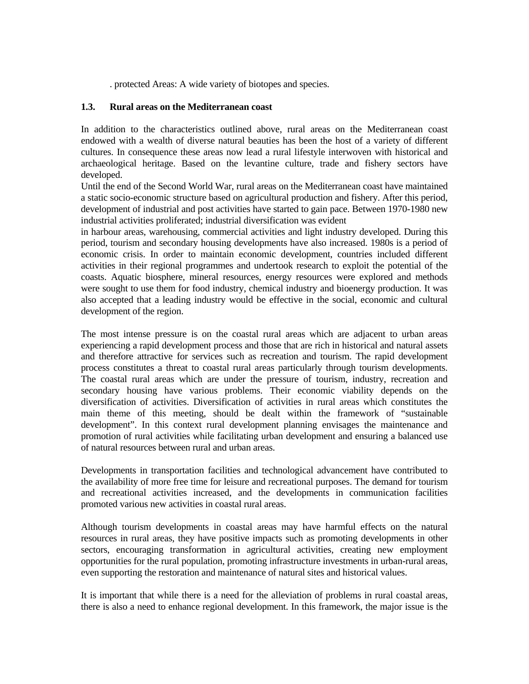. protected Areas: A wide variety of biotopes and species.

#### **1.3. Rural areas on the Mediterranean coast**

In addition to the characteristics outlined above, rural areas on the Mediterranean coast endowed with a wealth of diverse natural beauties has been the host of a variety of different cultures. In consequence these areas now lead a rural lifestyle interwoven with historical and archaeological heritage. Based on the levantine culture, trade and fishery sectors have developed.

Until the end of the Second World War, rural areas on the Mediterranean coast have maintained a static socio-economic structure based on agricultural production and fishery. After this period, development of industrial and post activities have started to gain pace. Between 1970-1980 new industrial activities proliferated; industrial diversification was evident

in harbour areas, warehousing, commercial activities and light industry developed. During this period, tourism and secondary housing developments have also increased. 1980s is a period of economic crisis. In order to maintain economic development, countries included different activities in their regional programmes and undertook research to exploit the potential of the coasts. Aquatic biosphere, mineral resources, energy resources were explored and methods were sought to use them for food industry, chemical industry and bioenergy production. It was also accepted that a leading industry would be effective in the social, economic and cultural development of the region.

The most intense pressure is on the coastal rural areas which are adjacent to urban areas experiencing a rapid development process and those that are rich in historical and natural assets and therefore attractive for services such as recreation and tourism. The rapid development process constitutes a threat to coastal rural areas particularly through tourism developments. The coastal rural areas which are under the pressure of tourism, industry, recreation and secondary housing have various problems. Their economic viability depends on the diversification of activities. Diversification of activities in rural areas which constitutes the main theme of this meeting, should be dealt within the framework of "sustainable development". In this context rural development planning envisages the maintenance and promotion of rural activities while facilitating urban development and ensuring a balanced use of natural resources between rural and urban areas.

Developments in transportation facilities and technological advancement have contributed to the availability of more free time for leisure and recreational purposes. The demand for tourism and recreational activities increased, and the developments in communication facilities promoted various new activities in coastal rural areas.

Although tourism developments in coastal areas may have harmful effects on the natural resources in rural areas, they have positive impacts such as promoting developments in other sectors, encouraging transformation in agricultural activities, creating new employment opportunities for the rural population, promoting infrastructure investments in urban-rural areas, even supporting the restoration and maintenance of natural sites and historical values.

It is important that while there is a need for the alleviation of problems in rural coastal areas, there is also a need to enhance regional development. In this framework, the major issue is the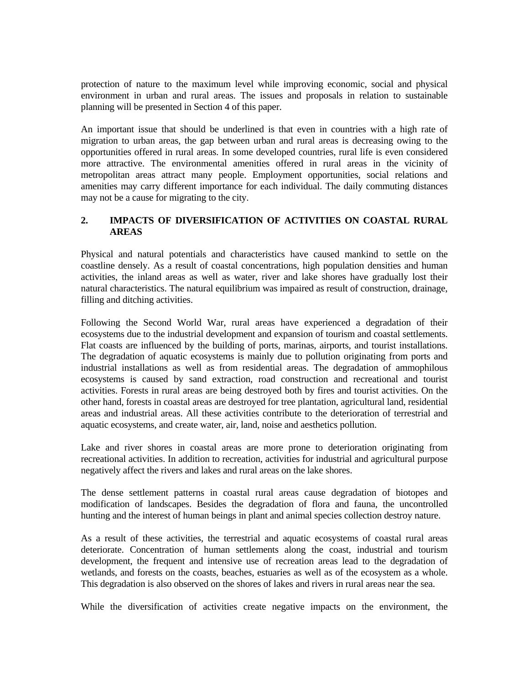protection of nature to the maximum level while improving economic, social and physical environment in urban and rural areas. The issues and proposals in relation to sustainable planning will be presented in Section 4 of this paper.

An important issue that should be underlined is that even in countries with a high rate of migration to urban areas, the gap between urban and rural areas is decreasing owing to the opportunities offered in rural areas. In some developed countries, rural life is even considered more attractive. The environmental amenities offered in rural areas in the vicinity of metropolitan areas attract many people. Employment opportunities, social relations and amenities may carry different importance for each individual. The daily commuting distances may not be a cause for migrating to the city.

# **2. IMPACTS OF DIVERSIFICATION OF ACTIVITIES ON COASTAL RURAL AREAS**

Physical and natural potentials and characteristics have caused mankind to settle on the coastline densely. As a result of coastal concentrations, high population densities and human activities, the inland areas as well as water, river and lake shores have gradually lost their natural characteristics. The natural equilibrium was impaired as result of construction, drainage, filling and ditching activities.

Following the Second World War, rural areas have experienced a degradation of their ecosystems due to the industrial development and expansion of tourism and coastal settlements. Flat coasts are influenced by the building of ports, marinas, airports, and tourist installations. The degradation of aquatic ecosystems is mainly due to pollution originating from ports and industrial installations as well as from residential areas. The degradation of ammophilous ecosystems is caused by sand extraction, road construction and recreational and tourist activities. Forests in rural areas are being destroyed both by fires and tourist activities. On the other hand, forests in coastal areas are destroyed for tree plantation, agricultural land, residential areas and industrial areas. All these activities contribute to the deterioration of terrestrial and aquatic ecosystems, and create water, air, land, noise and aesthetics pollution.

Lake and river shores in coastal areas are more prone to deterioration originating from recreational activities. In addition to recreation, activities for industrial and agricultural purpose negatively affect the rivers and lakes and rural areas on the lake shores.

The dense settlement patterns in coastal rural areas cause degradation of biotopes and modification of landscapes. Besides the degradation of flora and fauna, the uncontrolled hunting and the interest of human beings in plant and animal species collection destroy nature.

As a result of these activities, the terrestrial and aquatic ecosystems of coastal rural areas deteriorate. Concentration of human settlements along the coast, industrial and tourism development, the frequent and intensive use of recreation areas lead to the degradation of wetlands, and forests on the coasts, beaches, estuaries as well as of the ecosystem as a whole. This degradation is also observed on the shores of lakes and rivers in rural areas near the sea.

While the diversification of activities create negative impacts on the environment, the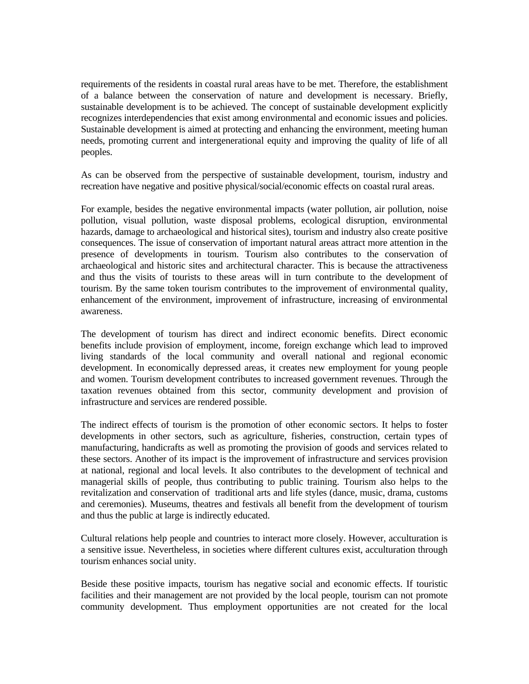requirements of the residents in coastal rural areas have to be met. Therefore, the establishment of a balance between the conservation of nature and development is necessary. Briefly, sustainable development is to be achieved. The concept of sustainable development explicitly recognizes interdependencies that exist among environmental and economic issues and policies. Sustainable development is aimed at protecting and enhancing the environment, meeting human needs, promoting current and intergenerational equity and improving the quality of life of all peoples.

As can be observed from the perspective of sustainable development, tourism, industry and recreation have negative and positive physical/social/economic effects on coastal rural areas.

For example, besides the negative environmental impacts (water pollution, air pollution, noise pollution, visual pollution, waste disposal problems, ecological disruption, environmental hazards, damage to archaeological and historical sites), tourism and industry also create positive consequences. The issue of conservation of important natural areas attract more attention in the presence of developments in tourism. Tourism also contributes to the conservation of archaeological and historic sites and architectural character. This is because the attractiveness and thus the visits of tourists to these areas will in turn contribute to the development of tourism. By the same token tourism contributes to the improvement of environmental quality, enhancement of the environment, improvement of infrastructure, increasing of environmental awareness.

The development of tourism has direct and indirect economic benefits. Direct economic benefits include provision of employment, income, foreign exchange which lead to improved living standards of the local community and overall national and regional economic development. In economically depressed areas, it creates new employment for young people and women. Tourism development contributes to increased government revenues. Through the taxation revenues obtained from this sector, community development and provision of infrastructure and services are rendered possible.

The indirect effects of tourism is the promotion of other economic sectors. It helps to foster developments in other sectors, such as agriculture, fisheries, construction, certain types of manufacturing, handicrafts as well as promoting the provision of goods and services related to these sectors. Another of its impact is the improvement of infrastructure and services provision at national, regional and local levels. It also contributes to the development of technical and managerial skills of people, thus contributing to public training. Tourism also helps to the revitalization and conservation of traditional arts and life styles (dance, music, drama, customs and ceremonies). Museums, theatres and festivals all benefit from the development of tourism and thus the public at large is indirectly educated.

Cultural relations help people and countries to interact more closely. However, acculturation is a sensitive issue. Nevertheless, in societies where different cultures exist, acculturation through tourism enhances social unity.

Beside these positive impacts, tourism has negative social and economic effects. If touristic facilities and their management are not provided by the local people, tourism can not promote community development. Thus employment opportunities are not created for the local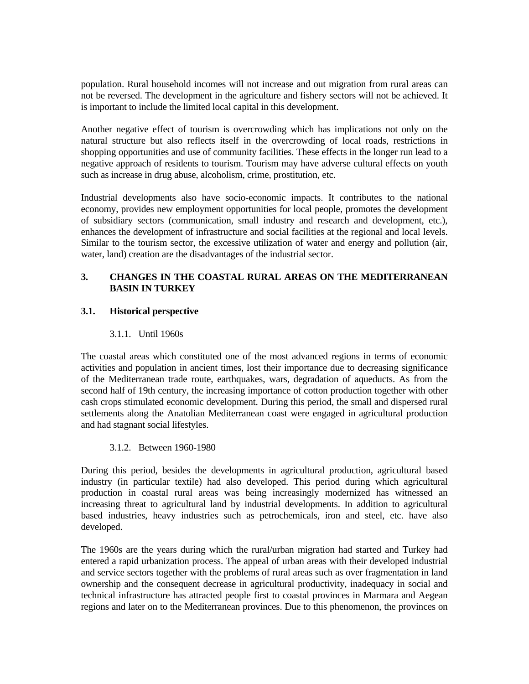population. Rural household incomes will not increase and out migration from rural areas can not be reversed. The development in the agriculture and fishery sectors will not be achieved. It is important to include the limited local capital in this development.

Another negative effect of tourism is overcrowding which has implications not only on the natural structure but also reflects itself in the overcrowding of local roads, restrictions in shopping opportunities and use of community facilities. These effects in the longer run lead to a negative approach of residents to tourism. Tourism may have adverse cultural effects on youth such as increase in drug abuse, alcoholism, crime, prostitution, etc.

Industrial developments also have socio-economic impacts. It contributes to the national economy, provides new employment opportunities for local people, promotes the development of subsidiary sectors (communication, small industry and research and development, etc.), enhances the development of infrastructure and social facilities at the regional and local levels. Similar to the tourism sector, the excessive utilization of water and energy and pollution (air, water, land) creation are the disadvantages of the industrial sector.

# **3. CHANGES IN THE COASTAL RURAL AREAS ON THE MEDITERRANEAN BASIN IN TURKEY**

# **3.1. Historical perspective**

## 3.1.1. Until 1960s

The coastal areas which constituted one of the most advanced regions in terms of economic activities and population in ancient times, lost their importance due to decreasing significance of the Mediterranean trade route, earthquakes, wars, degradation of aqueducts. As from the second half of 19th century, the increasing importance of cotton production together with other cash crops stimulated economic development. During this period, the small and dispersed rural settlements along the Anatolian Mediterranean coast were engaged in agricultural production and had stagnant social lifestyles.

# 3.1.2. Between 1960-1980

During this period, besides the developments in agricultural production, agricultural based industry (in particular textile) had also developed. This period during which agricultural production in coastal rural areas was being increasingly modernized has witnessed an increasing threat to agricultural land by industrial developments. In addition to agricultural based industries, heavy industries such as petrochemicals, iron and steel, etc. have also developed.

The 1960s are the years during which the rural/urban migration had started and Turkey had entered a rapid urbanization process. The appeal of urban areas with their developed industrial and service sectors together with the problems of rural areas such as over fragmentation in land ownership and the consequent decrease in agricultural productivity, inadequacy in social and technical infrastructure has attracted people first to coastal provinces in Marmara and Aegean regions and later on to the Mediterranean provinces. Due to this phenomenon, the provinces on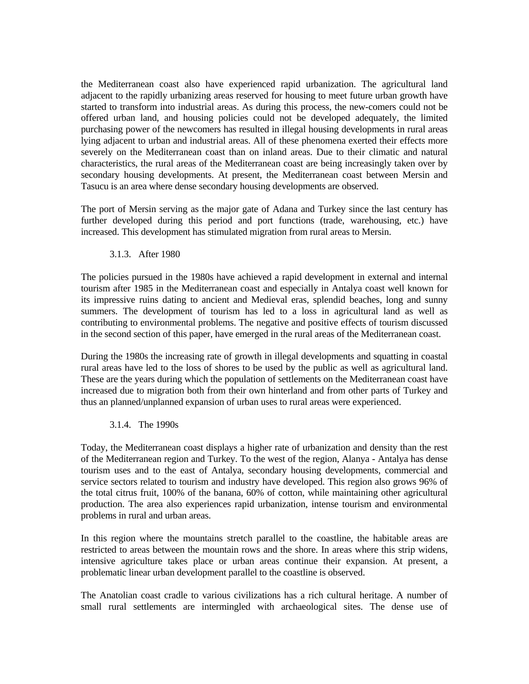the Mediterranean coast also have experienced rapid urbanization. The agricultural land adjacent to the rapidly urbanizing areas reserved for housing to meet future urban growth have started to transform into industrial areas. As during this process, the new-comers could not be offered urban land, and housing policies could not be developed adequately, the limited purchasing power of the newcomers has resulted in illegal housing developments in rural areas lying adjacent to urban and industrial areas. All of these phenomena exerted their effects more severely on the Mediterranean coast than on inland areas. Due to their climatic and natural characteristics, the rural areas of the Mediterranean coast are being increasingly taken over by secondary housing developments. At present, the Mediterranean coast between Mersin and Tasucu is an area where dense secondary housing developments are observed.

The port of Mersin serving as the major gate of Adana and Turkey since the last century has further developed during this period and port functions (trade, warehousing, etc.) have increased. This development has stimulated migration from rural areas to Mersin.

#### 3.1.3. After 1980

The policies pursued in the 1980s have achieved a rapid development in external and internal tourism after 1985 in the Mediterranean coast and especially in Antalya coast well known for its impressive ruins dating to ancient and Medieval eras, splendid beaches, long and sunny summers. The development of tourism has led to a loss in agricultural land as well as contributing to environmental problems. The negative and positive effects of tourism discussed in the second section of this paper, have emerged in the rural areas of the Mediterranean coast.

During the 1980s the increasing rate of growth in illegal developments and squatting in coastal rural areas have led to the loss of shores to be used by the public as well as agricultural land. These are the years during which the population of settlements on the Mediterranean coast have increased due to migration both from their own hinterland and from other parts of Turkey and thus an planned/unplanned expansion of urban uses to rural areas were experienced.

#### 3.1.4. The 1990s

Today, the Mediterranean coast displays a higher rate of urbanization and density than the rest of the Mediterranean region and Turkey. To the west of the region, Alanya - Antalya has dense tourism uses and to the east of Antalya, secondary housing developments, commercial and service sectors related to tourism and industry have developed. This region also grows 96% of the total citrus fruit, 100% of the banana, 60% of cotton, while maintaining other agricultural production. The area also experiences rapid urbanization, intense tourism and environmental problems in rural and urban areas.

In this region where the mountains stretch parallel to the coastline, the habitable areas are restricted to areas between the mountain rows and the shore. In areas where this strip widens, intensive agriculture takes place or urban areas continue their expansion. At present, a problematic linear urban development parallel to the coastline is observed.

The Anatolian coast cradle to various civilizations has a rich cultural heritage. A number of small rural settlements are intermingled with archaeological sites. The dense use of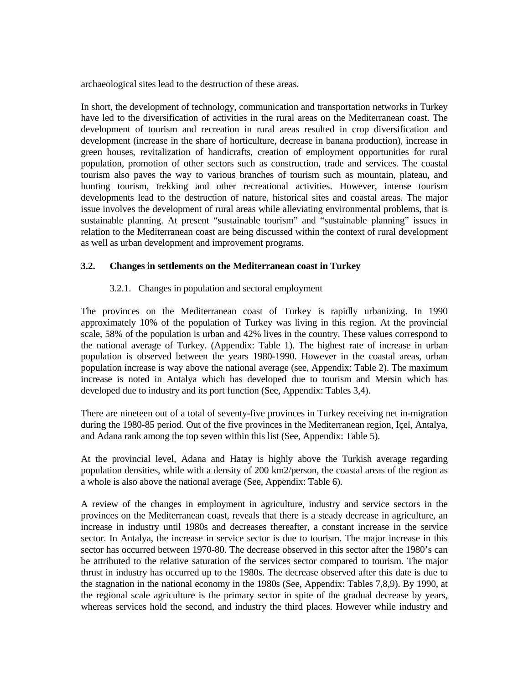archaeological sites lead to the destruction of these areas.

In short, the development of technology, communication and transportation networks in Turkey have led to the diversification of activities in the rural areas on the Mediterranean coast. The development of tourism and recreation in rural areas resulted in crop diversification and development (increase in the share of horticulture, decrease in banana production), increase in green houses, revitalization of handicrafts, creation of employment opportunities for rural population, promotion of other sectors such as construction, trade and services. The coastal tourism also paves the way to various branches of tourism such as mountain, plateau, and hunting tourism, trekking and other recreational activities. However, intense tourism developments lead to the destruction of nature, historical sites and coastal areas. The major issue involves the development of rural areas while alleviating environmental problems, that is sustainable planning. At present "sustainable tourism" and "sustainable planning" issues in relation to the Mediterranean coast are being discussed within the context of rural development as well as urban development and improvement programs.

## **3.2. Changes in settlements on the Mediterranean coast in Turkey**

## 3.2.1. Changes in population and sectoral employment

The provinces on the Mediterranean coast of Turkey is rapidly urbanizing. In 1990 approximately 10% of the population of Turkey was living in this region. At the provincial scale, 58% of the population is urban and 42% lives in the country. These values correspond to the national average of Turkey. (Appendix: Table 1). The highest rate of increase in urban population is observed between the years 1980-1990. However in the coastal areas, urban population increase is way above the national average (see, Appendix: Table 2). The maximum increase is noted in Antalya which has developed due to tourism and Mersin which has developed due to industry and its port function (See, Appendix: Tables 3,4).

There are nineteen out of a total of seventy-five provinces in Turkey receiving net in-migration during the 1980-85 period. Out of the five provinces in the Mediterranean region, Içel, Antalya, and Adana rank among the top seven within this list (See, Appendix: Table 5).

At the provincial level, Adana and Hatay is highly above the Turkish average regarding population densities, while with a density of 200 km2/person, the coastal areas of the region as a whole is also above the national average (See, Appendix: Table 6).

A review of the changes in employment in agriculture, industry and service sectors in the provinces on the Mediterranean coast, reveals that there is a steady decrease in agriculture, an increase in industry until 1980s and decreases thereafter, a constant increase in the service sector. In Antalya, the increase in service sector is due to tourism. The major increase in this sector has occurred between 1970-80. The decrease observed in this sector after the 1980's can be attributed to the relative saturation of the services sector compared to tourism. The major thrust in industry has occurred up to the 1980s. The decrease observed after this date is due to the stagnation in the national economy in the 1980s (See, Appendix: Tables 7,8,9). By 1990, at the regional scale agriculture is the primary sector in spite of the gradual decrease by years, whereas services hold the second, and industry the third places. However while industry and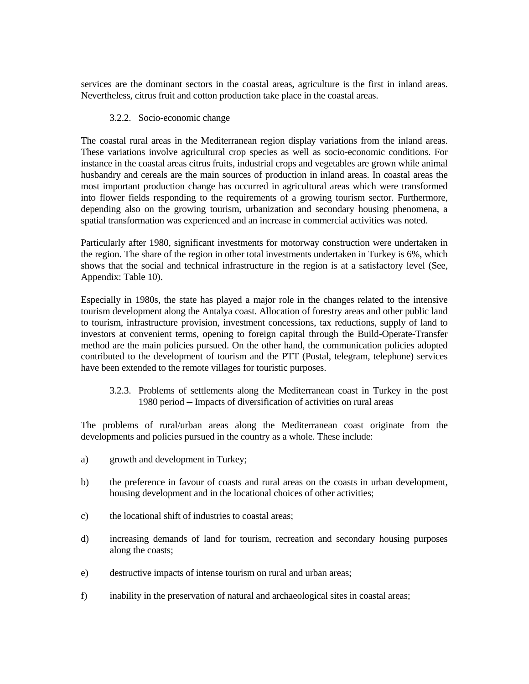services are the dominant sectors in the coastal areas, agriculture is the first in inland areas. Nevertheless, citrus fruit and cotton production take place in the coastal areas.

#### 3.2.2. Socio-economic change

The coastal rural areas in the Mediterranean region display variations from the inland areas. These variations involve agricultural crop species as well as socio-economic conditions. For instance in the coastal areas citrus fruits, industrial crops and vegetables are grown while animal husbandry and cereals are the main sources of production in inland areas. In coastal areas the most important production change has occurred in agricultural areas which were transformed into flower fields responding to the requirements of a growing tourism sector. Furthermore, depending also on the growing tourism, urbanization and secondary housing phenomena, a spatial transformation was experienced and an increase in commercial activities was noted.

Particularly after 1980, significant investments for motorway construction were undertaken in the region. The share of the region in other total investments undertaken in Turkey is 6%, which shows that the social and technical infrastructure in the region is at a satisfactory level (See, Appendix: Table 10).

Especially in 1980s, the state has played a major role in the changes related to the intensive tourism development along the Antalya coast. Allocation of forestry areas and other public land to tourism, infrastructure provision, investment concessions, tax reductions, supply of land to investors at convenient terms, opening to foreign capital through the Build-Operate-Transfer method are the main policies pursued. On the other hand, the communication policies adopted contributed to the development of tourism and the PTT (Postal, telegram, telephone) services have been extended to the remote villages for touristic purposes.

 3.2.3. Problems of settlements along the Mediterranean coast in Turkey in the post 1980 period ─ Impacts of diversification of activities on rural areas

The problems of rural/urban areas along the Mediterranean coast originate from the developments and policies pursued in the country as a whole. These include:

- a) growth and development in Turkey;
- b) the preference in favour of coasts and rural areas on the coasts in urban development, housing development and in the locational choices of other activities;
- c) the locational shift of industries to coastal areas;
- d) increasing demands of land for tourism, recreation and secondary housing purposes along the coasts;
- e) destructive impacts of intense tourism on rural and urban areas;
- f) inability in the preservation of natural and archaeological sites in coastal areas;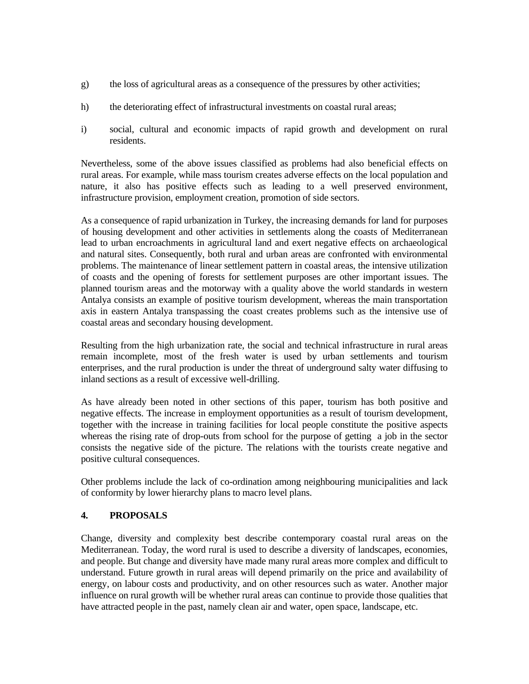- g) the loss of agricultural areas as a consequence of the pressures by other activities;
- h) the deteriorating effect of infrastructural investments on coastal rural areas;
- i) social, cultural and economic impacts of rapid growth and development on rural residents.

Nevertheless, some of the above issues classified as problems had also beneficial effects on rural areas. For example, while mass tourism creates adverse effects on the local population and nature, it also has positive effects such as leading to a well preserved environment, infrastructure provision, employment creation, promotion of side sectors.

As a consequence of rapid urbanization in Turkey, the increasing demands for land for purposes of housing development and other activities in settlements along the coasts of Mediterranean lead to urban encroachments in agricultural land and exert negative effects on archaeological and natural sites. Consequently, both rural and urban areas are confronted with environmental problems. The maintenance of linear settlement pattern in coastal areas, the intensive utilization of coasts and the opening of forests for settlement purposes are other important issues. The planned tourism areas and the motorway with a quality above the world standards in western Antalya consists an example of positive tourism development, whereas the main transportation axis in eastern Antalya transpassing the coast creates problems such as the intensive use of coastal areas and secondary housing development.

Resulting from the high urbanization rate, the social and technical infrastructure in rural areas remain incomplete, most of the fresh water is used by urban settlements and tourism enterprises, and the rural production is under the threat of underground salty water diffusing to inland sections as a result of excessive well-drilling.

As have already been noted in other sections of this paper, tourism has both positive and negative effects. The increase in employment opportunities as a result of tourism development, together with the increase in training facilities for local people constitute the positive aspects whereas the rising rate of drop-outs from school for the purpose of getting a job in the sector consists the negative side of the picture. The relations with the tourists create negative and positive cultural consequences.

Other problems include the lack of co-ordination among neighbouring municipalities and lack of conformity by lower hierarchy plans to macro level plans.

# **4. PROPOSALS**

Change, diversity and complexity best describe contemporary coastal rural areas on the Mediterranean. Today, the word rural is used to describe a diversity of landscapes, economies, and people. But change and diversity have made many rural areas more complex and difficult to understand. Future growth in rural areas will depend primarily on the price and availability of energy, on labour costs and productivity, and on other resources such as water. Another major influence on rural growth will be whether rural areas can continue to provide those qualities that have attracted people in the past, namely clean air and water, open space, landscape, etc.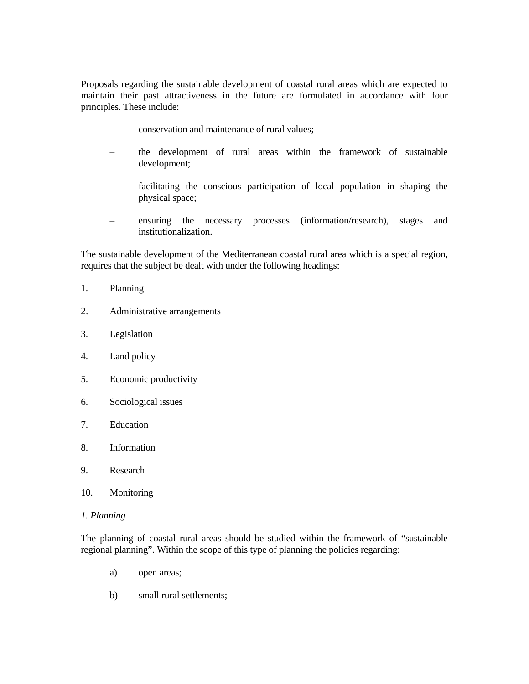Proposals regarding the sustainable development of coastal rural areas which are expected to maintain their past attractiveness in the future are formulated in accordance with four principles. These include:

- conservation and maintenance of rural values;
- the development of rural areas within the framework of sustainable development;
- facilitating the conscious participation of local population in shaping the physical space;
- ensuring the necessary processes (information/research), stages and institutionalization.

The sustainable development of the Mediterranean coastal rural area which is a special region, requires that the subject be dealt with under the following headings:

- 1. Planning
- 2. Administrative arrangements
- 3. Legislation
- 4. Land policy
- 5. Economic productivity
- 6. Sociological issues
- 7. Education
- 8. Information
- 9. Research
- 10. Monitoring

#### *1. Planning*

The planning of coastal rural areas should be studied within the framework of "sustainable regional planning". Within the scope of this type of planning the policies regarding:

- a) open areas;
- b) small rural settlements;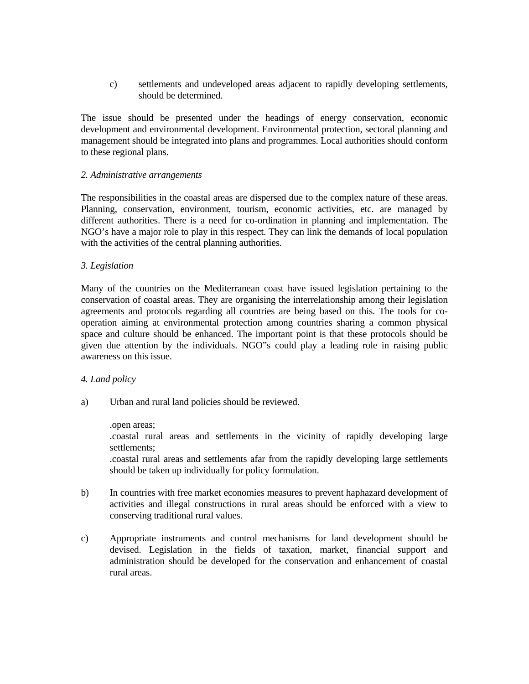c) settlements and undeveloped areas adjacent to rapidly developing settlements, should be determined.

The issue should be presented under the headings of energy conservation, economic development and environmental development. Environmental protection, sectoral planning and management should be integrated into plans and programmes. Local authorities should conform to these regional plans.

#### *2. Administrative arrangements*

The responsibilities in the coastal areas are dispersed due to the complex nature of these areas. Planning, conservation, environment, tourism, economic activities, etc. are managed by different authorities. There is a need for co-ordination in planning and implementation. The NGO's have a major role to play in this respect. They can link the demands of local population with the activities of the central planning authorities.

## *3. Legislation*

Many of the countries on the Mediterranean coast have issued legislation pertaining to the conservation of coastal areas. They are organising the interrelationship among their legislation agreements and protocols regarding all countries are being based on this. The tools for cooperation aiming at environmental protection among countries sharing a common physical space and culture should be enhanced. The important point is that these protocols should be given due attention by the individuals. NGO"s could play a leading role in raising public awareness on this issue.

# *4. Land policy*

a) Urban and rural land policies should be reviewed.

#### .open areas;

 .coastal rural areas and settlements in the vicinity of rapidly developing large settlements;

 .coastal rural areas and settlements afar from the rapidly developing large settlements should be taken up individually for policy formulation.

- b) In countries with free market economies measures to prevent haphazard development of activities and illegal constructions in rural areas should be enforced with a view to conserving traditional rural values.
- c) Appropriate instruments and control mechanisms for land development should be devised. Legislation in the fields of taxation, market, financial support and administration should be developed for the conservation and enhancement of coastal rural areas.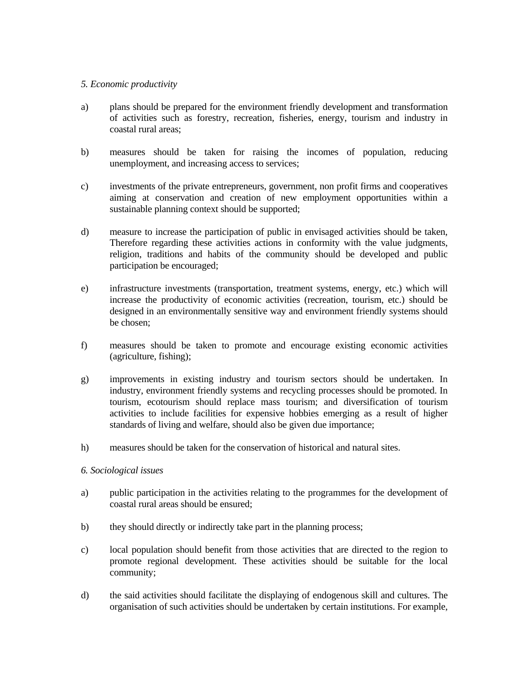### *5. Economic productivity*

- a) plans should be prepared for the environment friendly development and transformation of activities such as forestry, recreation, fisheries, energy, tourism and industry in coastal rural areas;
- b) measures should be taken for raising the incomes of population, reducing unemployment, and increasing access to services;
- c) investments of the private entrepreneurs, government, non profit firms and cooperatives aiming at conservation and creation of new employment opportunities within a sustainable planning context should be supported;
- d) measure to increase the participation of public in envisaged activities should be taken, Therefore regarding these activities actions in conformity with the value judgments, religion, traditions and habits of the community should be developed and public participation be encouraged;
- e) infrastructure investments (transportation, treatment systems, energy, etc.) which will increase the productivity of economic activities (recreation, tourism, etc.) should be designed in an environmentally sensitive way and environment friendly systems should be chosen;
- f) measures should be taken to promote and encourage existing economic activities (agriculture, fishing);
- g) improvements in existing industry and tourism sectors should be undertaken. In industry, environment friendly systems and recycling processes should be promoted. In tourism, ecotourism should replace mass tourism; and diversification of tourism activities to include facilities for expensive hobbies emerging as a result of higher standards of living and welfare, should also be given due importance;
- h) measures should be taken for the conservation of historical and natural sites.

### *6. Sociological issues*

- a) public participation in the activities relating to the programmes for the development of coastal rural areas should be ensured;
- b) they should directly or indirectly take part in the planning process;
- c) local population should benefit from those activities that are directed to the region to promote regional development. These activities should be suitable for the local community;
- d) the said activities should facilitate the displaying of endogenous skill and cultures. The organisation of such activities should be undertaken by certain institutions. For example,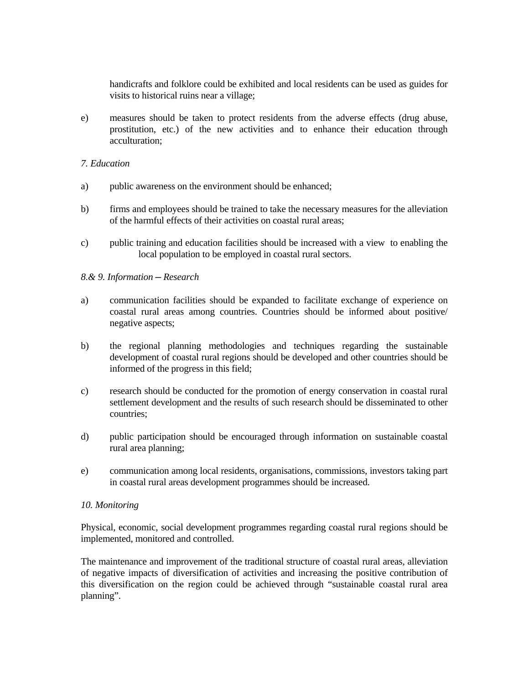handicrafts and folklore could be exhibited and local residents can be used as guides for visits to historical ruins near a village;

e) measures should be taken to protect residents from the adverse effects (drug abuse, prostitution, etc.) of the new activities and to enhance their education through acculturation;

### *7. Education*

- a) public awareness on the environment should be enhanced;
- b) firms and employees should be trained to take the necessary measures for the alleviation of the harmful effects of their activities on coastal rural areas;
- c) public training and education facilities should be increased with a view to enabling the local population to be employed in coastal rural sectors.

### *8.& 9. Information ─ Research*

- a) communication facilities should be expanded to facilitate exchange of experience on coastal rural areas among countries. Countries should be informed about positive/ negative aspects;
- b) the regional planning methodologies and techniques regarding the sustainable development of coastal rural regions should be developed and other countries should be informed of the progress in this field;
- c) research should be conducted for the promotion of energy conservation in coastal rural settlement development and the results of such research should be disseminated to other countries;
- d) public participation should be encouraged through information on sustainable coastal rural area planning;
- e) communication among local residents, organisations, commissions, investors taking part in coastal rural areas development programmes should be increased.

### *10. Monitoring*

Physical, economic, social development programmes regarding coastal rural regions should be implemented, monitored and controlled.

The maintenance and improvement of the traditional structure of coastal rural areas, alleviation of negative impacts of diversification of activities and increasing the positive contribution of this diversification on the region could be achieved through "sustainable coastal rural area planning".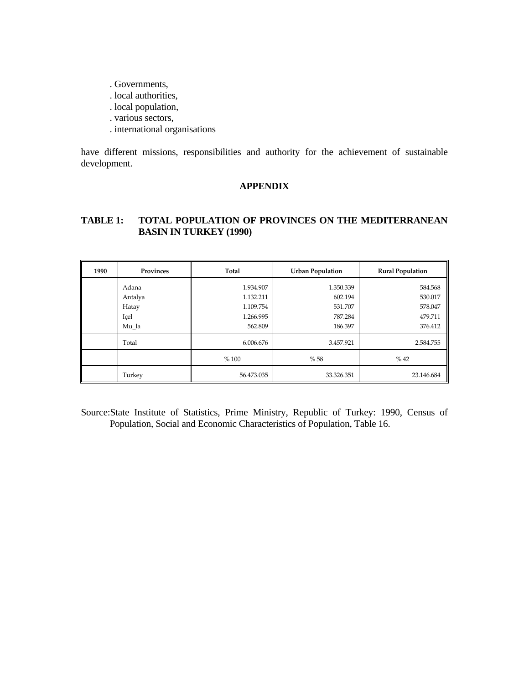- . Governments,
- . local authorities,
- . local population,
- . various sectors,
- . international organisations

have different missions, responsibilities and authority for the achievement of sustainable development.

# **APPENDIX**

# **TABLE 1: TOTAL POPULATION OF PROVINCES ON THE MEDITERRANEAN BASIN IN TURKEY (1990)**

| 1990 | Provinces                         | Total                                            | <b>Urban Population</b>                    | <b>Rural Population</b>                  |
|------|-----------------------------------|--------------------------------------------------|--------------------------------------------|------------------------------------------|
|      | Adana<br>Antalya<br>Hatay<br>Içel | 1.934.907<br>1.132.211<br>1.109.754<br>1.266.995 | 1.350.339<br>602.194<br>531.707<br>787.284 | 584.568<br>530.017<br>578.047<br>479.711 |
|      | Mu la                             | 562.809                                          | 186.397                                    | 376.412                                  |
|      | Total                             | 6.006.676                                        | 3.457.921                                  | 2.584.755                                |
|      |                                   | %100                                             | %58                                        | % 42                                     |
|      | Turkey                            | 56.473.035                                       | 33.326.351                                 | 23.146.684                               |

Source:State Institute of Statistics, Prime Ministry, Republic of Turkey: 1990, Census of Population, Social and Economic Characteristics of Population, Table 16.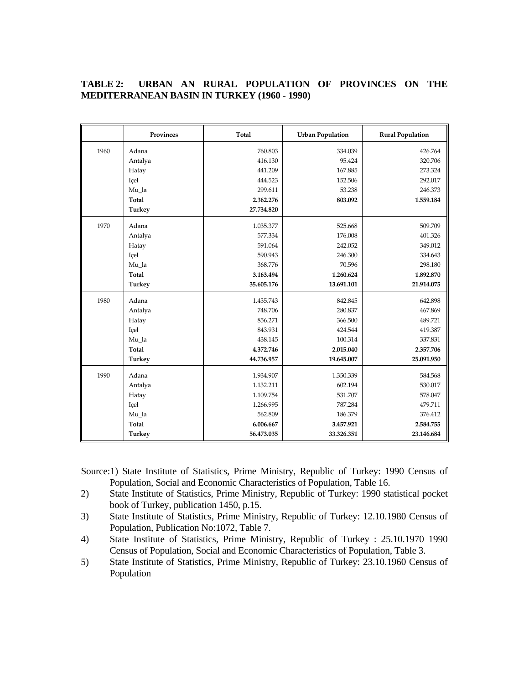# **TABLE 2: URBAN AN RURAL POPULATION OF PROVINCES ON THE MEDITERRANEAN BASIN IN TURKEY (1960 - 1990)**

|      | Provinces     | Total      | <b>Urban Population</b> | <b>Rural Population</b> |
|------|---------------|------------|-------------------------|-------------------------|
| 1960 | Adana         | 760.803    | 334.039                 | 426.764                 |
|      | Antalya       | 416.130    | 95.424                  | 320.706                 |
|      | Hatay         | 441.209    | 167.885                 | 273.324                 |
|      | Içel          | 444.523    | 152.506                 | 292.017                 |
|      | Mu la         | 299.611    | 53.238                  | 246.373                 |
|      | Total         | 2.362.276  | 803.092                 | 1.559.184               |
|      | <b>Turkey</b> | 27.734.820 |                         |                         |
| 1970 | Adana         | 1.035.377  | 525.668                 | 509.709                 |
|      | Antalya       | 577.334    | 176.008                 | 401.326                 |
|      | Hatay         | 591.064    | 242.052                 | 349.012                 |
|      | Içel          | 590.943    | 246.300                 | 334.643                 |
|      | Mu_la         | 368.776    | 70.596                  | 298.180                 |
|      | Total         | 3.163.494  | 1.260.624               | 1.892.870               |
|      | Turkey        | 35.605.176 | 13.691.101              | 21.914.075              |
| 1980 | Adana         | 1.435.743  | 842.845                 | 642.898                 |
|      | Antalya       | 748.706    | 280.837                 | 467.869                 |
|      | Hatay         | 856.271    | 366.500                 | 489.721                 |
|      | Içel          | 843.931    | 424.544                 | 419.387                 |
|      | Mu la         | 438.145    | 100.314                 | 337.831                 |
|      | Total         | 4.372.746  | 2.015.040               | 2.357.706               |
|      | <b>Turkey</b> | 44.736.957 | 19.645.007              | 25.091.950              |
| 1990 | Adana         | 1.934.907  | 1.350.339               | 584.568                 |
|      | Antalya       | 1.132.211  | 602.194                 | 530.017                 |
|      | Hatay         | 1.109.754  | 531.707                 | 578.047                 |
|      | Içel          | 1.266.995  | 787.284                 | 479.711                 |
|      | Mu_la         | 562.809    | 186.379                 | 376.412                 |
|      | Total         | 6.006.667  | 3.457.921               | 2.584.755               |
|      | Turkey        | 56.473.035 | 33.326.351              | 23.146.684              |

Source:1) State Institute of Statistics, Prime Ministry, Republic of Turkey: 1990 Census of Population, Social and Economic Characteristics of Population, Table 16.

- 2) State Institute of Statistics, Prime Ministry, Republic of Turkey: 1990 statistical pocket book of Turkey, publication 1450, p.15.
- 3) State Institute of Statistics, Prime Ministry, Republic of Turkey: 12.10.1980 Census of Population, Publication No:1072, Table 7.
- 4) State Institute of Statistics, Prime Ministry, Republic of Turkey : 25.10.1970 1990 Census of Population, Social and Economic Characteristics of Population, Table 3.
- 5) State Institute of Statistics, Prime Ministry, Republic of Turkey: 23.10.1960 Census of Population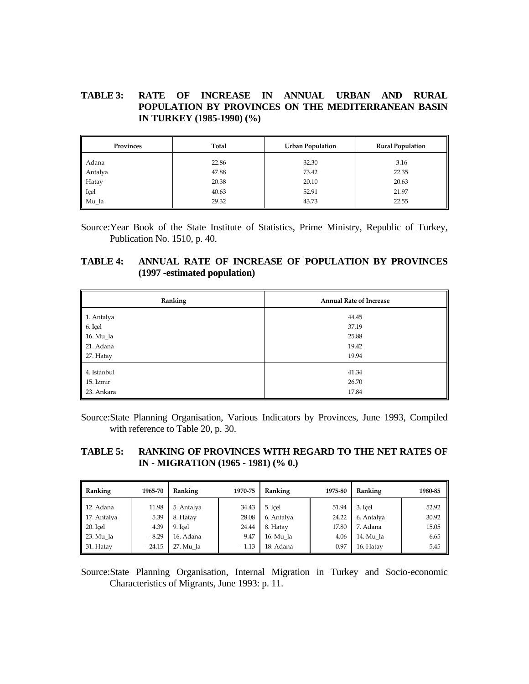# **TABLE 3: RATE OF INCREASE IN ANNUAL URBAN AND RURAL POPULATION BY PROVINCES ON THE MEDITERRANEAN BASIN IN TURKEY (1985-1990) (%)**

| Provinces | Total | <b>Urban Population</b> | <b>Rural Population</b> |
|-----------|-------|-------------------------|-------------------------|
| Adana     | 22.86 | 32.30                   | 3.16                    |
| Antalya   | 47.88 | 73.42                   | 22.35                   |
| Hatay     | 20.38 | 20.10                   | 20.63                   |
| Içel      | 40.63 | 52.91                   | 21.97                   |
| Mu_la     | 29.32 | 43.73                   | 22.55                   |

Source:Year Book of the State Institute of Statistics, Prime Ministry, Republic of Turkey, Publication No. 1510, p. 40.

## **TABLE 4: ANNUAL RATE OF INCREASE OF POPULATION BY PROVINCES (1997 -estimated population)**

| Ranking                                         | <b>Annual Rate of Increase</b> |
|-------------------------------------------------|--------------------------------|
|                                                 | 44.45                          |
| 1. Antalya<br>6. Içel<br>16. Mu_la<br>21. Adana | 37.19                          |
|                                                 | 25.88                          |
|                                                 | 19.42                          |
| 27. Hatay                                       | 19.94                          |
| 4. Istanbul                                     | 41.34                          |
| 15. Izmir<br>23. Ankara                         | 26.70                          |
|                                                 | 17.84                          |

Source:State Planning Organisation, Various Indicators by Provinces, June 1993, Compiled with reference to Table 20, p. 30.

# **TABLE 5: RANKING OF PROVINCES WITH REGARD TO THE NET RATES OF IN - MIGRATION (1965 - 1981) (% 0.)**

| Ranking     | 1965-70  | Ranking    | 1970-75 | Ranking    | 1975-80 | Ranking    | 1980-85 |
|-------------|----------|------------|---------|------------|---------|------------|---------|
| 12. Adana   | 11.98    | 5. Antalya | 34.43   | 5. Icel    | 51.94   | 3. Icel    | 52.92   |
| 17. Antalya | 5.39     | 8. Hatay   | 28.08   | 6. Antalya | 24.22   | 6. Antalya | 30.92   |
| 20. Icel    | 4.39     | 9. Icel    | 24.44   | 8. Hatay   | 17.80   | 7. Adana   | 15.05   |
| 23. Mu la   | $-8.29$  | 16. Adana  | 9.47    | 16. Mu la  | 4.06    | 14. Mu la  | 6.65    |
| 31. Hatay   | $-24.15$ | 27. Mu la  | $-1.13$ | 18. Adana  | 0.97    | 16. Hatav  | 5.45    |

Source:State Planning Organisation, Internal Migration in Turkey and Socio-economic Characteristics of Migrants, June 1993: p. 11.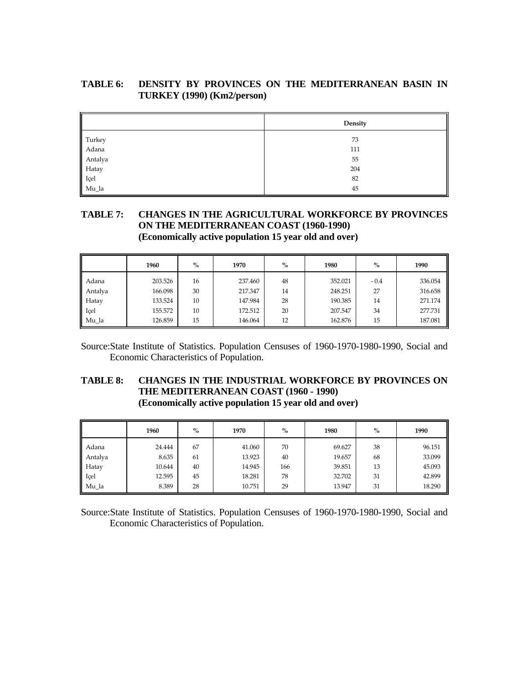# **TABLE 6: DENSITY BY PROVINCES ON THE MEDITERRANEAN BASIN IN TURKEY (1990) (Km2/person)**

| ║                                                    | Density |
|------------------------------------------------------|---------|
| Turkey<br>Adana<br>Antalya<br>Hatay<br>Içel<br>Mu_la | 73      |
|                                                      | 111     |
|                                                      | 55      |
|                                                      | 204     |
|                                                      | 82      |
|                                                      | 45      |

## **TABLE 7: CHANGES IN THE AGRICULTURAL WORKFORCE BY PROVINCES ON THE MEDITERRANEAN COAST (1960-1990) (Economically active population 15 year old and over)**

|         | 1960    | $\%$ | 1970    | $\%$ | 1980    | $\%$   | 1990    |
|---------|---------|------|---------|------|---------|--------|---------|
| Adana   | 203.526 | 16   | 237.460 | 48   | 352.021 | $-0.4$ | 336.054 |
| Antalya | 166.098 | 30   | 217.347 | 14   | 248.251 | 27     | 316.658 |
| Hatay   | 133.524 | 10   | 147.984 | 28   | 190.385 | 14     | 271.174 |
| Içel    | 155.572 | 10   | 172.512 | 20   | 207.547 | 34     | 277.731 |
| Mu la   | 126.859 | 15   | 146.064 | 12   | 162.876 | 15     | 187.081 |

Source:State Institute of Statistics. Population Censuses of 1960-1970-1980-1990, Social and Economic Characteristics of Population.

# **TABLE 8: CHANGES IN THE INDUSTRIAL WORKFORCE BY PROVINCES ON THE MEDITERRANEAN COAST (1960 - 1990) (Economically active population 15 year old and over)**

|         | 1960   | $\%$ | 1970   | $\%$ | 1980   | $\%$ | 1990   |
|---------|--------|------|--------|------|--------|------|--------|
| Adana   | 24.444 | 67   | 41.060 | 70   | 69.627 | 38   | 96.151 |
| Antalya | 8.635  | 61   | 13.923 | 40   | 19.657 | 68   | 33.099 |
| Hatay   | 10.644 | 40   | 14.945 | 166  | 39.851 | 13   | 45.093 |
| Içel    | 12.595 | 45   | 18.281 | 78   | 32.702 | 31   | 42.899 |
| Mu la   | 8.389  | 28   | 10.751 | 29   | 13.947 | 31   | 18.290 |

Source:State Institute of Statistics. Population Censuses of 1960-1970-1980-1990, Social and Economic Characteristics of Population.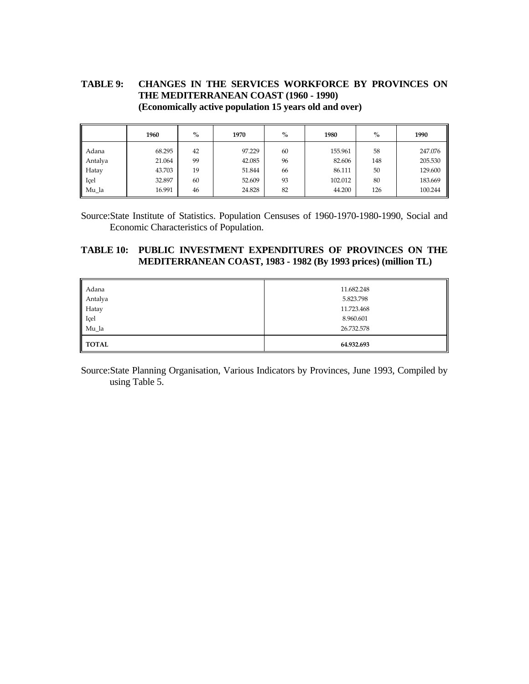# **TABLE 9: CHANGES IN THE SERVICES WORKFORCE BY PROVINCES ON THE MEDITERRANEAN COAST (1960 - 1990) (Economically active population 15 years old and over)**

|         | 1960   | $\%$ | 1970   | $\%$ | 1980    | $\%$ | 1990    |
|---------|--------|------|--------|------|---------|------|---------|
| Adana   | 68.295 | 42   | 97.229 | 60   | 155.961 | 58   | 247.076 |
| Antalya | 21.064 | 99   | 42.085 | 96   | 82.606  | 148  | 205.530 |
| Hatay   | 43.703 | 19   | 51.844 | 66   | 86.111  | 50   | 129.600 |
| Içel    | 32.897 | 60   | 52.609 | 93   | 102.012 | 80   | 183.669 |
| Mu_la   | 16.991 | 46   | 24.828 | 82   | 44.200  | 126  | 100.244 |

Source:State Institute of Statistics. Population Censuses of 1960-1970-1980-1990, Social and Economic Characteristics of Population.

### **TABLE 10: PUBLIC INVESTMENT EXPENDITURES OF PROVINCES ON THE MEDITERRANEAN COAST, 1983 - 1982 (By 1993 prices) (million TL)**

| Adana        | 11.682.248 |
|--------------|------------|
| Antalya      | 5.823.798  |
| Hatay        | 11.723.468 |
| Içel         | 8.960.601  |
| Mu_la        | 26.732.578 |
| <b>TOTAL</b> | 64.932.693 |

Source:State Planning Organisation, Various Indicators by Provinces, June 1993, Compiled by using Table 5.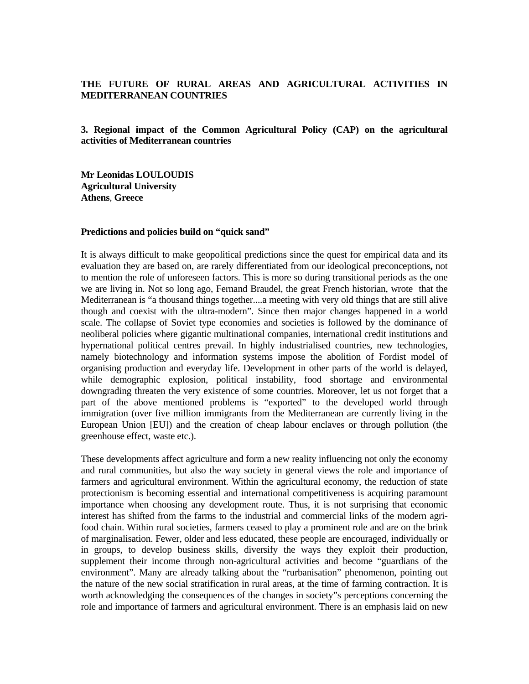### **THE FUTURE OF RURAL AREAS AND AGRICULTURAL ACTIVITIES IN MEDITERRANEAN COUNTRIES**

**3. Regional impact of the Common Agricultural Policy (CAP) on the agricultural activities of Mediterranean countries**

**Mr Leonidas LOULOUDIS Agricultural University Athens**, **Greece**

#### **Predictions and policies build on "quick sand"**

It is always difficult to make geopolitical predictions since the quest for empirical data and its evaluation they are based on, are rarely differentiated from our ideological preconceptions**,** not to mention the role of unforeseen factors. This is more so during transitional periods as the one we are living in. Not so long ago, Fernand Braudel, the great French historian, wrote that the Mediterranean is "a thousand things together....a meeting with very old things that are still alive though and coexist with the ultra-modern". Since then major changes happened in a world scale. The collapse of Soviet type economies and societies is followed by the dominance of neoliberal policies where gigantic multinational companies, international credit institutions and hypernational political centres prevail. In highly industrialised countries, new technologies, namely biotechnology and information systems impose the abolition of Fordist model of organising production and everyday life. Development in other parts of the world is delayed, while demographic explosion, political instability, food shortage and environmental downgrading threaten the very existence of some countries. Moreover, let us not forget that a part of the above mentioned problems is "exported" to the developed world through immigration (over five million immigrants from the Mediterranean are currently living in the European Union [EU]) and the creation of cheap labour enclaves or through pollution (the greenhouse effect, waste etc.).

These developments affect agriculture and form a new reality influencing not only the economy and rural communities, but also the way society in general views the role and importance of farmers and agricultural environment. Within the agricultural economy, the reduction of state protectionism is becoming essential and international competitiveness is acquiring paramount importance when choosing any development route. Thus, it is not surprising that economic interest has shifted from the farms to the industrial and commercial links of the modern agrifood chain. Within rural societies, farmers ceased to play a prominent role and are on the brink of marginalisation. Fewer, older and less educated, these people are encouraged, individually or in groups, to develop business skills, diversify the ways they exploit their production, supplement their income through non-agricultural activities and become "guardians of the environment". Many are already talking about the "rurbanisation" phenomenon, pointing out the nature of the new social stratification in rural areas, at the time of farming contraction. It is worth acknowledging the consequences of the changes in society"s perceptions concerning the role and importance of farmers and agricultural environment. There is an emphasis laid on new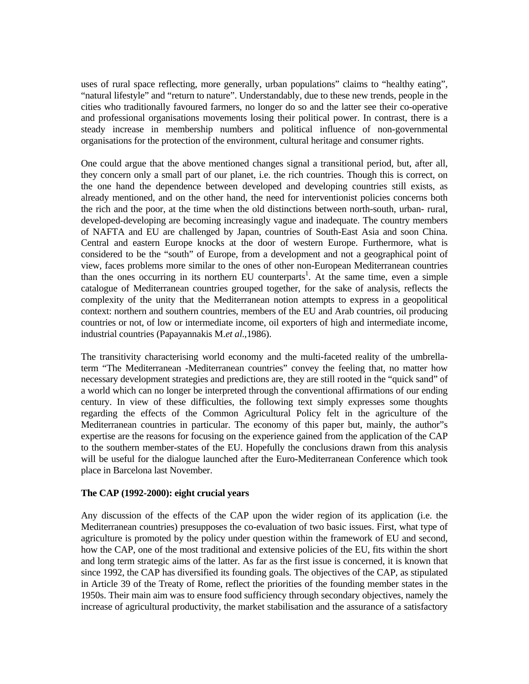uses of rural space reflecting, more generally, urban populations" claims to "healthy eating", "natural lifestyle" and "return to nature". Understandably, due to these new trends, people in the cities who traditionally favoured farmers, no longer do so and the latter see their co-operative and professional organisations movements losing their political power. In contrast, there is a steady increase in membership numbers and political influence of non-governmental organisations for the protection of the environment, cultural heritage and consumer rights.

One could argue that the above mentioned changes signal a transitional period, but, after all, they concern only a small part of our planet, i.e. the rich countries. Though this is correct, on the one hand the dependence between developed and developing countries still exists, as already mentioned, and on the other hand, the need for interventionist policies concerns both the rich and the poor, at the time when the old distinctions between north-south, urban- rural, developed-developing are becoming increasingly vague and inadequate. The country members of NAFTA and EU are challenged by Japan, countries of South-East Asia and soon China. Central and eastern Europe knocks at the door of western Europe. Furthermore, what is considered to be the "south" of Europe, from a development and not a geographical point of view, faces problems more similar to the ones of other non-European Mediterranean countries than the ones occurring in its northern EU counterparts<sup>1</sup>. At the same time, even a simple catalogue of Mediterranean countries grouped together, for the sake of analysis, reflects the complexity of the unity that the Mediterranean notion attempts to express in a geopolitical context: northern and southern countries, members of the EU and Arab countries, oil producing countries or not, of low or intermediate income, oil exporters of high and intermediate income, industrial countries (Papayannakis M.*et al*.,1986).

The transitivity characterising world economy and the multi-faceted reality of the umbrellaterm "The Mediterranean -Mediterranean countries" convey the feeling that, no matter how necessary development strategies and predictions are, they are still rooted in the "quick sand" of a world which can no longer be interpreted through the conventional affirmations of our ending century. In view of these difficulties, the following text simply expresses some thoughts regarding the effects of the Common Agricultural Policy felt in the agriculture of the Mediterranean countries in particular. The economy of this paper but, mainly, the author"s expertise are the reasons for focusing on the experience gained from the application of the CAP to the southern member-states of the EU. Hopefully the conclusions drawn from this analysis will be useful for the dialogue launched after the Euro-Mediterranean Conference which took place in Barcelona last November.

### **The CAP (1992-2000): eight crucial years**

Any discussion of the effects of the CAP upon the wider region of its application (i.e. the Mediterranean countries) presupposes the co-evaluation of two basic issues. First, what type of agriculture is promoted by the policy under question within the framework of EU and second, how the CAP, one of the most traditional and extensive policies of the EU, fits within the short and long term strategic aims of the latter. As far as the first issue is concerned, it is known that since 1992, the CAP has diversified its founding goals. The objectives of the CAP, as stipulated in Article 39 of the Treaty of Rome, reflect the priorities of the founding member states in the 1950s. Their main aim was to ensure food sufficiency through secondary objectives, namely the increase of agricultural productivity, the market stabilisation and the assurance of a satisfactory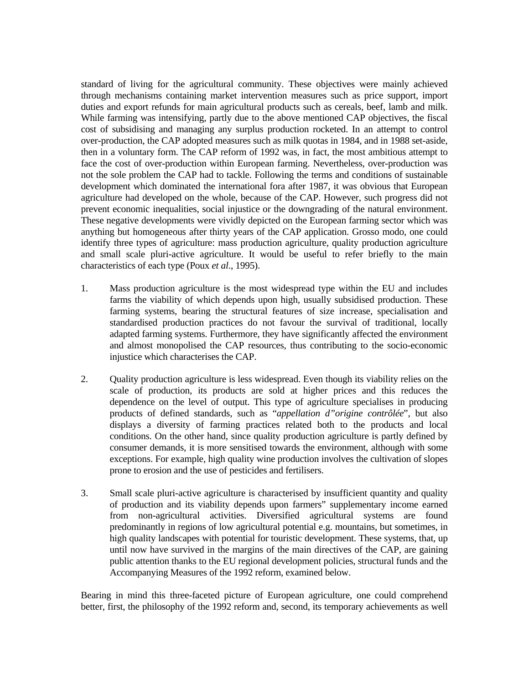standard of living for the agricultural community. These objectives were mainly achieved through mechanisms containing market intervention measures such as price support, import duties and export refunds for main agricultural products such as cereals, beef, lamb and milk. While farming was intensifying, partly due to the above mentioned CAP objectives, the fiscal cost of subsidising and managing any surplus production rocketed. In an attempt to control over-production, the CAP adopted measures such as milk quotas in 1984, and in 1988 set-aside, then in a voluntary form. The CAP reform of 1992 was, in fact, the most ambitious attempt to face the cost of over-production within European farming. Nevertheless, over-production was not the sole problem the CAP had to tackle. Following the terms and conditions of sustainable development which dominated the international fora after 1987, it was obvious that European agriculture had developed on the whole, because of the CAP. However, such progress did not prevent economic inequalities, social injustice or the downgrading of the natural environment. These negative developments were vividly depicted on the European farming sector which was anything but homogeneous after thirty years of the CAP application. Grosso modo, one could identify three types of agriculture: mass production agriculture, quality production agriculture and small scale pluri-active agriculture. It would be useful to refer briefly to the main characteristics of each type (Poux *et al*., 1995).

- 1. Mass production agriculture is the most widespread type within the EU and includes farms the viability of which depends upon high, usually subsidised production. These farming systems, bearing the structural features of size increase, specialisation and standardised production practices do not favour the survival of traditional, locally adapted farming systems. Furthermore, they have significantly affected the environment and almost monopolised the CAP resources, thus contributing to the socio-economic injustice which characterises the CAP.
- 2. Quality production agriculture is less widespread. Even though its viability relies on the scale of production, its products are sold at higher prices and this reduces the dependence on the level of output. This type of agriculture specialises in producing products of defined standards, such as "*appellation d"origine contrôlée*", but also displays a diversity of farming practices related both to the products and local conditions. On the other hand, since quality production agriculture is partly defined by consumer demands, it is more sensitised towards the environment, although with some exceptions. For example, high quality wine production involves the cultivation of slopes prone to erosion and the use of pesticides and fertilisers.
- 3. Small scale pluri-active agriculture is characterised by insufficient quantity and quality of production and its viability depends upon farmers" supplementary income earned from non-agricultural activities. Diversified agricultural systems are found predominantly in regions of low agricultural potential e.g. mountains, but sometimes, in high quality landscapes with potential for touristic development. These systems, that, up until now have survived in the margins of the main directives of the CAP, are gaining public attention thanks to the EU regional development policies, structural funds and the Accompanying Measures of the 1992 reform, examined below.

Bearing in mind this three-faceted picture of European agriculture, one could comprehend better, first, the philosophy of the 1992 reform and, second, its temporary achievements as well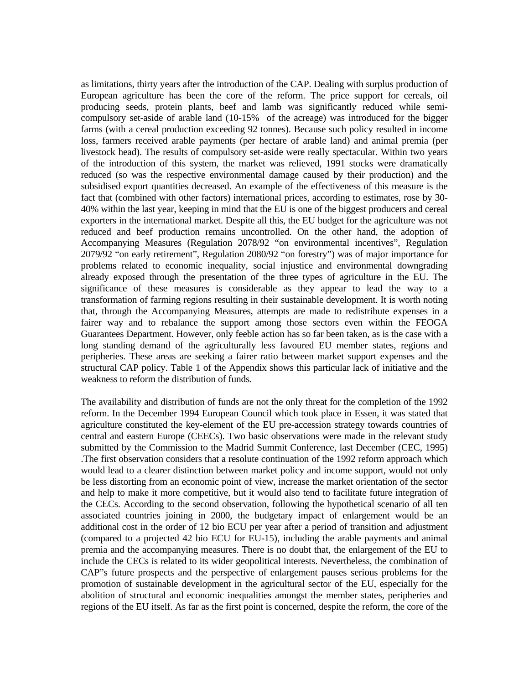as limitations, thirty years after the introduction of the CAP. Dealing with surplus production of European agriculture has been the core of the reform. The price support for cereals, oil producing seeds, protein plants, beef and lamb was significantly reduced while semicompulsory set-aside of arable land (10-15% of the acreage) was introduced for the bigger farms (with a cereal production exceeding 92 tonnes). Because such policy resulted in income loss, farmers received arable payments (per hectare of arable land) and animal premia (per livestock head). The results of compulsory set-aside were really spectacular. Within two years of the introduction of this system, the market was relieved, 1991 stocks were dramatically reduced (so was the respective environmental damage caused by their production) and the subsidised export quantities decreased. An example of the effectiveness of this measure is the fact that (combined with other factors) international prices, according to estimates, rose by 30- 40% within the last year, keeping in mind that the EU is one of the biggest producers and cereal exporters in the international market. Despite all this, the EU budget for the agriculture was not reduced and beef production remains uncontrolled. On the other hand, the adoption of Accompanying Measures (Regulation 2078/92 "on environmental incentives", Regulation 2079/92 "on early retirement", Regulation 2080/92 "on forestry") was of major importance for problems related to economic inequality, social injustice and environmental downgrading already exposed through the presentation of the three types of agriculture in the EU. The significance of these measures is considerable as they appear to lead the way to a transformation of farming regions resulting in their sustainable development. It is worth noting that, through the Accompanying Measures, attempts are made to redistribute expenses in a fairer way and to rebalance the support among those sectors even within the FEOGA Guarantees Department. However, only feeble action has so far been taken, as is the case with a long standing demand of the agriculturally less favoured EU member states, regions and peripheries. These areas are seeking a fairer ratio between market support expenses and the structural CAP policy. Table 1 of the Appendix shows this particular lack of initiative and the weakness to reform the distribution of funds.

The availability and distribution of funds are not the only threat for the completion of the 1992 reform. In the December 1994 European Council which took place in Essen, it was stated that agriculture constituted the key-element of the EU pre-accession strategy towards countries of central and eastern Europe (CEECs). Two basic observations were made in the relevant study submitted by the Commission to the Madrid Summit Conference, last December (CEC, 1995) .The first observation considers that a resolute continuation of the 1992 reform approach which would lead to a clearer distinction between market policy and income support, would not only be less distorting from an economic point of view, increase the market orientation of the sector and help to make it more competitive, but it would also tend to facilitate future integration of the CECs. According to the second observation, following the hypothetical scenario of all ten associated countries joining in 2000, the budgetary impact of enlargement would be an additional cost in the order of 12 bio ECU per year after a period of transition and adjustment (compared to a projected 42 bio ECU for EU-15), including the arable payments and animal premia and the accompanying measures. There is no doubt that, the enlargement of the EU to include the CECs is related to its wider geopolitical interests. Nevertheless, the combination of CAP"s future prospects and the perspective of enlargement pauses serious problems for the promotion of sustainable development in the agricultural sector of the EU, especially for the abolition of structural and economic inequalities amongst the member states, peripheries and regions of the EU itself. As far as the first point is concerned, despite the reform, the core of the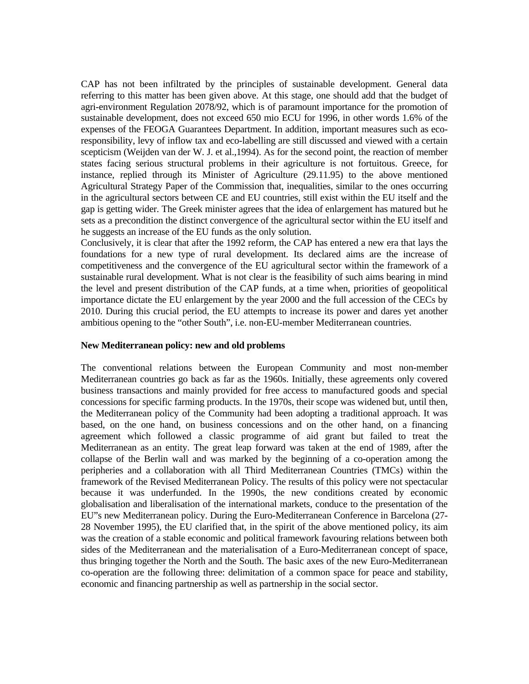CAP has not been infiltrated by the principles of sustainable development. General data referring to this matter has been given above. At this stage, one should add that the budget of agri-environment Regulation 2078/92, which is of paramount importance for the promotion of sustainable development, does not exceed 650 mio ECU for 1996, in other words 1.6% of the expenses of the FEOGA Guarantees Department. In addition, important measures such as ecoresponsibility, levy of inflow tax and eco-labelling are still discussed and viewed with a certain scepticism (Weijden van der W. J. et al.,1994). As for the second point, the reaction of member states facing serious structural problems in their agriculture is not fortuitous. Greece, for instance, replied through its Minister of Agriculture (29.11.95) to the above mentioned Agricultural Strategy Paper of the Commission that, inequalities, similar to the ones occurring in the agricultural sectors between CE and EU countries, still exist within the EU itself and the gap is getting wider. The Greek minister agrees that the idea of enlargement has matured but he sets as a precondition the distinct convergence of the agricultural sector within the EU itself and he suggests an increase of the EU funds as the only solution.

Conclusively, it is clear that after the 1992 reform, the CAP has entered a new era that lays the foundations for a new type of rural development. Its declared aims are the increase of competitiveness and the convergence of the EU agricultural sector within the framework of a sustainable rural development. What is not clear is the feasibility of such aims bearing in mind the level and present distribution of the CAP funds, at a time when, priorities of geopolitical importance dictate the EU enlargement by the year 2000 and the full accession of the CECs by 2010. During this crucial period, the EU attempts to increase its power and dares yet another ambitious opening to the "other South", i.e. non-EU-member Mediterranean countries.

### **New Mediterranean policy: new and old problems**

The conventional relations between the European Community and most non-member Mediterranean countries go back as far as the 1960s. Initially, these agreements only covered business transactions and mainly provided for free access to manufactured goods and special concessions for specific farming products. In the 1970s, their scope was widened but, until then, the Mediterranean policy of the Community had been adopting a traditional approach. It was based, on the one hand, on business concessions and on the other hand, on a financing agreement which followed a classic programme of aid grant but failed to treat the Mediterranean as an entity. The great leap forward was taken at the end of 1989, after the collapse of the Berlin wall and was marked by the beginning of a co-operation among the peripheries and a collaboration with all Third Mediterranean Countries (TMCs) within the framework of the Revised Mediterranean Policy. The results of this policy were not spectacular because it was underfunded. In the 1990s, the new conditions created by economic globalisation and liberalisation of the international markets, conduce to the presentation of the EU"s new Mediterranean policy. During the Euro-Mediterranean Conference in Barcelona (27- 28 November 1995), the EU clarified that, in the spirit of the above mentioned policy, its aim was the creation of a stable economic and political framework favouring relations between both sides of the Mediterranean and the materialisation of a Euro-Mediterranean concept of space, thus bringing together the North and the South. The basic axes of the new Euro-Mediterranean co-operation are the following three: delimitation of a common space for peace and stability, economic and financing partnership as well as partnership in the social sector.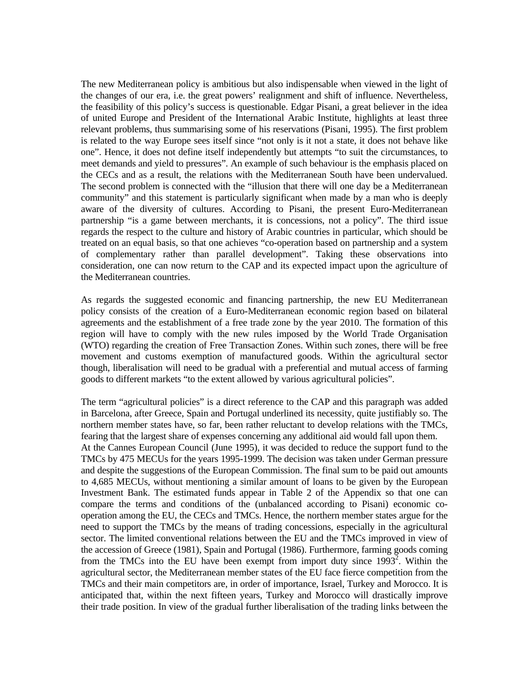The new Mediterranean policy is ambitious but also indispensable when viewed in the light of the changes of our era, i.e. the great powers' realignment and shift of influence. Nevertheless, the feasibility of this policy's success is questionable. Edgar Pisani, a great believer in the idea of united Europe and President of the International Arabic Institute, highlights at least three relevant problems, thus summarising some of his reservations (Pisani, 1995). The first problem is related to the way Europe sees itself since "not only is it not a state, it does not behave like one". Hence, it does not define itself independently but attempts "to suit the circumstances, to meet demands and yield to pressures". An example of such behaviour is the emphasis placed on the CECs and as a result, the relations with the Mediterranean South have been undervalued. The second problem is connected with the "illusion that there will one day be a Mediterranean community" and this statement is particularly significant when made by a man who is deeply aware of the diversity of cultures. According to Pisani, the present Euro-Mediterranean partnership "is a game between merchants, it is concessions, not a policy". The third issue regards the respect to the culture and history of Arabic countries in particular, which should be treated on an equal basis, so that one achieves "co-operation based on partnership and a system of complementary rather than parallel development". Taking these observations into consideration, one can now return to the CAP and its expected impact upon the agriculture of the Mediterranean countries.

As regards the suggested economic and financing partnership, the new EU Mediterranean policy consists of the creation of a Euro-Mediterranean economic region based on bilateral agreements and the establishment of a free trade zone by the year 2010. The formation of this region will have to comply with the new rules imposed by the World Trade Organisation (WTO) regarding the creation of Free Transaction Zones. Within such zones, there will be free movement and customs exemption of manufactured goods. Within the agricultural sector though, liberalisation will need to be gradual with a preferential and mutual access of farming goods to different markets "to the extent allowed by various agricultural policies".

The term "agricultural policies" is a direct reference to the CAP and this paragraph was added in Barcelona, after Greece, Spain and Portugal underlined its necessity, quite justifiably so. The northern member states have, so far, been rather reluctant to develop relations with the TMCs, fearing that the largest share of expenses concerning any additional aid would fall upon them. At the Cannes European Council (June 1995), it was decided to reduce the support fund to the TMCs by 475 MECUs for the years 1995-1999. The decision was taken under German pressure and despite the suggestions of the European Commission. The final sum to be paid out amounts to 4,685 MECUs, without mentioning a similar amount of loans to be given by the European Investment Bank. The estimated funds appear in Table 2 of the Appendix so that one can compare the terms and conditions of the (unbalanced according to Pisani) economic cooperation among the EU, the CECs and TMCs. Hence, the northern member states argue for the need to support the TMCs by the means of trading concessions, especially in the agricultural sector. The limited conventional relations between the EU and the TMCs improved in view of the accession of Greece (1981), Spain and Portugal (1986). Furthermore, farming goods coming from the TMCs into the EU have been exempt from import duty since  $1993^2$ . Within the agricultural sector, the Mediterranean member states of the EU face fierce competition from the TMCs and their main competitors are, in order of importance, Israel, Turkey and Morocco. It is anticipated that, within the next fifteen years, Turkey and Morocco will drastically improve their trade position. In view of the gradual further liberalisation of the trading links between the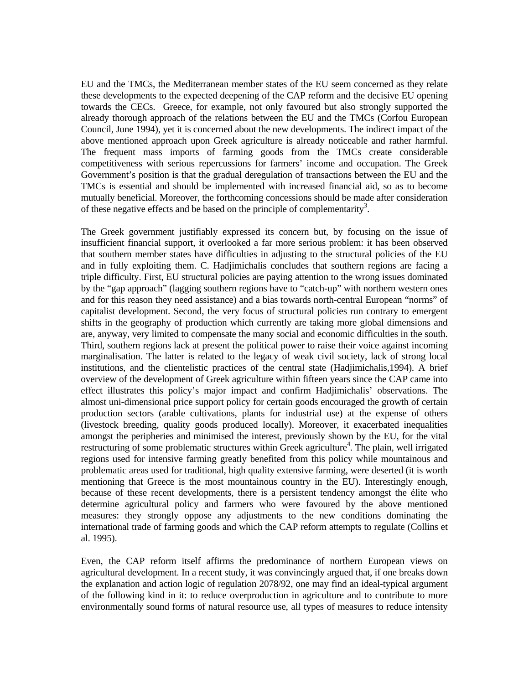EU and the TMCs, the Mediterranean member states of the EU seem concerned as they relate these developments to the expected deepening of the CAP reform and the decisive EU opening towards the CECs. Greece, for example, not only favoured but also strongly supported the already thorough approach of the relations between the EU and the TMCs (Corfou European Council, June 1994), yet it is concerned about the new developments. The indirect impact of the above mentioned approach upon Greek agriculture is already noticeable and rather harmful. The frequent mass imports of farming goods from the TMCs create considerable competitiveness with serious repercussions for farmers' income and occupation. The Greek Government's position is that the gradual deregulation of transactions between the EU and the TMCs is essential and should be implemented with increased financial aid, so as to become mutually beneficial. Moreover, the forthcoming concessions should be made after consideration of these negative effects and be based on the principle of complementarity<sup>3</sup>.

The Greek government justifiably expressed its concern but, by focusing on the issue of insufficient financial support, it overlooked a far more serious problem: it has been observed that southern member states have difficulties in adjusting to the structural policies of the EU and in fully exploiting them. C. Hadjimichalis concludes that southern regions are facing a triple difficulty. First, EU structural policies are paying attention to the wrong issues dominated by the "gap approach" (lagging southern regions have to "catch-up" with northern western ones and for this reason they need assistance) and a bias towards north-central European "norms" of capitalist development. Second, the very focus of structural policies run contrary to emergent shifts in the geography of production which currently are taking more global dimensions and are, anyway, very limited to compensate the many social and economic difficulties in the south. Third, southern regions lack at present the political power to raise their voice against incoming marginalisation. The latter is related to the legacy of weak civil society, lack of strong local institutions, and the clientelistic practices of the central state (Hadjimichalis,1994). A brief overview of the development of Greek agriculture within fifteen years since the CAP came into effect illustrates this policy's major impact and confirm Hadjimichalis' observations. The almost uni-dimensional price support policy for certain goods encouraged the growth of certain production sectors (arable cultivations, plants for industrial use) at the expense of others (livestock breeding, quality goods produced locally). Moreover, it exacerbated inequalities amongst the peripheries and minimised the interest, previously shown by the EU, for the vital restructuring of some problematic structures within Greek agriculture<sup>4</sup>. The plain, well irrigated regions used for intensive farming greatly benefited from this policy while mountainous and problematic areas used for traditional, high quality extensive farming, were deserted (it is worth mentioning that Greece is the most mountainous country in the EU). Interestingly enough, because of these recent developments, there is a persistent tendency amongst the élite who determine agricultural policy and farmers who were favoured by the above mentioned measures: they strongly oppose any adjustments to the new conditions dominating the international trade of farming goods and which the CAP reform attempts to regulate (Collins et al. 1995).

Even, the CAP reform itself affirms the predominance of northern European views on agricultural development. In a recent study, it was convincingly argued that, if one breaks down the explanation and action logic of regulation 2078/92, one may find an ideal-typical argument of the following kind in it: to reduce overproduction in agriculture and to contribute to more environmentally sound forms of natural resource use, all types of measures to reduce intensity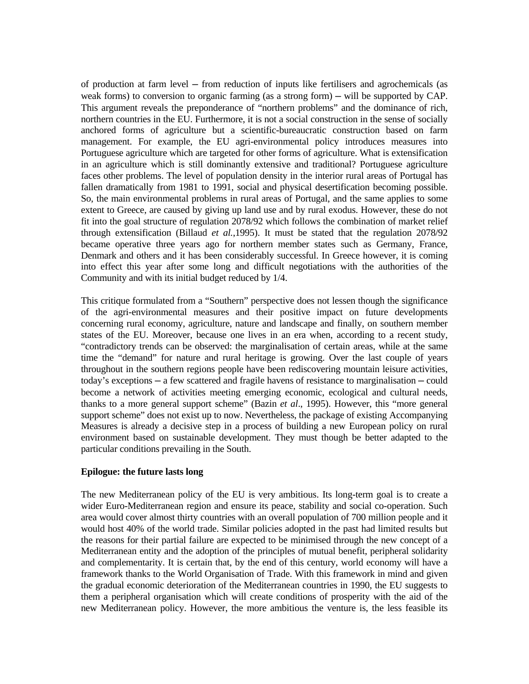of production at farm level ─ from reduction of inputs like fertilisers and agrochemicals (as weak forms) to conversion to organic farming (as a strong form) — will be supported by CAP. This argument reveals the preponderance of "northern problems" and the dominance of rich, northern countries in the EU. Furthermore, it is not a social construction in the sense of socially anchored forms of agriculture but a scientific-bureaucratic construction based on farm management. For example, the EU agri-environmental policy introduces measures into Portuguese agriculture which are targeted for other forms of agriculture. What is extensification in an agriculture which is still dominantly extensive and traditional? Portuguese agriculture faces other problems. The level of population density in the interior rural areas of Portugal has fallen dramatically from 1981 to 1991, social and physical desertification becoming possible. So, the main environmental problems in rural areas of Portugal, and the same applies to some extent to Greece, are caused by giving up land use and by rural exodus. However, these do not fit into the goal structure of regulation 2078/92 which follows the combination of market relief through extensification (Billaud *et al.*,1995). It must be stated that the regulation 2078/92 became operative three years ago for northern member states such as Germany, France, Denmark and others and it has been considerably successful. In Greece however, it is coming into effect this year after some long and difficult negotiations with the authorities of the Community and with its initial budget reduced by 1/4.

This critique formulated from a "Southern" perspective does not lessen though the significance of the agri-environmental measures and their positive impact on future developments concerning rural economy, agriculture, nature and landscape and finally, on southern member states of the EU. Moreover, because one lives in an era when, according to a recent study, "contradictory trends can be observed: the marginalisation of certain areas, while at the same time the "demand" for nature and rural heritage is growing. Over the last couple of years throughout in the southern regions people have been rediscovering mountain leisure activities, today's exceptions ─ a few scattered and fragile havens of resistance to marginalisation ─ could become a network of activities meeting emerging economic, ecological and cultural needs, thanks to a more general support scheme" (Bazin *et al*., 1995). However, this "more general support scheme" does not exist up to now. Nevertheless, the package of existing Accompanying Measures is already a decisive step in a process of building a new European policy on rural environment based on sustainable development. They must though be better adapted to the particular conditions prevailing in the South.

### **Epilogue: the future lasts long**

The new Mediterranean policy of the EU is very ambitious. Its long-term goal is to create a wider Euro-Mediterranean region and ensure its peace, stability and social co-operation. Such area would cover almost thirty countries with an overall population of 700 million people and it would host 40% of the world trade. Similar policies adopted in the past had limited results but the reasons for their partial failure are expected to be minimised through the new concept of a Mediterranean entity and the adoption of the principles of mutual benefit, peripheral solidarity and complementarity. It is certain that, by the end of this century, world economy will have a framework thanks to the World Organisation of Trade. With this framework in mind and given the gradual economic deterioration of the Mediterranean countries in 1990, the EU suggests to them a peripheral organisation which will create conditions of prosperity with the aid of the new Mediterranean policy. However, the more ambitious the venture is, the less feasible its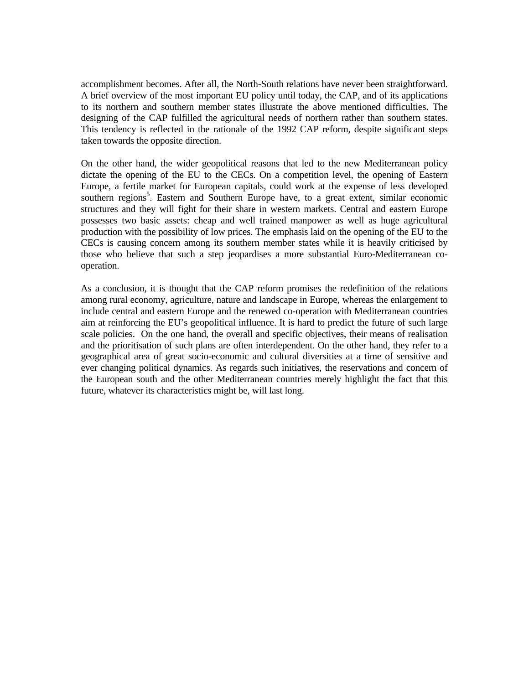accomplishment becomes. After all, the North-South relations have never been straightforward. A brief overview of the most important EU policy until today, the CAP, and of its applications to its northern and southern member states illustrate the above mentioned difficulties. The designing of the CAP fulfilled the agricultural needs of northern rather than southern states. This tendency is reflected in the rationale of the 1992 CAP reform, despite significant steps taken towards the opposite direction.

On the other hand, the wider geopolitical reasons that led to the new Mediterranean policy dictate the opening of the EU to the CECs. On a competition level, the opening of Eastern Europe, a fertile market for European capitals, could work at the expense of less developed southern regions<sup>5</sup>. Eastern and Southern Europe have, to a great extent, similar economic structures and they will fight for their share in western markets. Central and eastern Europe possesses two basic assets: cheap and well trained manpower as well as huge agricultural production with the possibility of low prices. The emphasis laid on the opening of the EU to the CECs is causing concern among its southern member states while it is heavily criticised by those who believe that such a step jeopardises a more substantial Euro-Mediterranean cooperation.

As a conclusion, it is thought that the CAP reform promises the redefinition of the relations among rural economy, agriculture, nature and landscape in Europe, whereas the enlargement to include central and eastern Europe and the renewed co-operation with Mediterranean countries aim at reinforcing the EU's geopolitical influence. It is hard to predict the future of such large scale policies. On the one hand, the overall and specific objectives, their means of realisation and the prioritisation of such plans are often interdependent. On the other hand, they refer to a geographical area of great socio-economic and cultural diversities at a time of sensitive and ever changing political dynamics. As regards such initiatives, the reservations and concern of the European south and the other Mediterranean countries merely highlight the fact that this future, whatever its characteristics might be, will last long.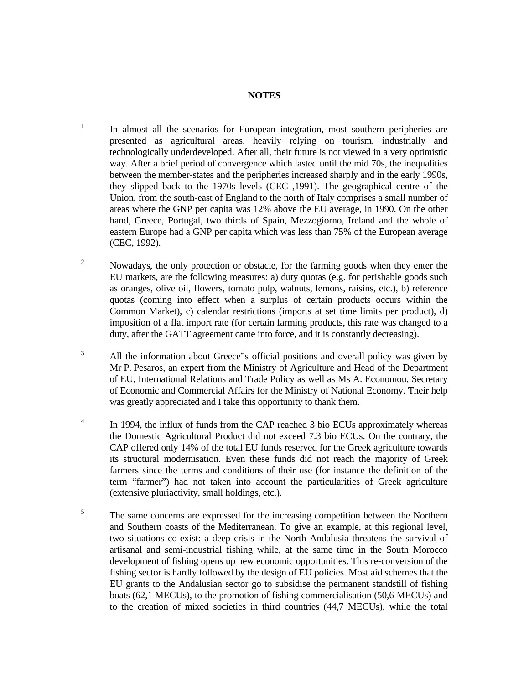### **NOTES**

 $1$  In almost all the scenarios for European integration, most southern peripheries are presented as agricultural areas, heavily relying on tourism, industrially and technologically underdeveloped. After all, their future is not viewed in a very optimistic way. After a brief period of convergence which lasted until the mid 70s, the inequalities between the member-states and the peripheries increased sharply and in the early 1990s, they slipped back to the 1970s levels (CEC ,1991). The geographical centre of the Union, from the south-east of England to the north of Italy comprises a small number of areas where the GNP per capita was 12% above the EU average, in 1990. On the other hand, Greece, Portugal, two thirds of Spain, Mezzogiorno, Ireland and the whole of eastern Europe had a GNP per capita which was less than 75% of the European average (CEC, 1992).

- <sup>2</sup> Nowadays, the only protection or obstacle, for the farming goods when they enter the EU markets, are the following measures: a) duty quotas (e.g. for perishable goods such as oranges, olive oil, flowers, tomato pulp, walnuts, lemons, raisins, etc.), b) reference quotas (coming into effect when a surplus of certain products occurs within the Common Market), c) calendar restrictions (imports at set time limits per product), d) imposition of a flat import rate (for certain farming products, this rate was changed to a duty, after the GATT agreement came into force, and it is constantly decreasing).
- <sup>3</sup> All the information about Greece"s official positions and overall policy was given by Mr P. Pesaros, an expert from the Ministry of Agriculture and Head of the Department of EU, International Relations and Trade Policy as well as Ms A. Economou, Secretary of Economic and Commercial Affairs for the Ministry of National Economy. Their help was greatly appreciated and I take this opportunity to thank them.
- <sup>4</sup> In 1994, the influx of funds from the CAP reached 3 bio ECUs approximately whereas the Domestic Agricultural Product did not exceed 7.3 bio ECUs. On the contrary, the CAP offered only 14% of the total EU funds reserved for the Greek agriculture towards its structural modernisation. Even these funds did not reach the majority of Greek farmers since the terms and conditions of their use (for instance the definition of the term "farmer") had not taken into account the particularities of Greek agriculture (extensive pluriactivity, small holdings, etc.).
- <sup>5</sup> The same concerns are expressed for the increasing competition between the Northern and Southern coasts of the Mediterranean. To give an example, at this regional level, two situations co-exist: a deep crisis in the North Andalusia threatens the survival of artisanal and semi-industrial fishing while, at the same time in the South Morocco development of fishing opens up new economic opportunities. This re-conversion of the fishing sector is hardly followed by the design of EU policies. Most aid schemes that the EU grants to the Andalusian sector go to subsidise the permanent standstill of fishing boats (62,1 MECUs), to the promotion of fishing commercialisation (50,6 MECUs) and to the creation of mixed societies in third countries (44,7 MECUs), while the total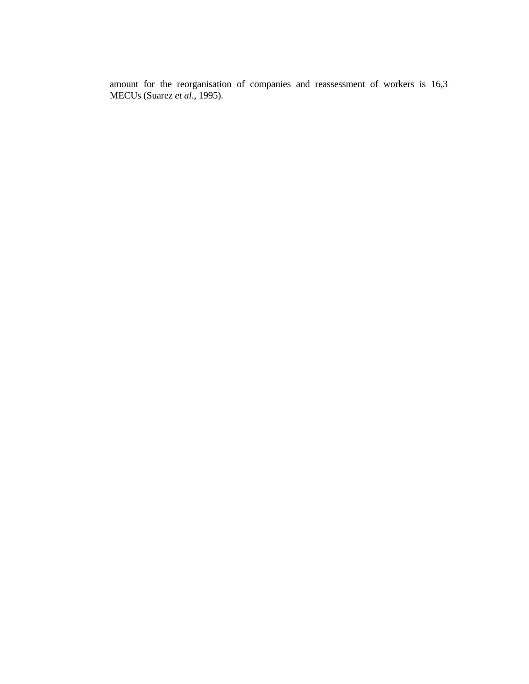amount for the reorganisation of companies and reassessment of workers is 16,3 MECUs (Suarez *et al*., 1995).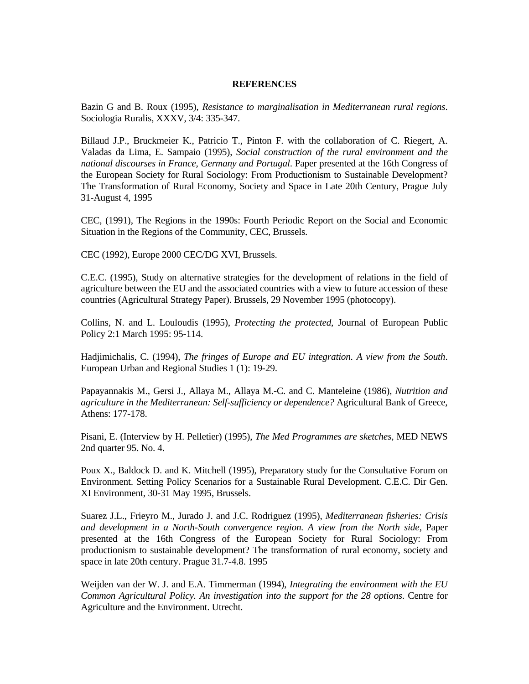#### **REFERENCES**

Bazin G and B. Roux (1995), *Resistance to marginalisation in Mediterranean rural regions*. Sociologia Ruralis, XXXV, 3/4: 335-347.

Billaud J.P., Bruckmeier K., Patricio T., Pinton F. with the collaboration of C. Riegert, A. Valadas da Lima, E. Sampaio (1995), *Social construction of the rural environment and the national discourses in France, Germany and Portugal*. Paper presented at the 16th Congress of the European Society for Rural Sociology: From Productionism to Sustainable Development? The Transformation of Rural Economy, Society and Space in Late 20th Century, Prague July 31-August 4, 1995

CEC, (1991), The Regions in the 1990s: Fourth Periodic Report on the Social and Economic Situation in the Regions of the Community, CEC, Brussels.

CEC (1992), Europe 2000 CEC/DG XVI, Brussels.

C.E.C. (1995), Study on alternative strategies for the development of relations in the field of agriculture between the EU and the associated countries with a view to future accession of these countries (Agricultural Strategy Paper). Brussels, 29 November 1995 (photocopy).

Collins, N. and L. Louloudis (1995), *Protecting the protected*, Journal of European Public Policy 2:1 March 1995: 95-114.

Hadjimichalis, C. (1994), *The fringes of Europe and EU integration. A view from the South*. European Urban and Regional Studies 1 (1): 19-29.

Papayannakis M., Gersi J., Allaya M., Allaya M.-C. and C. Manteleine (1986), *Nutrition and agriculture in the Mediterranean: Self-sufficiency or dependence?* Agricultural Bank of Greece, Athens: 177-178.

Pisani, E. (Interview by H. Pelletier) (1995), *The Med Programmes are sketches,* MED NEWS 2nd quarter 95. No. 4.

Poux X., Baldock D. and K. Mitchell (1995), Preparatory study for the Consultative Forum on Environment. Setting Policy Scenarios for a Sustainable Rural Development. C.E.C. Dir Gen. XI Environment, 30-31 May 1995, Brussels.

Suarez J.L., Frieyro M., Jurado J. and J.C. Rodriguez (1995), *Mediterranean fisheries: Crisis and development in a North-South convergence region. A view from the North side*, Paper presented at the 16th Congress of the European Society for Rural Sociology: From productionism to sustainable development? The transformation of rural economy, society and space in late 20th century. Prague 31.7-4.8. 1995

Weijden van der W. J. and E.A. Timmerman (1994), *Integrating the environment with the EU Common Agricultural Policy. An investigation into the support for the 28 options*. Centre for Agriculture and the Environment. Utrecht.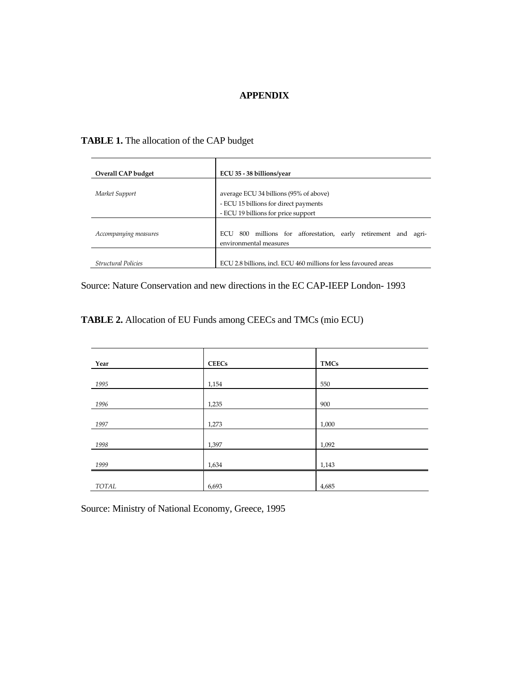### **APPENDIX**

# **TABLE 1.** The allocation of the CAP budget

| Overall CAP budget         | ECU 35 - 38 billions/year                                                                                              |  |  |
|----------------------------|------------------------------------------------------------------------------------------------------------------------|--|--|
| Market Support             | average ECU 34 billions (95% of above)<br>- ECU 15 billions for direct payments<br>- ECU 19 billions for price support |  |  |
| Accompanying measures      | 800 millions for afforestation, early retirement and<br>ECU<br>agri-<br>environmental measures                         |  |  |
| <b>Structural Policies</b> | ECU 2.8 billions, incl. ECU 460 millions for less favoured areas                                                       |  |  |

Source: Nature Conservation and new directions in the EC CAP-IEEP London- 1993

**TABLE 2.** Allocation of EU Funds among CEECs and TMCs (mio ECU)

| Year  | <b>CEECs</b> | <b>TMCs</b> |
|-------|--------------|-------------|
| 1995  | 1,154        | 550         |
| 1996  | 1,235        | 900         |
| 1997  | 1,273        | 1,000       |
| 1998  | 1,397        | 1,092       |
| 1999  | 1,634        | 1,143       |
|       |              |             |
| TOTAL | 6,693        | 4,685       |

Source: Ministry of National Economy, Greece, 1995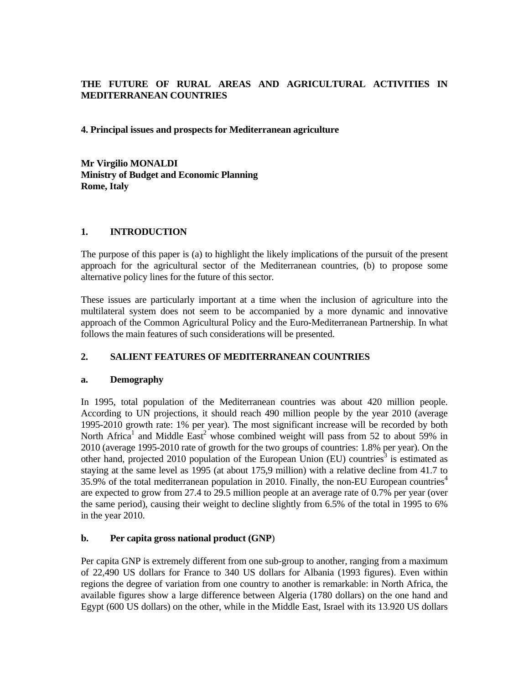# **THE FUTURE OF RURAL AREAS AND AGRICULTURAL ACTIVITIES IN MEDITERRANEAN COUNTRIES**

### **4. Principal issues and prospects for Mediterranean agriculture**

**Mr Virgilio MONALDI Ministry of Budget and Economic Planning Rome, Italy**

## **1. INTRODUCTION**

The purpose of this paper is (a) to highlight the likely implications of the pursuit of the present approach for the agricultural sector of the Mediterranean countries, (b) to propose some alternative policy lines for the future of this sector.

These issues are particularly important at a time when the inclusion of agriculture into the multilateral system does not seem to be accompanied by a more dynamic and innovative approach of the Common Agricultural Policy and the Euro-Mediterranean Partnership. In what follows the main features of such considerations will be presented.

# **2. SALIENT FEATURES OF MEDITERRANEAN COUNTRIES**

### **a. Demography**

In 1995, total population of the Mediterranean countries was about 420 million people. According to UN projections, it should reach 490 million people by the year 2010 (average 1995-2010 growth rate: 1% per year). The most significant increase will be recorded by both North Africa<sup>1</sup> and Middle  $\text{East}^2$  whose combined weight will pass from 52 to about 59% in 2010 (average 1995-2010 rate of growth for the two groups of countries: 1.8% per year). On the other hand, projected 2010 population of the European Union (EU) countries<sup>3</sup> is estimated as staying at the same level as 1995 (at about 175,9 million) with a relative decline from 41.7 to 35.9% of the total mediterranean population in 2010. Finally, the non-EU European countries<sup>4</sup> are expected to grow from 27.4 to 29.5 million people at an average rate of 0.7% per year (over the same period), causing their weight to decline slightly from 6.5% of the total in 1995 to 6% in the year 2010.

# **b. Per capita gross national product (GNP**)

Per capita GNP is extremely different from one sub-group to another, ranging from a maximum of 22,490 US dollars for France to 340 US dollars for Albania (1993 figures). Even within regions the degree of variation from one country to another is remarkable: in North Africa, the available figures show a large difference between Algeria (1780 dollars) on the one hand and Egypt (600 US dollars) on the other, while in the Middle East, Israel with its 13.920 US dollars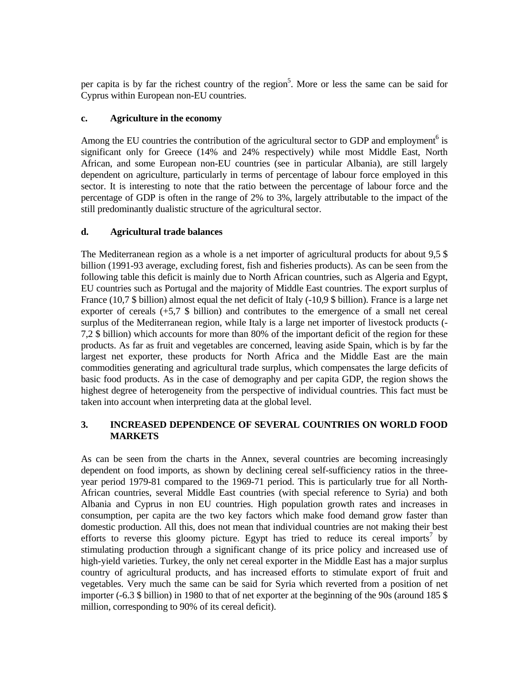per capita is by far the richest country of the region<sup>5</sup>. More or less the same can be said for Cyprus within European non-EU countries.

# **c. Agriculture in the economy**

Among the EU countries the contribution of the agricultural sector to GDP and employment<sup>6</sup> is significant only for Greece (14% and 24% respectively) while most Middle East, North African, and some European non-EU countries (see in particular Albania), are still largely dependent on agriculture, particularly in terms of percentage of labour force employed in this sector. It is interesting to note that the ratio between the percentage of labour force and the percentage of GDP is often in the range of 2% to 3%, largely attributable to the impact of the still predominantly dualistic structure of the agricultural sector.

# **d. Agricultural trade balances**

The Mediterranean region as a whole is a net importer of agricultural products for about 9,5 \$ billion (1991-93 average, excluding forest, fish and fisheries products). As can be seen from the following table this deficit is mainly due to North African countries, such as Algeria and Egypt, EU countries such as Portugal and the majority of Middle East countries. The export surplus of France (10,7 \$ billion) almost equal the net deficit of Italy (-10,9 \$ billion). France is a large net exporter of cereals (+5,7 \$ billion) and contributes to the emergence of a small net cereal surplus of the Mediterranean region, while Italy is a large net importer of livestock products (- 7,2 \$ billion) which accounts for more than 80% of the important deficit of the region for these products. As far as fruit and vegetables are concerned, leaving aside Spain, which is by far the largest net exporter, these products for North Africa and the Middle East are the main commodities generating and agricultural trade surplus, which compensates the large deficits of basic food products. As in the case of demography and per capita GDP, the region shows the highest degree of heterogeneity from the perspective of individual countries. This fact must be taken into account when interpreting data at the global level.

# **3. INCREASED DEPENDENCE OF SEVERAL COUNTRIES ON WORLD FOOD MARKETS**

As can be seen from the charts in the Annex, several countries are becoming increasingly dependent on food imports, as shown by declining cereal self-sufficiency ratios in the threeyear period 1979-81 compared to the 1969-71 period. This is particularly true for all North-African countries, several Middle East countries (with special reference to Syria) and both Albania and Cyprus in non EU countries. High population growth rates and increases in consumption, per capita are the two key factors which make food demand grow faster than domestic production. All this, does not mean that individual countries are not making their best efforts to reverse this gloomy picture. Egypt has tried to reduce its cereal imports<sup>7</sup> by stimulating production through a significant change of its price policy and increased use of high-yield varieties. Turkey, the only net cereal exporter in the Middle East has a major surplus country of agricultural products, and has increased efforts to stimulate export of fruit and vegetables. Very much the same can be said for Syria which reverted from a position of net importer (-6.3 \$ billion) in 1980 to that of net exporter at the beginning of the 90s (around 185 \$ million, corresponding to 90% of its cereal deficit).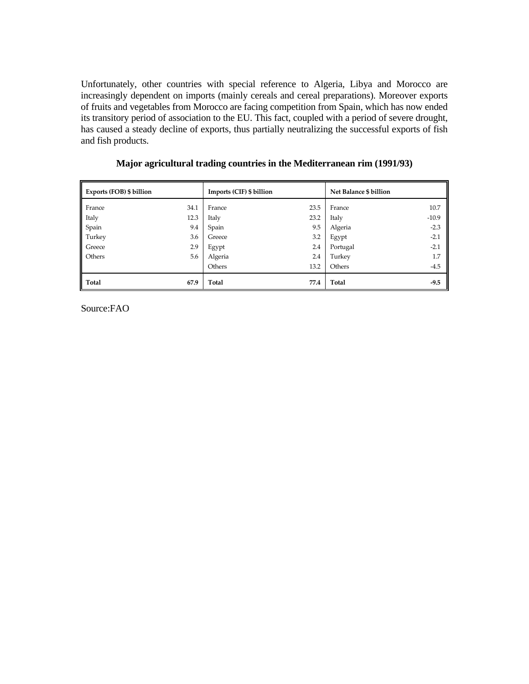Unfortunately, other countries with special reference to Algeria, Libya and Morocco are increasingly dependent on imports (mainly cereals and cereal preparations). Moreover exports of fruits and vegetables from Morocco are facing competition from Spain, which has now ended its transitory period of association to the EU. This fact, coupled with a period of severe drought, has caused a steady decline of exports, thus partially neutralizing the successful exports of fish and fish products.

| Exports (FOB) \$ billion |      | Imports (CIF) \$ billion |      | Net Balance \$ billion |         |
|--------------------------|------|--------------------------|------|------------------------|---------|
| France                   | 34.1 | France                   | 23.5 | France                 | 10.7    |
| Italy                    | 12.3 | Italy                    | 23.2 | Italy                  | $-10.9$ |
| Spain                    | 9.4  | Spain                    | 9.5  | Algeria                | $-2.3$  |
| Turkey                   | 3.6  | Greece                   | 3.2  | Egypt                  | $-2.1$  |
| Greece                   | 2.9  | Egypt                    | 2.4  | Portugal               | $-2.1$  |
| Others                   | 5.6  | Algeria                  | 2.4  | Turkey                 | 1.7     |
|                          |      | Others                   | 13.2 | Others                 | $-4.5$  |
| ll Total                 | 67.9 | Total                    | 77.4 | Total                  | $-9.5$  |

 **Major agricultural trading countries in the Mediterranean rim (1991/93)**

Source:FAO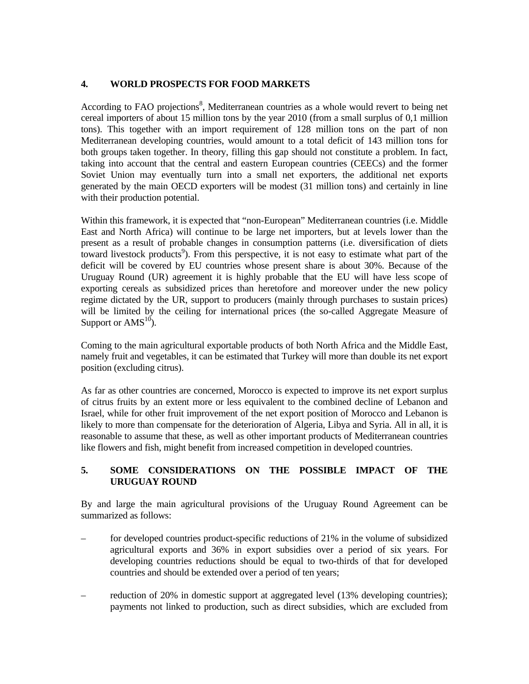# **4. WORLD PROSPECTS FOR FOOD MARKETS**

According to FAO projections<sup>8</sup>, Mediterranean countries as a whole would revert to being net cereal importers of about 15 million tons by the year 2010 (from a small surplus of 0,1 million tons). This together with an import requirement of 128 million tons on the part of non Mediterranean developing countries, would amount to a total deficit of 143 million tons for both groups taken together. In theory, filling this gap should not constitute a problem. In fact, taking into account that the central and eastern European countries (CEECs) and the former Soviet Union may eventually turn into a small net exporters, the additional net exports generated by the main OECD exporters will be modest (31 million tons) and certainly in line with their production potential.

Within this framework, it is expected that "non-European" Mediterranean countries (i.e. Middle East and North Africa) will continue to be large net importers, but at levels lower than the present as a result of probable changes in consumption patterns (i.e. diversification of diets toward livestock products<sup>9</sup>). From this perspective, it is not easy to estimate what part of the deficit will be covered by EU countries whose present share is about 30%. Because of the Uruguay Round (UR) agreement it is highly probable that the EU will have less scope of exporting cereals as subsidized prices than heretofore and moreover under the new policy regime dictated by the UR, support to producers (mainly through purchases to sustain prices) will be limited by the ceiling for international prices (the so-called Aggregate Measure of Support or  $AMS^{10}$ ).

Coming to the main agricultural exportable products of both North Africa and the Middle East, namely fruit and vegetables, it can be estimated that Turkey will more than double its net export position (excluding citrus).

As far as other countries are concerned, Morocco is expected to improve its net export surplus of citrus fruits by an extent more or less equivalent to the combined decline of Lebanon and Israel, while for other fruit improvement of the net export position of Morocco and Lebanon is likely to more than compensate for the deterioration of Algeria, Libya and Syria. All in all, it is reasonable to assume that these, as well as other important products of Mediterranean countries like flowers and fish, might benefit from increased competition in developed countries.

# **5. SOME CONSIDERATIONS ON THE POSSIBLE IMPACT OF THE URUGUAY ROUND**

By and large the main agricultural provisions of the Uruguay Round Agreement can be summarized as follows:

- for developed countries product-specific reductions of 21% in the volume of subsidized agricultural exports and 36% in export subsidies over a period of six years. For developing countries reductions should be equal to two-thirds of that for developed countries and should be extended over a period of ten years;
- reduction of 20% in domestic support at aggregated level (13% developing countries); payments not linked to production, such as direct subsidies, which are excluded from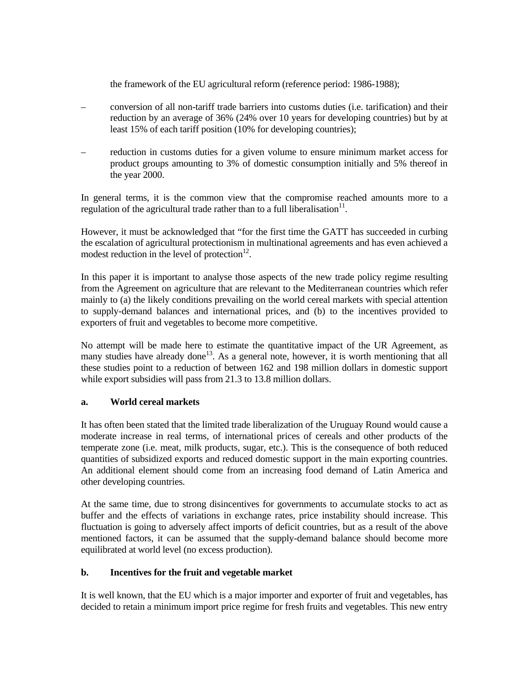the framework of the EU agricultural reform (reference period: 1986-1988);

- conversion of all non-tariff trade barriers into customs duties (i.e. tarification) and their reduction by an average of 36% (24% over 10 years for developing countries) but by at least 15% of each tariff position (10% for developing countries);
- reduction in customs duties for a given volume to ensure minimum market access for product groups amounting to 3% of domestic consumption initially and 5% thereof in the year 2000.

In general terms, it is the common view that the compromise reached amounts more to a regulation of the agricultural trade rather than to a full liberalisation<sup>11</sup>.

However, it must be acknowledged that "for the first time the GATT has succeeded in curbing the escalation of agricultural protectionism in multinational agreements and has even achieved a modest reduction in the level of protection $12$ .

In this paper it is important to analyse those aspects of the new trade policy regime resulting from the Agreement on agriculture that are relevant to the Mediterranean countries which refer mainly to (a) the likely conditions prevailing on the world cereal markets with special attention to supply-demand balances and international prices, and (b) to the incentives provided to exporters of fruit and vegetables to become more competitive.

No attempt will be made here to estimate the quantitative impact of the UR Agreement, as many studies have already done<sup>13</sup>. As a general note, however, it is worth mentioning that all these studies point to a reduction of between 162 and 198 million dollars in domestic support while export subsidies will pass from 21.3 to 13.8 million dollars.

# **a. World cereal markets**

It has often been stated that the limited trade liberalization of the Uruguay Round would cause a moderate increase in real terms, of international prices of cereals and other products of the temperate zone (i.e. meat, milk products, sugar, etc.). This is the consequence of both reduced quantities of subsidized exports and reduced domestic support in the main exporting countries. An additional element should come from an increasing food demand of Latin America and other developing countries.

At the same time, due to strong disincentives for governments to accumulate stocks to act as buffer and the effects of variations in exchange rates, price instability should increase. This fluctuation is going to adversely affect imports of deficit countries, but as a result of the above mentioned factors, it can be assumed that the supply-demand balance should become more equilibrated at world level (no excess production).

### **b. Incentives for the fruit and vegetable market**

It is well known, that the EU which is a major importer and exporter of fruit and vegetables, has decided to retain a minimum import price regime for fresh fruits and vegetables. This new entry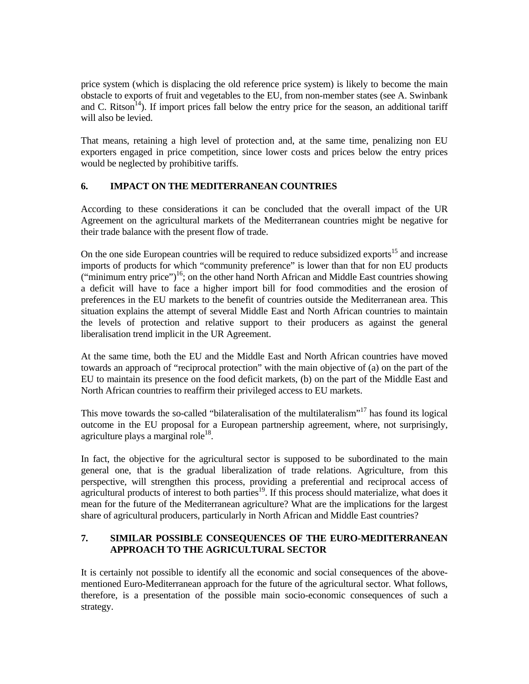price system (which is displacing the old reference price system) is likely to become the main obstacle to exports of fruit and vegetables to the EU, from non-member states (see A. Swinbank and C. Ritson<sup>14</sup>). If import prices fall below the entry price for the season, an additional tariff will also be levied.

That means, retaining a high level of protection and, at the same time, penalizing non EU exporters engaged in price competition, since lower costs and prices below the entry prices would be neglected by prohibitive tariffs.

# **6. IMPACT ON THE MEDITERRANEAN COUNTRIES**

According to these considerations it can be concluded that the overall impact of the UR Agreement on the agricultural markets of the Mediterranean countries might be negative for their trade balance with the present flow of trade.

On the one side European countries will be required to reduce subsidized exports<sup>15</sup> and increase imports of products for which "community preference" is lower than that for non EU products ("minimum entry price")<sup>16</sup>; on the other hand North African and Middle East countries showing a deficit will have to face a higher import bill for food commodities and the erosion of preferences in the EU markets to the benefit of countries outside the Mediterranean area. This situation explains the attempt of several Middle East and North African countries to maintain the levels of protection and relative support to their producers as against the general liberalisation trend implicit in the UR Agreement.

At the same time, both the EU and the Middle East and North African countries have moved towards an approach of "reciprocal protection" with the main objective of (a) on the part of the EU to maintain its presence on the food deficit markets, (b) on the part of the Middle East and North African countries to reaffirm their privileged access to EU markets.

This move towards the so-called "bilateralisation of the multilateralism"<sup>17</sup> has found its logical outcome in the EU proposal for a European partnership agreement, where, not surprisingly, agriculture plays a marginal role<sup>18</sup>.

In fact, the objective for the agricultural sector is supposed to be subordinated to the main general one, that is the gradual liberalization of trade relations. Agriculture, from this perspective, will strengthen this process, providing a preferential and reciprocal access of agricultural products of interest to both parties<sup>19</sup>. If this process should materialize, what does it mean for the future of the Mediterranean agriculture? What are the implications for the largest share of agricultural producers, particularly in North African and Middle East countries?

# **7. SIMILAR POSSIBLE CONSEQUENCES OF THE EURO-MEDITERRANEAN APPROACH TO THE AGRICULTURAL SECTOR**

It is certainly not possible to identify all the economic and social consequences of the abovementioned Euro-Mediterranean approach for the future of the agricultural sector. What follows, therefore, is a presentation of the possible main socio-economic consequences of such a strategy.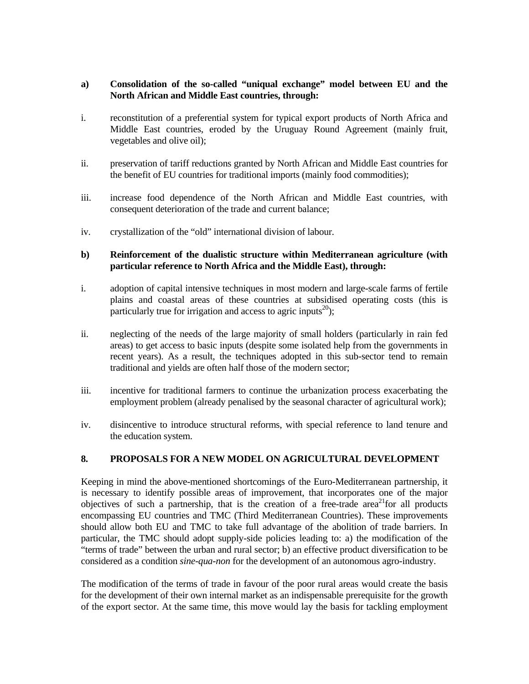### **a) Consolidation of the so-called "uniqual exchange" model between EU and the North African and Middle East countries, through:**

- i. reconstitution of a preferential system for typical export products of North Africa and Middle East countries, eroded by the Uruguay Round Agreement (mainly fruit, vegetables and olive oil);
- ii. preservation of tariff reductions granted by North African and Middle East countries for the benefit of EU countries for traditional imports (mainly food commodities);
- iii. increase food dependence of the North African and Middle East countries, with consequent deterioration of the trade and current balance;
- iv. crystallization of the "old" international division of labour.

## **b) Reinforcement of the dualistic structure within Mediterranean agriculture (with particular reference to North Africa and the Middle East), through:**

- i. adoption of capital intensive techniques in most modern and large-scale farms of fertile plains and coastal areas of these countries at subsidised operating costs (this is particularly true for irrigation and access to agric inputs<sup>20</sup>);
- ii. neglecting of the needs of the large majority of small holders (particularly in rain fed areas) to get access to basic inputs (despite some isolated help from the governments in recent years). As a result, the techniques adopted in this sub-sector tend to remain traditional and yields are often half those of the modern sector;
- iii. incentive for traditional farmers to continue the urbanization process exacerbating the employment problem (already penalised by the seasonal character of agricultural work);
- iv. disincentive to introduce structural reforms, with special reference to land tenure and the education system.

### **8. PROPOSALS FOR A NEW MODEL ON AGRICULTURAL DEVELOPMENT**

Keeping in mind the above-mentioned shortcomings of the Euro-Mediterranean partnership, it is necessary to identify possible areas of improvement, that incorporates one of the major objectives of such a partnership, that is the creation of a free-trade area<sup>21</sup>for all products encompassing EU countries and TMC (Third Mediterranean Countries). These improvements should allow both EU and TMC to take full advantage of the abolition of trade barriers. In particular, the TMC should adopt supply-side policies leading to: a) the modification of the "terms of trade" between the urban and rural sector; b) an effective product diversification to be considered as a condition *sine-qua-non* for the development of an autonomous agro-industry.

The modification of the terms of trade in favour of the poor rural areas would create the basis for the development of their own internal market as an indispensable prerequisite for the growth of the export sector. At the same time, this move would lay the basis for tackling employment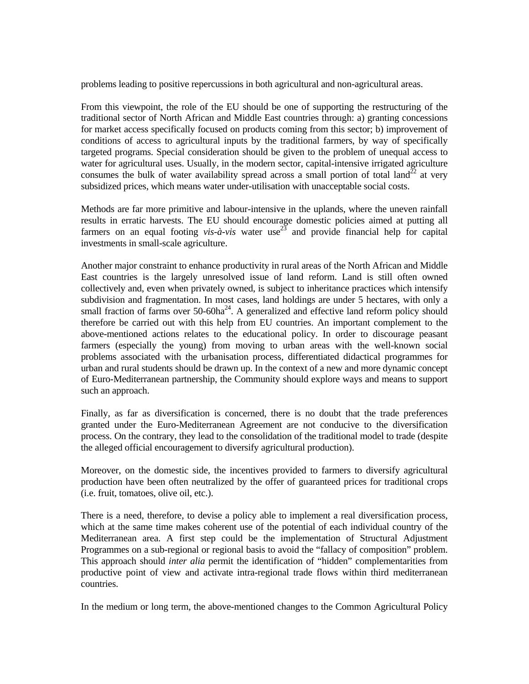problems leading to positive repercussions in both agricultural and non-agricultural areas.

From this viewpoint, the role of the EU should be one of supporting the restructuring of the traditional sector of North African and Middle East countries through: a) granting concessions for market access specifically focused on products coming from this sector; b) improvement of conditions of access to agricultural inputs by the traditional farmers, by way of specifically targeted programs. Special consideration should be given to the problem of unequal access to water for agricultural uses. Usually, in the modern sector, capital-intensive irrigated agriculture consumes the bulk of water availability spread across a small portion of total land<sup>22</sup> at very subsidized prices, which means water under-utilisation with unacceptable social costs.

Methods are far more primitive and labour-intensive in the uplands, where the uneven rainfall results in erratic harvests. The EU should encourage domestic policies aimed at putting all farmers on an equal footing *vis-à-vis* water use<sup>23</sup> and provide financial help for capital investments in small-scale agriculture.

Another major constraint to enhance productivity in rural areas of the North African and Middle East countries is the largely unresolved issue of land reform. Land is still often owned collectively and, even when privately owned, is subject to inheritance practices which intensify subdivision and fragmentation. In most cases, land holdings are under 5 hectares, with only a small fraction of farms over  $50-60ha^{24}$ . A generalized and effective land reform policy should therefore be carried out with this help from EU countries. An important complement to the above-mentioned actions relates to the educational policy. In order to discourage peasant farmers (especially the young) from moving to urban areas with the well-known social problems associated with the urbanisation process, differentiated didactical programmes for urban and rural students should be drawn up. In the context of a new and more dynamic concept of Euro-Mediterranean partnership, the Community should explore ways and means to support such an approach.

Finally, as far as diversification is concerned, there is no doubt that the trade preferences granted under the Euro-Mediterranean Agreement are not conducive to the diversification process. On the contrary, they lead to the consolidation of the traditional model to trade (despite the alleged official encouragement to diversify agricultural production).

Moreover, on the domestic side, the incentives provided to farmers to diversify agricultural production have been often neutralized by the offer of guaranteed prices for traditional crops (i.e. fruit, tomatoes, olive oil, etc.).

There is a need, therefore, to devise a policy able to implement a real diversification process, which at the same time makes coherent use of the potential of each individual country of the Mediterranean area. A first step could be the implementation of Structural Adjustment Programmes on a sub-regional or regional basis to avoid the "fallacy of composition" problem. This approach should *inter alia* permit the identification of "hidden" complementarities from productive point of view and activate intra-regional trade flows within third mediterranean countries.

In the medium or long term, the above-mentioned changes to the Common Agricultural Policy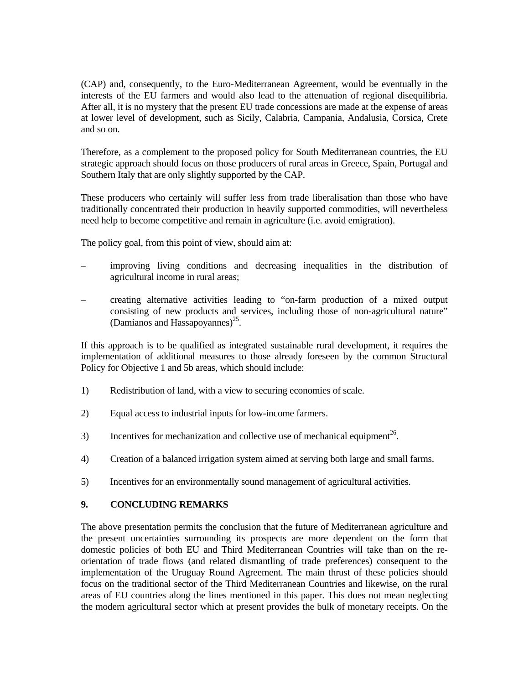(CAP) and, consequently, to the Euro-Mediterranean Agreement, would be eventually in the interests of the EU farmers and would also lead to the attenuation of regional disequilibria. After all, it is no mystery that the present EU trade concessions are made at the expense of areas at lower level of development, such as Sicily, Calabria, Campania, Andalusia, Corsica, Crete and so on.

Therefore, as a complement to the proposed policy for South Mediterranean countries, the EU strategic approach should focus on those producers of rural areas in Greece, Spain, Portugal and Southern Italy that are only slightly supported by the CAP.

These producers who certainly will suffer less from trade liberalisation than those who have traditionally concentrated their production in heavily supported commodities, will nevertheless need help to become competitive and remain in agriculture (i.e. avoid emigration).

The policy goal, from this point of view, should aim at:

- improving living conditions and decreasing inequalities in the distribution of agricultural income in rural areas;
- creating alternative activities leading to "on-farm production of a mixed output consisting of new products and services, including those of non-agricultural nature" (Damianos and Hassapoyannes)<sup>25</sup>.

If this approach is to be qualified as integrated sustainable rural development, it requires the implementation of additional measures to those already foreseen by the common Structural Policy for Objective 1 and 5b areas, which should include:

- 1) Redistribution of land, with a view to securing economies of scale.
- 2) Equal access to industrial inputs for low-income farmers.
- 3) Incentives for mechanization and collective use of mechanical equipment<sup>26</sup>.
- 4) Creation of a balanced irrigation system aimed at serving both large and small farms.
- 5) Incentives for an environmentally sound management of agricultural activities.

### **9. CONCLUDING REMARKS**

The above presentation permits the conclusion that the future of Mediterranean agriculture and the present uncertainties surrounding its prospects are more dependent on the form that domestic policies of both EU and Third Mediterranean Countries will take than on the reorientation of trade flows (and related dismantling of trade preferences) consequent to the implementation of the Uruguay Round Agreement. The main thrust of these policies should focus on the traditional sector of the Third Mediterranean Countries and likewise, on the rural areas of EU countries along the lines mentioned in this paper. This does not mean neglecting the modern agricultural sector which at present provides the bulk of monetary receipts. On the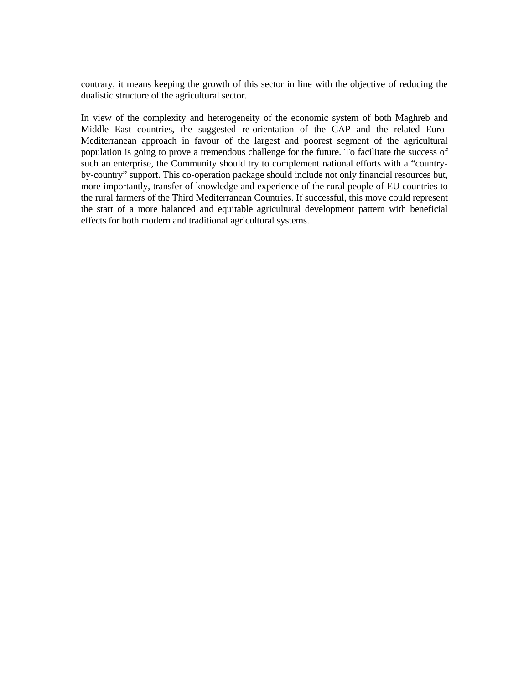contrary, it means keeping the growth of this sector in line with the objective of reducing the dualistic structure of the agricultural sector.

In view of the complexity and heterogeneity of the economic system of both Maghreb and Middle East countries, the suggested re-orientation of the CAP and the related Euro-Mediterranean approach in favour of the largest and poorest segment of the agricultural population is going to prove a tremendous challenge for the future. To facilitate the success of such an enterprise, the Community should try to complement national efforts with a "countryby-country" support. This co-operation package should include not only financial resources but, more importantly, transfer of knowledge and experience of the rural people of EU countries to the rural farmers of the Third Mediterranean Countries. If successful, this move could represent the start of a more balanced and equitable agricultural development pattern with beneficial effects for both modern and traditional agricultural systems.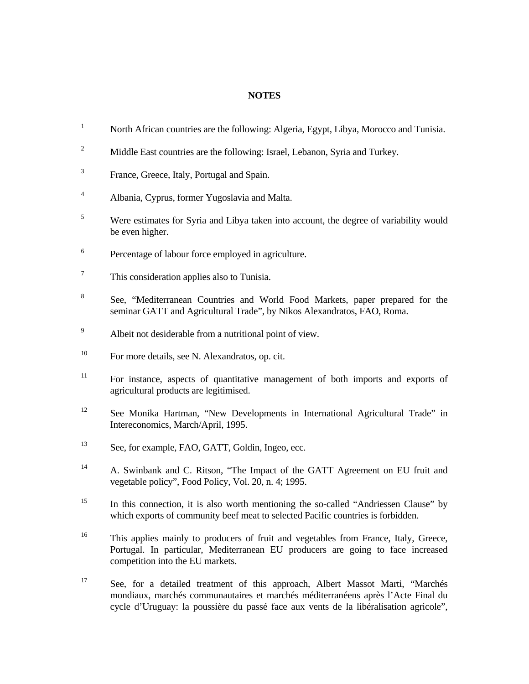### **NOTES**

| $\mathbf{1}$   | North African countries are the following: Algeria, Egypt, Libya, Morocco and Tunisia.                                                                                   |
|----------------|--------------------------------------------------------------------------------------------------------------------------------------------------------------------------|
| $\overline{c}$ | Middle East countries are the following: Israel, Lebanon, Syria and Turkey.                                                                                              |
| 3              | France, Greece, Italy, Portugal and Spain.                                                                                                                               |
| $\overline{4}$ | Albania, Cyprus, former Yugoslavia and Malta.                                                                                                                            |
| 5              | Were estimates for Syria and Libya taken into account, the degree of variability would<br>be even higher.                                                                |
| 6              | Percentage of labour force employed in agriculture.                                                                                                                      |
| $\tau$         | This consideration applies also to Tunisia.                                                                                                                              |
| 8              | See, "Mediterranean Countries and World Food Markets, paper prepared for the<br>seminar GATT and Agricultural Trade", by Nikos Alexandratos, FAO, Roma.                  |
| 9              | Albeit not desiderable from a nutritional point of view.                                                                                                                 |
| 10             | For more details, see N. Alexandratos, op. cit.                                                                                                                          |
| 11             | For instance, aspects of quantitative management of both imports and exports of<br>agricultural products are legitimised.                                                |
| 12             | See Monika Hartman, "New Developments in International Agricultural Trade" in<br>Intereconomics, March/April, 1995.                                                      |
| 13             | See, for example, FAO, GATT, Goldin, Ingeo, ecc.                                                                                                                         |
| 14             | A. Swinbank and C. Ritson, "The Impact of the GATT Agreement on EU fruit and<br>vegetable policy", Food Policy, Vol. 20, n. 4; 1995.                                     |
| 15             | In this connection, it is also worth mentioning the so-called "Andriessen Clause" by<br>which exports of community beef meat to selected Pacific countries is forbidden. |
| 16             | This applies mainly to producers of fruit and vegetables from France, Italy, Greece,<br>Portugal. In particular, Mediterranean EU producers are going to face increased  |

17 See, for a detailed treatment of this approach, Albert Massot Marti, "Marchés mondiaux, marchés communautaires et marchés méditerranéens après l'Acte Final du cycle d'Uruguay: la poussière du passé face aux vents de la libéralisation agricole",

competition into the EU markets.